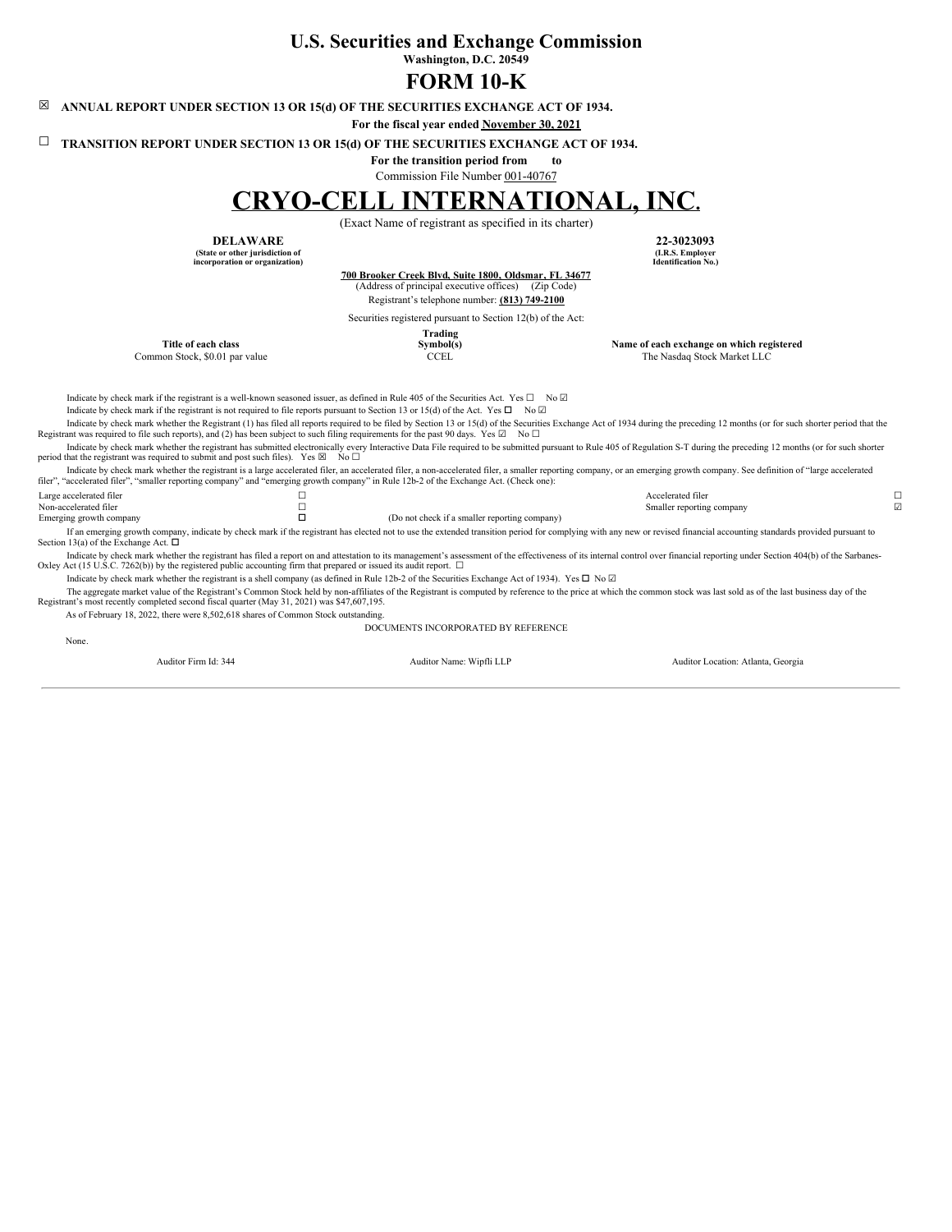**U.S. Securities and Exchange Commission**

**Washington, D.C. 20549**

# **FORM 10-K**

**☒ ANNUAL REPORT UNDER SECTION 13 OR 15(d) OF THE SECURITIES EXCHANGE ACT OF 1934.**

**For the fiscal year ended November 30, 2021**

☐ **TRANSITION REPORT UNDER SECTION 13 OR 15(d) OF THE SECURITIES EXCHANGE ACT OF 1934.**

**For the transition period from to**

Commission File Number 001-40767

# **CRYO-CELL INTERNATIONAL, INC.**

(Exact Name of registrant as specified in its charter)

**DELAWARE 22-3023093**

**(State or other jurisdiction of incorporation or organization)**

**(I.R.S. Employer Identification No.)**

**700 Brooker Creek Blvd, Suite 1800, Oldsmar, FL 34677**

(Address of principal executive offices) (Zip Code) Registrant's telephone number: **(813) 749-2100**

Securities registered pursuant to Section 12(b) of the Act:

**Title of each class**

**Trading**

**Symbol(s)**<br> **Symbol(s)**<br> **Symbol(s)**<br> **Symbol(s)**<br> **Symbol(s)**<br> **Name of each exchange on which registered**<br> **Symbol(s)** 

Common Stock, \$0.01 par value

Indicate by check mark if the registrant is a well-known seasoned issuer, as defined in Rule 405 of the Securities Act. Yes  $\square$  No  $\square$ 

Indicate by check mark if the registrant is not required to file reports pursuant to Section 13 or 15(d) of the Act. Yes  $\square$  No  $\square$ 

Indicate by check mark whether the Registrant (1) has filed all reports required to be filed by Section 13 or 15(d) of the Securities Exchange Act of 1934 during the preceding 12 months (or for such shorter period that the Registrant was required to file such reports), and (2) has been subject to such filing requirements for the past 90 days. Yes  $\boxtimes$  No  $\Box$ 

Indicate by check mark whether the registrant has submitted electronically every Interactive Data File required to be submitted pursuant to Rule 405 of Regulation S-T during the preceding 12 months (or for such shorter period that the registrant was required to submit and post such files). Yes  $\boxtimes$  No  $\Box$ 

Indicate by check mark whether the registrant is a large accelerated filer, an accelerated filer, a non-accelerated filer, a smaller reporting company, or an emerging growth company. See definition of "large accelerated fi

| Large accelerated filer                                                                                                                                                                                                                                                                                                                                   |  | Accelerated filer                             |   |  |  |  |  |  |
|-----------------------------------------------------------------------------------------------------------------------------------------------------------------------------------------------------------------------------------------------------------------------------------------------------------------------------------------------------------|--|-----------------------------------------------|---|--|--|--|--|--|
| Non-accelerated filer                                                                                                                                                                                                                                                                                                                                     |  | Smaller reporting company                     | ☑ |  |  |  |  |  |
| Emerging growth company                                                                                                                                                                                                                                                                                                                                   |  | (Do not check if a smaller reporting company) |   |  |  |  |  |  |
| If an emerging growth company, indicate by check mark if the registrant has elected not to use the extended transition period for complying with any new or revised financial accounting standards provided pursuant to<br>Section 13(a) of the Exchange Act. $\Box$                                                                                      |  |                                               |   |  |  |  |  |  |
| Indicate by check mark whether the registrant has filed a report on and attestation to its management's assessment of the effectiveness of its internal control over financial reporting under Section 404(b) of the Sarbanes-<br>Oxley Act (15 U.S.C. 7262(b)) by the registered public accounting firm that prepared or issued its audit report. $\Box$ |  |                                               |   |  |  |  |  |  |

Indicate by check mark whether the registrant is a shell company (as defined in Rule 12b-2 of the Securities Exchange Act of 1934). Yes  $\Box$  No  $\Box$ 

The aggregate market value of the Registrant's Common Stock held by non-affiliates of the Registrant is computed by reference to the price at which the common stock was last sold as of the last business day of the Registrant's most recently completed second fiscal quarter (May 31, 2021) was \$47,607,195. As of February 18, 2022, there were 8,502,618 shares of Common Stock outstanding.

None.

DOCUMENTS INCORPORATED BY REFERENCE

Auditor Firm Id: 344 Auditor Name: Wipfli LLP Auditor Location: Atlanta, Georgia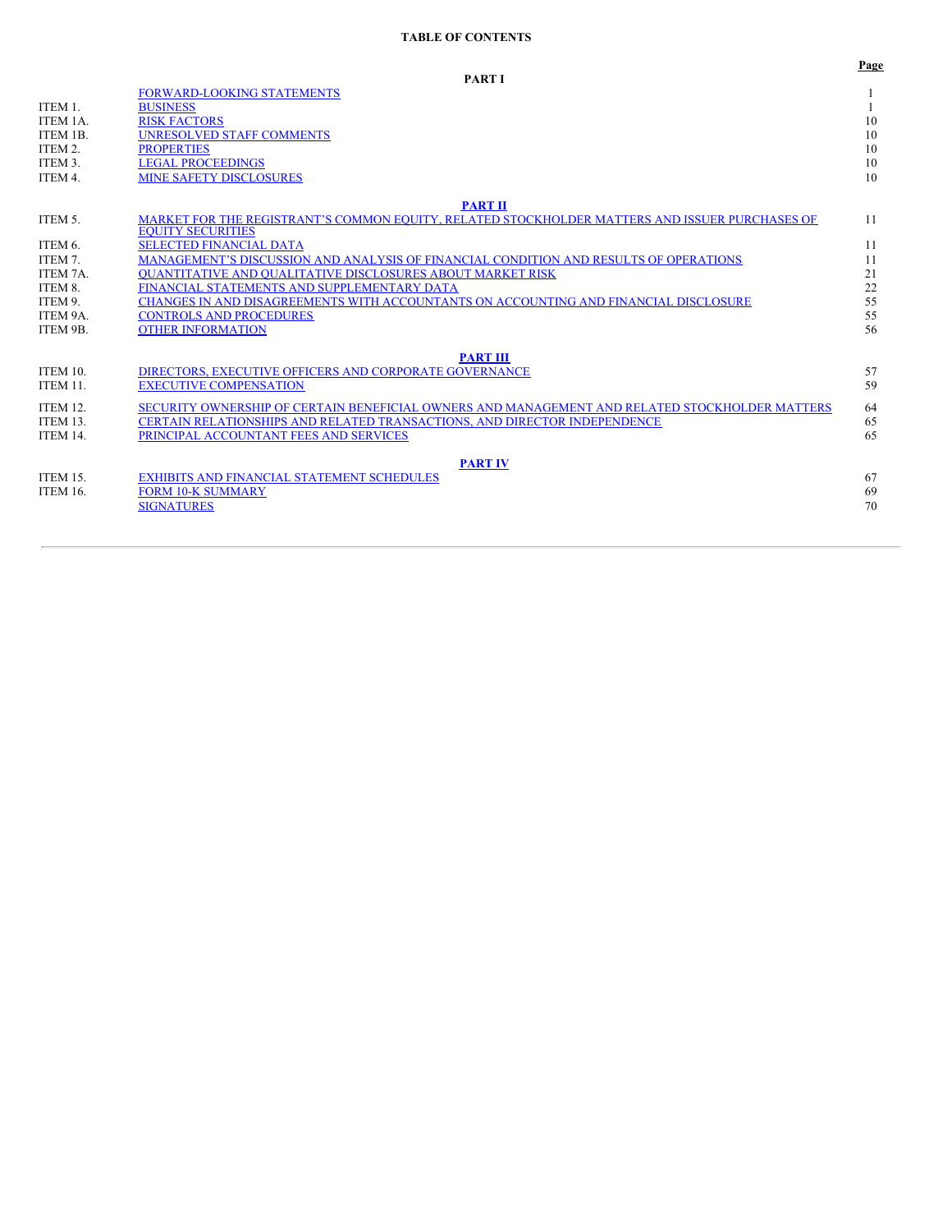# **TABLE OF CONTENTS**

|                 |                                                                                                | Page |
|-----------------|------------------------------------------------------------------------------------------------|------|
|                 | <b>PART I</b>                                                                                  |      |
|                 | <b>FORWARD-LOOKING STATEMENTS</b>                                                              |      |
| ITEM 1.         | <b>BUSINESS</b>                                                                                | -1   |
| ITEM 1A.        | <b>RISK FACTORS</b>                                                                            | 10   |
| ITEM 1B.        | <b>UNRESOLVED STAFF COMMENTS</b>                                                               | 10   |
| ITEM 2.         | <b>PROPERTIES</b>                                                                              | 10   |
| ITEM 3.         | <b>LEGAL PROCEEDINGS</b>                                                                       | 10   |
| ITEM 4.         | <b>MINE SAFETY DISCLOSURES</b>                                                                 | 10   |
|                 | <b>PART II</b>                                                                                 |      |
| ITEM 5.         | MARKET FOR THE REGISTRANT'S COMMON EOUITY, RELATED STOCKHOLDER MATTERS AND ISSUER PURCHASES OF | 11   |
|                 | <b>EQUITY SECURITIES</b>                                                                       |      |
| ITEM 6.         | <b>SELECTED FINANCIAL DATA</b>                                                                 | 11   |
| ITEM 7.         | MANAGEMENT'S DISCUSSION AND ANALYSIS OF FINANCIAL CONDITION AND RESULTS OF OPERATIONS          | 11   |
| ITEM 7A.        | <b>OUANTITATIVE AND OUALITATIVE DISCLOSURES ABOUT MARKET RISK</b>                              | 21   |
| ITEM 8.         | FINANCIAL STATEMENTS AND SUPPLEMENTARY DATA                                                    | 22   |
| ITEM 9.         | CHANGES IN AND DISAGREEMENTS WITH ACCOUNTANTS ON ACCOUNTING AND FINANCIAL DISCLOSURE           | 55   |
| ITEM 9A.        | <b>CONTROLS AND PROCEDURES</b>                                                                 | 55   |
| ITEM 9B.        | <b>OTHER INFORMATION</b>                                                                       | 56   |
|                 | <b>PART III</b>                                                                                |      |
| <b>ITEM 10.</b> | DIRECTORS, EXECUTIVE OFFICERS AND CORPORATE GOVERNANCE                                         | 57   |
| ITEM 11.        | <b>EXECUTIVE COMPENSATION</b>                                                                  | 59   |
|                 |                                                                                                |      |
| ITEM 12.        | SECURITY OWNERSHIP OF CERTAIN BENEFICIAL OWNERS AND MANAGEMENT AND RELATED STOCKHOLDER MATTERS | 64   |
| ITEM 13.        | CERTAIN RELATIONSHIPS AND RELATED TRANSACTIONS, AND DIRECTOR INDEPENDENCE                      | 65   |
| ITEM 14.        | PRINCIPAL ACCOUNTANT FEES AND SERVICES                                                         | 65   |
|                 | <b>PART IV</b>                                                                                 |      |
| <b>ITEM 15.</b> | <b>EXHIBITS AND FINANCIAL STATEMENT SCHEDULES</b>                                              | 67   |
| <b>ITEM 16.</b> | <b>FORM 10-K SUMMARY</b>                                                                       | 69   |
|                 | <b>SIGNATURES</b>                                                                              | 70   |
|                 |                                                                                                |      |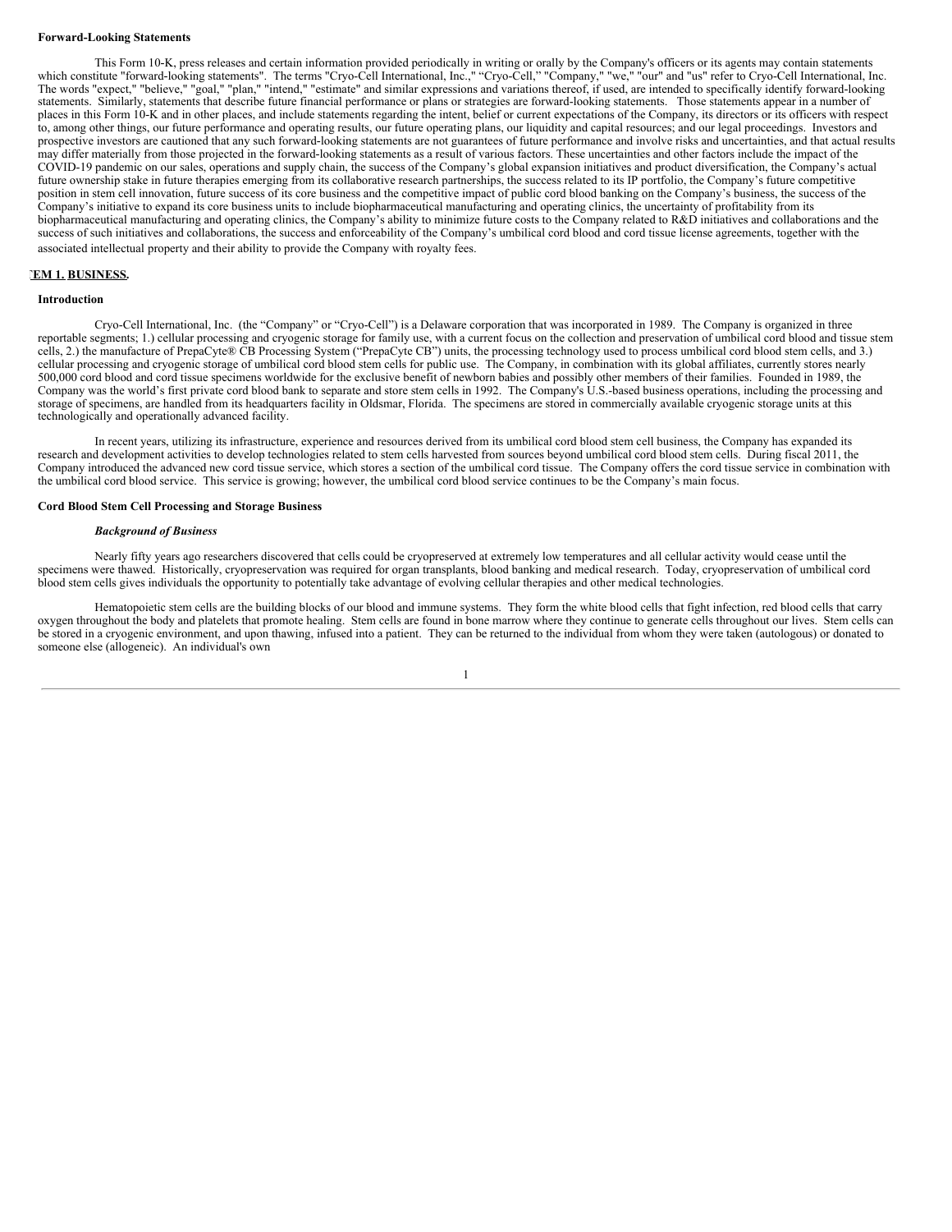### <span id="page-2-0"></span>**Forward-Looking Statements**

This Form 10‑K, press releases and certain information provided periodically in writing or orally by the Company's officers or its agents may contain statements which constitute "forward-looking statements". The terms "Cryo-Cell International, Inc.," "Cryo-Cell," "Company," "we," "our" and "us" refer to Cryo-Cell International, Inc. The words "expect," "believe," "goal," "plan," "intend," "estimate" and similar expressions and variations thereof, if used, are intended to specifically identify forward-looking statements. Similarly, statements that describe future financial performance or plans or strategies are forward-looking statements. Those statements appear in a number of places in this Form 10‑K and in other places, and include statements regarding the intent, belief or current expectations of the Company, its directors or its officers with respect to, among other things, our future performance and operating results, our future operating plans, our liquidity and capital resources; and our legal proceedings. Investors and prospective investors are cautioned that any such forward-looking statements are not guarantees of future performance and involve risks and uncertainties, and that actual results may differ materially from those projected in the forward-looking statements as a result of various factors. These uncertainties and other factors include the impact of the COVID-19 pandemic on our sales, operations and supply chain, the success of the Company's global expansion initiatives and product diversification, the Company's actual future ownership stake in future therapies emerging from its collaborative research partnerships, the success related to its IP portfolio, the Company's future competitive position in stem cell innovation, future success of its core business and the competitive impact of public cord blood banking on the Company's business, the success of the Company's initiative to expand its core business units to include biopharmaceutical manufacturing and operating clinics, the uncertainty of profitability from its biopharmaceutical manufacturing and operating clinics, the Company's ability to minimize future costs to the Company related to R&D initiatives and collaborations and the success of such initiatives and collaborations, the success and enforceability of the Company's umbilical cord blood and cord tissue license agreements, together with the associated intellectual property and their ability to provide the Company with royalty fees.

# <span id="page-2-1"></span>**ITEM 1. BUSINESS.**

# **Introduction**

Cryo-Cell International, Inc. (the "Company" or "Cryo-Cell") is a Delaware corporation that was incorporated in 1989. The Company is organized in three reportable segments; 1.) cellular processing and cryogenic storage for family use, with a current focus on the collection and preservation of umbilical cord blood and tissue stem cells, 2.) the manufacture of PrepaCyte® CB Processing System ("PrepaCyte CB") units, the processing technology used to process umbilical cord blood stem cells, and 3.) cellular processing and cryogenic storage of umbilical cord blood stem cells for public use. The Company, in combination with its global affiliates, currently stores nearly 500,000 cord blood and cord tissue specimens worldwide for the exclusive benefit of newborn babies and possibly other members of their families. Founded in 1989, the Company was the world's first private cord blood bank to separate and store stem cells in 1992. The Company's U.S.-based business operations, including the processing and storage of specimens, are handled from its headquarters facility in Oldsmar, Florida. The specimens are stored in commercially available cryogenic storage units at this technologically and operationally advanced facility.

In recent years, utilizing its infrastructure, experience and resources derived from its umbilical cord blood stem cell business, the Company has expanded its research and development activities to develop technologies related to stem cells harvested from sources beyond umbilical cord blood stem cells. During fiscal 2011, the Company introduced the advanced new cord tissue service, which stores a section of the umbilical cord tissue. The Company offers the cord tissue service in combination with the umbilical cord blood service. This service is growing; however, the umbilical cord blood service continues to be the Company's main focus.

# **Cord Blood Stem Cell Processing and Storage Business**

### *Background of Business*

Nearly fifty years ago researchers discovered that cells could be cryopreserved at extremely low temperatures and all cellular activity would cease until the specimens were thawed. Historically, cryopreservation was required for organ transplants, blood banking and medical research. Today, cryopreservation of umbilical cord blood stem cells gives individuals the opportunity to potentially take advantage of evolving cellular therapies and other medical technologies.

Hematopoietic stem cells are the building blocks of our blood and immune systems. They form the white blood cells that fight infection, red blood cells that carry oxygen throughout the body and platelets that promote healing. Stem cells are found in bone marrow where they continue to generate cells throughout our lives. Stem cells can be stored in a cryogenic environment, and upon thawing, infused into a patient. They can be returned to the individual from whom they were taken (autologous) or donated to someone else (allogeneic). An individual's own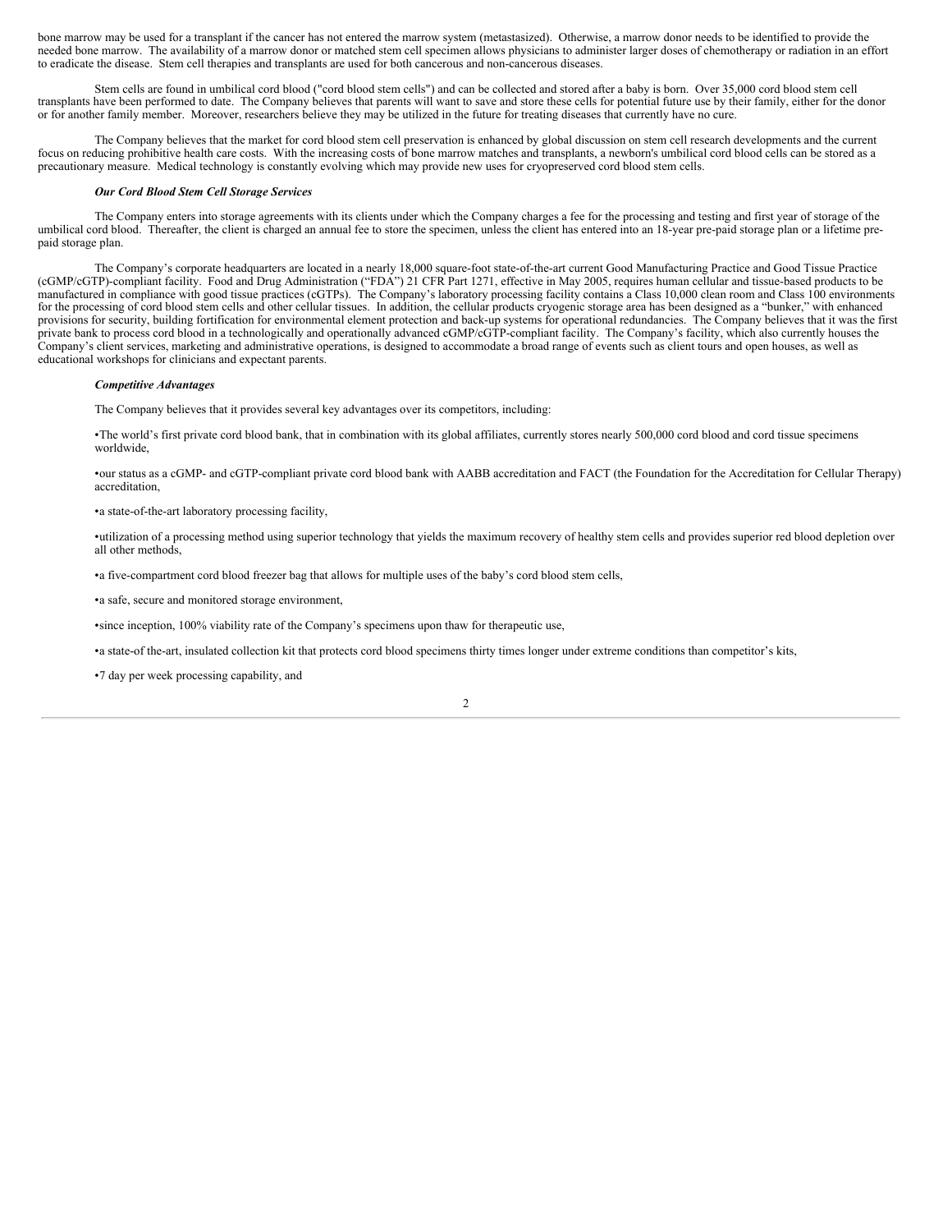bone marrow may be used for a transplant if the cancer has not entered the marrow system (metastasized). Otherwise, a marrow donor needs to be identified to provide the needed bone marrow. The availability of a marrow donor or matched stem cell specimen allows physicians to administer larger doses of chemotherapy or radiation in an effort to eradicate the disease. Stem cell therapies and transplants are used for both cancerous and non-cancerous diseases.

Stem cells are found in umbilical cord blood ("cord blood stem cells") and can be collected and stored after a baby is born. Over 35,000 cord blood stem cell transplants have been performed to date. The Company believes that parents will want to save and store these cells for potential future use by their family, either for the donor or for another family member. Moreover, researchers believe they may be utilized in the future for treating diseases that currently have no cure.

The Company believes that the market for cord blood stem cell preservation is enhanced by global discussion on stem cell research developments and the current focus on reducing prohibitive health care costs. With the increasing costs of bone marrow matches and transplants, a newborn's umbilical cord blood cells can be stored as a precautionary measure. Medical technology is constantly evolving which may provide new uses for cryopreserved cord blood stem cells.

#### *Our Cord Blood Stem Cell Storage Services*

The Company enters into storage agreements with its clients under which the Company charges a fee for the processing and testing and first year of storage of the umbilical cord blood. Thereafter, the client is charged an annual fee to store the specimen, unless the client has entered into an 18-year pre-paid storage plan or a lifetime prepaid storage plan.

The Company's corporate headquarters are located in a nearly 18,000 square-foot state-of-the-art current Good Manufacturing Practice and Good Tissue Practice (cGMP/cGTP)-compliant facility. Food and Drug Administration ("FDA") 21 CFR Part 1271, effective in May 2005, requires human cellular and tissue-based products to be manufactured in compliance with good tissue practices (cGTPs). The Company's laboratory processing facility contains a Class 10,000 clean room and Class 100 environments for the processing of cord blood stem cells and other cellular tissues. In addition, the cellular products cryogenic storage area has been designed as a "bunker," with enhanced provisions for security, building fortification for environmental element protection and back-up systems for operational redundancies. The Company believes that it was the first private bank to process cord blood in a technologically and operationally advanced cGMP/cGTP-compliant facility. The Company's facility, which also currently houses the Company's client services, marketing and administrative operations, is designed to accommodate a broad range of events such as client tours and open houses, as well as educational workshops for clinicians and expectant parents.

#### *Competitive Advantages*

The Company believes that it provides several key advantages over its competitors, including:

•The world's first private cord blood bank, that in combination with its global affiliates, currently stores nearly 500,000 cord blood and cord tissue specimens worldwide,

•our status as a cGMP- and cGTP-compliant private cord blood bank with AABB accreditation and FACT (the Foundation for the Accreditation for Cellular Therapy) accreditation,

•a state-of-the-art laboratory processing facility,

•utilization of a processing method using superior technology that yields the maximum recovery of healthy stem cells and provides superior red blood depletion over all other methods,

•a five-compartment cord blood freezer bag that allows for multiple uses of the baby's cord blood stem cells,

•a safe, secure and monitored storage environment,

•since inception, 100% viability rate of the Company's specimens upon thaw for therapeutic use,

•a state-of the-art, insulated collection kit that protects cord blood specimens thirty times longer under extreme conditions than competitor's kits,

•7 day per week processing capability, and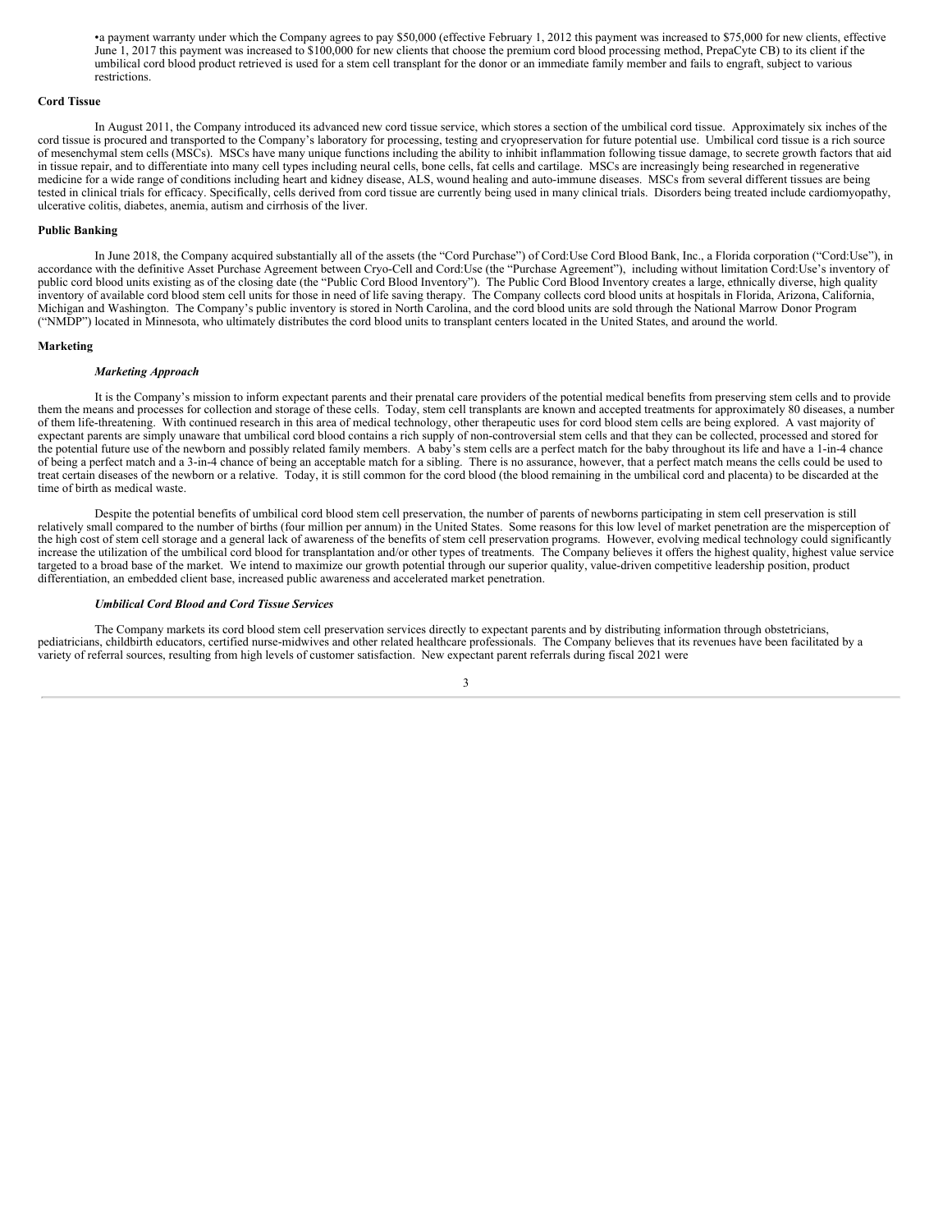•a payment warranty under which the Company agrees to pay \$50,000 (effective February 1, 2012 this payment was increased to \$75,000 for new clients, effective June 1, 2017 this payment was increased to \$100,000 for new clients that choose the premium cord blood processing method, PrepaCyte CB) to its client if the umbilical cord blood product retrieved is used for a stem cell transplant for the donor or an immediate family member and fails to engraft, subject to various restrictions.

# **Cord Tissue**

In August 2011, the Company introduced its advanced new cord tissue service, which stores a section of the umbilical cord tissue. Approximately six inches of the cord tissue is procured and transported to the Company's laboratory for processing, testing and cryopreservation for future potential use. Umbilical cord tissue is a rich source of mesenchymal stem cells (MSCs). MSCs have many unique functions including the ability to inhibit inflammation following tissue damage, to secrete growth factors that aid in tissue repair, and to differentiate into many cell types including neural cells, bone cells, fat cells and cartilage. MSCs are increasingly being researched in regenerative medicine for a wide range of conditions including heart and kidney disease, ALS, wound healing and auto-immune diseases. MSCs from several different tissues are being tested in clinical trials for efficacy. Specifically, cells derived from cord tissue are currently being used in many clinical trials. Disorders being treated include cardiomyopathy, ulcerative colitis, diabetes, anemia, autism and cirrhosis of the liver.

# **Public Banking**

In June 2018, the Company acquired substantially all of the assets (the "Cord Purchase") of Cord:Use Cord Blood Bank, Inc., a Florida corporation ("Cord:Use"), in accordance with the definitive Asset Purchase Agreement between Cryo-Cell and Cord:Use (the "Purchase Agreement"), including without limitation Cord:Use's inventory of public cord blood units existing as of the closing date (the "Public Cord Blood Inventory"). The Public Cord Blood Inventory creates a large, ethnically diverse, high quality inventory of available cord blood stem cell units for those in need of life saving therapy. The Company collects cord blood units at hospitals in Florida, Arizona, California, Michigan and Washington. The Company's public inventory is stored in North Carolina, and the cord blood units are sold through the National Marrow Donor Program ("NMDP") located in Minnesota, who ultimately distributes the cord blood units to transplant centers located in the United States, and around the world.

#### **Marketing**

#### *Marketing Approach*

It is the Company's mission to inform expectant parents and their prenatal care providers of the potential medical benefits from preserving stem cells and to provide them the means and processes for collection and storage of these cells. Today, stem cell transplants are known and accepted treatments for approximately 80 diseases, a number of them life-threatening. With continued research in this area of medical technology, other therapeutic uses for cord blood stem cells are being explored. A vast majority of expectant parents are simply unaware that umbilical cord blood contains a rich supply of non-controversial stem cells and that they can be collected, processed and stored for the potential future use of the newborn and possibly related family members. A baby's stem cells are a perfect match for the baby throughout its life and have a 1-in-4 chance of being a perfect match and a 3-in-4 chance of being an acceptable match for a sibling. There is no assurance, however, that a perfect match means the cells could be used to treat certain diseases of the newborn or a relative. Today, it is still common for the cord blood (the blood remaining in the umbilical cord and placenta) to be discarded at the time of birth as medical waste.

Despite the potential benefits of umbilical cord blood stem cell preservation, the number of parents of newborns participating in stem cell preservation is still relatively small compared to the number of births (four million per annum) in the United States. Some reasons for this low level of market penetration are the misperception of the high cost of stem cell storage and a general lack of awareness of the benefits of stem cell preservation programs. However, evolving medical technology could significantly increase the utilization of the umbilical cord blood for transplantation and/or other types of treatments. The Company believes it offers the highest quality, highest value service targeted to a broad base of the market. We intend to maximize our growth potential through our superior quality, value-driven competitive leadership position, product differentiation, an embedded client base, increased public awareness and accelerated market penetration.

#### *Umbilical Cord Blood and Cord Tissue Services*

The Company markets its cord blood stem cell preservation services directly to expectant parents and by distributing information through obstetricians, pediatricians, childbirth educators, certified nurse-midwives and other related healthcare professionals. The Company believes that its revenues have been facilitated by a variety of referral sources, resulting from high levels of customer satisfaction. New expectant parent referrals during fiscal 2021 were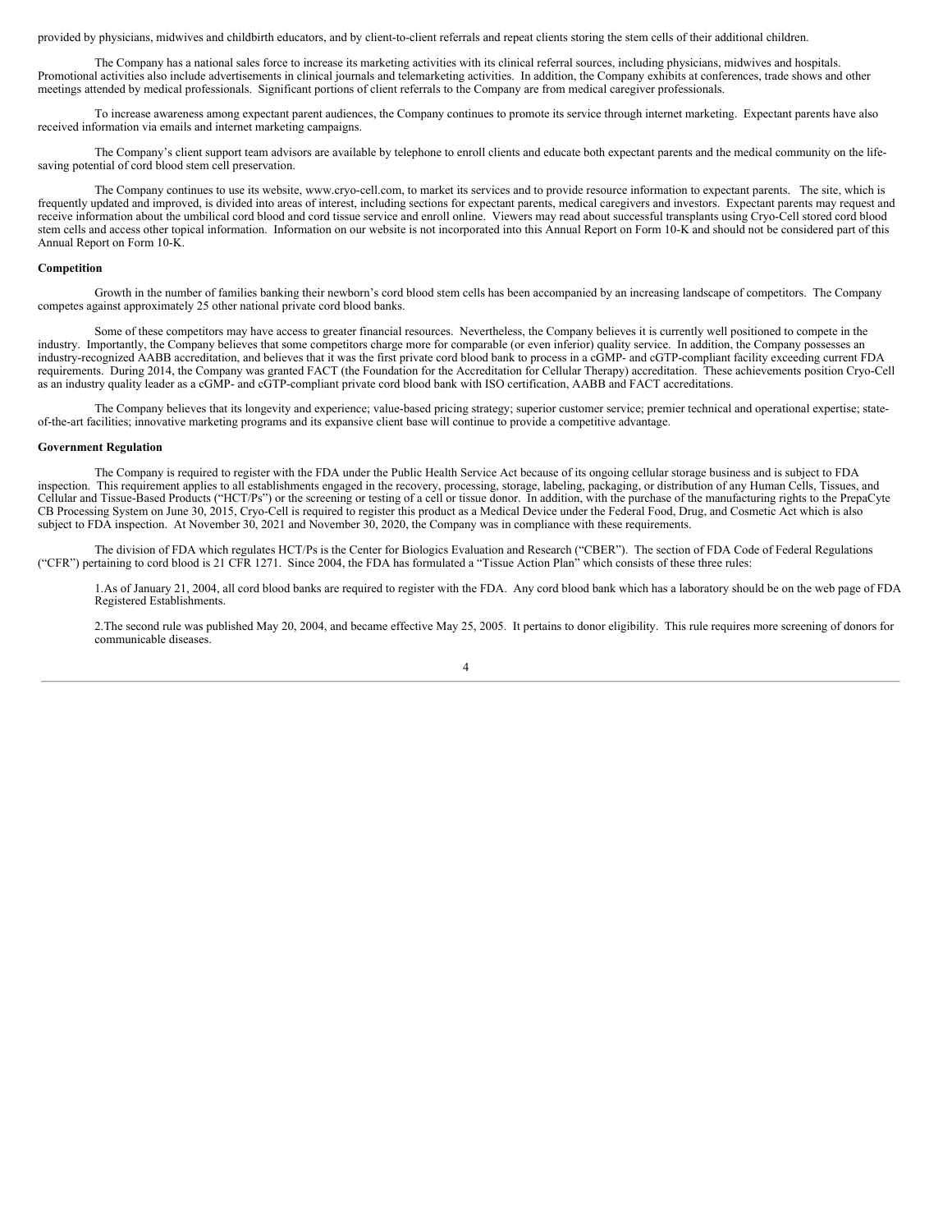provided by physicians, midwives and childbirth educators, and by client-to-client referrals and repeat clients storing the stem cells of their additional children.

The Company has a national sales force to increase its marketing activities with its clinical referral sources, including physicians, midwives and hospitals. Promotional activities also include advertisements in clinical journals and telemarketing activities. In addition, the Company exhibits at conferences, trade shows and other meetings attended by medical professionals. Significant portions of client referrals to the Company are from medical caregiver professionals.

To increase awareness among expectant parent audiences, the Company continues to promote its service through internet marketing. Expectant parents have also received information via emails and internet marketing campaigns.

The Company's client support team advisors are available by telephone to enroll clients and educate both expectant parents and the medical community on the lifesaving potential of cord blood stem cell preservation.

The Company continues to use its website, www.cryo-cell.com, to market its services and to provide resource information to expectant parents. The site, which is frequently updated and improved, is divided into areas of interest, including sections for expectant parents, medical caregivers and investors. Expectant parents may request and receive information about the umbilical cord blood and cord tissue service and enroll online. Viewers may read about successful transplants using Cryo-Cell stored cord blood stem cells and access other topical information. Information on our website is not incorporated into this Annual Report on Form 10-K and should not be considered part of this Annual Report on Form 10-K.

#### **Competition**

Growth in the number of families banking their newborn's cord blood stem cells has been accompanied by an increasing landscape of competitors. The Company competes against approximately 25 other national private cord blood banks.

Some of these competitors may have access to greater financial resources. Nevertheless, the Company believes it is currently well positioned to compete in the industry. Importantly, the Company believes that some competitors charge more for comparable (or even inferior) quality service. In addition, the Company possesses an industry-recognized AABB accreditation, and believes that it was the first private cord blood bank to process in a cGMP- and cGTP-compliant facility exceeding current FDA requirements. During 2014, the Company was granted FACT (the Foundation for the Accreditation for Cellular Therapy) accreditation. These achievements position Cryo-Cell as an industry quality leader as a cGMP- and cGTP-compliant private cord blood bank with ISO certification, AABB and FACT accreditations.

The Company believes that its longevity and experience; value-based pricing strategy; superior customer service; premier technical and operational expertise; stateof-the-art facilities; innovative marketing programs and its expansive client base will continue to provide a competitive advantage.

#### **Government Regulation**

The Company is required to register with the FDA under the Public Health Service Act because of its ongoing cellular storage business and is subject to FDA inspection. This requirement applies to all establishments engaged in the recovery, processing, storage, labeling, packaging, or distribution of any Human Cells, Tissues, and Cellular and Tissue-Based Products ("HCT/Ps") or the screening or testing of a cell or tissue donor. In addition, with the purchase of the manufacturing rights to the PrepaCyte CB Processing System on June 30, 2015, Cryo-Cell is required to register this product as a Medical Device under the Federal Food, Drug, and Cosmetic Act which is also subject to FDA inspection. At November 30, 2021 and November 30, 2020, the Company was in compliance with these requirements.

The division of FDA which regulates HCT/Ps is the Center for Biologics Evaluation and Research ("CBER"). The section of FDA Code of Federal Regulations ("CFR") pertaining to cord blood is 21 CFR 1271. Since 2004, the FDA has formulated a "Tissue Action Plan" which consists of these three rules:

1.As of January 21, 2004, all cord blood banks are required to register with the FDA. Any cord blood bank which has a laboratory should be on the web page of FDA Registered Establishments.

2. The second rule was published May 20, 2004, and became effective May 25, 2005. It pertains to donor eligibility. This rule requires more screening of donors for communicable diseases.

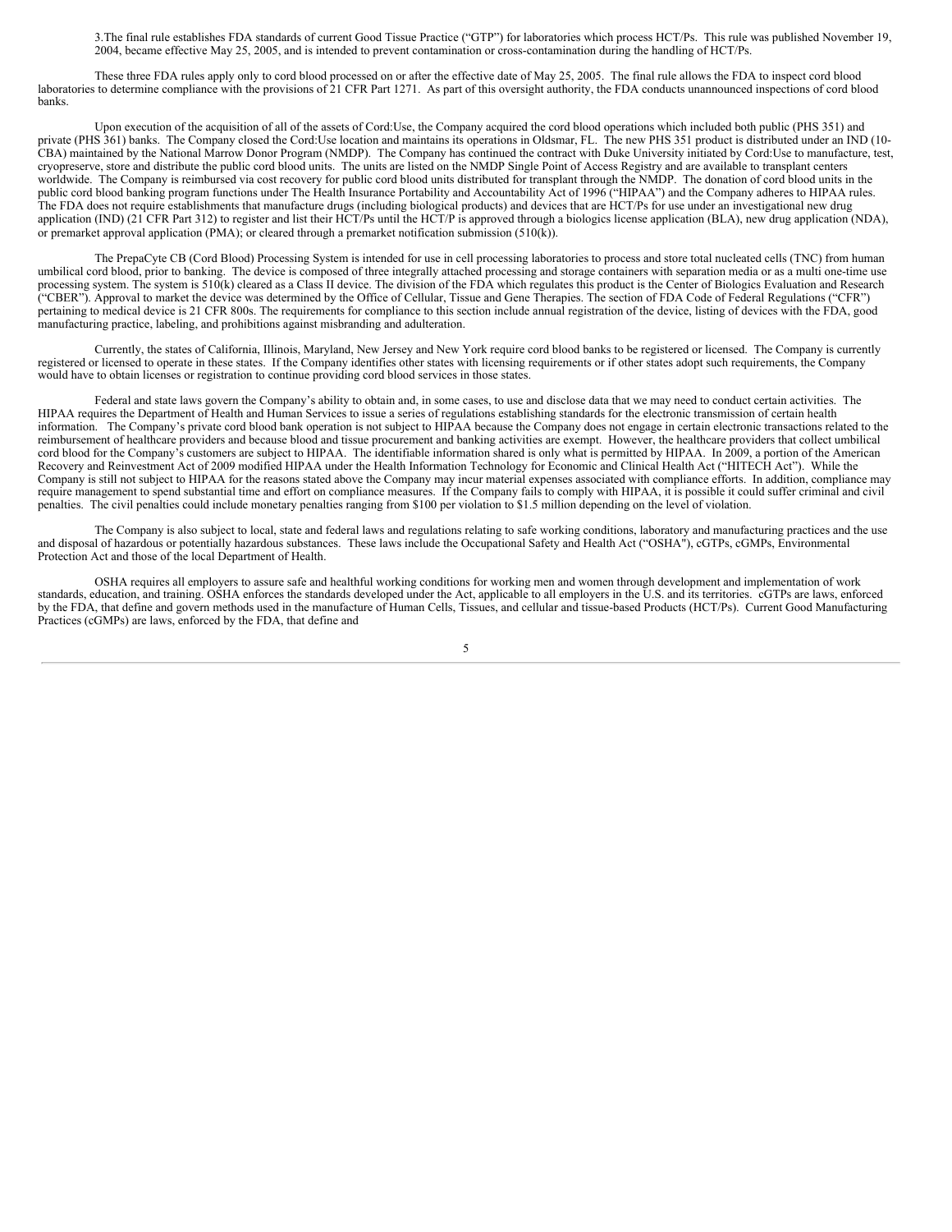3.The final rule establishes FDA standards of current Good Tissue Practice ("GTP") for laboratories which process HCT/Ps. This rule was published November 19, 2004, became effective May 25, 2005, and is intended to prevent contamination or cross-contamination during the handling of HCT/Ps.

These three FDA rules apply only to cord blood processed on or after the effective date of May 25, 2005. The final rule allows the FDA to inspect cord blood laboratories to determine compliance with the provisions of 21 CFR Part 1271. As part of this oversight authority, the FDA conducts unannounced inspections of cord blood banks.

Upon execution of the acquisition of all of the assets of Cord:Use, the Company acquired the cord blood operations which included both public (PHS 351) and private (PHS 361) banks. The Company closed the Cord:Use location and maintains its operations in Oldsmar, FL. The new PHS 351 product is distributed under an IND (10- CBA) maintained by the National Marrow Donor Program (NMDP). The Company has continued the contract with Duke University initiated by Cord:Use to manufacture, test, cryopreserve, store and distribute the public cord blood units. The units are listed on the NMDP Single Point of Access Registry and are available to transplant centers worldwide. The Company is reimbursed via cost recovery for public cord blood units distributed for transplant through the NMDP. The donation of cord blood units in the public cord blood banking program functions under The Health Insurance Portability and Accountability Act of 1996 ("HIPAA") and the Company adheres to HIPAA rules. The FDA does not require establishments that manufacture drugs (including biological products) and devices that are HCT/Ps for use under an investigational new drug application (IND) (21 CFR Part 312) to register and list their HCT/Ps until the HCT/P is approved through a biologics license application (BLA), new drug application (NDA), or premarket approval application (PMA); or cleared through a premarket notification submission (510(k)).

The PrepaCyte CB (Cord Blood) Processing System is intended for use in cell processing laboratories to process and store total nucleated cells (TNC) from human umbilical cord blood, prior to banking. The device is composed of three integrally attached processing and storage containers with separation media or as a multi one-time use processing system. The system is 510(k) cleared as a Class II device. The division of the FDA which regulates this product is the Center of Biologics Evaluation and Research ("CBER"). Approval to market the device was determined by the Office of Cellular, Tissue and Gene Therapies. The section of FDA Code of Federal Regulations ("CFR") pertaining to medical device is 21 CFR 800s. The requirements for compliance to this section include annual registration of the device, listing of devices with the FDA, good manufacturing practice, labeling, and prohibitions against misbranding and adulteration.

Currently, the states of California, Illinois, Maryland, New Jersey and New York require cord blood banks to be registered or licensed. The Company is currently registered or licensed to operate in these states. If the Company identifies other states with licensing requirements or if other states adopt such requirements, the Company would have to obtain licenses or registration to continue providing cord blood services in those states.

Federal and state laws govern the Company's ability to obtain and, in some cases, to use and disclose data that we may need to conduct certain activities. The HIPAA requires the Department of Health and Human Services to issue a series of regulations establishing standards for the electronic transmission of certain health information. The Company's private cord blood bank operation is not subject to HIPAA because the Company does not engage in certain electronic transactions related to the reimbursement of healthcare providers and because blood and tissue procurement and banking activities are exempt. However, the healthcare providers that collect umbilical cord blood for the Company's customers are subject to HIPAA. The identifiable information shared is only what is permitted by HIPAA. In 2009, a portion of the American Recovery and Reinvestment Act of 2009 modified HIPAA under the Health Information Technology for Economic and Clinical Health Act ("HITECH Act"). While the Company is still not subject to HIPAA for the reasons stated above the Company may incur material expenses associated with compliance efforts. In addition, compliance may require management to spend substantial time and effort on compliance measures. If the Company fails to comply with HIPAA, it is possible it could suffer criminal and civil penalties. The civil penalties could include monetary penalties ranging from \$100 per violation to \$1.5 million depending on the level of violation.

The Company is also subject to local, state and federal laws and regulations relating to safe working conditions, laboratory and manufacturing practices and the use and disposal of hazardous or potentially hazardous substances. These laws include the Occupational Safety and Health Act ("OSHA"), cGTPs, cGMPs, Environmental Protection Act and those of the local Department of Health.

OSHA requires all employers to assure safe and healthful working conditions for working men and women through development and implementation of work standards, education, and training. OSHA enforces the standards developed under the Act, applicable to all employers in the U.S. and its territories. cGTPs are laws, enforced by the FDA, that define and govern methods used in the manufacture of Human Cells, Tissues, and cellular and tissue-based Products (HCT/Ps). Current Good Manufacturing Practices (cGMPs) are laws, enforced by the FDA, that define and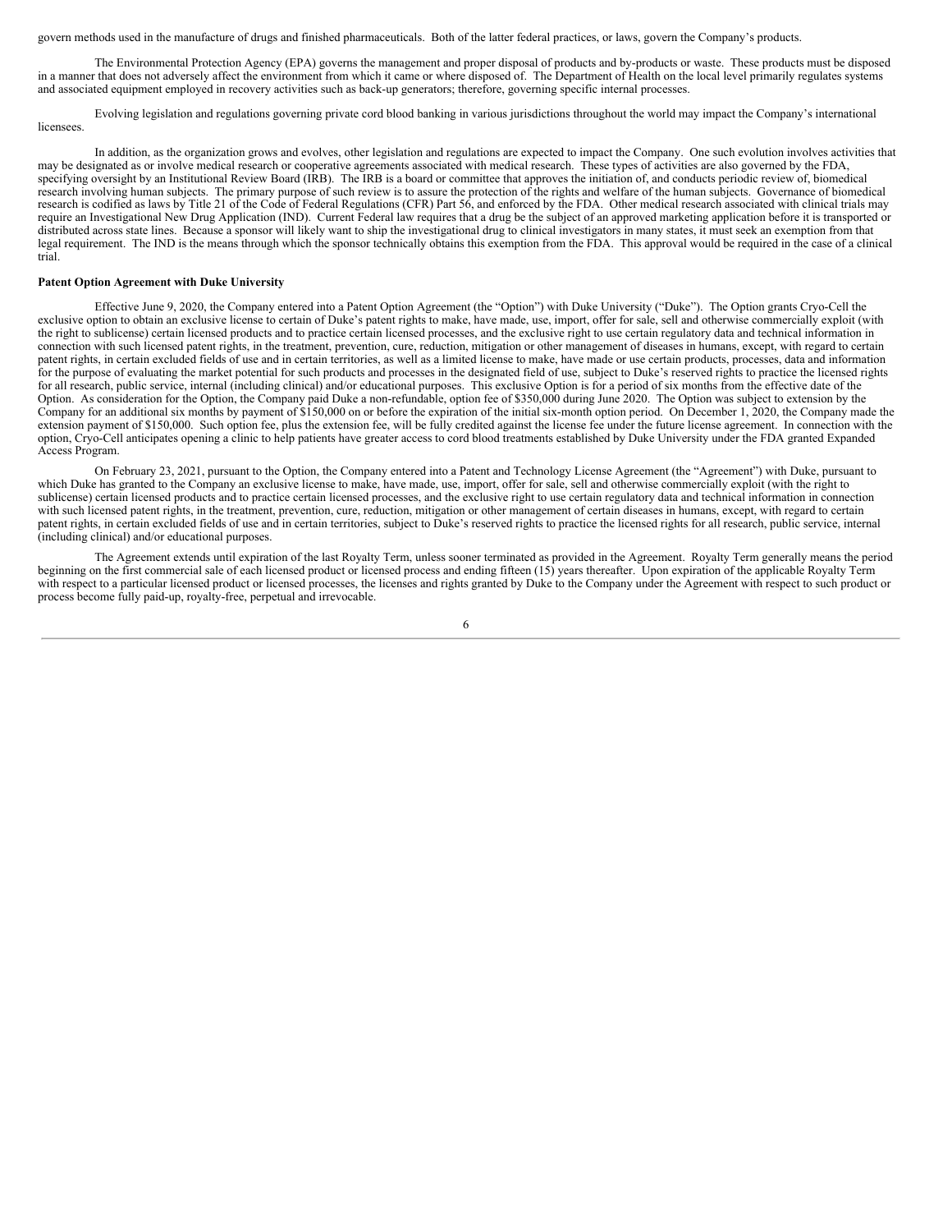govern methods used in the manufacture of drugs and finished pharmaceuticals. Both of the latter federal practices, or laws, govern the Company's products.

The Environmental Protection Agency (EPA) governs the management and proper disposal of products and by-products or waste. These products must be disposed in a manner that does not adversely affect the environment from which it came or where disposed of. The Department of Health on the local level primarily regulates systems and associated equipment employed in recovery activities such as back-up generators; therefore, governing specific internal processes.

Evolving legislation and regulations governing private cord blood banking in various jurisdictions throughout the world may impact the Company's international licensees.

In addition, as the organization grows and evolves, other legislation and regulations are expected to impact the Company. One such evolution involves activities that may be designated as or involve medical research or cooperative agreements associated with medical research. These types of activities are also governed by the FDA, specifying oversight by an Institutional Review Board (IRB). The IRB is a board or committee that approves the initiation of, and conducts periodic review of, biomedical research involving human subjects. The primary purpose of such review is to assure the protection of the rights and welfare of the human subjects. Governance of biomedical research is codified as laws by Title 21 of the Code of Federal Regulations (CFR) Part 56, and enforced by the FDA. Other medical research associated with clinical trials may require an Investigational New Drug Application (IND). Current Federal law requires that a drug be the subject of an approved marketing application before it is transported or distributed across state lines. Because a sponsor will likely want to ship the investigational drug to clinical investigators in many states, it must seek an exemption from that legal requirement. The IND is the means through which the sponsor technically obtains this exemption from the FDA. This approval would be required in the case of a clinical trial.

# **Patent Option Agreement with Duke University**

Effective June 9, 2020, the Company entered into a Patent Option Agreement (the "Option") with Duke University ("Duke"). The Option grants Cryo-Cell the exclusive option to obtain an exclusive license to certain of Duke's patent rights to make, have made, use, import, offer for sale, sell and otherwise commercially exploit (with the right to sublicense) certain licensed products and to practice certain licensed processes, and the exclusive right to use certain regulatory data and technical information in connection with such licensed patent rights, in the treatment, prevention, cure, reduction, mitigation or other management of diseases in humans, except, with regard to certain patent rights, in certain excluded fields of use and in certain territories, as well as a limited license to make, have made or use certain products, processes, data and information for the purpose of evaluating the market potential for such products and processes in the designated field of use, subject to Duke's reserved rights to practice the licensed rights for all research, public service, internal (including clinical) and/or educational purposes. This exclusive Option is for a period of six months from the effective date of the Option. As consideration for the Option, the Company paid Duke a non-refundable, option fee of \$350,000 during June 2020. The Option was subject to extension by the Company for an additional six months by payment of \$150,000 on or before the expiration of the initial six-month option period. On December 1, 2020, the Company made the extension payment of \$150,000. Such option fee, plus the extension fee, will be fully credited against the license fee under the future license agreement. In connection with the option, Cryo-Cell anticipates opening a clinic to help patients have greater access to cord blood treatments established by Duke University under the FDA granted Expanded Access Program.

On February 23, 2021, pursuant to the Option, the Company entered into a Patent and Technology License Agreement (the "Agreement") with Duke, pursuant to which Duke has granted to the Company an exclusive license to make, have made, use, import, offer for sale, sell and otherwise commercially exploit (with the right to sublicense) certain licensed products and to practice certain licensed processes, and the exclusive right to use certain regulatory data and technical information in connection with such licensed patent rights, in the treatment, prevention, cure, reduction, mitigation or other management of certain diseases in humans, except, with regard to certain patent rights, in certain excluded fields of use and in certain territories, subject to Duke's reserved rights to practice the licensed rights for all research, public service, internal (including clinical) and/or educational purposes.

The Agreement extends until expiration of the last Royalty Term, unless sooner terminated as provided in the Agreement. Royalty Term generally means the period beginning on the first commercial sale of each licensed product or licensed process and ending fifteen (15) years thereafter. Upon expiration of the applicable Royalty Term with respect to a particular licensed product or licensed processes, the licenses and rights granted by Duke to the Company under the Agreement with respect to such product or process become fully paid-up, royalty-free, perpetual and irrevocable.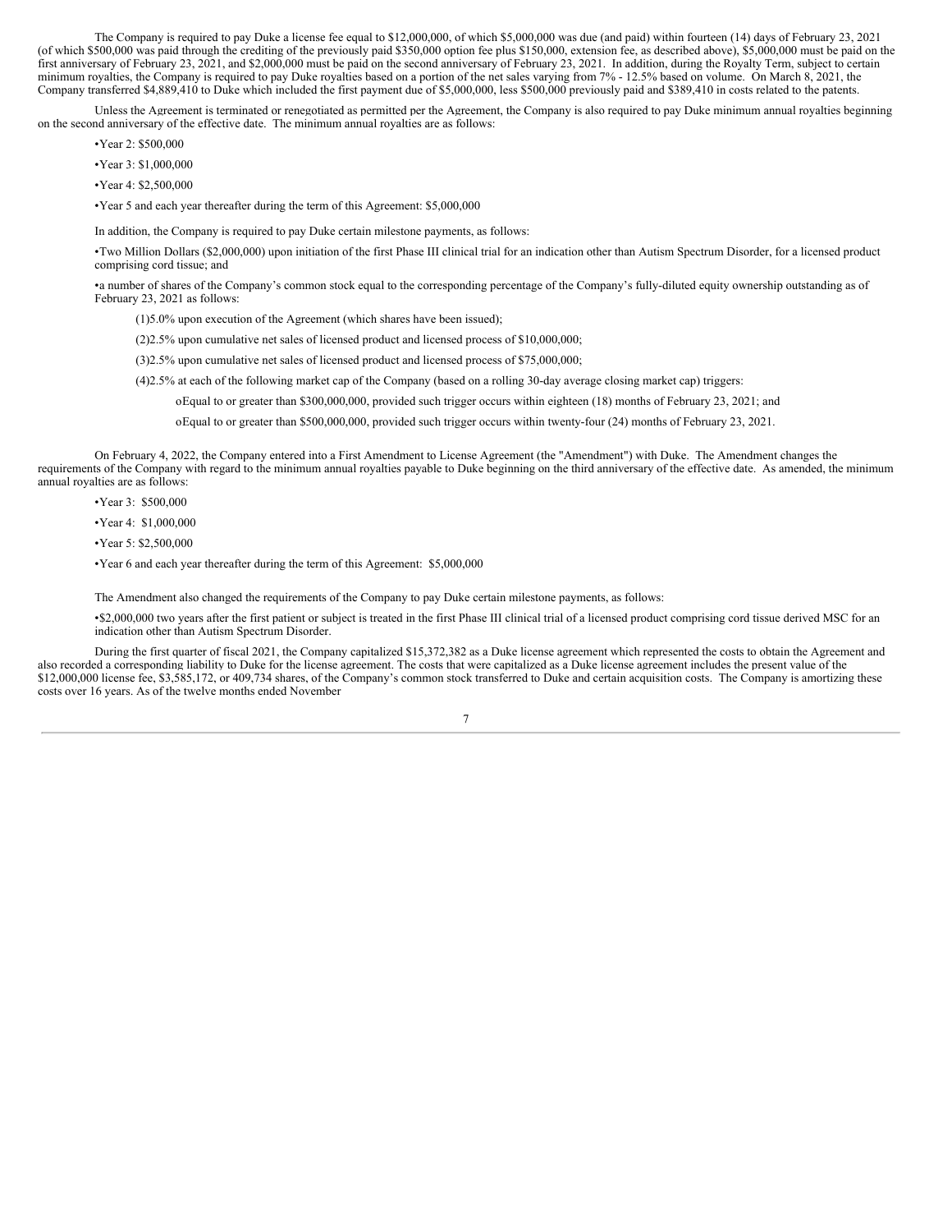The Company is required to pay Duke a license fee equal to \$12,000,000, of which \$5,000,000 was due (and paid) within fourteen (14) days of February 23, 2021 (of which \$500,000 was paid through the crediting of the previously paid \$350,000 option fee plus \$150,000, extension fee, as described above), \$5,000,000 must be paid on the first anniversary of February 23, 2021, and \$2,000,000 must be paid on the second anniversary of February 23, 2021. In addition, during the Royalty Term, subject to certain minimum royalties, the Company is required to pay Duke royalties based on a portion of the net sales varying from 7% - 12.5% based on volume. On March 8, 2021, the Company transferred \$4,889,410 to Duke which included the first payment due of \$5,000,000, less \$500,000 previously paid and \$389,410 in costs related to the patents.

Unless the Agreement is terminated or renegotiated as permitted per the Agreement, the Company is also required to pay Duke minimum annual royalties beginning on the second anniversary of the effective date. The minimum annual royalties are as follows:

- •Year 2: \$500,000
- •Year 3: \$1,000,000
- •Year 4: \$2,500,000

•Year 5 and each year thereafter during the term of this Agreement: \$5,000,000

In addition, the Company is required to pay Duke certain milestone payments, as follows:

•Two Million Dollars (\$2,000,000) upon initiation of the first Phase III clinical trial for an indication other than Autism Spectrum Disorder, for a licensed product comprising cord tissue; and

•a number of shares of the Company's common stock equal to the corresponding percentage of the Company's fully-diluted equity ownership outstanding as of February 23, 2021 as follows:

(1)5.0% upon execution of the Agreement (which shares have been issued);

- (2)2.5% upon cumulative net sales of licensed product and licensed process of \$10,000,000;
- (3)2.5% upon cumulative net sales of licensed product and licensed process of \$75,000,000;

(4)2.5% at each of the following market cap of the Company (based on a rolling 30-day average closing market cap) triggers:

oEqual to or greater than \$300,000,000, provided such trigger occurs within eighteen (18) months of February 23, 2021; and

oEqual to or greater than \$500,000,000, provided such trigger occurs within twenty-four (24) months of February 23, 2021.

On February 4, 2022, the Company entered into a First Amendment to License Agreement (the "Amendment") with Duke. The Amendment changes the requirements of the Company with regard to the minimum annual royalties payable to Duke beginning on the third anniversary of the effective date. As amended, the minimum annual royalties are as follows:

- •Year 3: \$500,000
- •Year 4: \$1,000,000
- •Year 5: \$2,500,000
- •Year 6 and each year thereafter during the term of this Agreement: \$5,000,000

The Amendment also changed the requirements of the Company to pay Duke certain milestone payments, as follows:

•\$2,000,000 two years after the first patient or subject is treated in the first Phase III clinical trial of a licensed product comprising cord tissue derived MSC for an indication other than Autism Spectrum Disorder.

During the first quarter of fiscal 2021, the Company capitalized \$15,372,382 as a Duke license agreement which represented the costs to obtain the Agreement and also recorded a corresponding liability to Duke for the license agreement. The costs that were capitalized as a Duke license agreement includes the present value of the \$12,000,000 license fee, \$3,585,172, or 409,734 shares, of the Company's common stock transferred to Duke and certain acquisition costs. The Company is amortizing these costs over 16 years. As of the twelve months ended November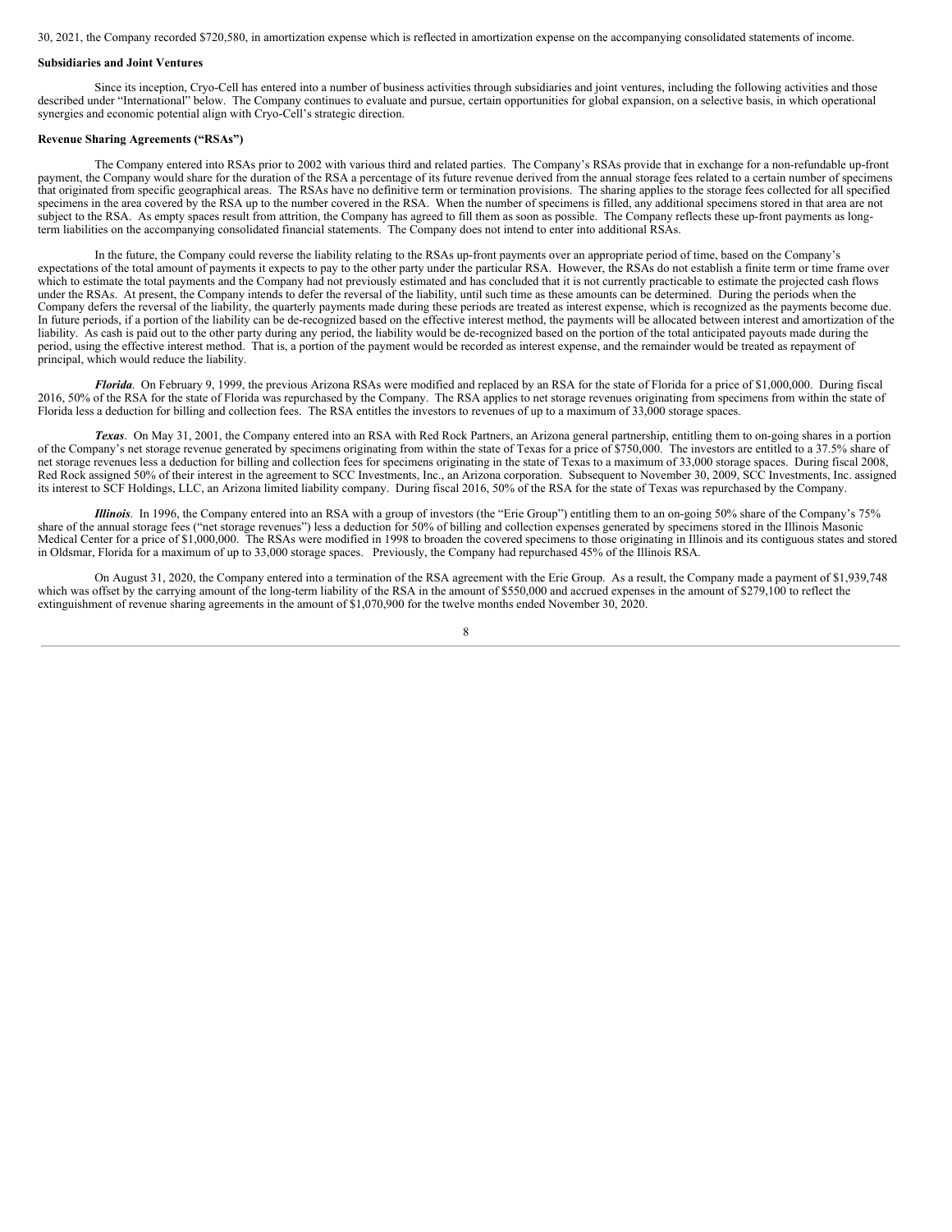30, 2021, the Company recorded \$720,580, in amortization expense which is reflected in amortization expense on the accompanying consolidated statements of income.

# **Subsidiaries and Joint Ventures**

Since its inception, Cryo-Cell has entered into a number of business activities through subsidiaries and joint ventures, including the following activities and those described under "International" below. The Company continues to evaluate and pursue, certain opportunities for global expansion, on a selective basis, in which operational synergies and economic potential align with Cryo-Cell's strategic direction.

# **Revenue Sharing Agreements ("RSAs")**

The Company entered into RSAs prior to 2002 with various third and related parties. The Company's RSAs provide that in exchange for a non-refundable up-front payment, the Company would share for the duration of the RSA a percentage of its future revenue derived from the annual storage fees related to a certain number of specimens that originated from specific geographical areas. The RSAs have no definitive term or termination provisions. The sharing applies to the storage fees collected for all specified specimens in the area covered by the RSA up to the number covered in the RSA. When the number of specimens is filled, any additional specimens stored in that area are not subject to the RSA. As empty spaces result from attrition, the Company has agreed to fill them as soon as possible. The Company reflects these up-front payments as longterm liabilities on the accompanying consolidated financial statements. The Company does not intend to enter into additional RSAs.

In the future, the Company could reverse the liability relating to the RSAs up-front payments over an appropriate period of time, based on the Company's expectations of the total amount of payments it expects to pay to the other party under the particular RSA. However, the RSAs do not establish a finite term or time frame over which to estimate the total payments and the Company had not previously estimated and has concluded that it is not currently practicable to estimate the projected cash flows under the RSAs. At present, the Company intends to defer the reversal of the liability, until such time as these amounts can be determined. During the periods when the Company defers the reversal of the liability, the quarterly payments made during these periods are treated as interest expense, which is recognized as the payments become due. In future periods, if a portion of the liability can be de-recognized based on the effective interest method, the payments will be allocated between interest and amortization of the liability. As cash is paid out to the other party during any period, the liability would be de-recognized based on the portion of the total anticipated payouts made during the period, using the effective interest method. That is, a portion of the payment would be recorded as interest expense, and the remainder would be treated as repayment of principal, which would reduce the liability.

*Florida*. On February 9, 1999, the previous Arizona RSAs were modified and replaced by an RSA for the state of Florida for a price of \$1,000,000. During fiscal 2016, 50% of the RSA for the state of Florida was repurchased by the Company. The RSA applies to net storage revenues originating from specimens from within the state of Florida less a deduction for billing and collection fees. The RSA entitles the investors to revenues of up to a maximum of 33,000 storage spaces.

*Texas*. On May 31, 2001, the Company entered into an RSA with Red Rock Partners, an Arizona general partnership, entitling them to on-going shares in a portion of the Company's net storage revenue generated by specimens originating from within the state of Texas for a price of \$750,000. The investors are entitled to a 37.5% share of net storage revenues less a deduction for billing and collection fees for specimens originating in the state of Texas to a maximum of 33,000 storage spaces. During fiscal 2008, Red Rock assigned 50% of their interest in the agreement to SCC Investments, Inc., an Arizona corporation. Subsequent to November 30, 2009, SCC Investments, Inc. assigned its interest to SCF Holdings, LLC, an Arizona limited liability company. During fiscal 2016, 50% of the RSA for the state of Texas was repurchased by the Company.

*Illinois*. In 1996, the Company entered into an RSA with a group of investors (the "Erie Group") entitling them to an on-going 50% share of the Company's 75% share of the annual storage fees ("net storage revenues") less a deduction for 50% of billing and collection expenses generated by specimens stored in the Illinois Masonic Medical Center for a price of \$1,000,000. The RSAs were modified in 1998 to broaden the covered specimens to those originating in Illinois and its contiguous states and stored in Oldsmar, Florida for a maximum of up to 33,000 storage spaces. Previously, the Company had repurchased 45% of the Illinois RSA.

On August 31, 2020, the Company entered into a termination of the RSA agreement with the Erie Group. As a result, the Company made a payment of \$1,939,748 which was offset by the carrying amount of the long-term liability of the RSA in the amount of \$550,000 and accrued expenses in the amount of \$279,100 to reflect the extinguishment of revenue sharing agreements in the amount of \$1,070,900 for the twelve months ended November 30, 2020.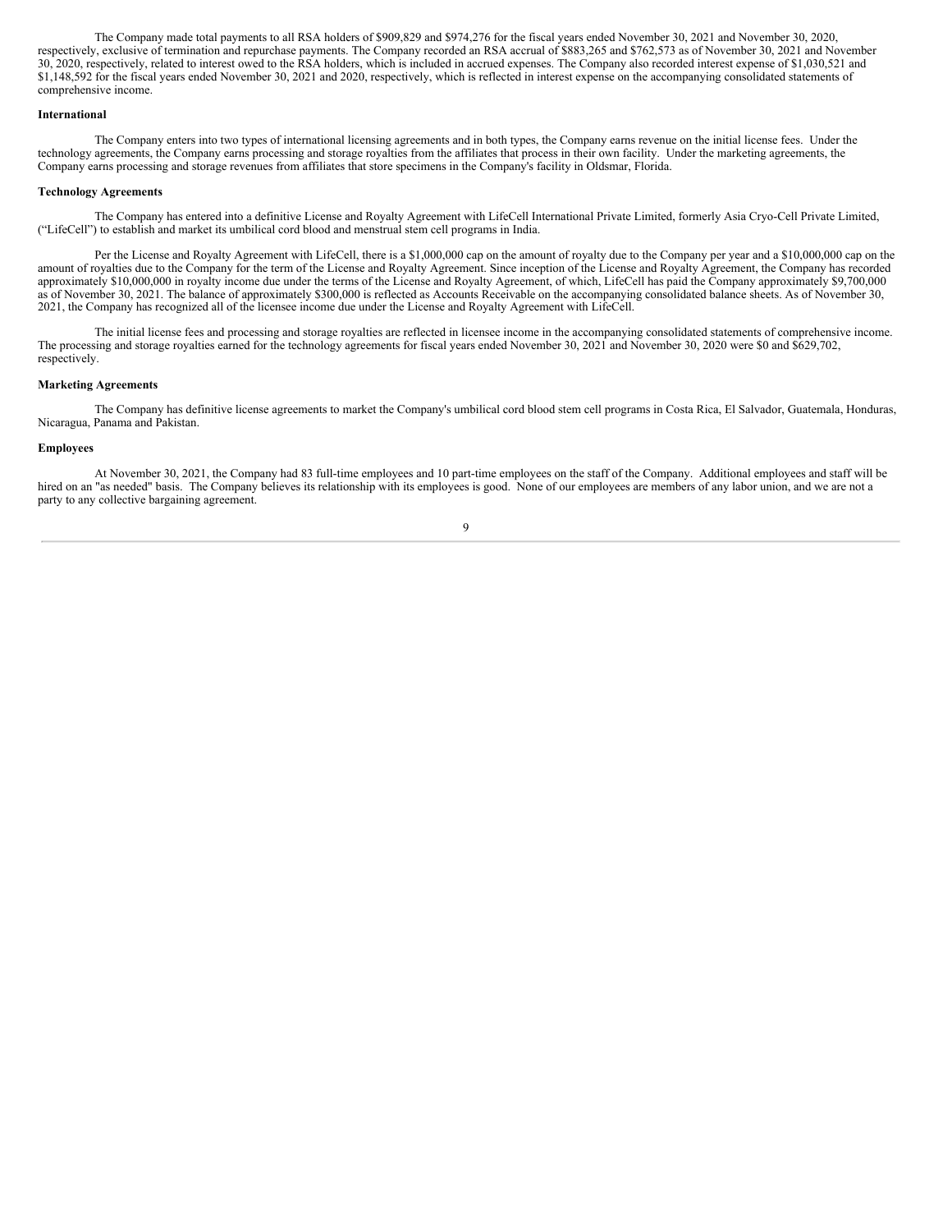The Company made total payments to all RSA holders of \$909,829 and \$974,276 for the fiscal years ended November 30, 2021 and November 30, 2020, respectively, exclusive of termination and repurchase payments. The Company recorded an RSA accrual of \$883,265 and \$762,573 as of November 30, 2021 and November 30, 2020, respectively, related to interest owed to the RSA holders, which is included in accrued expenses. The Company also recorded interest expense of \$1,030,521 and \$1,148,592 for the fiscal years ended November 30, 2021 and 2020, respectively, which is reflected in interest expense on the accompanying consolidated statements of comprehensive income.

### **International**

The Company enters into two types of international licensing agreements and in both types, the Company earns revenue on the initial license fees. Under the technology agreements, the Company earns processing and storage royalties from the affiliates that process in their own facility. Under the marketing agreements, the Company earns processing and storage revenues from affiliates that store specimens in the Company's facility in Oldsmar, Florida.

#### **Technology Agreements**

The Company has entered into a definitive License and Royalty Agreement with LifeCell International Private Limited, formerly Asia Cryo-Cell Private Limited, ("LifeCell") to establish and market its umbilical cord blood and menstrual stem cell programs in India.

Per the License and Royalty Agreement with LifeCell, there is a \$1,000,000 cap on the amount of royalty due to the Company per year and a \$10,000,000 cap on the amount of royalties due to the Company for the term of the License and Royalty Agreement. Since inception of the License and Royalty Agreement, the Company has recorded approximately \$10,000,000 in royalty income due under the terms of the License and Royalty Agreement, of which, LifeCell has paid the Company approximately \$9,700,000 as of November 30, 2021. The balance of approximately \$300,000 is reflected as Accounts Receivable on the accompanying consolidated balance sheets. As of November 30, 2021, the Company has recognized all of the licensee income due under the License and Royalty Agreement with LifeCell.

The initial license fees and processing and storage royalties are reflected in licensee income in the accompanying consolidated statements of comprehensive income. The processing and storage royalties earned for the technology agreements for fiscal years ended November 30, 2021 and November 30, 2020 were \$0 and \$629,702, respectively.

#### **Marketing Agreements**

The Company has definitive license agreements to market the Company's umbilical cord blood stem cell programs in Costa Rica, El Salvador, Guatemala, Honduras, Nicaragua, Panama and Pakistan.

#### **Employees**

At November 30, 2021, the Company had 83 full-time employees and 10 part-time employees on the staff of the Company. Additional employees and staff will be hired on an "as needed" basis. The Company believes its relationship with its employees is good. None of our employees are members of any labor union, and we are not a party to any collective bargaining agreement.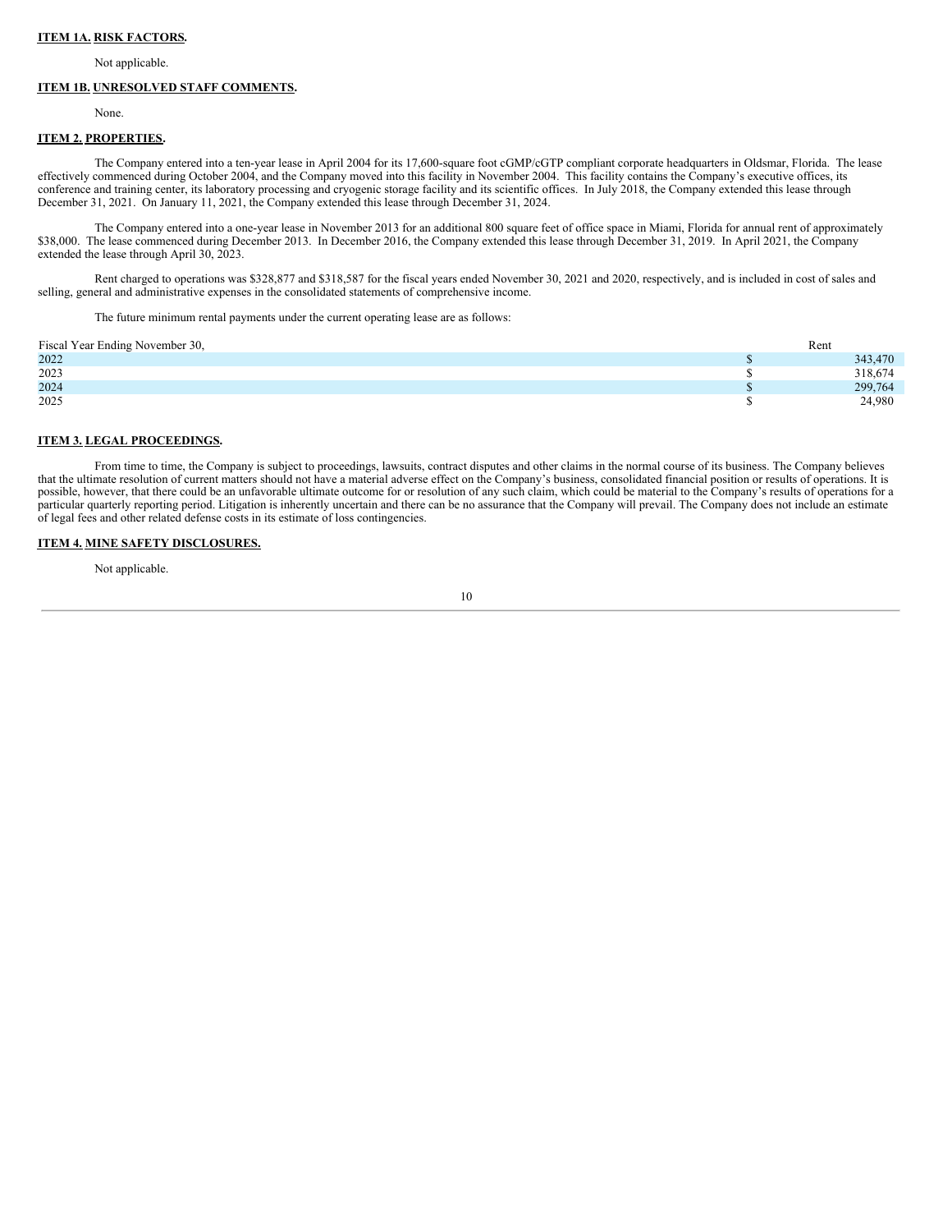# <span id="page-11-0"></span>**ITEM 1A. RISK FACTORS.**

Not applicable.

# <span id="page-11-1"></span>**ITEM 1B. UNRESOLVED STAFF COMMENTS.**

None.

# <span id="page-11-2"></span>**ITEM 2. PROPERTIES.**

The Company entered into a ten-year lease in April 2004 for its 17,600-square foot cGMP/cGTP compliant corporate headquarters in Oldsmar, Florida. The lease effectively commenced during October 2004, and the Company moved into this facility in November 2004. This facility contains the Company's executive offices, its conference and training center, its laboratory processing and cryogenic storage facility and its scientific offices. In July 2018, the Company extended this lease through December 31, 2021. On January 11, 2021, the Company extended this lease through December 31, 2024.

The Company entered into a one-year lease in November 2013 for an additional 800 square feet of office space in Miami, Florida for annual rent of approximately \$38,000. The lease commenced during December 2013. In December 2016, the Company extended this lease through December 31, 2019. In April 2021, the Company extended the lease through April 30, 2023.

Rent charged to operations was \$328,877 and \$318,587 for the fiscal years ended November 30, 2021 and 2020, respectively, and is included in cost of sales and selling, general and administrative expenses in the consolidated statements of comprehensive income.

The future minimum rental payments under the current operating lease are as follows:

| Fiscal Year Ending November 30, | Rent    |
|---------------------------------|---------|
| 2022                            | 343,470 |
| 2023                            | 318,674 |
| 2024                            | 299,764 |
| 2025                            | 24,980  |
|                                 |         |

# <span id="page-11-3"></span>**ITEM 3. LEGAL PROCEEDINGS.**

From time to time, the Company is subject to proceedings, lawsuits, contract disputes and other claims in the normal course of its business. The Company believes that the ultimate resolution of current matters should not have a material adverse effect on the Company's business, consolidated financial position or results of operations. It is possible, however, that there could be an unfavorable ultimate outcome for or resolution of any such claim, which could be material to the Company's results of operations for a particular quarterly reporting period. Litigation is inherently uncertain and there can be no assurance that the Company will prevail. The Company does not include an estimate of legal fees and other related defense costs in its estimate of loss contingencies.

# <span id="page-11-4"></span>**ITEM 4. MINE SAFETY DISCLOSURES.**

Not applicable.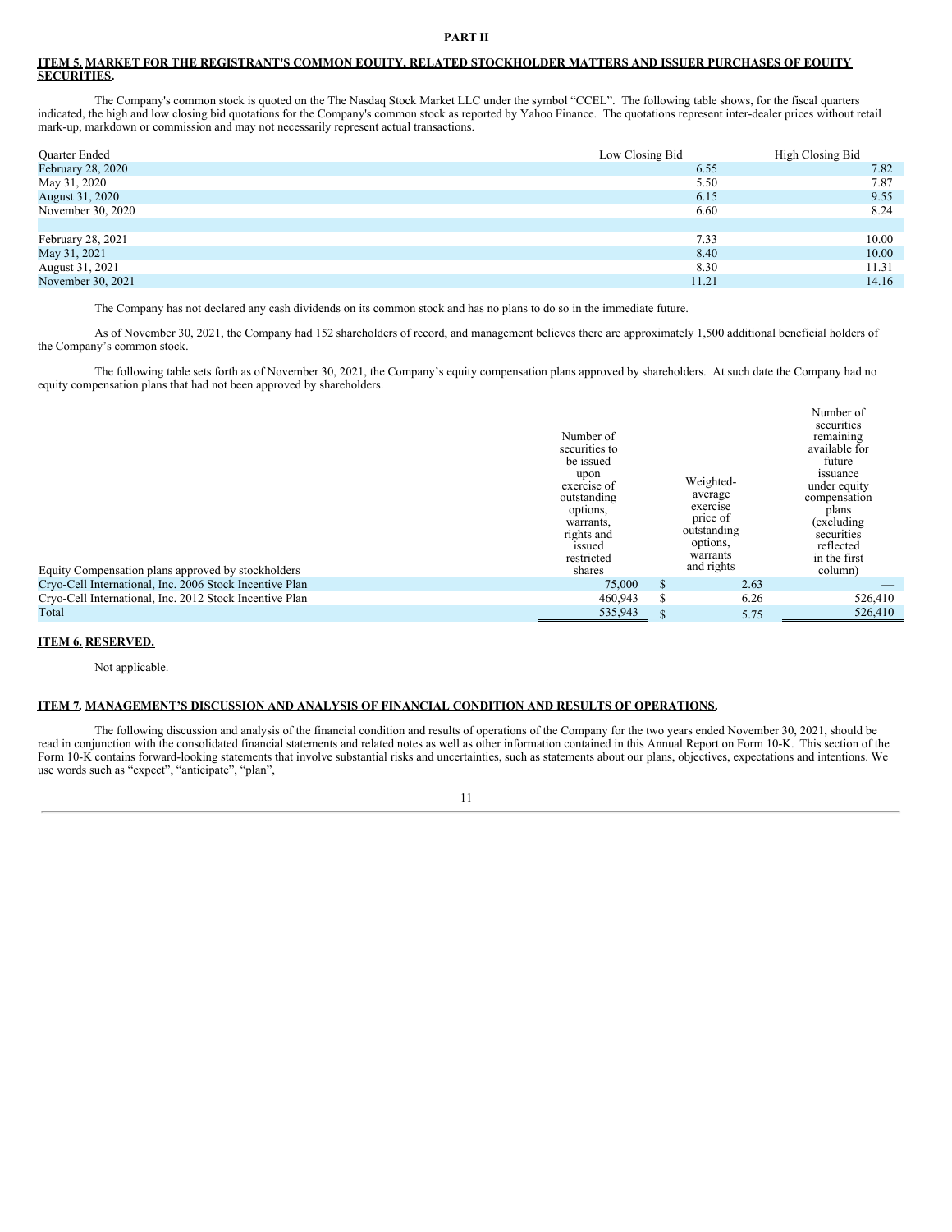# **PART II**

# <span id="page-12-1"></span><span id="page-12-0"></span>**ITEM 5. MARKET FOR THE REGISTRANT'S COMMON EQUITY, RELATED STOCKHOLDER MATTERS AND ISSUER PURCHASES OF EQUITY SECURITIES.**

The Company's common stock is quoted on the The Nasdaq Stock Market LLC under the symbol "CCEL". The following table shows, for the fiscal quarters indicated, the high and low closing bid quotations for the Company's common stock as reported by Yahoo Finance. The quotations represent inter-dealer prices without retail mark-up, markdown or commission and may not necessarily represent actual transactions.

| Quarter Ended     | Low Closing Bid | High Closing Bid |
|-------------------|-----------------|------------------|
| February 28, 2020 | 6.55            | 7.82             |
| May 31, 2020      | 5.50            | 7.87             |
| August 31, 2020   | 6.15            | 9.55             |
| November 30, 2020 | 6.60            | 8.24             |
|                   |                 |                  |
| February 28, 2021 | 7.33            | 10.00            |
| May 31, 2021      | 8.40            | 10.00            |
| August 31, 2021   | 8.30            | 11.31            |
| November 30, 2021 | 11.21           | 14.16            |

The Company has not declared any cash dividends on its common stock and has no plans to do so in the immediate future.

As of November 30, 2021, the Company had 152 shareholders of record, and management believes there are approximately 1,500 additional beneficial holders of the Company's common stock.

The following table sets forth as of November 30, 2021, the Company's equity compensation plans approved by shareholders. At such date the Company had no equity compensation plans that had not been approved by shareholders.

| Equity Compensation plans approved by stockholders      | Number of<br>securities to<br>be issued<br>upon<br>exercise of<br>outstanding<br>options,<br>warrants.<br>rights and<br>issued<br>restricted<br>shares |   | Weighted-<br>average<br>exercise<br>price of<br>outstanding<br>options,<br>warrants<br>and rights | Number of<br>securities<br>remaining<br>available for<br>future<br><i>s</i> suance<br>under equity<br>compensation<br>plans<br>(excluding<br>securities<br>reflected<br>in the first<br>column) |
|---------------------------------------------------------|--------------------------------------------------------------------------------------------------------------------------------------------------------|---|---------------------------------------------------------------------------------------------------|-------------------------------------------------------------------------------------------------------------------------------------------------------------------------------------------------|
| Cryo-Cell International, Inc. 2006 Stock Incentive Plan | 75,000                                                                                                                                                 | S | 2.63                                                                                              |                                                                                                                                                                                                 |
| Cryo-Cell International, Inc. 2012 Stock Incentive Plan | 460,943                                                                                                                                                | S | 6.26                                                                                              | 526,410                                                                                                                                                                                         |
| Total                                                   | 535,943                                                                                                                                                |   | 5.75                                                                                              | 526,410                                                                                                                                                                                         |

# <span id="page-12-2"></span>**ITEM 6. RESERVED.**

# Not applicable.

# <span id="page-12-3"></span>**ITEM 7. MANAGEMENT'S DISCUSSION AND ANALYSIS OF FINANCIAL CONDITION AND RESULTS OF OPERATIONS.**

The following discussion and analysis of the financial condition and results of operations of the Company for the two years ended November 30, 2021, should be read in conjunction with the consolidated financial statements and related notes as well as other information contained in this Annual Report on Form 10-K. This section of the Form 10-K contains forward-looking statements that involve substantial risks and uncertainties, such as statements about our plans, objectives, expectations and intentions. We use words such as "expect", "anticipate", "plan",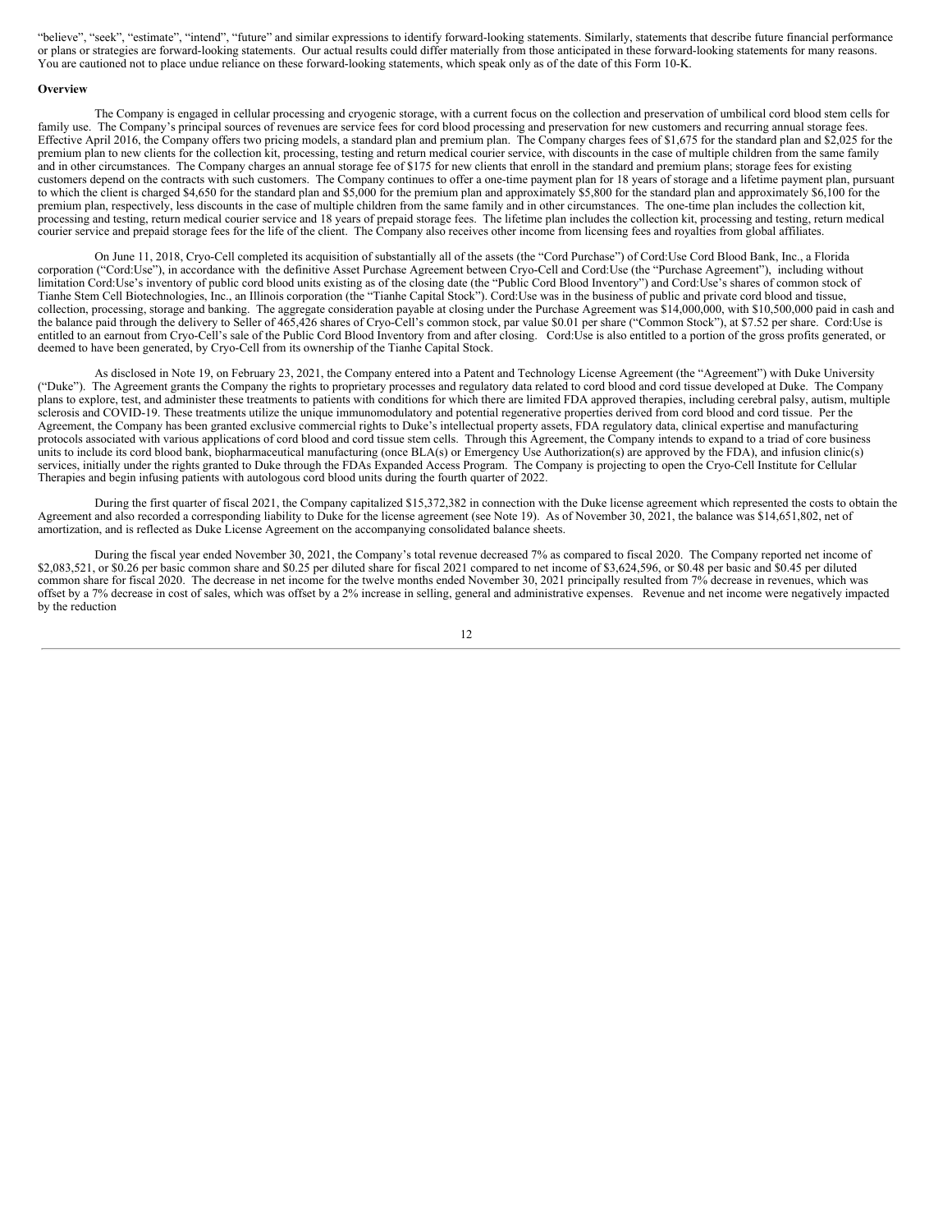"believe", "seek", "estimate", "intend", "future" and similar expressions to identify forward-looking statements. Similarly, statements that describe future financial performance or plans or strategies are forward-looking statements. Our actual results could differ materially from those anticipated in these forward-looking statements for many reasons. You are cautioned not to place undue reliance on these forward-looking statements, which speak only as of the date of this Form 10-K.

#### **Overview**

The Company is engaged in cellular processing and cryogenic storage, with a current focus on the collection and preservation of umbilical cord blood stem cells for family use. The Company's principal sources of revenues are service fees for cord blood processing and preservation for new customers and recurring annual storage fees. Effective April 2016, the Company offers two pricing models, a standard plan and premium plan. The Company charges fees of \$1,675 for the standard plan and \$2,025 for the premium plan to new clients for the collection kit, processing, testing and return medical courier service, with discounts in the case of multiple children from the same family and in other circumstances. The Company charges an annual storage fee of \$175 for new clients that enroll in the standard and premium plans; storage fees for existing customers depend on the contracts with such customers. The Company continues to offer a one-time payment plan for 18 years of storage and a lifetime payment plan, pursuant to which the client is charged \$4,650 for the standard plan and \$5,000 for the premium plan and approximately \$5,800 for the standard plan and approximately \$6,100 for the premium plan, respectively, less discounts in the case of multiple children from the same family and in other circumstances. The one-time plan includes the collection kit, processing and testing, return medical courier service and 18 years of prepaid storage fees. The lifetime plan includes the collection kit, processing and testing, return medical courier service and prepaid storage fees for the life of the client. The Company also receives other income from licensing fees and royalties from global affiliates.

On June 11, 2018, Cryo-Cell completed its acquisition of substantially all of the assets (the "Cord Purchase") of Cord:Use Cord Blood Bank, Inc., a Florida corporation ("Cord:Use"), in accordance with the definitive Asset Purchase Agreement between Cryo-Cell and Cord:Use (the "Purchase Agreement"), including without limitation Cord:Use's inventory of public cord blood units existing as of the closing date (the "Public Cord Blood Inventory") and Cord:Use's shares of common stock of Tianhe Stem Cell Biotechnologies, Inc., an Illinois corporation (the "Tianhe Capital Stock"). Cord:Use was in the business of public and private cord blood and tissue, collection, processing, storage and banking. The aggregate consideration payable at closing under the Purchase Agreement was \$14,000,000, with \$10,500,000 paid in cash and the balance paid through the delivery to Seller of 465,426 shares of Cryo-Cell's common stock, par value \$0.01 per share ("Common Stock"), at \$7.52 per share. Cord:Use is entitled to an earnout from Cryo-Cell's sale of the Public Cord Blood Inventory from and after closing. Cord:Use is also entitled to a portion of the gross profits generated, or deemed to have been generated, by Cryo-Cell from its ownership of the Tianhe Capital Stock.

As disclosed in Note 19, on February 23, 2021, the Company entered into a Patent and Technology License Agreement (the "Agreement") with Duke University ("Duke"). The Agreement grants the Company the rights to proprietary processes and regulatory data related to cord blood and cord tissue developed at Duke. The Company plans to explore, test, and administer these treatments to patients with conditions for which there are limited FDA approved therapies, including cerebral palsy, autism, multiple sclerosis and COVID-19. These treatments utilize the unique immunomodulatory and potential regenerative properties derived from cord blood and cord tissue. Per the Agreement, the Company has been granted exclusive commercial rights to Duke's intellectual property assets, FDA regulatory data, clinical expertise and manufacturing protocols associated with various applications of cord blood and cord tissue stem cells. Through this Agreement, the Company intends to expand to a triad of core business units to include its cord blood bank, biopharmaceutical manufacturing (once BLA(s) or Emergency Use Authorization(s) are approved by the FDA), and infusion clinic(s) services, initially under the rights granted to Duke through the FDAs Expanded Access Program. The Company is projecting to open the Cryo-Cell Institute for Cellular Therapies and begin infusing patients with autologous cord blood units during the fourth quarter of 2022.

During the first quarter of fiscal 2021, the Company capitalized \$15,372,382 in connection with the Duke license agreement which represented the costs to obtain the Agreement and also recorded a corresponding liability to Duke for the license agreement (see Note 19). As of November 30, 2021, the balance was \$14,651,802, net of amortization, and is reflected as Duke License Agreement on the accompanying consolidated balance sheets.

During the fiscal year ended November 30, 2021, the Company's total revenue decreased 7% as compared to fiscal 2020. The Company reported net income of  $$2,083,521$ , or  $$0.26$  per basic common share and  $$0.25$  per diluted share for fiscal 2021 compared to net income of  $$3,624,596$ , or  $$0.48$  per basic and  $$0.45$  per diluted common share for fiscal 2020. The decrease in net income for the twelve months ended November 30, 2021 principally resulted from 7% decrease in revenues, which was offset by a 7% decrease in cost of sales, which was offset by a 2% increase in selling, general and administrative expenses. Revenue and net income were negatively impacted by the reduction

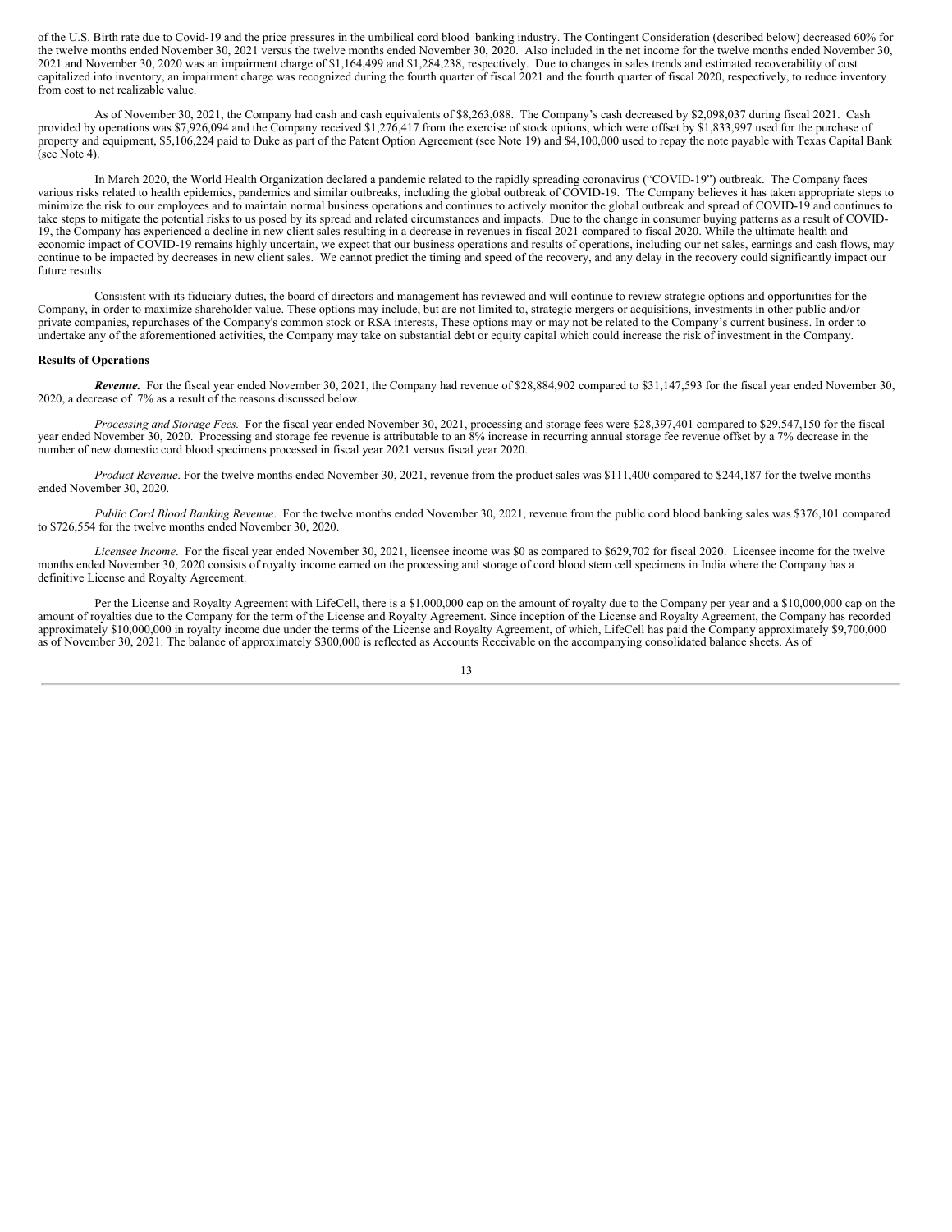of the U.S. Birth rate due to Covid-19 and the price pressures in the umbilical cord blood banking industry. The Contingent Consideration (described below) decreased 60% for the twelve months ended November 30, 2021 versus the twelve months ended November 30, 2020. Also included in the net income for the twelve months ended November 30, 2021 and November 30, 2020 was an impairment charge of \$1,164,499 and \$1,284,238, respectively. Due to changes in sales trends and estimated recoverability of cost capitalized into inventory, an impairment charge was recognized during the fourth quarter of fiscal 2021 and the fourth quarter of fiscal 2020, respectively, to reduce inventory from cost to net realizable value.

As of November 30, 2021, the Company had cash and cash equivalents of \$8,263,088. The Company's cash decreased by \$2,098,037 during fiscal 2021. Cash provided by operations was \$7,926,094 and the Company received \$1,276,417 from the exercise of stock options, which were offset by \$1,833,997 used for the purchase of property and equipment, \$5,106,224 paid to Duke as part of the Patent Option Agreement (see Note 19) and \$4,100,000 used to repay the note payable with Texas Capital Bank (see Note 4).

In March 2020, the World Health Organization declared a pandemic related to the rapidly spreading coronavirus ("COVID-19") outbreak. The Company faces various risks related to health epidemics, pandemics and similar outbreaks, including the global outbreak of COVID-19. The Company believes it has taken appropriate steps to minimize the risk to our employees and to maintain normal business operations and continues to actively monitor the global outbreak and spread of COVID-19 and continues to take steps to mitigate the potential risks to us posed by its spread and related circumstances and impacts. Due to the change in consumer buying patterns as a result of COVID-19, the Company has experienced a decline in new client sales resulting in a decrease in revenues in fiscal 2021 compared to fiscal 2020. While the ultimate health and economic impact of COVID-19 remains highly uncertain, we expect that our business operations and results of operations, including our net sales, earnings and cash flows, may continue to be impacted by decreases in new client sales. We cannot predict the timing and speed of the recovery, and any delay in the recovery could significantly impact our future results.

Consistent with its fiduciary duties, the board of directors and management has reviewed and will continue to review strategic options and opportunities for the Company, in order to maximize shareholder value. These options may include, but are not limited to, strategic mergers or acquisitions, investments in other public and/or private companies, repurchases of the Company's common stock or RSA interests, These options may or may not be related to the Company's current business. In order to undertake any of the aforementioned activities, the Company may take on substantial debt or equity capital which could increase the risk of investment in the Company.

#### **Results of Operations**

*Revenue.* For the fiscal year ended November 30, 2021, the Company had revenue of \$28,884,902 compared to \$31,147,593 for the fiscal year ended November 30, 2020, a decrease of 7% as a result of the reasons discussed below.

*Processing and Storage Fees.* For the fiscal year ended November 30, 2021, processing and storage fees were \$28,397,401 compared to \$29,547,150 for the fiscal year ended November 30, 2020. Processing and storage fee revenue is attributable to an 8% increase in recurring annual storage fee revenue offset by a 7% decrease in the number of new domestic cord blood specimens processed in fiscal year 2021 versus fiscal year 2020.

*Product Revenue*. For the twelve months ended November 30, 2021, revenue from the product sales was \$111,400 compared to \$244,187 for the twelve months ended November 30, 2020.

*Public Cord Blood Banking Revenue*. For the twelve months ended November 30, 2021, revenue from the public cord blood banking sales was \$376,101 compared to \$726,554 for the twelve months ended November 30, 2020.

*Licensee Income*. For the fiscal year ended November 30, 2021, licensee income was \$0 as compared to \$629,702 for fiscal 2020. Licensee income for the twelve months ended November 30, 2020 consists of royalty income earned on the processing and storage of cord blood stem cell specimens in India where the Company has a definitive License and Royalty Agreement.

Per the License and Royalty Agreement with LifeCell, there is a \$1,000,000 cap on the amount of royalty due to the Company per year and a \$10,000,000 cap on the amount of royalties due to the Company for the term of the License and Royalty Agreement. Since inception of the License and Royalty Agreement, the Company has recorded approximately \$10,000,000 in royalty income due under the terms of the License and Royalty Agreement, of which, LifeCell has paid the Company approximately \$9,700,000 as of November 30, 2021. The balance of approximately \$300,000 is reflected as Accounts Receivable on the accompanying consolidated balance sheets. As of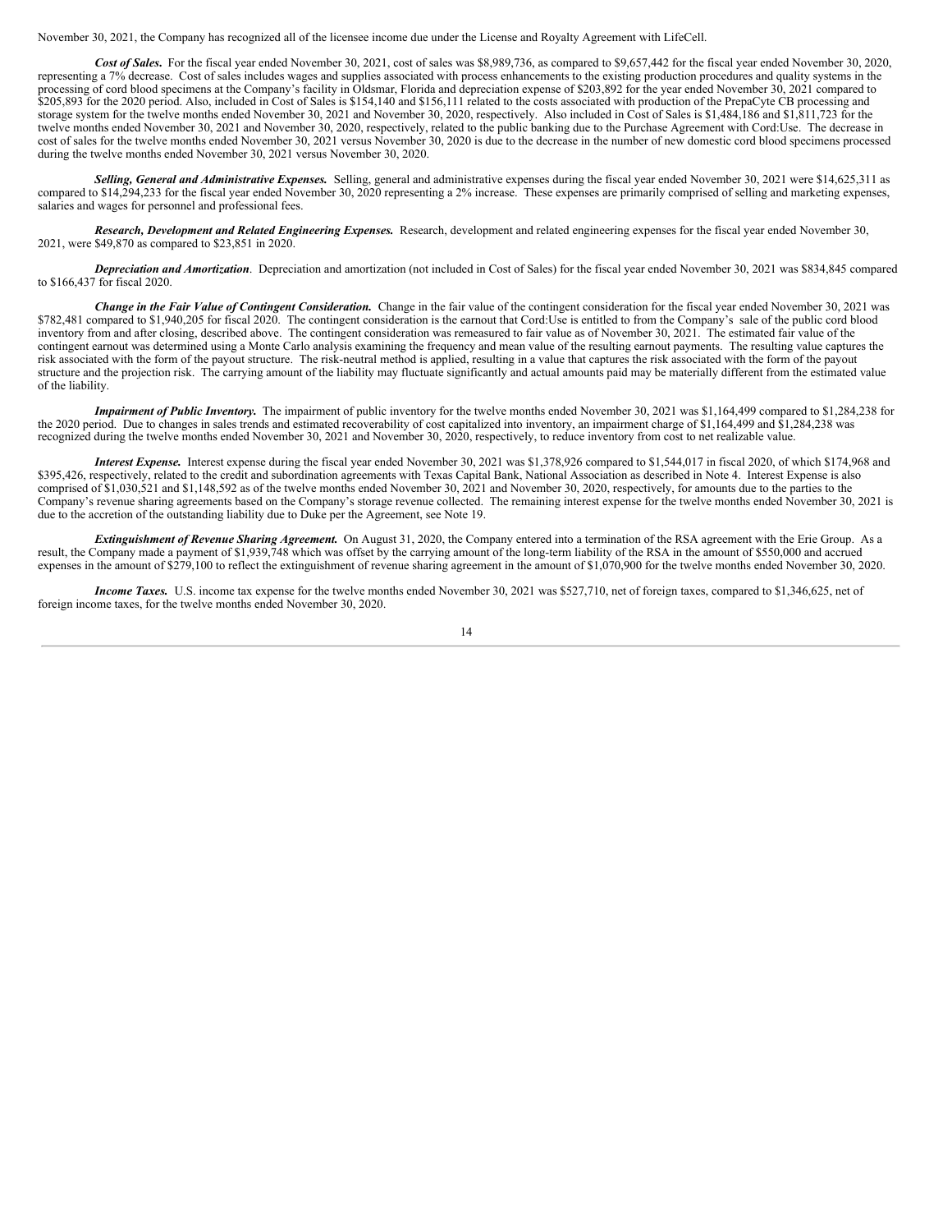November 30, 2021, the Company has recognized all of the licensee income due under the License and Royalty Agreement with LifeCell.

Cost of Sales. For the fiscal year ended November 30, 2021, cost of sales was \$8,989,736, as compared to \$9,657,442 for the fiscal year ended November 30, 2020, representing a 7% decrease. Cost of sales includes wages and supplies associated with process enhancements to the existing production procedures and quality systems in the processing of cord blood specimens at the Company's facility in Oldsmar, Florida and depreciation expense of \$203,892 for the year ended November 30, 2021 compared to \$205,893 for the 2020 period. Also, included in Cost of Sales is \$154,140 and \$156,111 related to the costs associated with production of the PrepaCyte CB processing and storage system for the twelve months ended November 30, 2021 and November 30, 2020, respectively. Also included in Cost of Sales is \$1,484,186 and \$1,811,723 for the twelve months ended November 30, 2021 and November 30, 2020, respectively, related to the public banking due to the Purchase Agreement with Cord:Use. The decrease in cost of sales for the twelve months ended November 30, 2021 versus November 30, 2020 is due to the decrease in the number of new domestic cord blood specimens processed during the twelve months ended November 30, 2021 versus November 30, 2020.

*Selling, General and Administrative Expenses.* Selling, general and administrative expenses during the fiscal year ended November 30, 2021 were \$14,625,311 as compared to \$14,294,233 for the fiscal year ended November 30, 2020 representing a 2% increase. These expenses are primarily comprised of selling and marketing expenses, salaries and wages for personnel and professional fees.

*Research, Development and Related Engineering Expenses.* Research, development and related engineering expenses for the fiscal year ended November 30, 2021, were \$49,870 as compared to \$23,851 in 2020.

*Depreciation and Amortization*. Depreciation and amortization (not included in Cost of Sales) for the fiscal year ended November 30, 2021 was \$834,845 compared to \$166,437 for fiscal 2020.

*Change in the Fair Value of Contingent Consideration.* Change in the fair value of the contingent consideration for the fiscal year ended November 30, 2021 was \$782,481 compared to \$1,940,205 for fiscal 2020. The contingent consideration is the earnout that Cord:Use is entitled to from the Company's sale of the public cord blood inventory from and after closing, described above. The contingent consideration was remeasured to fair value as of November 30, 2021. The estimated fair value of the contingent earnout was determined using a Monte Carlo analysis examining the frequency and mean value of the resulting earnout payments. The resulting value captures the risk associated with the form of the payout structure. The risk-neutral method is applied, resulting in a value that captures the risk associated with the form of the payout structure and the projection risk. The carrying amount of the liability may fluctuate significantly and actual amounts paid may be materially different from the estimated value of the liability.

*Impairment of Public Inventory.* The impairment of public inventory for the twelve months ended November 30, 2021 was \$1,164,499 compared to \$1,284,238 for the 2020 period. Due to changes in sales trends and estimated recoverability of cost capitalized into inventory, an impairment charge of \$1,164,499 and \$1,284,238 was recognized during the twelve months ended November 30, 2021 and November 30, 2020, respectively, to reduce inventory from cost to net realizable value.

*Interest Expense.* Interest expense during the fiscal year ended November 30, 2021 was \$1,378,926 compared to \$1,544,017 in fiscal 2020, of which \$174,968 and \$395,426, respectively, related to the credit and subordination agreements with Texas Capital Bank, National Association as described in Note 4. Interest Expense is also comprised of \$1,030,521 and \$1,148,592 as of the twelve months ended November 30, 2021 and November 30, 2020, respectively, for amounts due to the parties to the Company's revenue sharing agreements based on the Company's storage revenue collected. The remaining interest expense for the twelve months ended November 30, 2021 is due to the accretion of the outstanding liability due to Duke per the Agreement, see Note 19.

*Extinguishment of Revenue Sharing Agreement.* On August 31, 2020, the Company entered into a termination of the RSA agreement with the Erie Group. As a result, the Company made a payment of \$1,939,748 which was offset by the carrying amount of the long-term liability of the RSA in the amount of \$550,000 and accrued expenses in the amount of \$279,100 to reflect the extinguishment of revenue sharing agreement in the amount of \$1,070,900 for the twelve months ended November 30, 2020.

*Income Taxes.* U.S. income tax expense for the twelve months ended November 30, 2021 was \$527,710, net of foreign taxes, compared to \$1,346,625, net of foreign income taxes, for the twelve months ended November 30, 2020.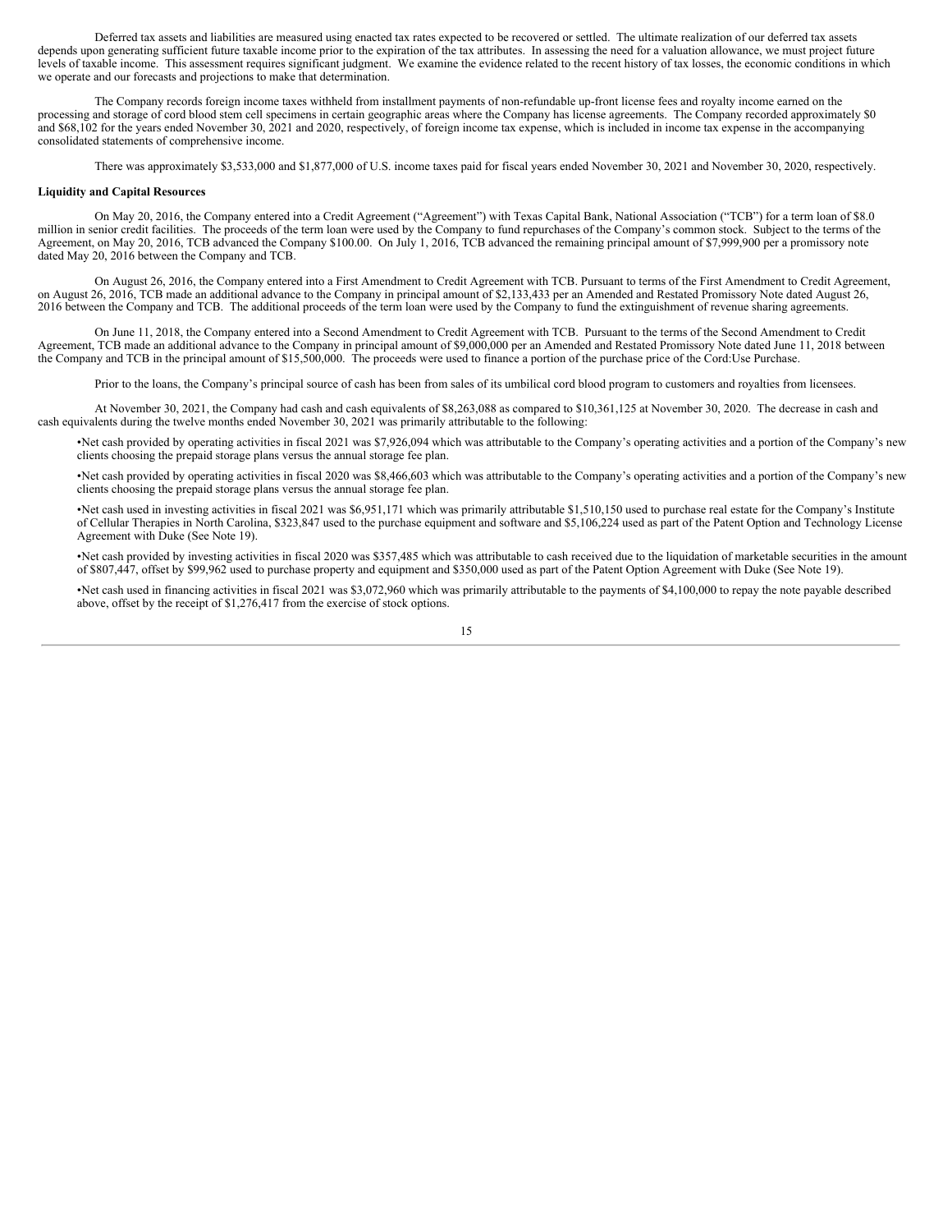Deferred tax assets and liabilities are measured using enacted tax rates expected to be recovered or settled. The ultimate realization of our deferred tax assets depends upon generating sufficient future taxable income prior to the expiration of the tax attributes. In assessing the need for a valuation allowance, we must project future levels of taxable income. This assessment requires significant judgment. We examine the evidence related to the recent history of tax losses, the economic conditions in which we operate and our forecasts and projections to make that determination.

The Company records foreign income taxes withheld from installment payments of non-refundable up-front license fees and royalty income earned on the processing and storage of cord blood stem cell specimens in certain geographic areas where the Company has license agreements. The Company recorded approximately \$0 and \$68,102 for the years ended November 30, 2021 and 2020, respectively, of foreign income tax expense, which is included in income tax expense in the accompanying consolidated statements of comprehensive income.

There was approximately \$3,533,000 and \$1,877,000 of U.S. income taxes paid for fiscal years ended November 30, 2021 and November 30, 2020, respectively.

#### **Liquidity and Capital Resources**

On May 20, 2016, the Company entered into a Credit Agreement ("Agreement") with Texas Capital Bank, National Association ("TCB") for a term loan of \$8.0 million in senior credit facilities. The proceeds of the term loan were used by the Company to fund repurchases of the Company's common stock. Subject to the terms of the Agreement, on May 20, 2016, TCB advanced the Company \$100.00. On July 1, 2016, TCB advanced the remaining principal amount of \$7,999,900 per a promissory note dated May 20, 2016 between the Company and TCB.

On August 26, 2016, the Company entered into a First Amendment to Credit Agreement with TCB. Pursuant to terms of the First Amendment to Credit Agreement, on August 26, 2016, TCB made an additional advance to the Company in principal amount of \$2,133,433 per an Amended and Restated Promissory Note dated August 26, 2016 between the Company and TCB. The additional proceeds of the term loan were used by the Company to fund the extinguishment of revenue sharing agreements.

On June 11, 2018, the Company entered into a Second Amendment to Credit Agreement with TCB. Pursuant to the terms of the Second Amendment to Credit Agreement, TCB made an additional advance to the Company in principal amount of \$9,000,000 per an Amended and Restated Promissory Note dated June 11, 2018 between the Company and TCB in the principal amount of \$15,500,000. The proceeds were used to finance a portion of the purchase price of the Cord:Use Purchase.

Prior to the loans, the Company's principal source of cash has been from sales of its umbilical cord blood program to customers and royalties from licensees.

At November 30, 2021, the Company had cash and cash equivalents of \$8,263,088 as compared to \$10,361,125 at November 30, 2020. The decrease in cash and cash equivalents during the twelve months ended November 30, 2021 was primarily attributable to the following:

•Net cash provided by operating activities in fiscal 2021 was \$7,926,094 which was attributable to the Company's operating activities and a portion of the Company's new clients choosing the prepaid storage plans versus the annual storage fee plan.

•Net cash provided by operating activities in fiscal 2020 was \$8,466,603 which was attributable to the Company's operating activities and a portion of the Company's new clients choosing the prepaid storage plans versus the annual storage fee plan.

•Net cash used in investing activities in fiscal 2021 was \$6,951,171 which was primarily attributable \$1,510,150 used to purchase real estate for the Company's Institute of Cellular Therapies in North Carolina, \$323,847 used to the purchase equipment and software and \$5,106,224 used as part of the Patent Option and Technology License Agreement with Duke (See Note 19).

•Net cash provided by investing activities in fiscal 2020 was \$357,485 which was attributable to cash received due to the liquidation of marketable securities in the amount of \$807,447, offset by \$99,962 used to purchase property and equipment and \$350,000 used as part of the Patent Option Agreement with Duke (See Note 19).

•Net cash used in financing activities in fiscal 2021 was \$3,072,960 which was primarily attributable to the payments of \$4,100,000 to repay the note payable described above, offset by the receipt of \$1,276,417 from the exercise of stock options.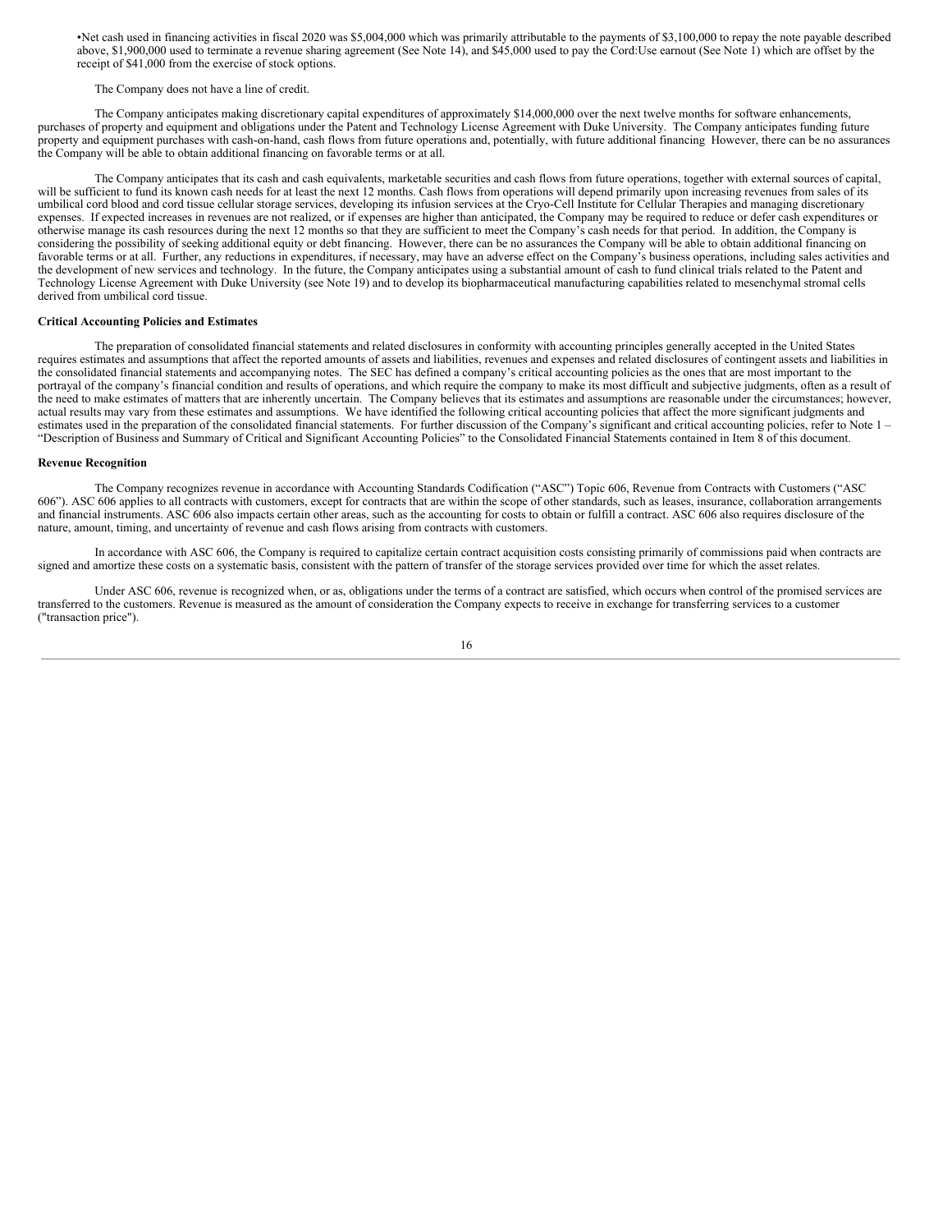•Net cash used in financing activities in fiscal 2020 was \$5,004,000 which was primarily attributable to the payments of \$3,100,000 to repay the note payable described above, \$1,900,000 used to terminate a revenue sharing agreement (See Note 14), and \$45,000 used to pay the Cord:Use earnout (See Note 1) which are offset by the receipt of \$41,000 from the exercise of stock options.

#### The Company does not have a line of credit.

The Company anticipates making discretionary capital expenditures of approximately \$14,000,000 over the next twelve months for software enhancements, purchases of property and equipment and obligations under the Patent and Technology License Agreement with Duke University. The Company anticipates funding future property and equipment purchases with cash-on-hand, cash flows from future operations and, potentially, with future additional financing However, there can be no assurances the Company will be able to obtain additional financing on favorable terms or at all.

The Company anticipates that its cash and cash equivalents, marketable securities and cash flows from future operations, together with external sources of capital, will be sufficient to fund its known cash needs for at least the next 12 months. Cash flows from operations will depend primarily upon increasing revenues from sales of its umbilical cord blood and cord tissue cellular storage services, developing its infusion services at the Cryo-Cell Institute for Cellular Therapies and managing discretionary expenses. If expected increases in revenues are not realized, or if expenses are higher than anticipated, the Company may be required to reduce or defer cash expenditures or otherwise manage its cash resources during the next 12 months so that they are sufficient to meet the Company's cash needs for that period. In addition, the Company is considering the possibility of seeking additional equity or debt financing. However, there can be no assurances the Company will be able to obtain additional financing on favorable terms or at all. Further, any reductions in expenditures, if necessary, may have an adverse effect on the Company's business operations, including sales activities and the development of new services and technology. In the future, the Company anticipates using a substantial amount of cash to fund clinical trials related to the Patent and Technology License Agreement with Duke University (see Note 19) and to develop its biopharmaceutical manufacturing capabilities related to mesenchymal stromal cells derived from umbilical cord tissue.

# **Critical Accounting Policies and Estimates**

The preparation of consolidated financial statements and related disclosures in conformity with accounting principles generally accepted in the United States requires estimates and assumptions that affect the reported amounts of assets and liabilities, revenues and expenses and related disclosures of contingent assets and liabilities in the consolidated financial statements and accompanying notes. The SEC has defined a company's critical accounting policies as the ones that are most important to the portrayal of the company's financial condition and results of operations, and which require the company to make its most difficult and subjective judgments, often as a result of the need to make estimates of matters that are inherently uncertain. The Company believes that its estimates and assumptions are reasonable under the circumstances; however, actual results may vary from these estimates and assumptions. We have identified the following critical accounting policies that affect the more significant judgments and estimates used in the preparation of the consolidated financial statements. For further discussion of the Company's significant and critical accounting policies, refer to Note 1 – "Description of Business and Summary of Critical and Significant Accounting Policies" to the Consolidated Financial Statements contained in Item 8 of this document.

### **Revenue Recognition**

The Company recognizes revenue in accordance with Accounting Standards Codification ("ASC") Topic 606, Revenue from Contracts with Customers ("ASC 606"). ASC 606 applies to all contracts with customers, except for contracts that are within the scope of other standards, such as leases, insurance, collaboration arrangements and financial instruments. ASC 606 also impacts certain other areas, such as the accounting for costs to obtain or fulfill a contract. ASC 606 also requires disclosure of the nature, amount, timing, and uncertainty of revenue and cash flows arising from contracts with customers.

In accordance with ASC 606, the Company is required to capitalize certain contract acquisition costs consisting primarily of commissions paid when contracts are signed and amortize these costs on a systematic basis, consistent with the pattern of transfer of the storage services provided over time for which the asset relates.

Under ASC 606, revenue is recognized when, or as, obligations under the terms of a contract are satisfied, which occurs when control of the promised services are transferred to the customers. Revenue is measured as the amount of consideration the Company expects to receive in exchange for transferring services to a customer ("transaction price").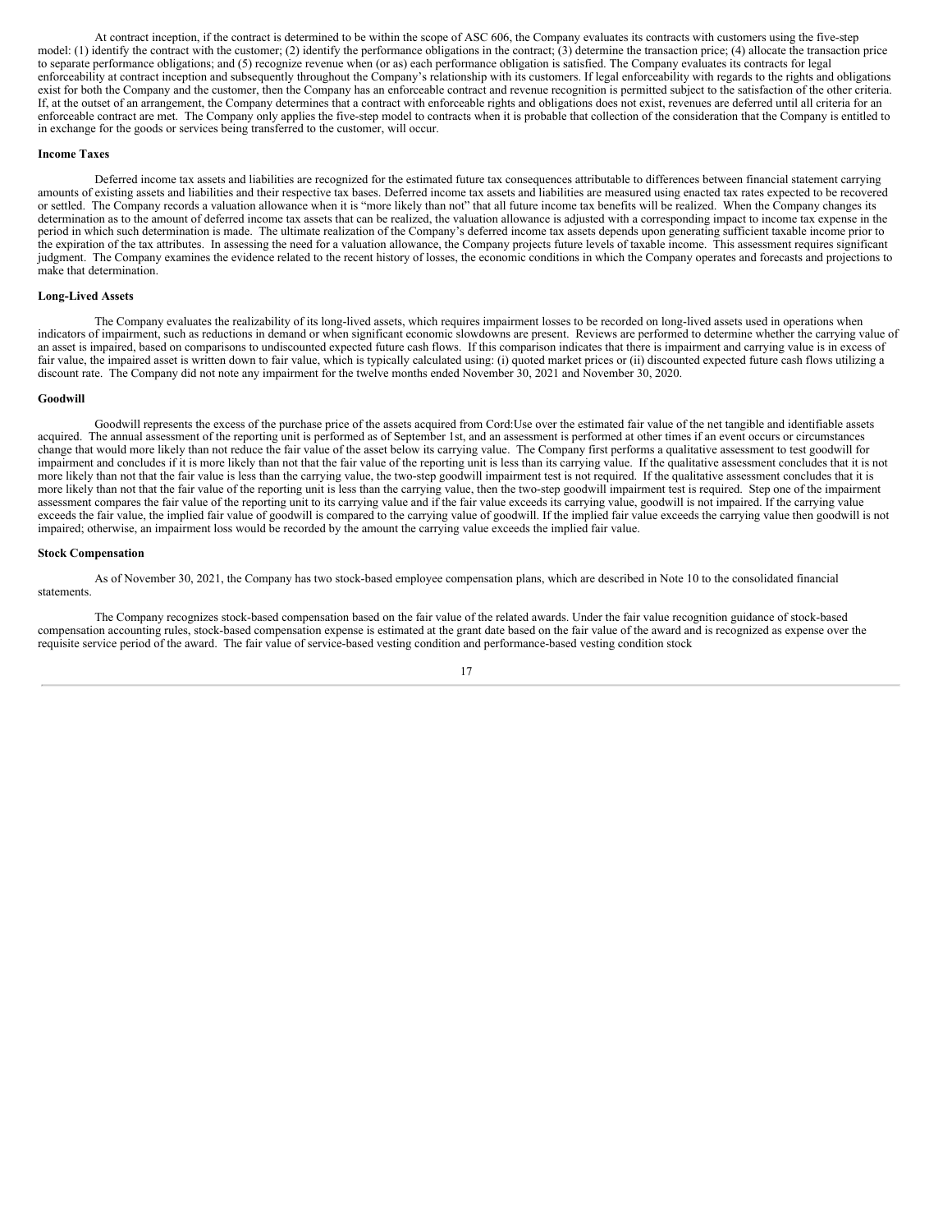At contract inception, if the contract is determined to be within the scope of ASC 606, the Company evaluates its contracts with customers using the five-step model: (1) identify the contract with the customer; (2) identify the performance obligations in the contract; (3) determine the transaction price; (4) allocate the transaction price to separate performance obligations; and (5) recognize revenue when (or as) each performance obligation is satisfied. The Company evaluates its contracts for legal enforceability at contract inception and subsequently throughout the Company's relationship with its customers. If legal enforceability with regards to the rights and obligations exist for both the Company and the customer, then the Company has an enforceable contract and revenue recognition is permitted subject to the satisfaction of the other criteria. If, at the outset of an arrangement, the Company determines that a contract with enforceable rights and obligations does not exist, revenues are deferred until all criteria for an enforceable contract are met. The Company only applies the five-step model to contracts when it is probable that collection of the consideration that the Company is entitled to in exchange for the goods or services being transferred to the customer, will occur.

### **Income Taxes**

Deferred income tax assets and liabilities are recognized for the estimated future tax consequences attributable to differences between financial statement carrying amounts of existing assets and liabilities and their respective tax bases. Deferred income tax assets and liabilities are measured using enacted tax rates expected to be recovered or settled. The Company records a valuation allowance when it is "more likely than not" that all future income tax benefits will be realized. When the Company changes its determination as to the amount of deferred income tax assets that can be realized, the valuation allowance is adjusted with a corresponding impact to income tax expense in the period in which such determination is made. The ultimate realization of the Company's deferred income tax assets depends upon generating sufficient taxable income prior to the expiration of the tax attributes. In assessing the need for a valuation allowance, the Company projects future levels of taxable income. This assessment requires significant judgment. The Company examines the evidence related to the recent history of losses, the economic conditions in which the Company operates and forecasts and projections to make that determination.

#### **Long-Lived Assets**

The Company evaluates the realizability of its long-lived assets, which requires impairment losses to be recorded on long-lived assets used in operations when indicators of impairment, such as reductions in demand or when significant economic slowdowns are present. Reviews are performed to determine whether the carrying value of an asset is impaired, based on comparisons to undiscounted expected future cash flows. If this comparison indicates that there is impairment and carrying value is in excess of fair value, the impaired asset is written down to fair value, which is typically calculated using: (i) quoted market prices or (ii) discounted expected future cash flows utilizing a discount rate. The Company did not note any impairment for the twelve months ended November 30, 2021 and November 30, 2020.

#### **Goodwill**

Goodwill represents the excess of the purchase price of the assets acquired from Cord:Use over the estimated fair value of the net tangible and identifiable assets acquired. The annual assessment of the reporting unit is performed as of September 1st, and an assessment is performed at other times if an event occurs or circumstances change that would more likely than not reduce the fair value of the asset below its carrying value. The Company first performs a qualitative assessment to test goodwill for impairment and concludes if it is more likely than not that the fair value of the reporting unit is less than its carrying value. If the qualitative assessment concludes that it is not more likely than not that the fair value is less than the carrying value, the two-step goodwill impairment test is not required. If the qualitative assessment concludes that it is more likely than not that the fair value of the reporting unit is less than the carrying value, then the two-step goodwill impairment test is required. Step one of the impairment assessment compares the fair value of the reporting unit to its carrying value and if the fair value exceeds its carrying value, goodwill is not impaired. If the carrying value exceeds the fair value, the implied fair value of goodwill is compared to the carrying value of goodwill. If the implied fair value exceeds the carrying value then goodwill is not impaired; otherwise, an impairment loss would be recorded by the amount the carrying value exceeds the implied fair value.

#### **Stock Compensation**

As of November 30, 2021, the Company has two stock-based employee compensation plans, which are described in Note 10 to the consolidated financial statements.

The Company recognizes stock-based compensation based on the fair value of the related awards. Under the fair value recognition guidance of stock-based compensation accounting rules, stock-based compensation expense is estimated at the grant date based on the fair value of the award and is recognized as expense over the requisite service period of the award. The fair value of service-based vesting condition and performance-based vesting condition stock

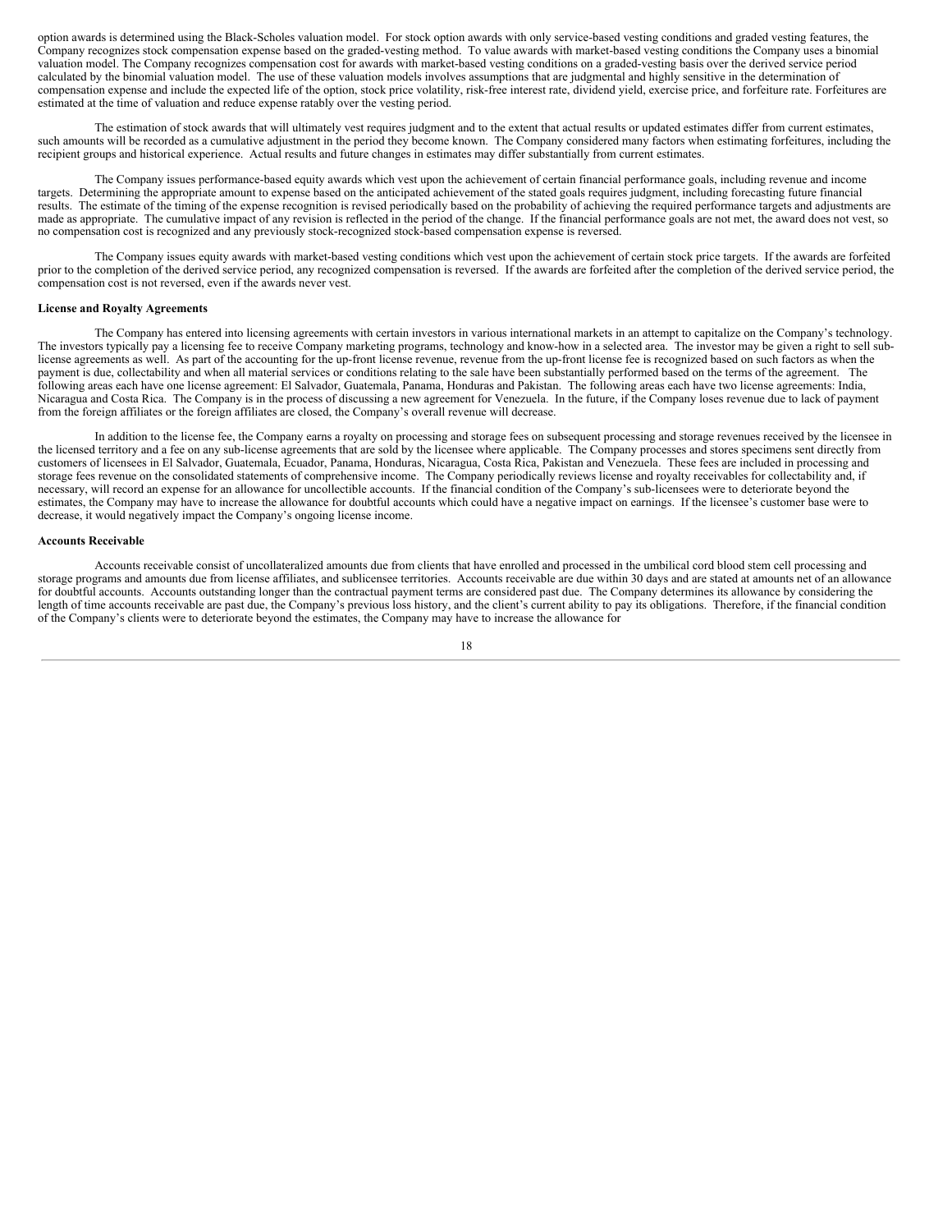option awards is determined using the Black-Scholes valuation model. For stock option awards with only service-based vesting conditions and graded vesting features, the Company recognizes stock compensation expense based on the graded-vesting method. To value awards with market-based vesting conditions the Company uses a binomial valuation model. The Company recognizes compensation cost for awards with market-based vesting conditions on a graded-vesting basis over the derived service period calculated by the binomial valuation model. The use of these valuation models involves assumptions that are judgmental and highly sensitive in the determination of compensation expense and include the expected life of the option, stock price volatility, risk-free interest rate, dividend yield, exercise price, and forfeiture rate. Forfeitures are estimated at the time of valuation and reduce expense ratably over the vesting period.

The estimation of stock awards that will ultimately vest requires judgment and to the extent that actual results or updated estimates differ from current estimates, such amounts will be recorded as a cumulative adjustment in the period they become known. The Company considered many factors when estimating forfeitures, including the recipient groups and historical experience. Actual results and future changes in estimates may differ substantially from current estimates.

The Company issues performance-based equity awards which vest upon the achievement of certain financial performance goals, including revenue and income targets. Determining the appropriate amount to expense based on the anticipated achievement of the stated goals requires judgment, including forecasting future financial results. The estimate of the timing of the expense recognition is revised periodically based on the probability of achieving the required performance targets and adjustments are made as appropriate. The cumulative impact of any revision is reflected in the period of the change. If the financial performance goals are not met, the award does not vest, so no compensation cost is recognized and any previously stock-recognized stock-based compensation expense is reversed.

The Company issues equity awards with market-based vesting conditions which vest upon the achievement of certain stock price targets. If the awards are forfeited prior to the completion of the derived service period, any recognized compensation is reversed. If the awards are forfeited after the completion of the derived service period, the compensation cost is not reversed, even if the awards never vest.

# **License and Royalty Agreements**

The Company has entered into licensing agreements with certain investors in various international markets in an attempt to capitalize on the Company's technology. The investors typically pay a licensing fee to receive Company marketing programs, technology and know-how in a selected area. The investor may be given a right to sell sublicense agreements as well. As part of the accounting for the up-front license revenue, revenue from the up-front license fee is recognized based on such factors as when the payment is due, collectability and when all material services or conditions relating to the sale have been substantially performed based on the terms of the agreement. The following areas each have one license agreement: El Salvador, Guatemala, Panama, Honduras and Pakistan. The following areas each have two license agreements: India, Nicaragua and Costa Rica. The Company is in the process of discussing a new agreement for Venezuela. In the future, if the Company loses revenue due to lack of payment from the foreign affiliates or the foreign affiliates are closed, the Company's overall revenue will decrease.

In addition to the license fee, the Company earns a royalty on processing and storage fees on subsequent processing and storage revenues received by the licensee in the licensed territory and a fee on any sub-license agreements that are sold by the licensee where applicable. The Company processes and stores specimens sent directly from customers of licensees in El Salvador, Guatemala, Ecuador, Panama, Honduras, Nicaragua, Costa Rica, Pakistan and Venezuela. These fees are included in processing and storage fees revenue on the consolidated statements of comprehensive income. The Company periodically reviews license and royalty receivables for collectability and, if necessary, will record an expense for an allowance for uncollectible accounts. If the financial condition of the Company's sub-licensees were to deteriorate beyond the estimates, the Company may have to increase the allowance for doubtful accounts which could have a negative impact on earnings. If the licensee's customer base were to decrease, it would negatively impact the Company's ongoing license income.

#### **Accounts Receivable**

Accounts receivable consist of uncollateralized amounts due from clients that have enrolled and processed in the umbilical cord blood stem cell processing and storage programs and amounts due from license affiliates, and sublicensee territories. Accounts receivable are due within 30 days and are stated at amounts net of an allowance for doubtful accounts. Accounts outstanding longer than the contractual payment terms are considered past due. The Company determines its allowance by considering the length of time accounts receivable are past due, the Company's previous loss history, and the client's current ability to pay its obligations. Therefore, if the financial condition of the Company's clients were to deteriorate beyond the estimates, the Company may have to increase the allowance for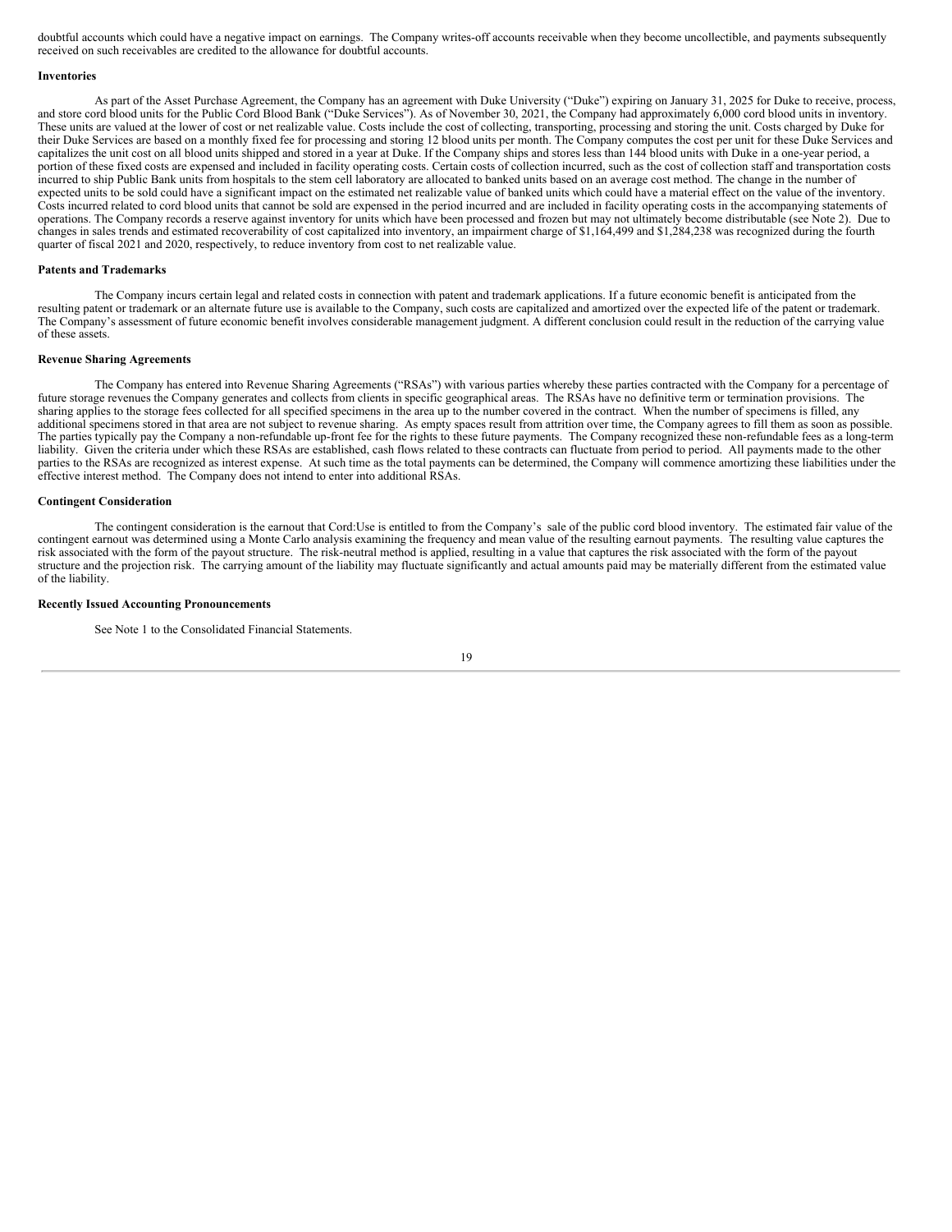doubtful accounts which could have a negative impact on earnings. The Company writes-off accounts receivable when they become uncollectible, and payments subsequently received on such receivables are credited to the allowance for doubtful accounts.

### **Inventories**

As part of the Asset Purchase Agreement, the Company has an agreement with Duke University ("Duke") expiring on January 31, 2025 for Duke to receive, process, and store cord blood units for the Public Cord Blood Bank ("Duke Services"). As of November 30, 2021, the Company had approximately 6,000 cord blood units in inventory. These units are valued at the lower of cost or net realizable value. Costs include the cost of collecting, transporting, processing and storing the unit. Costs charged by Duke for their Duke Services are based on a monthly fixed fee for processing and storing 12 blood units per month. The Company computes the cost per unit for these Duke Services and capitalizes the unit cost on all blood units shipped and stored in a year at Duke. If the Company ships and stores less than 144 blood units with Duke in a one-year period, a portion of these fixed costs are expensed and included in facility operating costs. Certain costs of collection incurred, such as the cost of collection staff and transportation costs incurred to ship Public Bank units from hospitals to the stem cell laboratory are allocated to banked units based on an average cost method. The change in the number of expected units to be sold could have a significant impact on the estimated net realizable value of banked units which could have a material effect on the value of the inventory. Costs incurred related to cord blood units that cannot be sold are expensed in the period incurred and are included in facility operating costs in the accompanying statements of operations. The Company records a reserve against inventory for units which have been processed and frozen but may not ultimately become distributable (see Note 2). Due to changes in sales trends and estimated recoverability of cost capitalized into inventory, an impairment charge of \$1,164,499 and \$1,284,238 was recognized during the fourth quarter of fiscal 2021 and 2020, respectively, to reduce inventory from cost to net realizable value.

#### **Patents and Trademarks**

The Company incurs certain legal and related costs in connection with patent and trademark applications. If a future economic benefit is anticipated from the resulting patent or trademark or an alternate future use is available to the Company, such costs are capitalized and amortized over the expected life of the patent or trademark. The Company's assessment of future economic benefit involves considerable management judgment. A different conclusion could result in the reduction of the carrying value of these assets.

#### **Revenue Sharing Agreements**

The Company has entered into Revenue Sharing Agreements ("RSAs") with various parties whereby these parties contracted with the Company for a percentage of future storage revenues the Company generates and collects from clients in specific geographical areas. The RSAs have no definitive term or termination provisions. The sharing applies to the storage fees collected for all specified specimens in the area up to the number covered in the contract. When the number of specimens is filled, any additional specimens stored in that area are not subject to revenue sharing. As empty spaces result from attrition over time, the Company agrees to fill them as soon as possible. The parties typically pay the Company a non-refundable up-front fee for the rights to these future payments. The Company recognized these non-refundable fees as a long-term liability. Given the criteria under which these RSAs are established, cash flows related to these contracts can fluctuate from period to period. All payments made to the other parties to the RSAs are recognized as interest expense. At such time as the total payments can be determined, the Company will commence amortizing these liabilities under the effective interest method. The Company does not intend to enter into additional RSAs.

# **Contingent Consideration**

The contingent consideration is the earnout that Cord:Use is entitled to from the Company's sale of the public cord blood inventory. The estimated fair value of the contingent earnout was determined using a Monte Carlo analysis examining the frequency and mean value of the resulting earnout payments. The resulting value captures the risk associated with the form of the payout structure. The risk-neutral method is applied, resulting in a value that captures the risk associated with the form of the payout structure and the projection risk. The carrying amount of the liability may fluctuate significantly and actual amounts paid may be materially different from the estimated value of the liability.

#### **Recently Issued Accounting Pronouncements**

See Note 1 to the Consolidated Financial Statements.

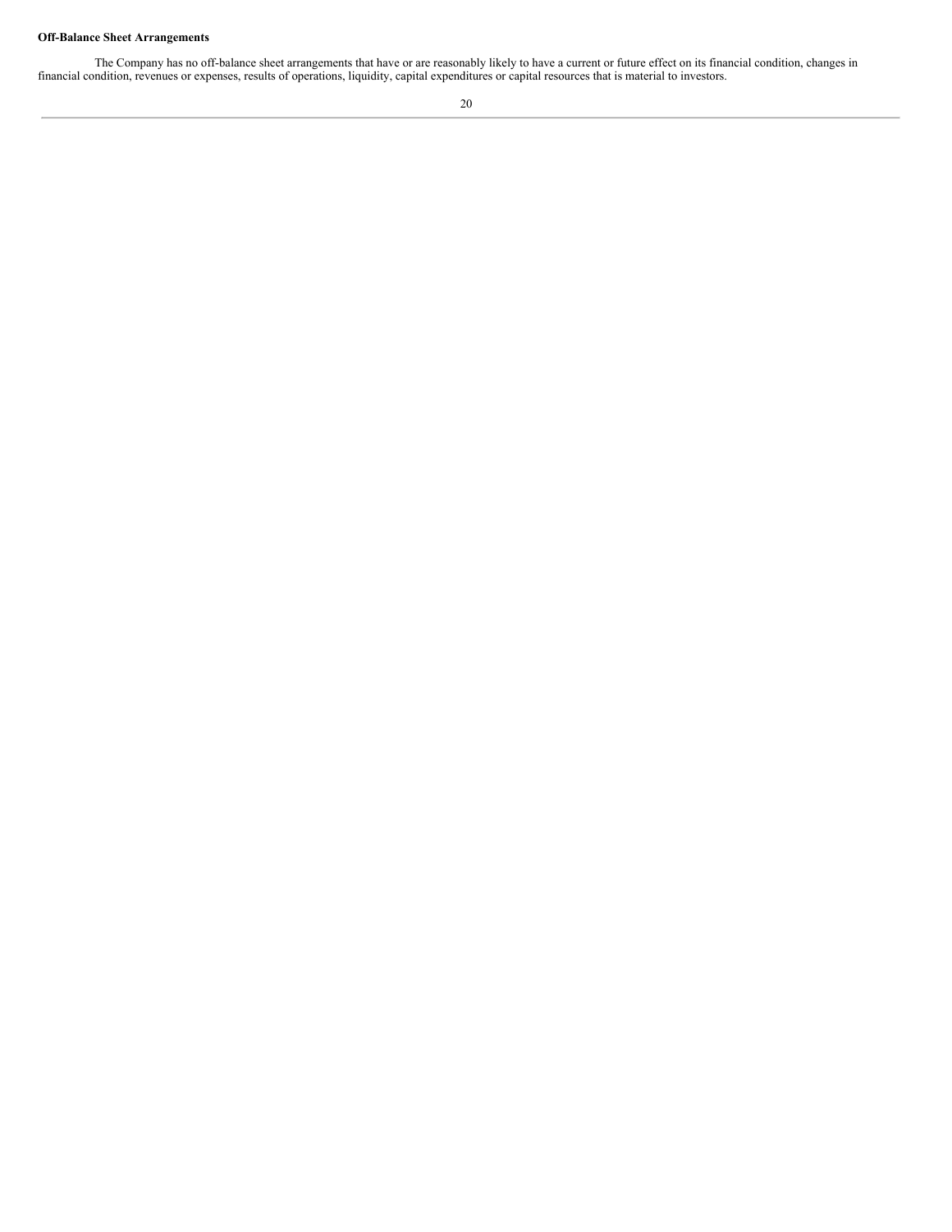# **Off-Balance Sheet Arrangements**

The Company has no off-balance sheet arrangements that have or are reasonably likely to have a current or future effect on its financial condition, changes in financial condition, revenues or expenses, results of operations, liquidity, capital expenditures or capital resources that is material to investors.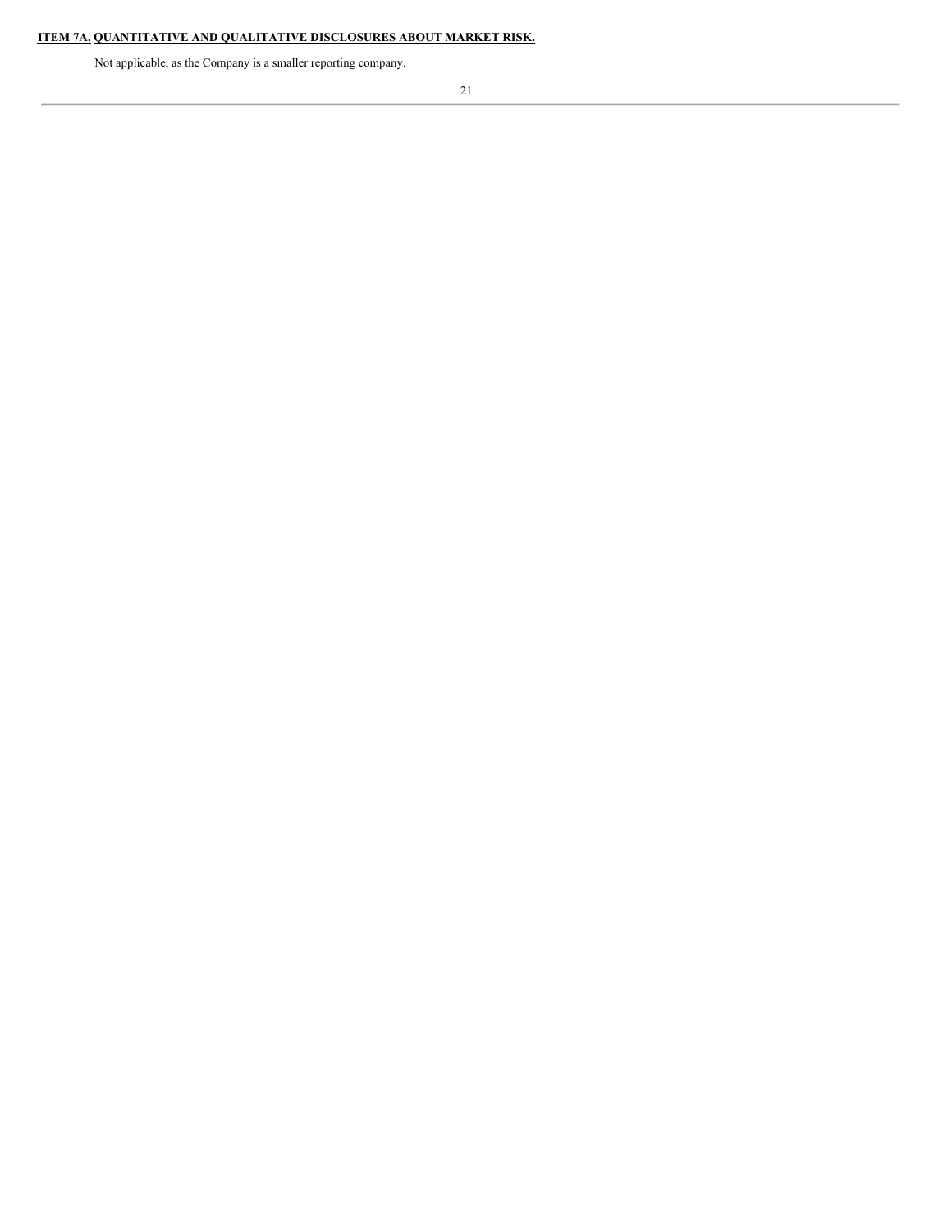# <span id="page-22-0"></span>**ITEM 7A. QUANTITATIVE AND QUALITATIVE DISCLOSURES ABOUT MARKET RISK.**

Not applicable, as the Company is a smaller reporting company.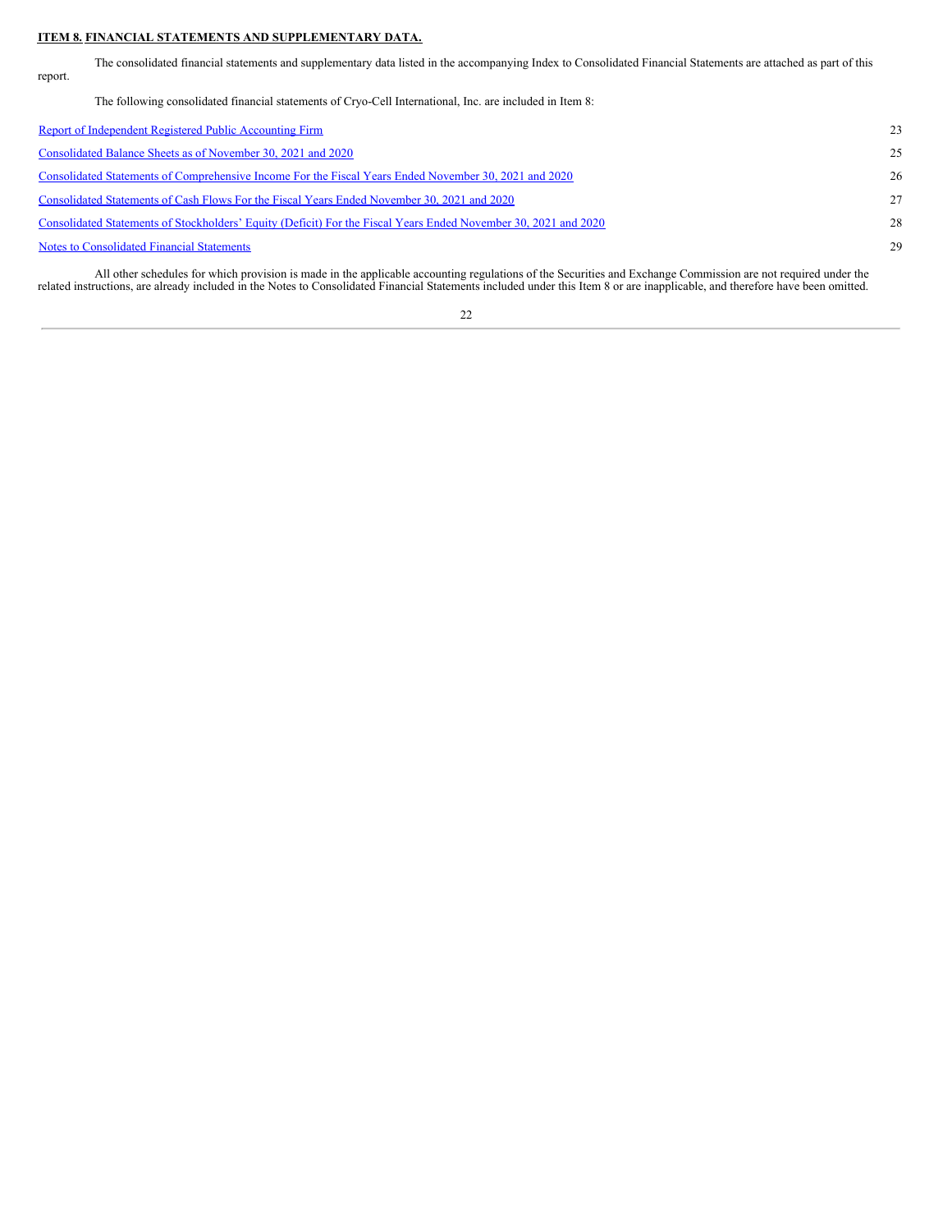# <span id="page-23-0"></span>**ITEM 8. FINANCIAL STATEMENTS AND SUPPLEMENTARY DATA.**

The consolidated financial statements and supplementary data listed in the accompanying Index to Consolidated Financial Statements are attached as part of this report.

The following consolidated financial statements of Cryo-Cell International, Inc. are included in Item 8:

| <b>Report of Independent Registered Public Accounting Firm</b>                                                  | 23 |
|-----------------------------------------------------------------------------------------------------------------|----|
| Consolidated Balance Sheets as of November 30, 2021 and 2020                                                    | 25 |
| Consolidated Statements of Comprehensive Income For the Fiscal Years Ended November 30, 2021 and 2020           | 26 |
| Consolidated Statements of Cash Flows For the Fiscal Years Ended November 30, 2021 and 2020                     | 27 |
| Consolidated Statements of Stockholders' Equity (Deficit) For the Fiscal Years Ended November 30, 2021 and 2020 | 28 |
| Notes to Consolidated Financial Statements                                                                      | 29 |
|                                                                                                                 |    |

All other schedules for which provision is made in the applicable accounting regulations of the Securities and Exchange Commission are not required under the related instructions, are already included in the Notes to Consolidated Financial Statements included under this Item 8 or are inapplicable, and therefore have been omitted.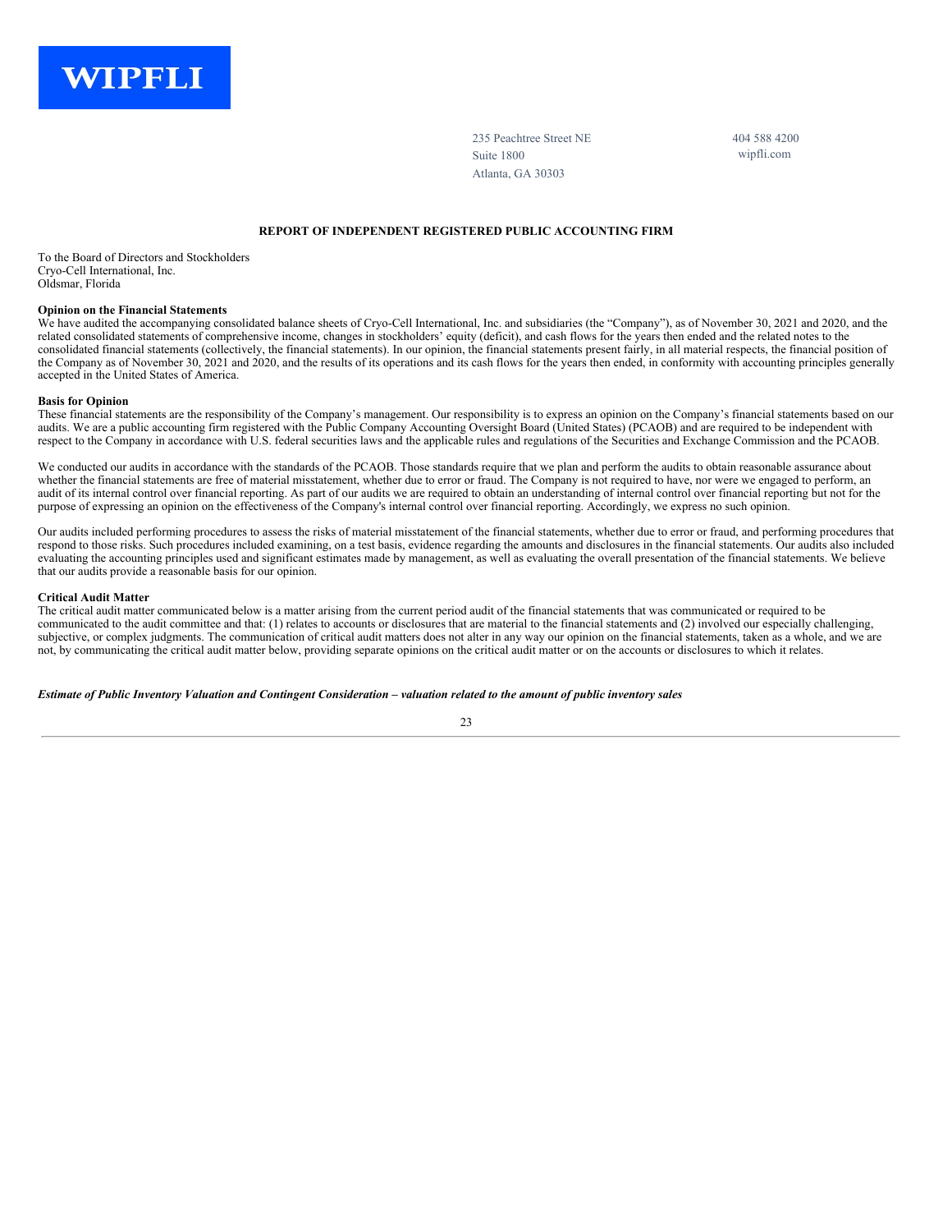

235 Peachtree Street NE 404 588 4200 Suite 1800 wipfli.com Atlanta, GA 30303

### **REPORT OF INDEPENDENT REGISTERED PUBLIC ACCOUNTING FIRM**

<span id="page-24-0"></span>To the Board of Directors and Stockholders Cryo-Cell International, Inc. Oldsmar, Florida

# **Opinion on the Financial Statements**

We have audited the accompanying consolidated balance sheets of Cryo-Cell International, Inc. and subsidiaries (the "Company"), as of November 30, 2021 and 2020, and the related consolidated statements of comprehensive income, changes in stockholders' equity (deficit), and cash flows for the years then ended and the related notes to the consolidated financial statements (collectively, the financial statements). In our opinion, the financial statements present fairly, in all material respects, the financial position of the Company as of November 30, 2021 and 2020, and the results of its operations and its cash flows for the years then ended, in conformity with accounting principles generally accepted in the United States of America.

# **Basis for Opinion**

These financial statements are the responsibility of the Company's management. Our responsibility is to express an opinion on the Company's financial statements based on our audits. We are a public accounting firm registered with the Public Company Accounting Oversight Board (United States) (PCAOB) and are required to be independent with respect to the Company in accordance with U.S. federal securities laws and the applicable rules and regulations of the Securities and Exchange Commission and the PCAOB.

We conducted our audits in accordance with the standards of the PCAOB. Those standards require that we plan and perform the audits to obtain reasonable assurance about whether the financial statements are free of material misstatement, whether due to error or fraud. The Company is not required to have, nor were we engaged to perform, an audit of its internal control over financial reporting. As part of our audits we are required to obtain an understanding of internal control over financial reporting but not for the purpose of expressing an opinion on the effectiveness of the Company's internal control over financial reporting. Accordingly, we express no such opinion.

Our audits included performing procedures to assess the risks of material misstatement of the financial statements, whether due to error or fraud, and performing procedures that respond to those risks. Such procedures included examining, on a test basis, evidence regarding the amounts and disclosures in the financial statements. Our audits also included evaluating the accounting principles used and significant estimates made by management, as well as evaluating the overall presentation of the financial statements. We believe that our audits provide a reasonable basis for our opinion.

#### **Critical Audit Matter**

The critical audit matter communicated below is a matter arising from the current period audit of the financial statements that was communicated or required to be communicated to the audit committee and that: (1) relates to accounts or disclosures that are material to the financial statements and (2) involved our especially challenging, subjective, or complex judgments. The communication of critical audit matters does not alter in any way our opinion on the financial statements, taken as a whole, and we are not, by communicating the critical audit matter below, providing separate opinions on the critical audit matter or on the accounts or disclosures to which it relates.

Estimate of Public Inventory Valuation and Contingent Consideration - valuation related to the amount of public inventory sales

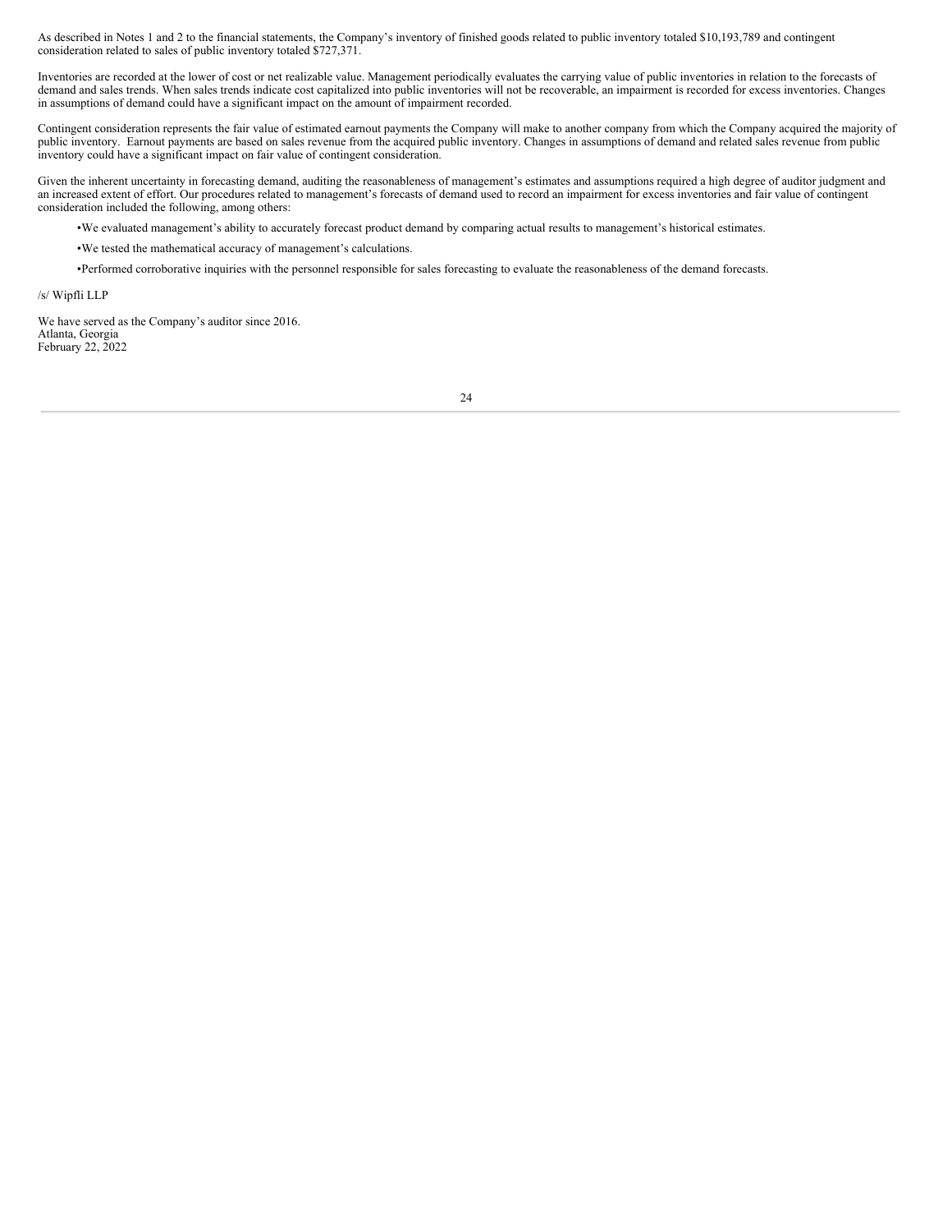As described in Notes 1 and 2 to the financial statements, the Company's inventory of finished goods related to public inventory totaled \$10,193,789 and contingent consideration related to sales of public inventory totaled \$727,371.

Inventories are recorded at the lower of cost or net realizable value. Management periodically evaluates the carrying value of public inventories in relation to the forecasts of demand and sales trends. When sales trends indicate cost capitalized into public inventories will not be recoverable, an impairment is recorded for excess inventories. Changes in assumptions of demand could have a significant impact on the amount of impairment recorded.

Contingent consideration represents the fair value of estimated earnout payments the Company will make to another company from which the Company acquired the majority of public inventory. Earnout payments are based on sales revenue from the acquired public inventory. Changes in assumptions of demand and related sales revenue from public inventory could have a significant impact on fair value of contingent consideration.

Given the inherent uncertainty in forecasting demand, auditing the reasonableness of management's estimates and assumptions required a high degree of auditor judgment and an increased extent of effort. Our procedures related to management's forecasts of demand used to record an impairment for excess inventories and fair value of contingent consideration included the following, among others:

•We evaluated management's ability to accurately forecast product demand by comparing actual results to management's historical estimates.

- •We tested the mathematical accuracy of management's calculations.
- •Performed corroborative inquiries with the personnel responsible for sales forecasting to evaluate the reasonableness of the demand forecasts.

/s/ Wipfli LLP

We have served as the Company's auditor since 2016. Atlanta, Georgia February 22, 2022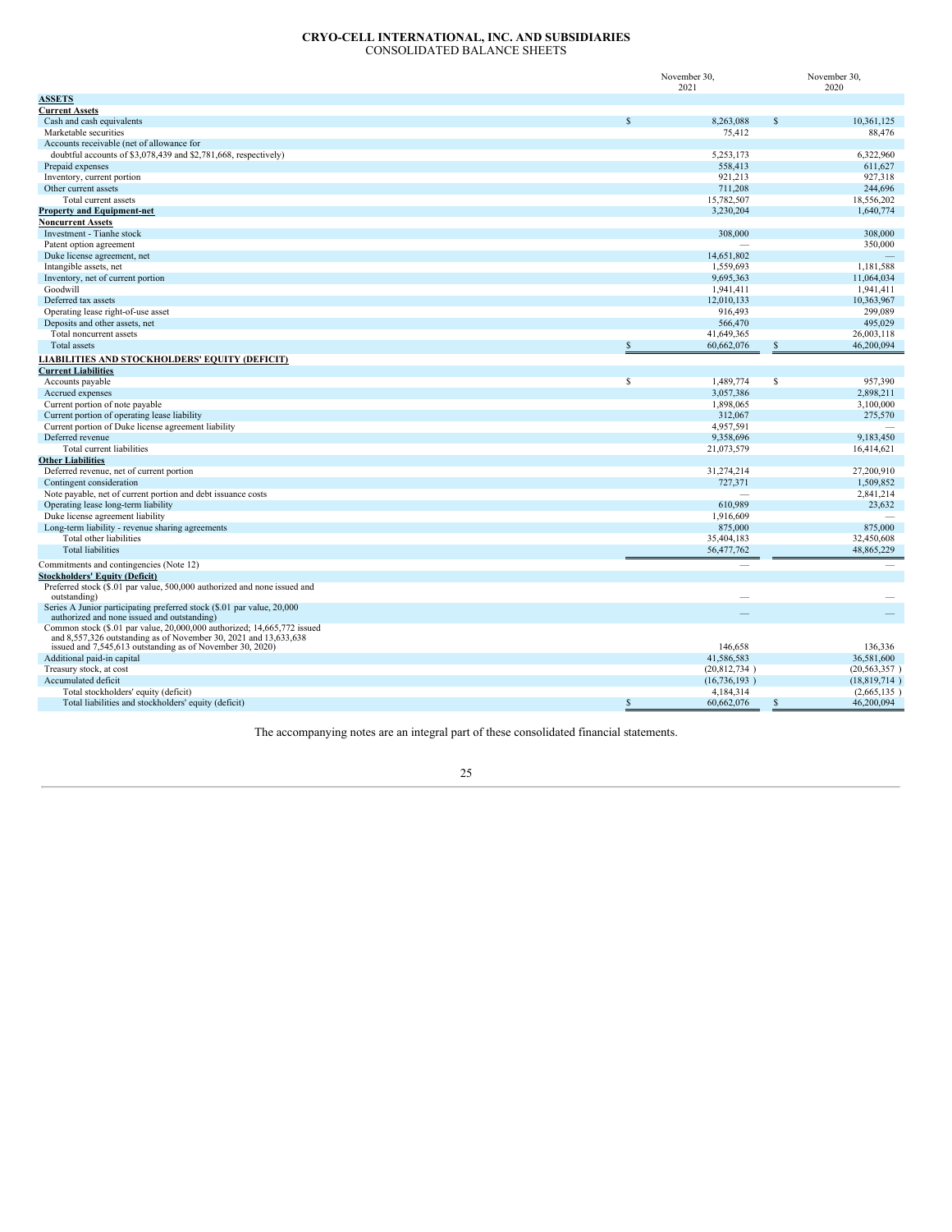### **CRYO-CELL INTERNATIONAL, INC. AND SUBSIDIARIES** CONSOLIDATED BALANCE SHEETS

<span id="page-26-0"></span>

|                                                                                                                                                                                                          |               | November 30,<br>2021 |             | November 30,<br>2020 |
|----------------------------------------------------------------------------------------------------------------------------------------------------------------------------------------------------------|---------------|----------------------|-------------|----------------------|
| <b>ASSETS</b>                                                                                                                                                                                            |               |                      |             |                      |
| <b>Current Assets</b>                                                                                                                                                                                    |               |                      |             |                      |
| Cash and cash equivalents                                                                                                                                                                                | $\mathbf S$   | 8.263.088            | S           | 10.361.125           |
| Marketable securities                                                                                                                                                                                    |               | 75,412               |             | 88,476               |
| Accounts receivable (net of allowance for                                                                                                                                                                |               |                      |             |                      |
| doubtful accounts of \$3,078,439 and \$2,781,668, respectively)                                                                                                                                          |               | 5,253,173            |             | 6,322,960            |
| Prepaid expenses                                                                                                                                                                                         |               | 558,413              |             | 611,627              |
| Inventory, current portion                                                                                                                                                                               |               | 921,213              |             | 927,318              |
| Other current assets                                                                                                                                                                                     |               | 711,208              |             | 244,696              |
| Total current assets                                                                                                                                                                                     |               | 15,782,507           |             | 18,556,202           |
| <b>Property and Equipment-net</b>                                                                                                                                                                        |               | 3,230,204            |             | 1,640,774            |
| <b>Noncurrent Assets</b>                                                                                                                                                                                 |               |                      |             |                      |
| Investment - Tianhe stock                                                                                                                                                                                |               | 308,000              |             | 308,000              |
| Patent option agreement                                                                                                                                                                                  |               |                      |             | 350,000              |
| Duke license agreement, net                                                                                                                                                                              |               | 14,651,802           |             |                      |
| Intangible assets, net                                                                                                                                                                                   |               | 1,559,693            |             | 1,181,588            |
| Inventory, net of current portion                                                                                                                                                                        |               | 9,695,363            |             | 11,064,034           |
| Goodwill                                                                                                                                                                                                 |               | 1,941,411            |             | 1,941,411            |
| Deferred tax assets                                                                                                                                                                                      |               | 12,010,133           |             | 10,363,967           |
| Operating lease right-of-use asset                                                                                                                                                                       |               | 916,493              |             | 299,089              |
| Deposits and other assets, net                                                                                                                                                                           |               | 566,470              |             | 495,029              |
| Total noncurrent assets                                                                                                                                                                                  |               | 41,649,365           |             | 26,003,118           |
| Total assets                                                                                                                                                                                             | $\mathcal{S}$ | 60,662,076           | $\mathbf S$ | 46,200,094           |
|                                                                                                                                                                                                          |               |                      |             |                      |
| <b>LIABILITIES AND STOCKHOLDERS' EQUITY (DEFICIT)</b>                                                                                                                                                    |               |                      |             |                      |
| <b>Current Liabilities</b>                                                                                                                                                                               |               |                      |             |                      |
| Accounts payable                                                                                                                                                                                         | s             | 1,489,774            | s           | 957,390              |
| Accrued expenses                                                                                                                                                                                         |               | 3,057,386            |             | 2,898,211            |
| Current portion of note payable                                                                                                                                                                          |               | 1,898,065            |             | 3,100,000            |
| Current portion of operating lease liability                                                                                                                                                             |               | 312,067              |             | 275,570              |
| Current portion of Duke license agreement liability                                                                                                                                                      |               | 4,957,591            |             |                      |
| Deferred revenue                                                                                                                                                                                         |               | 9,358,696            |             | 9,183,450            |
| Total current liabilities                                                                                                                                                                                |               | 21,073,579           |             | 16,414,621           |
| <b>Other Liabilities</b>                                                                                                                                                                                 |               |                      |             |                      |
| Deferred revenue, net of current portion                                                                                                                                                                 |               | 31,274,214           |             | 27,200,910           |
| Contingent consideration                                                                                                                                                                                 |               | 727,371              |             | 1,509,852            |
| Note payable, net of current portion and debt issuance costs                                                                                                                                             |               |                      |             | 2,841,214            |
| Operating lease long-term liability                                                                                                                                                                      |               | 610,989              |             | 23,632               |
| Duke license agreement liability                                                                                                                                                                         |               | 1,916,609            |             |                      |
| Long-term liability - revenue sharing agreements                                                                                                                                                         |               | 875,000              |             | 875,000              |
| Total other liabilities                                                                                                                                                                                  |               | 35,404,183           |             | 32,450,608           |
| <b>Total liabilities</b>                                                                                                                                                                                 |               | 56,477,762           |             | 48,865,229           |
| Commitments and contingencies (Note 12)                                                                                                                                                                  |               |                      |             |                      |
| <b>Stockholders' Equity (Deficit)</b>                                                                                                                                                                    |               |                      |             |                      |
| Preferred stock (\$.01 par value, 500,000 authorized and none issued and                                                                                                                                 |               |                      |             |                      |
| outstanding)<br>Series A Junior participating preferred stock (\$.01 par value, 20,000<br>authorized and none issued and outstanding)                                                                    |               |                      |             |                      |
| Common stock (\$.01 par value, 20,000,000 authorized; 14,665,772 issued<br>and 8,557,326 outstanding as of November 30, 2021 and 13,633,638<br>issued and 7,545,613 outstanding as of November 30, 2020) |               | 146,658              |             | 136,336              |
| Additional paid-in capital                                                                                                                                                                               |               | 41,586,583           |             | 36,581,600           |
| Treasury stock, at cost                                                                                                                                                                                  |               | (20, 812, 734)       |             | (20, 563, 357)       |
| Accumulated deficit                                                                                                                                                                                      |               | (16, 736, 193)       |             | (18, 819, 714)       |
| Total stockholders' equity (deficit)                                                                                                                                                                     |               | 4,184,314            |             | (2,665,135)          |
| Total liabilities and stockholders' equity (deficit)                                                                                                                                                     | S             | 60,662,076           | S           | 46,200,094           |

The accompanying notes are an integral part of these consolidated financial statements.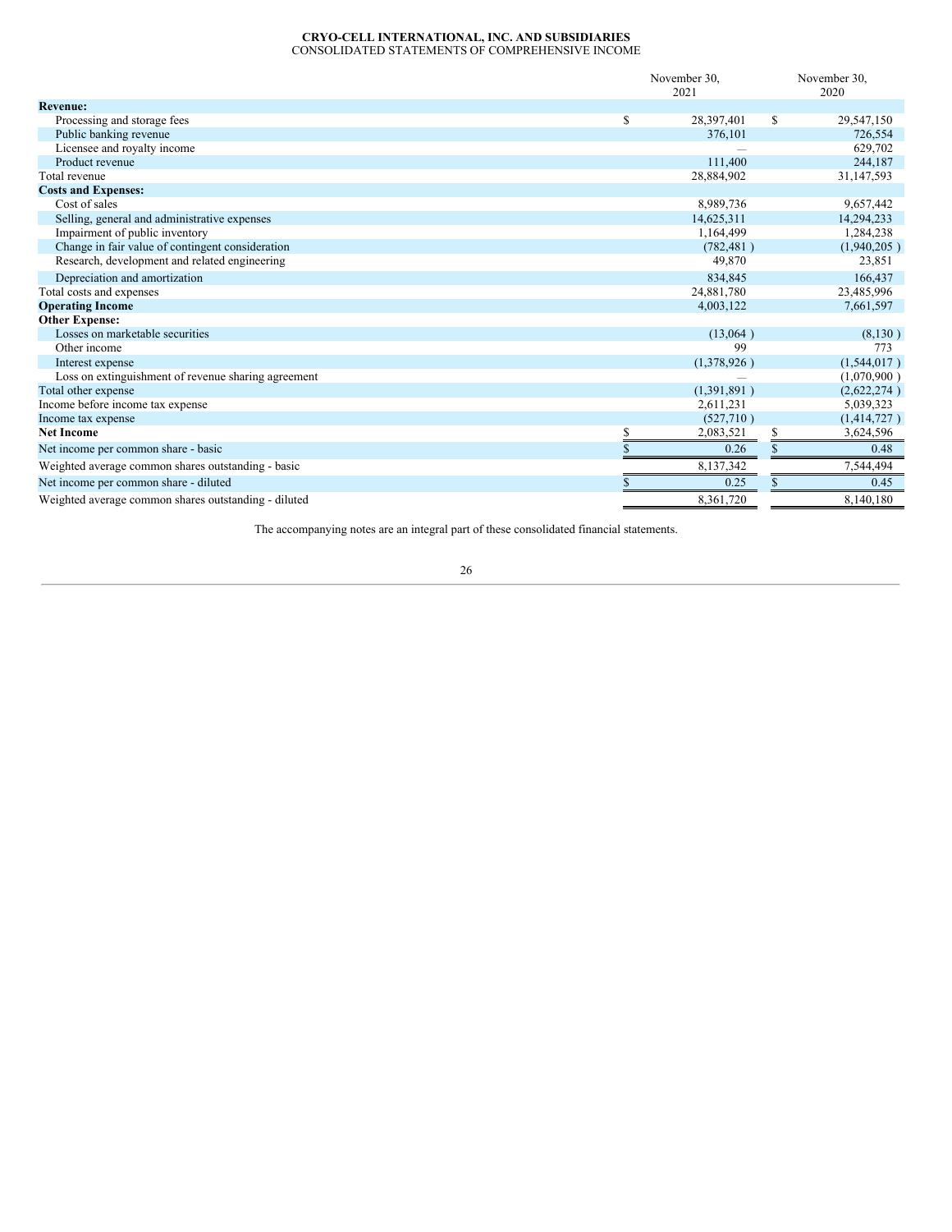#### **CRYO-CELL INTERNATIONAL, INC. AND SUBSIDIARIES** CONSOLIDATED STATEMENTS OF COMPREHENSIVE INCOME

<span id="page-27-0"></span>

|                                                      | November 30,<br>2021 |   | November 30,<br>2020 |
|------------------------------------------------------|----------------------|---|----------------------|
| <b>Revenue:</b>                                      |                      |   |                      |
| Processing and storage fees                          | \$<br>28,397,401     | S | 29,547,150           |
| Public banking revenue                               | 376,101              |   | 726,554              |
| Licensee and royalty income                          |                      |   | 629,702              |
| Product revenue                                      | 111.400              |   | 244,187              |
| Total revenue                                        | 28,884,902           |   | 31,147,593           |
| <b>Costs and Expenses:</b>                           |                      |   |                      |
| Cost of sales                                        | 8,989,736            |   | 9,657,442            |
| Selling, general and administrative expenses         | 14,625,311           |   | 14,294,233           |
| Impairment of public inventory                       | 1,164,499            |   | 1,284,238            |
| Change in fair value of contingent consideration     | (782, 481)           |   | (1,940,205)          |
| Research, development and related engineering        | 49,870               |   | 23,851               |
| Depreciation and amortization                        | 834,845              |   | 166,437              |
| Total costs and expenses                             | 24,881,780           |   | 23,485,996           |
| <b>Operating Income</b>                              | 4,003,122            |   | 7,661,597            |
| <b>Other Expense:</b>                                |                      |   |                      |
| Losses on marketable securities                      | (13,064)             |   | (8,130)              |
| Other income                                         | 99                   |   | 773                  |
| Interest expense                                     | (1,378,926)          |   | (1,544,017)          |
| Loss on extinguishment of revenue sharing agreement  |                      |   | (1,070,900)          |
| Total other expense                                  | (1,391,891)          |   | (2,622,274)          |
| Income before income tax expense                     | 2,611,231            |   | 5,039,323            |
| Income tax expense                                   | (527,710)            |   | (1,414,727)          |
| <b>Net Income</b>                                    | 2,083,521            | S | 3,624,596            |
| Net income per common share - basic                  | 0.26                 |   | 0.48                 |
| Weighted average common shares outstanding - basic   | 8,137,342            |   | 7,544,494            |
| Net income per common share - diluted                | 0.25                 |   | 0.45                 |
| Weighted average common shares outstanding - diluted | 8.361.720            |   | 8.140.180            |

The accompanying notes are an integral part of these consolidated financial statements.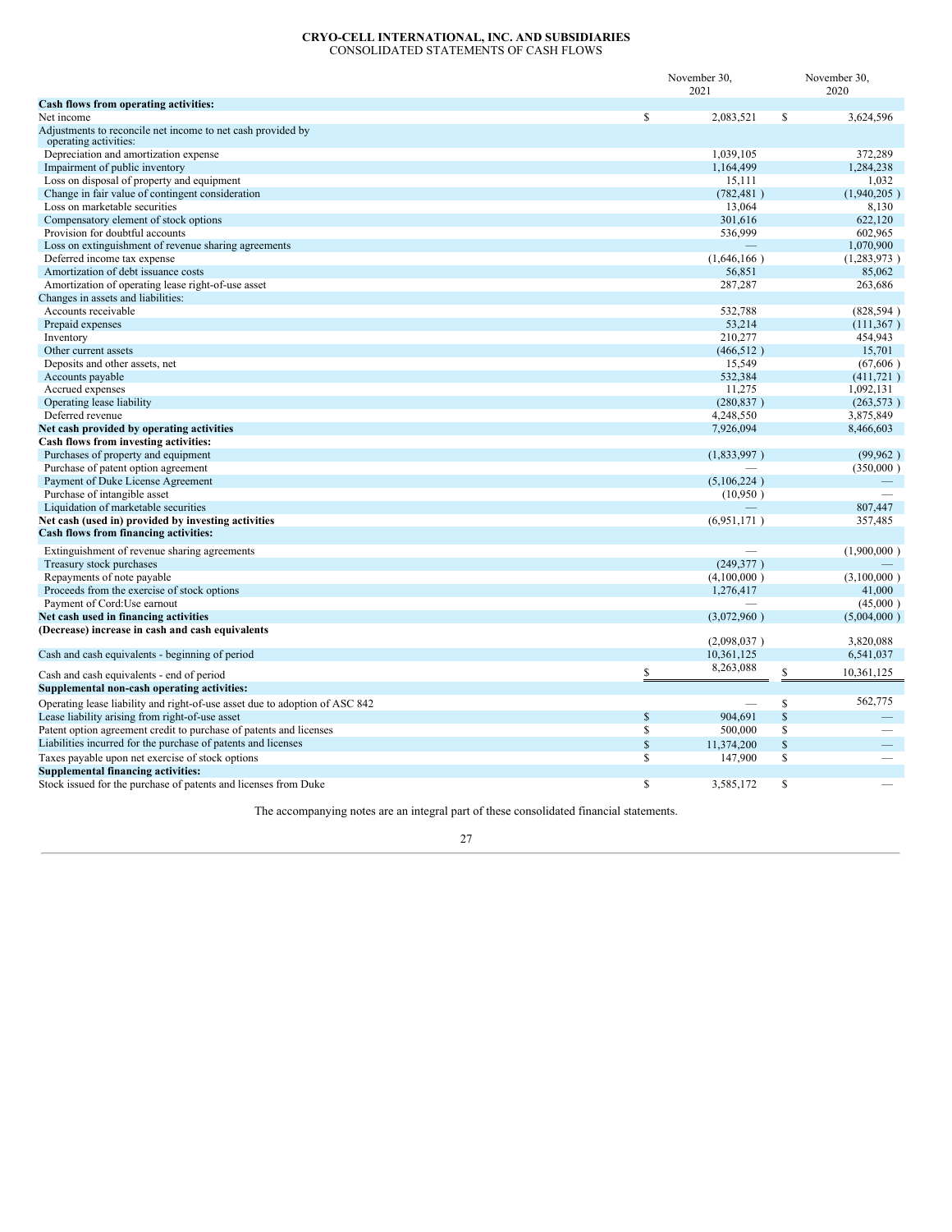### **CRYO-CELL INTERNATIONAL, INC. AND SUBSIDIARIES** CONSOLIDATED STATEMENTS OF CASH FLOWS

<span id="page-28-0"></span>

|                                                                                       |              | November 30,<br>2021      |              | November 30,<br>2020   |  |
|---------------------------------------------------------------------------------------|--------------|---------------------------|--------------|------------------------|--|
| Cash flows from operating activities:                                                 |              |                           |              |                        |  |
| Net income<br>Adjustments to reconcile net income to net cash provided by             | $\mathbb{S}$ | 2,083,521                 | S            | 3,624,596              |  |
| operating activities:                                                                 |              | 1.039.105                 |              |                        |  |
| Depreciation and amortization expense                                                 |              |                           |              | 372,289                |  |
| Impairment of public inventory                                                        |              | 1,164,499                 |              | 1,284,238              |  |
| Loss on disposal of property and equipment                                            |              | 15,111                    |              | 1,032                  |  |
| Change in fair value of contingent consideration<br>Loss on marketable securities     |              | (782, 481)<br>13.064      |              | (1,940,205)            |  |
|                                                                                       |              |                           |              | 8,130                  |  |
| Compensatory element of stock options                                                 |              | 301,616                   |              | 622,120<br>602,965     |  |
| Provision for doubtful accounts                                                       |              | 536,999                   |              |                        |  |
| Loss on extinguishment of revenue sharing agreements                                  |              |                           |              | 1,070,900              |  |
| Deferred income tax expense                                                           |              | (1,646,166)               |              | (1,283,973)            |  |
| Amortization of debt issuance costs                                                   |              | 56,851                    |              | 85,062                 |  |
| Amortization of operating lease right-of-use asset                                    |              | 287,287                   |              | 263,686                |  |
| Changes in assets and liabilities:                                                    |              |                           |              |                        |  |
| Accounts receivable                                                                   |              | 532,788                   |              | (828, 594)             |  |
| Prepaid expenses                                                                      |              | 53,214                    |              | (111, 367)             |  |
| Inventory                                                                             |              | 210,277                   |              | 454,943                |  |
| Other current assets                                                                  |              | (466, 512)                |              | 15,701                 |  |
| Deposits and other assets, net                                                        |              | 15,549                    |              | (67,606)               |  |
| Accounts payable                                                                      |              | 532,384                   |              | (411, 721)             |  |
| Accrued expenses                                                                      |              | 11,275                    |              | 1,092,131              |  |
| Operating lease liability<br>Deferred revenue                                         |              | (280, 837)                |              | (263, 573)             |  |
|                                                                                       |              | 4,248,550                 |              | 3,875,849              |  |
| Net cash provided by operating activities                                             |              | 7,926,094                 |              | 8,466,603              |  |
| Cash flows from investing activities:                                                 |              |                           |              | (99, 962)              |  |
| Purchases of property and equipment                                                   |              | (1,833,997)               |              |                        |  |
| Purchase of patent option agreement                                                   |              |                           |              | (350,000)              |  |
| Payment of Duke License Agreement                                                     |              | (5,106,224)               |              |                        |  |
| Purchase of intangible asset                                                          |              | (10,950)                  |              | 807,447                |  |
| Liquidation of marketable securities                                                  |              | (6,951,171)               |              |                        |  |
| Net cash (used in) provided by investing activities                                   |              |                           |              | 357,485                |  |
| Cash flows from financing activities:<br>Extinguishment of revenue sharing agreements |              |                           |              | (1,900,000)            |  |
| Treasury stock purchases                                                              |              | (249, 377)                |              |                        |  |
| Repayments of note payable                                                            |              | (4,100,000)               |              | (3,100,000)            |  |
| Proceeds from the exercise of stock options                                           |              | 1,276,417                 |              | 41,000                 |  |
| Payment of Cord: Use earnout                                                          |              |                           |              | (45,000)               |  |
| Net cash used in financing activities                                                 |              | (3,072,960)               |              | (5,004,000)            |  |
| (Decrease) increase in cash and cash equivalents                                      |              |                           |              |                        |  |
| Cash and cash equivalents - beginning of period                                       |              | (2,098,037)<br>10.361.125 |              | 3,820,088<br>6.541.037 |  |
|                                                                                       |              | 8,263,088                 |              |                        |  |
| Cash and cash equivalents - end of period                                             | \$           |                           | S            | 10,361,125             |  |
| Supplemental non-cash operating activities:                                           |              |                           |              |                        |  |
| Operating lease liability and right-of-use asset due to adoption of ASC 842           |              |                           | S            | 562,775                |  |
| Lease liability arising from right-of-use asset                                       | $\mathbb{S}$ | 904.691                   | $\mathbb{S}$ |                        |  |
| Patent option agreement credit to purchase of patents and licenses                    | $\mathbb{S}$ | 500,000                   | \$           |                        |  |
| Liabilities incurred for the purchase of patents and licenses                         | $\mathbb S$  | 11,374,200                | $\mathbb{S}$ |                        |  |
| Taxes payable upon net exercise of stock options                                      | $\mathbb{S}$ | 147,900                   | \$           |                        |  |
| <b>Supplemental financing activities:</b>                                             |              |                           |              |                        |  |
| Stock issued for the purchase of patents and licenses from Duke                       | $\mathbb{S}$ | 3.585.172                 | S            |                        |  |

The accompanying notes are an integral part of these consolidated financial statements.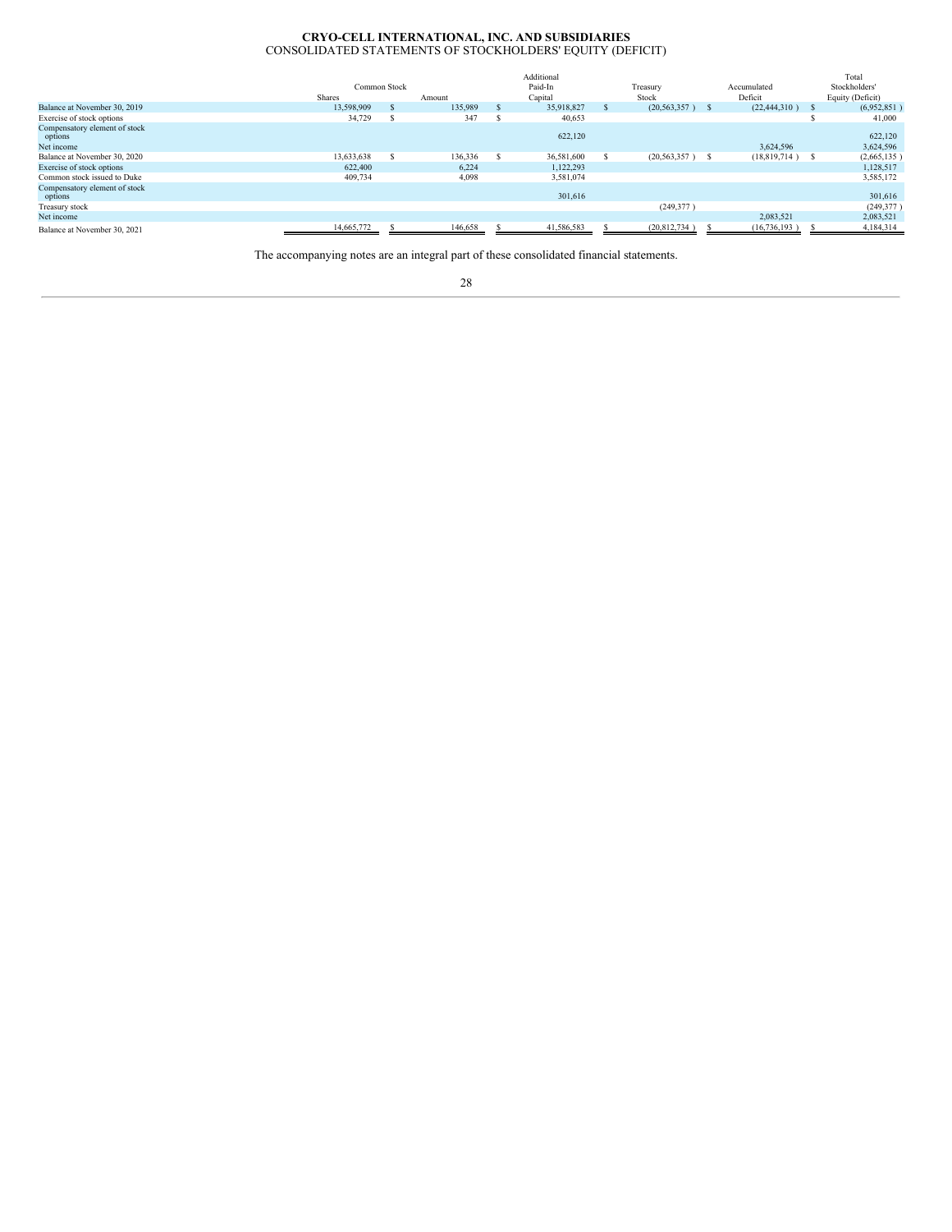### **CRYO-CELL INTERNATIONAL, INC. AND SUBSIDIARIES** CONSOLIDATED STATEMENTS OF STOCKHOLDERS' EQUITY (DEFICIT)

<span id="page-29-0"></span>

|                                                            | Common Stock<br><b>Shares</b> | Amount  | Additional<br>Paid-In<br>Capital | Treasury<br>Stock | Accumulated<br>Deficit | Total<br>Stockholders'<br>Equity (Deficit) |
|------------------------------------------------------------|-------------------------------|---------|----------------------------------|-------------------|------------------------|--------------------------------------------|
| Balance at November 30, 2019                               | 13.598.909                    | 135,989 | 35,918,827                       | $(20,563,357)$ \$ | (22, 444, 310)         | (6,952,851)                                |
| Exercise of stock options                                  | 34,729                        | 347     | 40,653                           |                   |                        | 41,000                                     |
| Compensatory element of stock<br>options<br>Net income     |                               |         | 622,120                          |                   | 3.624.596              | 622,120<br>3,624,596                       |
| Balance at November 30, 2020                               | 13.633.638                    | 136,336 | 36,581,600                       | (20,563,357)      | (18,819,714)           | (2,665,135)                                |
| Exercise of stock options                                  | 622,400                       | 6.224   | 1,122,293                        |                   |                        | 1,128,517                                  |
| Common stock issued to Duke                                | 409,734                       | 4,098   | 3,581,074                        |                   |                        | 3,585,172                                  |
| Compensatory element of stock<br>options<br>Treasury stock |                               |         | 301.616                          | (249, 377)        |                        | 301,616<br>(249, 377)                      |
| Net income                                                 |                               |         |                                  |                   | 2.083.521              | 2,083,521                                  |
| Balance at November 30, 2021                               | 14,665,772                    | 146,658 | 41,586,583                       | (20,812,734)      | (16, 736, 193)         | 4,184,314                                  |

The accompanying notes are an integral part of these consolidated financial statements.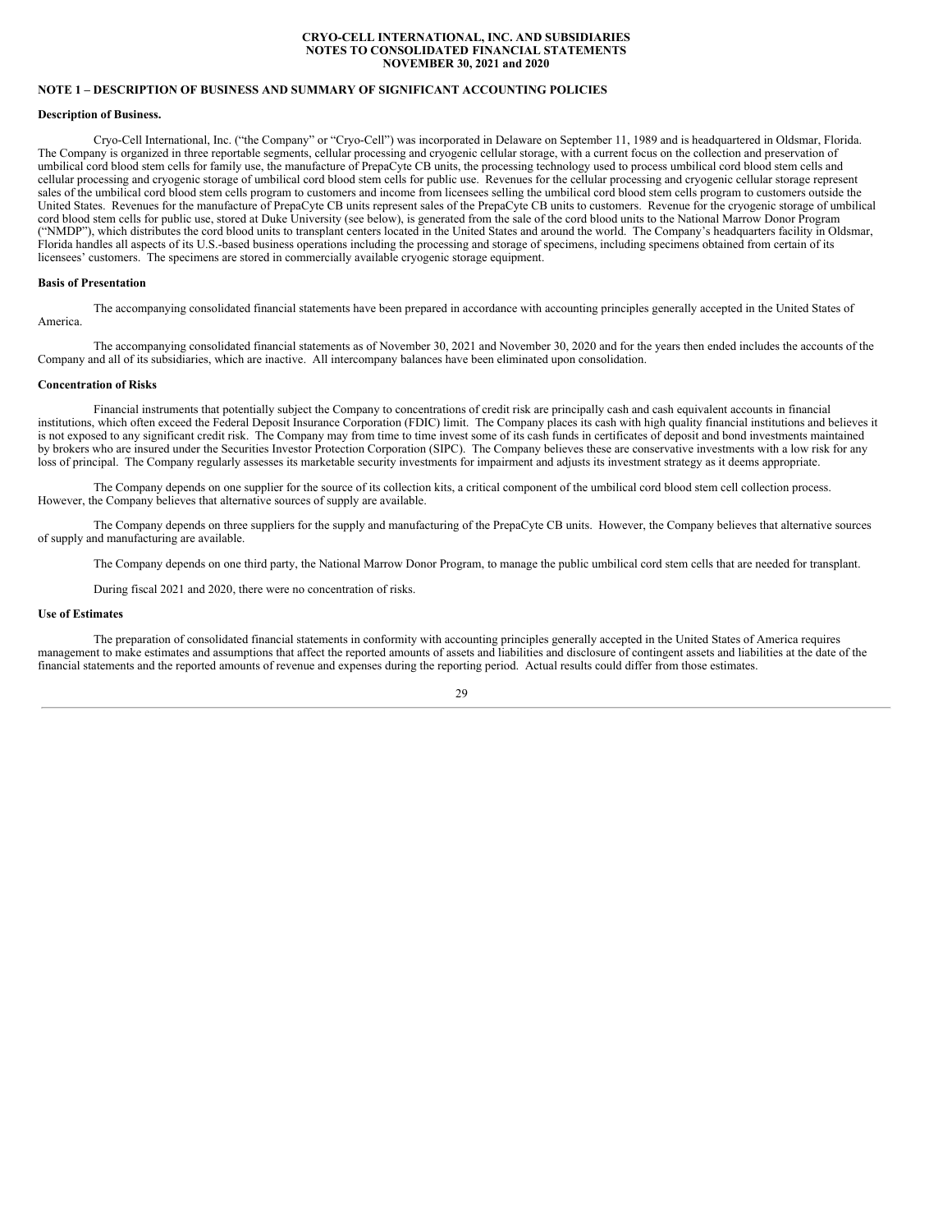#### **CRYO-CELL INTERNATIONAL, INC. AND SUBSIDIARIES NOTES TO CONSOLIDATED FINANCIAL STATEMENTS NOVEMBER 30, 2021 and 2020**

# <span id="page-30-0"></span>**NOTE 1 – DESCRIPTION OF BUSINESS AND SUMMARY OF SIGNIFICANT ACCOUNTING POLICIES**

#### **Description of Business.**

Cryo-Cell International, Inc. ("the Company" or "Cryo-Cell") was incorporated in Delaware on September 11, 1989 and is headquartered in Oldsmar, Florida. The Company is organized in three reportable segments, cellular processing and cryogenic cellular storage, with a current focus on the collection and preservation of umbilical cord blood stem cells for family use, the manufacture of PrepaCyte CB units, the processing technology used to process umbilical cord blood stem cells and cellular processing and cryogenic storage of umbilical cord blood stem cells for public use. Revenues for the cellular processing and cryogenic cellular storage represent sales of the umbilical cord blood stem cells program to customers and income from licensees selling the umbilical cord blood stem cells program to customers outside the United States. Revenues for the manufacture of PrepaCyte CB units represent sales of the PrepaCyte CB units to customers. Revenue for the cryogenic storage of umbilical cord blood stem cells for public use, stored at Duke University (see below), is generated from the sale of the cord blood units to the National Marrow Donor Program ("NMDP"), which distributes the cord blood units to transplant centers located in the United States and around the world. The Company's headquarters facility in Oldsmar, Florida handles all aspects of its U.S.-based business operations including the processing and storage of specimens, including specimens obtained from certain of its licensees' customers. The specimens are stored in commercially available cryogenic storage equipment.

# **Basis of Presentation**

The accompanying consolidated financial statements have been prepared in accordance with accounting principles generally accepted in the United States of America.

The accompanying consolidated financial statements as of November 30, 2021 and November 30, 2020 and for the years then ended includes the accounts of the Company and all of its subsidiaries, which are inactive. All intercompany balances have been eliminated upon consolidation.

### **Concentration of Risks**

Financial instruments that potentially subject the Company to concentrations of credit risk are principally cash and cash equivalent accounts in financial institutions, which often exceed the Federal Deposit Insurance Corporation (FDIC) limit. The Company places its cash with high quality financial institutions and believes it is not exposed to any significant credit risk. The Company may from time to time invest some of its cash funds in certificates of deposit and bond investments maintained by brokers who are insured under the Securities Investor Protection Corporation (SIPC). The Company believes these are conservative investments with a low risk for any loss of principal. The Company regularly assesses its marketable security investments for impairment and adjusts its investment strategy as it deems appropriate.

The Company depends on one supplier for the source of its collection kits, a critical component of the umbilical cord blood stem cell collection process. However, the Company believes that alternative sources of supply are available.

The Company depends on three suppliers for the supply and manufacturing of the PrepaCyte CB units. However, the Company believes that alternative sources of supply and manufacturing are available.

The Company depends on one third party, the National Marrow Donor Program, to manage the public umbilical cord stem cells that are needed for transplant.

During fiscal 2021 and 2020, there were no concentration of risks.

# **Use of Estimates**

The preparation of consolidated financial statements in conformity with accounting principles generally accepted in the United States of America requires management to make estimates and assumptions that affect the reported amounts of assets and liabilities and disclosure of contingent assets and liabilities at the date of the financial statements and the reported amounts of revenue and expenses during the reporting period. Actual results could differ from those estimates.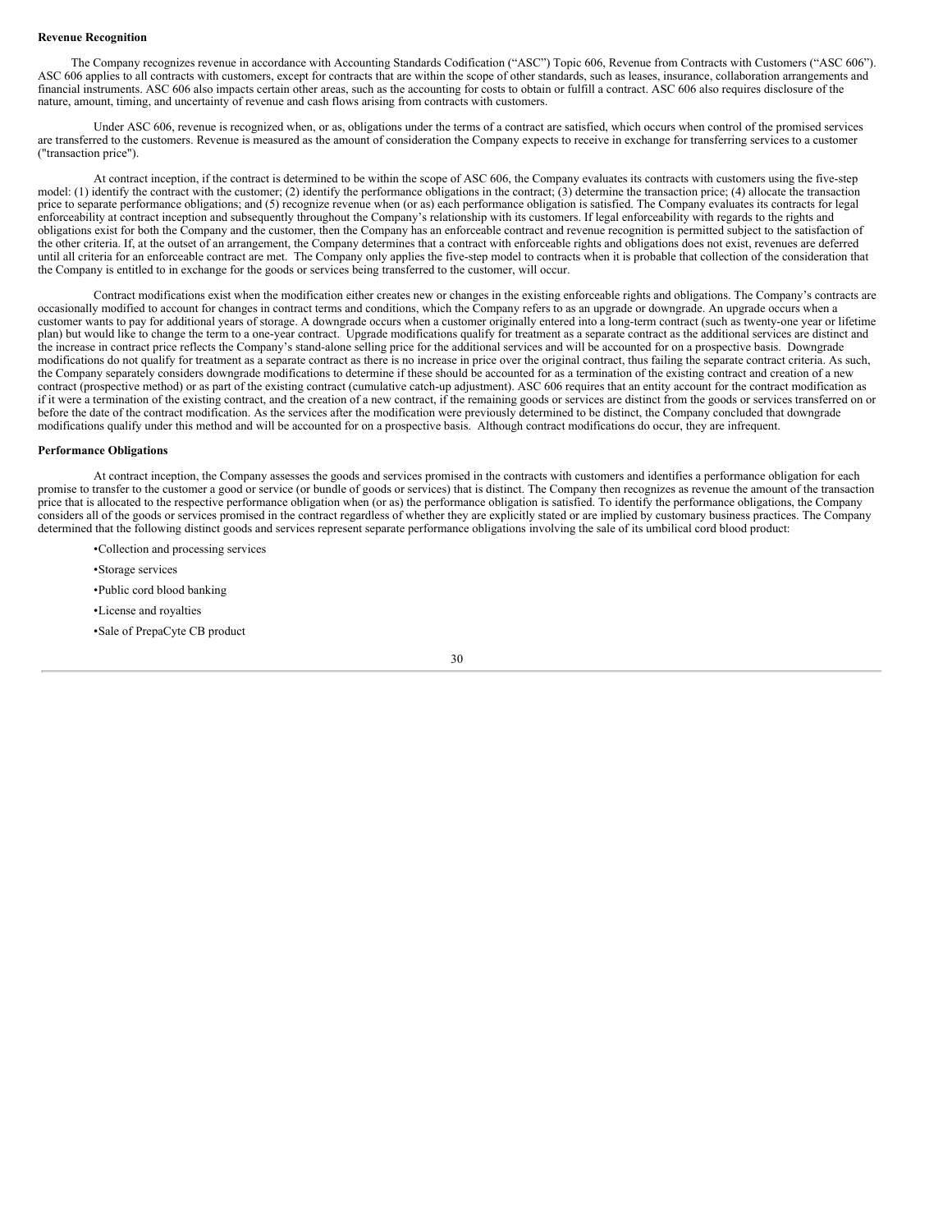#### **Revenue Recognition**

The Company recognizes revenue in accordance with Accounting Standards Codification ("ASC") Topic 606, Revenue from Contracts with Customers ("ASC 606"). ASC 606 applies to all contracts with customers, except for contracts that are within the scope of other standards, such as leases, insurance, collaboration arrangements and financial instruments. ASC 606 also impacts certain other areas, such as the accounting for costs to obtain or fulfill a contract. ASC 606 also requires disclosure of the nature, amount, timing, and uncertainty of revenue and cash flows arising from contracts with customers.

Under ASC 606, revenue is recognized when, or as, obligations under the terms of a contract are satisfied, which occurs when control of the promised services are transferred to the customers. Revenue is measured as the amount of consideration the Company expects to receive in exchange for transferring services to a customer ("transaction price").

At contract inception, if the contract is determined to be within the scope of ASC 606, the Company evaluates its contracts with customers using the five-step model: (1) identify the contract with the customer; (2) identify the performance obligations in the contract; (3) determine the transaction price; (4) allocate the transaction price to separate performance obligations; and (5) recognize revenue when (or as) each performance obligation is satisfied. The Company evaluates its contracts for legal enforceability at contract inception and subsequently throughout the Company's relationship with its customers. If legal enforceability with regards to the rights and obligations exist for both the Company and the customer, then the Company has an enforceable contract and revenue recognition is permitted subject to the satisfaction of the other criteria. If, at the outset of an arrangement, the Company determines that a contract with enforceable rights and obligations does not exist, revenues are deferred until all criteria for an enforceable contract are met. The Company only applies the five-step model to contracts when it is probable that collection of the consideration that the Company is entitled to in exchange for the goods or services being transferred to the customer, will occur.

Contract modifications exist when the modification either creates new or changes in the existing enforceable rights and obligations. The Company's contracts are occasionally modified to account for changes in contract terms and conditions, which the Company refers to as an upgrade or downgrade. An upgrade occurs when a customer wants to pay for additional years of storage. A downgrade occurs when a customer originally entered into a long-term contract (such as twenty-one year or lifetime plan) but would like to change the term to a one-year contract. Upgrade modifications qualify for treatment as a separate contract as the additional services are distinct and the increase in contract price reflects the Company's stand-alone selling price for the additional services and will be accounted for on a prospective basis. Downgrade modifications do not qualify for treatment as a separate contract as there is no increase in price over the original contract, thus failing the separate contract criteria. As such, the Company separately considers downgrade modifications to determine if these should be accounted for as a termination of the existing contract and creation of a new contract (prospective method) or as part of the existing contract (cumulative catch-up adjustment). ASC 606 requires that an entity account for the contract modification as if it were a termination of the existing contract, and the creation of a new contract, if the remaining goods or services are distinct from the goods or services transferred on or before the date of the contract modification. As the services after the modification were previously determined to be distinct, the Company concluded that downgrade modifications qualify under this method and will be accounted for on a prospective basis. Although contract modifications do occur, they are infrequent.

### **Performance Obligations**

At contract inception, the Company assesses the goods and services promised in the contracts with customers and identifies a performance obligation for each promise to transfer to the customer a good or service (or bundle of goods or services) that is distinct. The Company then recognizes as revenue the amount of the transaction price that is allocated to the respective performance obligation when (or as) the performance obligation is satisfied. To identify the performance obligations, the Company considers all of the goods or services promised in the contract regardless of whether they are explicitly stated or are implied by customary business practices. The Company determined that the following distinct goods and services represent separate performance obligations involving the sale of its umbilical cord blood product:

- •Collection and processing services
- •Storage services
- •Public cord blood banking
- •License and royalties
- •Sale of PrepaCyte CB product

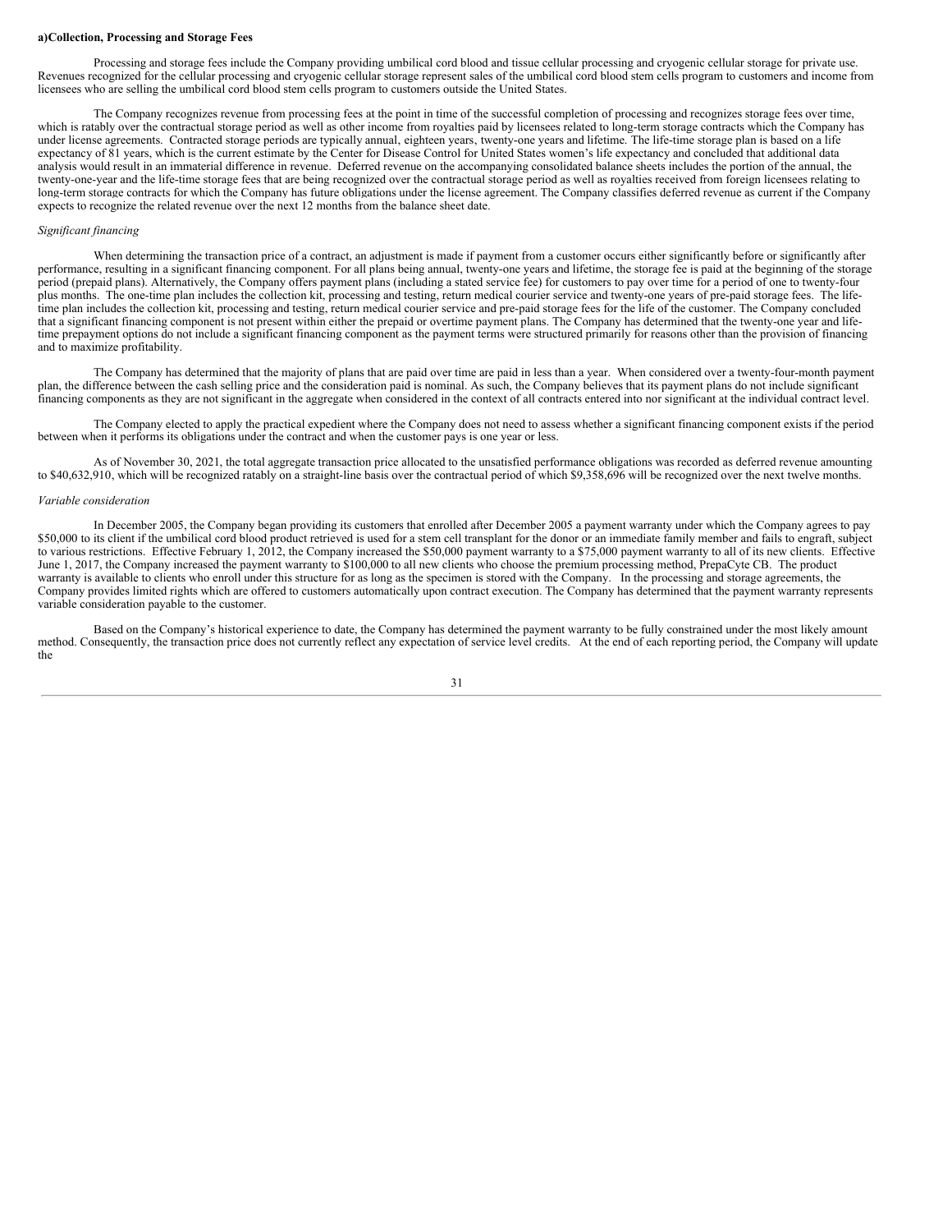#### **a)Collection, Processing and Storage Fees**

Processing and storage fees include the Company providing umbilical cord blood and tissue cellular processing and cryogenic cellular storage for private use. Revenues recognized for the cellular processing and cryogenic cellular storage represent sales of the umbilical cord blood stem cells program to customers and income from licensees who are selling the umbilical cord blood stem cells program to customers outside the United States.

The Company recognizes revenue from processing fees at the point in time of the successful completion of processing and recognizes storage fees over time, which is ratably over the contractual storage period as well as other income from royalties paid by licensees related to long-term storage contracts which the Company has under license agreements. Contracted storage periods are typically annual, eighteen years, twenty-one years and lifetime. The life-time storage plan is based on a life expectancy of 81 years, which is the current estimate by the Center for Disease Control for United States women's life expectancy and concluded that additional data analysis would result in an immaterial difference in revenue. Deferred revenue on the accompanying consolidated balance sheets includes the portion of the annual, the twenty-one-year and the life-time storage fees that are being recognized over the contractual storage period as well as royalties received from foreign licensees relating to long-term storage contracts for which the Company has future obligations under the license agreement. The Company classifies deferred revenue as current if the Company expects to recognize the related revenue over the next 12 months from the balance sheet date.

# *Significant financing*

When determining the transaction price of a contract, an adjustment is made if payment from a customer occurs either significantly before or significantly after performance, resulting in a significant financing component. For all plans being annual, twenty-one years and lifetime, the storage fee is paid at the beginning of the storage period (prepaid plans). Alternatively, the Company offers payment plans (including a stated service fee) for customers to pay over time for a period of one to twenty-four plus months. The one-time plan includes the collection kit, processing and testing, return medical courier service and twenty-one years of pre-paid storage fees. The lifetime plan includes the collection kit, processing and testing, return medical courier service and pre-paid storage fees for the life of the customer. The Company concluded that a significant financing component is not present within either the prepaid or overtime payment plans. The Company has determined that the twenty-one year and lifetime prepayment options do not include a significant financing component as the payment terms were structured primarily for reasons other than the provision of financing and to maximize profitability.

The Company has determined that the majority of plans that are paid over time are paid in less than a year. When considered over a twenty-four-month payment plan, the difference between the cash selling price and the consideration paid is nominal. As such, the Company believes that its payment plans do not include significant financing components as they are not significant in the aggregate when considered in the context of all contracts entered into nor significant at the individual contract level.

The Company elected to apply the practical expedient where the Company does not need to assess whether a significant financing component exists if the period between when it performs its obligations under the contract and when the customer pays is one year or less.

As of November 30, 2021, the total aggregate transaction price allocated to the unsatisfied performance obligations was recorded as deferred revenue amounting to \$40,632,910, which will be recognized ratably on a straight-line basis over the contractual period of which \$9,358,696 will be recognized over the next twelve months.

#### *Variable consideration*

In December 2005, the Company began providing its customers that enrolled after December 2005 a payment warranty under which the Company agrees to pay \$50,000 to its client if the umbilical cord blood product retrieved is used for a stem cell transplant for the donor or an immediate family member and fails to engraft, subject to various restrictions. Effective February 1, 2012, the Company increased the \$50,000 payment warranty to a \$75,000 payment warranty to all of its new clients. Effective June 1, 2017, the Company increased the payment warranty to \$100,000 to all new clients who choose the premium processing method, PrepaCyte CB. The product warranty is available to clients who enroll under this structure for as long as the specimen is stored with the Company. In the processing and storage agreements, the Company provides limited rights which are offered to customers automatically upon contract execution. The Company has determined that the payment warranty represents variable consideration payable to the customer.

Based on the Company's historical experience to date, the Company has determined the payment warranty to be fully constrained under the most likely amount method. Consequently, the transaction price does not currently reflect any expectation of service level credits. At the end of each reporting period, the Company will update the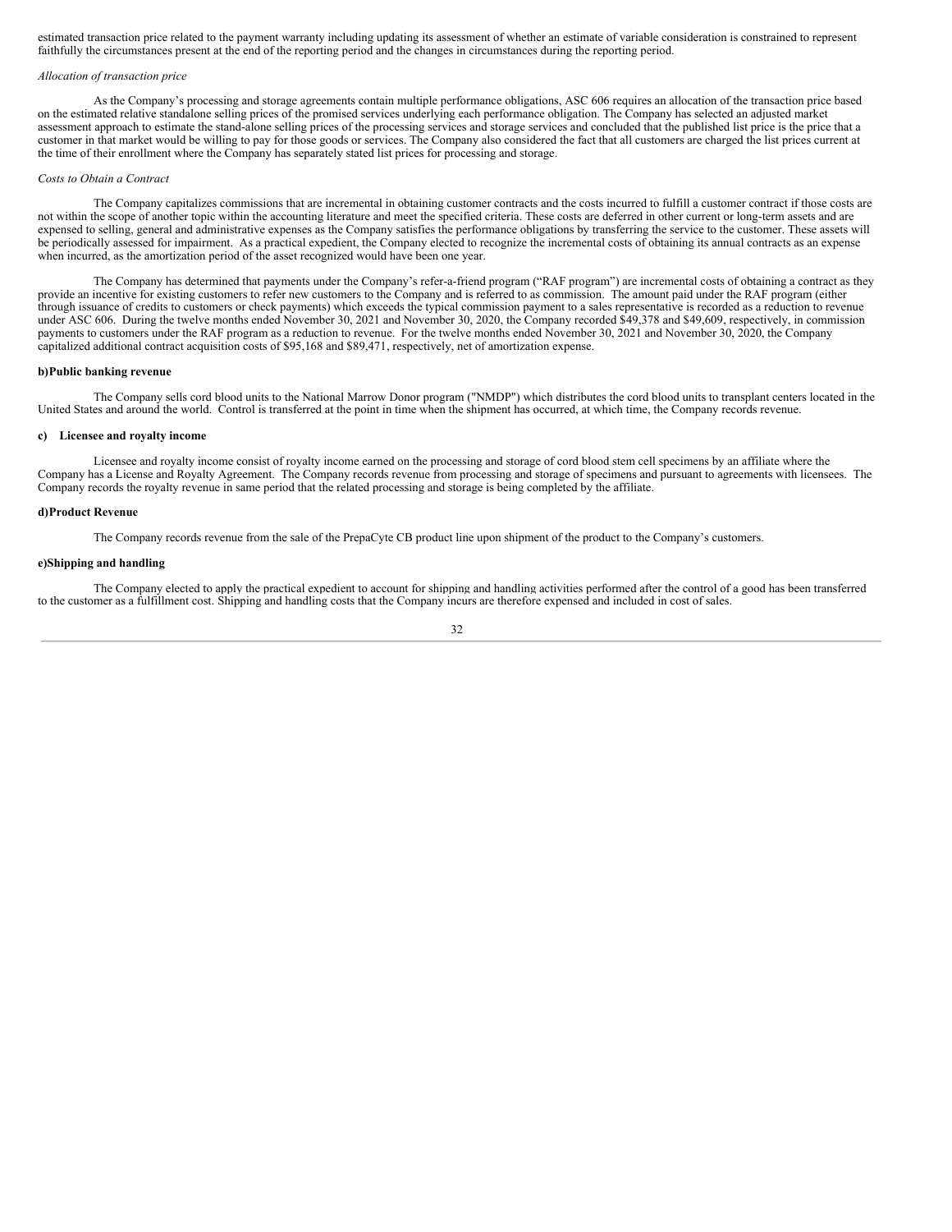estimated transaction price related to the payment warranty including updating its assessment of whether an estimate of variable consideration is constrained to represent faithfully the circumstances present at the end of the reporting period and the changes in circumstances during the reporting period.

# *Allocation of transaction price*

As the Company's processing and storage agreements contain multiple performance obligations, ASC 606 requires an allocation of the transaction price based on the estimated relative standalone selling prices of the promised services underlying each performance obligation. The Company has selected an adjusted market assessment approach to estimate the stand-alone selling prices of the processing services and storage services and concluded that the published list price is the price that a customer in that market would be willing to pay for those goods or services. The Company also considered the fact that all customers are charged the list prices current at the time of their enrollment where the Company has separately stated list prices for processing and storage.

# *Costs to Obtain a Contract*

The Company capitalizes commissions that are incremental in obtaining customer contracts and the costs incurred to fulfill a customer contract if those costs are not within the scope of another topic within the accounting literature and meet the specified criteria. These costs are deferred in other current or long-term assets and are expensed to selling, general and administrative expenses as the Company satisfies the performance obligations by transferring the service to the customer. These assets will be periodically assessed for impairment. As a practical expedient, the Company elected to recognize the incremental costs of obtaining its annual contracts as an expense when incurred, as the amortization period of the asset recognized would have been one year.

The Company has determined that payments under the Company's refer-a-friend program ("RAF program") are incremental costs of obtaining a contract as they provide an incentive for existing customers to refer new customers to the Company and is referred to as commission. The amount paid under the RAF program (either through issuance of credits to customers or check payments) which exceeds the typical commission payment to a sales representative is recorded as a reduction to revenue under ASC 606. During the twelve months ended November 30, 2021 and November 30, 2020, the Company recorded \$49,378 and \$49,609, respectively, in commission payments to customers under the RAF program as a reduction to revenue. For the twelve months ended November 30, 2021 and November 30, 2020, the Company capitalized additional contract acquisition costs of \$95,168 and \$89,471, respectively, net of amortization expense.

#### **b)Public banking revenue**

The Company sells cord blood units to the National Marrow Donor program ("NMDP") which distributes the cord blood units to transplant centers located in the United States and around the world. Control is transferred at the point in time when the shipment has occurred, at which time, the Company records revenue.

# **c) Licensee and royalty income**

Licensee and royalty income consist of royalty income earned on the processing and storage of cord blood stem cell specimens by an affiliate where the Company has a License and Royalty Agreement. The Company records revenue from processing and storage of specimens and pursuant to agreements with licensees. The Company records the royalty revenue in same period that the related processing and storage is being completed by the affiliate.

# **d)Product Revenue**

The Company records revenue from the sale of the PrepaCyte CB product line upon shipment of the product to the Company's customers.

# **e)Shipping and handling**

The Company elected to apply the practical expedient to account for shipping and handling activities performed after the control of a good has been transferred to the customer as a fulfillment cost. Shipping and handling costs that the Company incurs are therefore expensed and included in cost of sales.

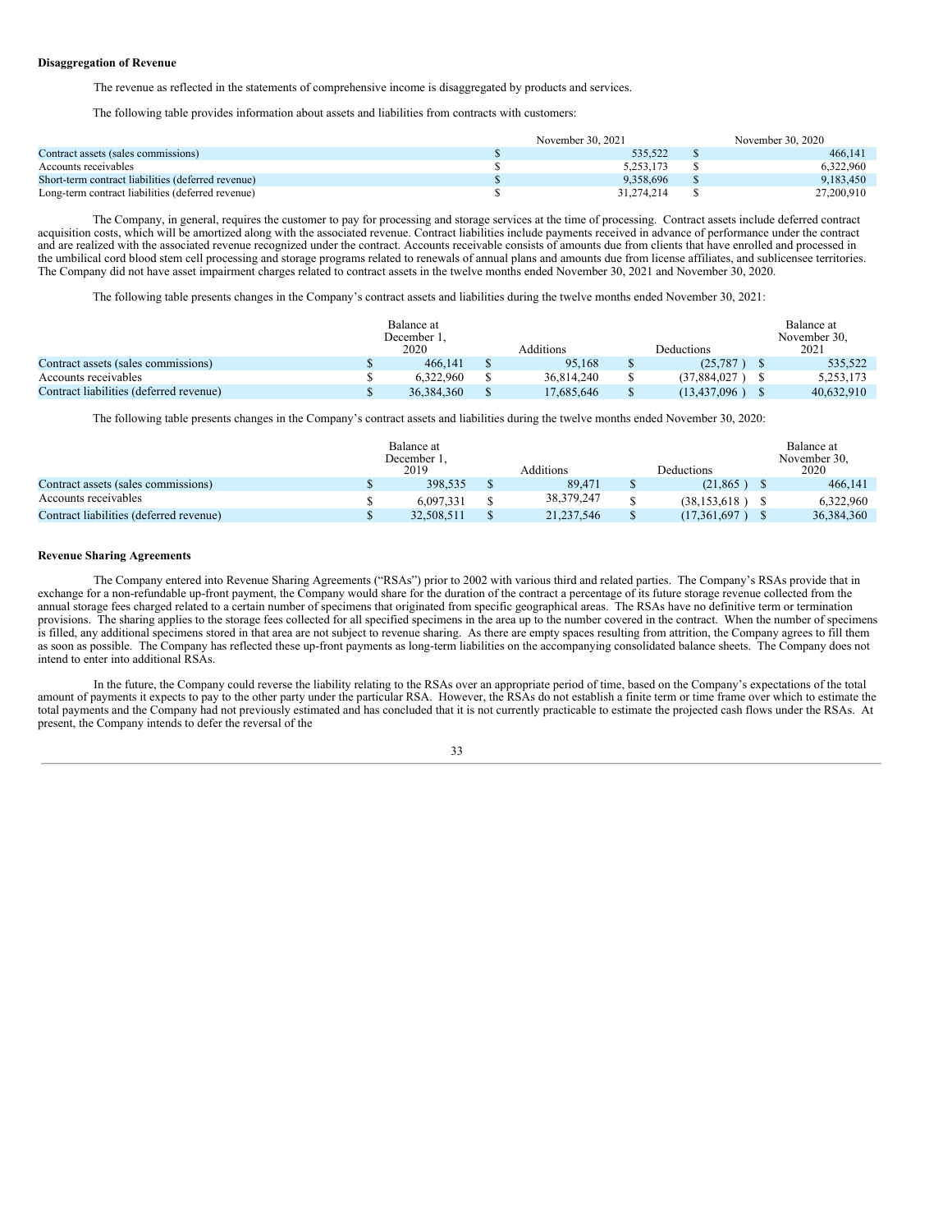### **Disaggregation of Revenue**

The revenue as reflected in the statements of comprehensive income is disaggregated by products and services.

The following table provides information about assets and liabilities from contracts with customers:

|                                                    | November 30, 2021 | November 30, 2020 |
|----------------------------------------------------|-------------------|-------------------|
| Contract assets (sales commissions)                | 535.522           | 466,141           |
| Accounts receivables                               | 5.253.173         | 6.322.960         |
| Short-term contract liabilities (deferred revenue) | 9.358.696         | 9.183.450         |
| Long-term contract liabilities (deferred revenue)  | 31.274.214        | 27,200,910        |

The Company, in general, requires the customer to pay for processing and storage services at the time of processing. Contract assets include deferred contract acquisition costs, which will be amortized along with the associated revenue. Contract liabilities include payments received in advance of performance under the contract and are realized with the associated revenue recognized under the contract. Accounts receivable consists of amounts due from clients that have enrolled and processed in the umbilical cord blood stem cell processing and storage programs related to renewals of annual plans and amounts due from license affiliates, and sublicensee territories. The Company did not have asset impairment charges related to contract assets in the twelve months ended November 30, 2021 and November 30, 2020.

The following table presents changes in the Company's contract assets and liabilities during the twelve months ended November 30, 2021:

|                                         | Balance at<br>December 1,<br>Additions<br>2020<br><b>Deductions</b> |              |  |            |  | Balance at<br>November 30,<br>2021 |  |            |
|-----------------------------------------|---------------------------------------------------------------------|--------------|--|------------|--|------------------------------------|--|------------|
| Contract assets (sales commissions)     |                                                                     | 466,141      |  | 95.168     |  | (25.787)                           |  | 535.522    |
| Accounts receivables                    |                                                                     | 6.322.960    |  | 36,814,240 |  | (37,884,027)                       |  | 5.253.173  |
| Contract liabilities (deferred revenue) |                                                                     | 36, 384, 360 |  | 17.685.646 |  | (13, 437, 096)                     |  | 40,632,910 |

The following table presents changes in the Company's contract assets and liabilities during the twelve months ended November 30, 2020:

|                                         | Balance at<br>December 1.<br>2019 | Additions    | <b>Deductions</b> | Balance at<br>November 30.<br>2020 |
|-----------------------------------------|-----------------------------------|--------------|-------------------|------------------------------------|
| Contract assets (sales commissions)     | 398.535                           | 89.471       | (21, 865)         | 466.141                            |
| Accounts receivables                    | 6.097.331                         | 38, 379, 247 | (38, 153, 618)    | 6.322.960                          |
| Contract liabilities (deferred revenue) | 32.508.511                        | 21, 237, 546 | (17,361,697)      | 36, 384, 360                       |

# **Revenue Sharing Agreements**

The Company entered into Revenue Sharing Agreements ("RSAs") prior to 2002 with various third and related parties. The Company's RSAs provide that in exchange for a non-refundable up-front payment, the Company would share for the duration of the contract a percentage of its future storage revenue collected from the annual storage fees charged related to a certain number of specimens that originated from specific geographical areas. The RSAs have no definitive term or termination provisions. The sharing applies to the storage fees collected for all specified specimens in the area up to the number covered in the contract. When the number of specimens is filled, any additional specimens stored in that area are not subject to revenue sharing. As there are empty spaces resulting from attrition, the Company agrees to fill them as soon as possible. The Company has reflected these up-front payments as long-term liabilities on the accompanying consolidated balance sheets. The Company does not intend to enter into additional RSAs.

In the future, the Company could reverse the liability relating to the RSAs over an appropriate period of time, based on the Company's expectations of the total amount of payments it expects to pay to the other party under the particular RSA. However, the RSAs do not establish a finite term or time frame over which to estimate the total payments and the Company had not previously estimated and has concluded that it is not currently practicable to estimate the projected cash flows under the RSAs. At present, the Company intends to defer the reversal of the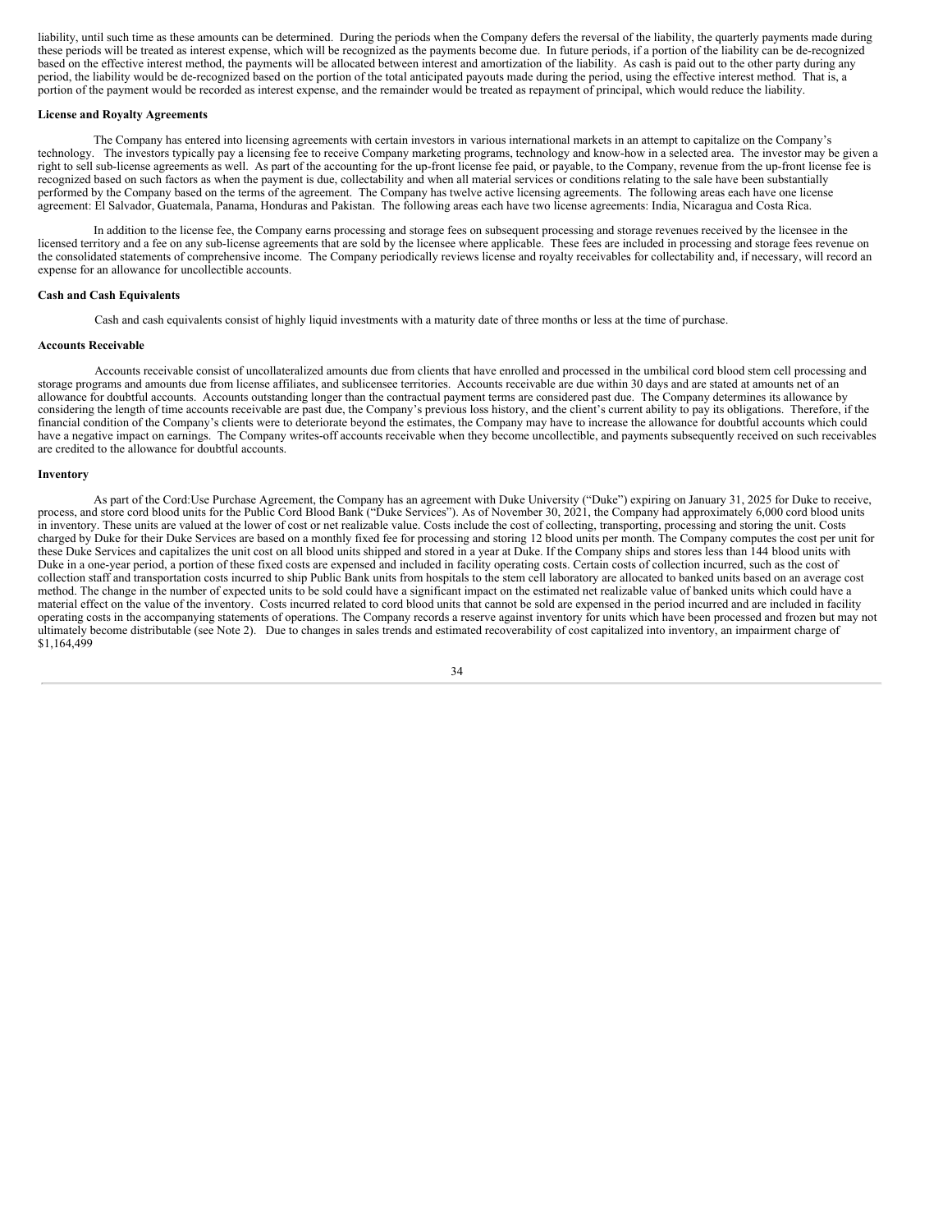liability, until such time as these amounts can be determined. During the periods when the Company defers the reversal of the liability, the quarterly payments made during these periods will be treated as interest expense, which will be recognized as the payments become due. In future periods, if a portion of the liability can be de-recognized based on the effective interest method, the payments will be allocated between interest and amortization of the liability. As cash is paid out to the other party during any period, the liability would be de-recognized based on the portion of the total anticipated payouts made during the period, using the effective interest method. That is, a portion of the payment would be recorded as interest expense, and the remainder would be treated as repayment of principal, which would reduce the liability.

#### **License and Royalty Agreements**

The Company has entered into licensing agreements with certain investors in various international markets in an attempt to capitalize on the Company's technology. The investors typically pay a licensing fee to receive Company marketing programs, technology and know-how in a selected area. The investor may be given a right to sell sub-license agreements as well. As part of the accounting for the up-front license fee paid, or payable, to the Company, revenue from the up-front license fee is recognized based on such factors as when the payment is due, collectability and when all material services or conditions relating to the sale have been substantially performed by the Company based on the terms of the agreement. The Company has twelve active licensing agreements. The following areas each have one license agreement: El Salvador, Guatemala, Panama, Honduras and Pakistan. The following areas each have two license agreements: India, Nicaragua and Costa Rica.

In addition to the license fee, the Company earns processing and storage fees on subsequent processing and storage revenues received by the licensee in the licensed territory and a fee on any sub-license agreements that are sold by the licensee where applicable. These fees are included in processing and storage fees revenue on the consolidated statements of comprehensive income. The Company periodically reviews license and royalty receivables for collectability and, if necessary, will record an expense for an allowance for uncollectible accounts.

#### **Cash and Cash Equivalents**

Cash and cash equivalents consist of highly liquid investments with a maturity date of three months or less at the time of purchase.

#### **Accounts Receivable**

Accounts receivable consist of uncollateralized amounts due from clients that have enrolled and processed in the umbilical cord blood stem cell processing and storage programs and amounts due from license affiliates, and sublicensee territories. Accounts receivable are due within 30 days and are stated at amounts net of an allowance for doubtful accounts. Accounts outstanding longer than the contractual payment terms are considered past due. The Company determines its allowance by considering the length of time accounts receivable are past due, the Company's previous loss history, and the client's current ability to pay its obligations. Therefore, if the financial condition of the Company's clients were to deteriorate beyond the estimates, the Company may have to increase the allowance for doubtful accounts which could have a negative impact on earnings. The Company writes-off accounts receivable when they become uncollectible, and payments subsequently received on such receivables are credited to the allowance for doubtful accounts.

#### **Inventory**

As part of the Cord:Use Purchase Agreement, the Company has an agreement with Duke University ("Duke") expiring on January 31, 2025 for Duke to receive, process, and store cord blood units for the Public Cord Blood Bank ("Duke Services"). As of November 30, 2021, the Company had approximately 6,000 cord blood units in inventory. These units are valued at the lower of cost or net realizable value. Costs include the cost of collecting, transporting, processing and storing the unit. Costs charged by Duke for their Duke Services are based on a monthly fixed fee for processing and storing 12 blood units per month. The Company computes the cost per unit for these Duke Services and capitalizes the unit cost on all blood units shipped and stored in a year at Duke. If the Company ships and stores less than 144 blood units with Duke in a one-year period, a portion of these fixed costs are expensed and included in facility operating costs. Certain costs of collection incurred, such as the cost of collection staff and transportation costs incurred to ship Public Bank units from hospitals to the stem cell laboratory are allocated to banked units based on an average cost method. The change in the number of expected units to be sold could have a significant impact on the estimated net realizable value of banked units which could have a material effect on the value of the inventory. Costs incurred related to cord blood units that cannot be sold are expensed in the period incurred and are included in facility operating costs in the accompanying statements of operations. The Company records a reserve against inventory for units which have been processed and frozen but may not ultimately become distributable (see Note 2). Due to changes in sales trends and estimated recoverability of cost capitalized into inventory, an impairment charge of \$1,164,499

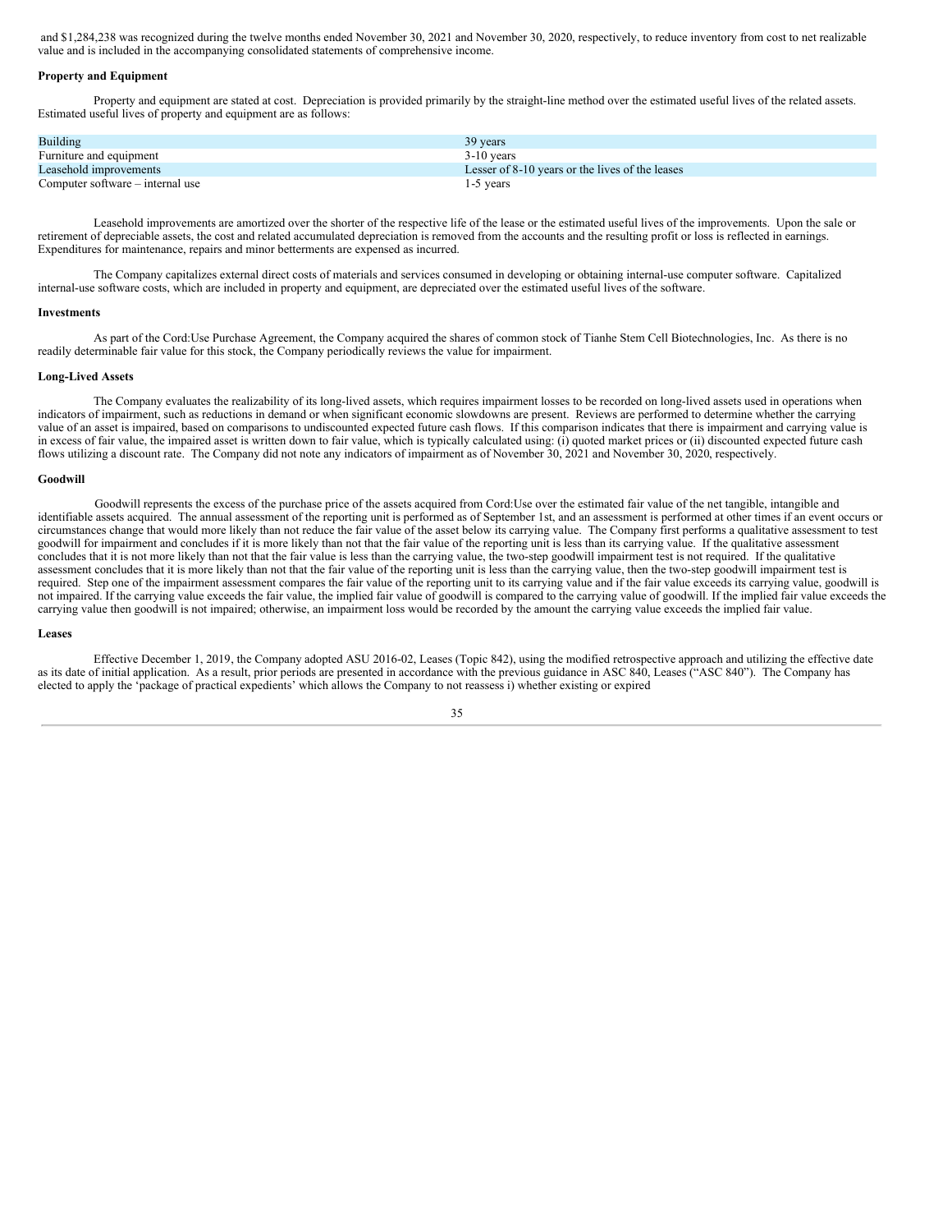and \$1,284,238 was recognized during the twelve months ended November 30, 2021 and November 30, 2020, respectively, to reduce inventory from cost to net realizable value and is included in the accompanying consolidated statements of comprehensive income.

## **Property and Equipment**

Property and equipment are stated at cost. Depreciation is provided primarily by the straight-line method over the estimated useful lives of the related assets. Estimated useful lives of property and equipment are as follows:

| Building                         | 39 years                                        |
|----------------------------------|-------------------------------------------------|
| Furniture and equipment          | $3-10$ vears                                    |
| Leasehold improvements           | Lesser of 8-10 years or the lives of the leases |
| Computer software – internal use | -5 vears                                        |

Leasehold improvements are amortized over the shorter of the respective life of the lease or the estimated useful lives of the improvements. Upon the sale or retirement of depreciable assets, the cost and related accumulated depreciation is removed from the accounts and the resulting profit or loss is reflected in earnings. Expenditures for maintenance, repairs and minor betterments are expensed as incurred.

The Company capitalizes external direct costs of materials and services consumed in developing or obtaining internal-use computer software. Capitalized internal-use software costs, which are included in property and equipment, are depreciated over the estimated useful lives of the software.

#### **Investments**

As part of the Cord:Use Purchase Agreement, the Company acquired the shares of common stock of Tianhe Stem Cell Biotechnologies, Inc. As there is no readily determinable fair value for this stock, the Company periodically reviews the value for impairment.

### **Long-Lived Assets**

The Company evaluates the realizability of its long-lived assets, which requires impairment losses to be recorded on long-lived assets used in operations when indicators of impairment, such as reductions in demand or when significant economic slowdowns are present. Reviews are performed to determine whether the carrying value of an asset is impaired, based on comparisons to undiscounted expected future cash flows. If this comparison indicates that there is impairment and carrying value is in excess of fair value, the impaired asset is written down to fair value, which is typically calculated using: (i) quoted market prices or (ii) discounted expected future cash flows utilizing a discount rate. The Company did not note any indicators of impairment as of November 30, 2021 and November 30, 2020, respectively.

### **Goodwill**

Goodwill represents the excess of the purchase price of the assets acquired from Cord:Use over the estimated fair value of the net tangible, intangible and identifiable assets acquired. The annual assessment of the reporting unit is performed as of September 1st, and an assessment is performed at other times if an event occurs or circumstances change that would more likely than not reduce the fair value of the asset below its carrying value. The Company first performs a qualitative assessment to test goodwill for impairment and concludes if it is more likely than not that the fair value of the reporting unit is less than its carrying value. If the qualitative assessment concludes that it is not more likely than not that the fair value is less than the carrying value, the two-step goodwill impairment test is not required. If the qualitative assessment concludes that it is more likely than not that the fair value of the reporting unit is less than the carrying value, then the two-step goodwill impairment test is required. Step one of the impairment assessment compares the fair value of the reporting unit to its carrying value and if the fair value exceeds its carrying value, goodwill is not impaired. If the carrying value exceeds the fair value, the implied fair value of goodwill is compared to the carrying value of goodwill. If the implied fair value exceeds the carrying value then goodwill is not impaired; otherwise, an impairment loss would be recorded by the amount the carrying value exceeds the implied fair value.

#### **Leases**

Effective December 1, 2019, the Company adopted ASU 2016-02, Leases (Topic 842), using the modified retrospective approach and utilizing the effective date as its date of initial application. As a result, prior periods are presented in accordance with the previous guidance in ASC 840, Leases ("ASC 840"). The Company has elected to apply the 'package of practical expedients' which allows the Company to not reassess i) whether existing or expired

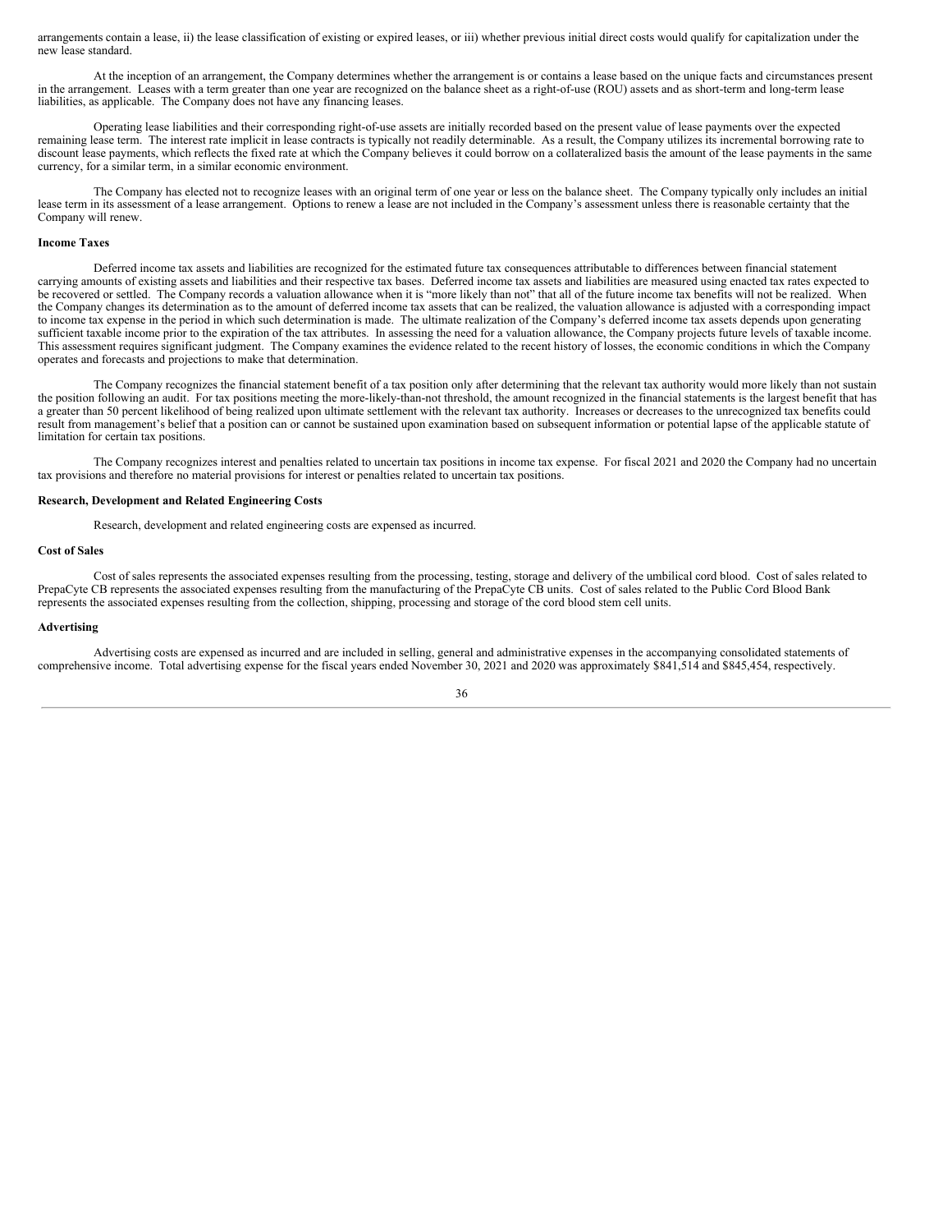arrangements contain a lease, ii) the lease classification of existing or expired leases, or iii) whether previous initial direct costs would qualify for capitalization under the new lease standard.

At the inception of an arrangement, the Company determines whether the arrangement is or contains a lease based on the unique facts and circumstances present in the arrangement. Leases with a term greater than one year are recognized on the balance sheet as a right-of-use (ROU) assets and as short-term and long-term lease liabilities, as applicable. The Company does not have any financing leases.

Operating lease liabilities and their corresponding right-of-use assets are initially recorded based on the present value of lease payments over the expected remaining lease term. The interest rate implicit in lease contracts is typically not readily determinable. As a result, the Company utilizes its incremental borrowing rate to discount lease payments, which reflects the fixed rate at which the Company believes it could borrow on a collateralized basis the amount of the lease payments in the same currency, for a similar term, in a similar economic environment.

The Company has elected not to recognize leases with an original term of one year or less on the balance sheet. The Company typically only includes an initial lease term in its assessment of a lease arrangement. Options to renew a lease are not included in the Company's assessment unless there is reasonable certainty that the Company will renew.

### **Income Taxes**

Deferred income tax assets and liabilities are recognized for the estimated future tax consequences attributable to differences between financial statement carrying amounts of existing assets and liabilities and their respective tax bases. Deferred income tax assets and liabilities are measured using enacted tax rates expected to be recovered or settled. The Company records a valuation allowance when it is "more likely than not" that all of the future income tax benefits will not be realized. When the Company changes its determination as to the amount of deferred income tax assets that can be realized, the valuation allowance is adjusted with a corresponding impact to income tax expense in the period in which such determination is made. The ultimate realization of the Company's deferred income tax assets depends upon generating sufficient taxable income prior to the expiration of the tax attributes. In assessing the need for a valuation allowance, the Company projects future levels of taxable income. This assessment requires significant judgment. The Company examines the evidence related to the recent history of losses, the economic conditions in which the Company operates and forecasts and projections to make that determination.

The Company recognizes the financial statement benefit of a tax position only after determining that the relevant tax authority would more likely than not sustain the position following an audit. For tax positions meeting the more-likely-than-not threshold, the amount recognized in the financial statements is the largest benefit that has a greater than 50 percent likelihood of being realized upon ultimate settlement with the relevant tax authority. Increases or decreases to the unrecognized tax benefits could result from management's belief that a position can or cannot be sustained upon examination based on subsequent information or potential lapse of the applicable statute of limitation for certain tax positions.

The Company recognizes interest and penalties related to uncertain tax positions in income tax expense. For fiscal 2021 and 2020 the Company had no uncertain tax provisions and therefore no material provisions for interest or penalties related to uncertain tax positions.

### **Research, Development and Related Engineering Costs**

Research, development and related engineering costs are expensed as incurred.

### **Cost of Sales**

Cost of sales represents the associated expenses resulting from the processing, testing, storage and delivery of the umbilical cord blood. Cost of sales related to PrepaCyte CB represents the associated expenses resulting from the manufacturing of the PrepaCyte CB units. Cost of sales related to the Public Cord Blood Bank represents the associated expenses resulting from the collection, shipping, processing and storage of the cord blood stem cell units.

#### **Advertising**

Advertising costs are expensed as incurred and are included in selling, general and administrative expenses in the accompanying consolidated statements of comprehensive income. Total advertising expense for the fiscal years ended November 30, 2021 and 2020 was approximately \$841,514 and \$845,454, respectively.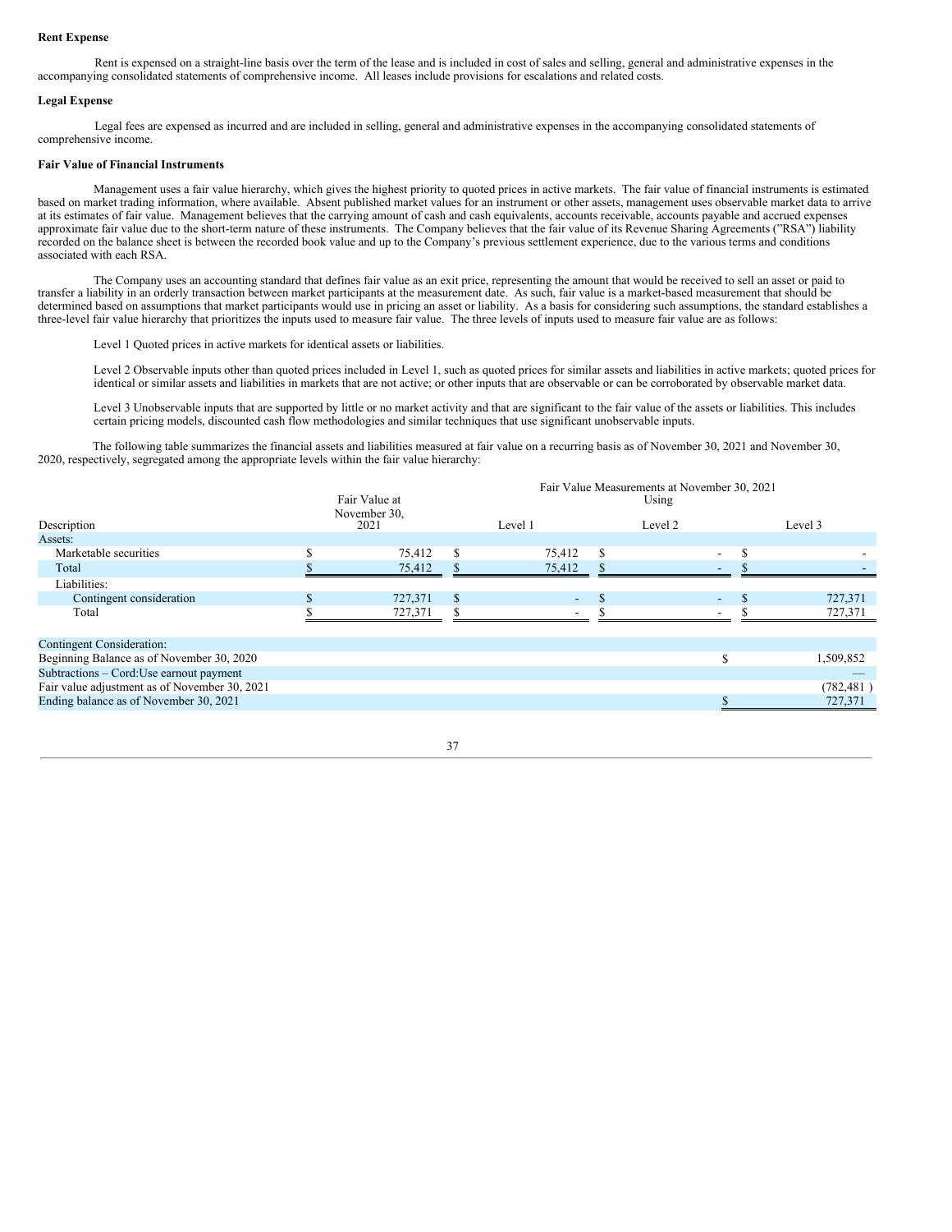#### **Rent Expense**

Rent is expensed on a straight-line basis over the term of the lease and is included in cost of sales and selling, general and administrative expenses in the accompanying consolidated statements of comprehensive income. All leases include provisions for escalations and related costs.

### **Legal Expense**

Legal fees are expensed as incurred and are included in selling, general and administrative expenses in the accompanying consolidated statements of comprehensive income.

### **Fair Value of Financial Instruments**

Management uses a fair value hierarchy, which gives the highest priority to quoted prices in active markets. The fair value of financial instruments is estimated based on market trading information, where available. Absent published market values for an instrument or other assets, management uses observable market data to arrive at its estimates of fair value. Management believes that the carrying amount of cash and cash equivalents, accounts receivable, accounts payable and accrued expenses approximate fair value due to the short-term nature of these instruments. The Company believes that the fair value of its Revenue Sharing Agreements ("RSA") liability recorded on the balance sheet is between the recorded book value and up to the Company's previous settlement experience, due to the various terms and conditions associated with each RSA.

The Company uses an accounting standard that defines fair value as an exit price, representing the amount that would be received to sell an asset or paid to transfer a liability in an orderly transaction between market participants at the measurement date. As such, fair value is a market-based measurement that should be determined based on assumptions that market participants would use in pricing an asset or liability. As a basis for considering such assumptions, the standard establishes a three-level fair value hierarchy that prioritizes the inputs used to measure fair value. The three levels of inputs used to measure fair value are as follows:

Level 1 Quoted prices in active markets for identical assets or liabilities.

Level 2 Observable inputs other than quoted prices included in Level 1, such as quoted prices for similar assets and liabilities in active markets; quoted prices for identical or similar assets and liabilities in markets that are not active; or other inputs that are observable or can be corroborated by observable market data.

Level 3 Unobservable inputs that are supported by little or no market activity and that are significant to the fair value of the assets or liabilities. This includes certain pricing models, discounted cash flow methodologies and similar techniques that use significant unobservable inputs.

The following table summarizes the financial assets and liabilities measured at fair value on a recurring basis as of November 30, 2021 and November 30, 2020, respectively, segregated among the appropriate levels within the fair value hierarchy:

|                                               | Fair Value at        |               |                          |   | Fair Value Measurements at November 30, 2021<br>Using |    |            |
|-----------------------------------------------|----------------------|---------------|--------------------------|---|-------------------------------------------------------|----|------------|
| Description                                   | November 30,<br>2021 |               | Level 1                  |   | Level 2                                               |    | Level 3    |
| Assets:                                       |                      |               |                          |   |                                                       |    |            |
| Marketable securities                         | 75.412               | \$.           | 75,412                   | S | $\overline{\phantom{0}}$                              |    |            |
| Total                                         | 75,412               |               | 75,412                   |   | $\overline{\phantom{0}}$                              |    |            |
| Liabilities:                                  |                      |               |                          |   |                                                       |    |            |
| Contingent consideration                      | \$<br>727,371        | <sup>\$</sup> | $\sim$                   |   | $\overline{\phantom{0}}$                              | £. | 727,371    |
| Total                                         | 727,371              |               | $\overline{\phantom{0}}$ |   |                                                       |    | 727,371    |
|                                               |                      |               |                          |   |                                                       |    |            |
| <b>Contingent Consideration:</b>              |                      |               |                          |   |                                                       |    |            |
| Beginning Balance as of November 30, 2020     |                      |               |                          |   | ¢                                                     |    | 1,509,852  |
| Subtractions – Cord: Use earnout payment      |                      |               |                          |   |                                                       |    |            |
| Fair value adjustment as of November 30, 2021 |                      |               |                          |   |                                                       |    | (782, 481) |
| Ending balance as of November 30, 2021        |                      |               |                          |   | J.                                                    |    | 727,371    |

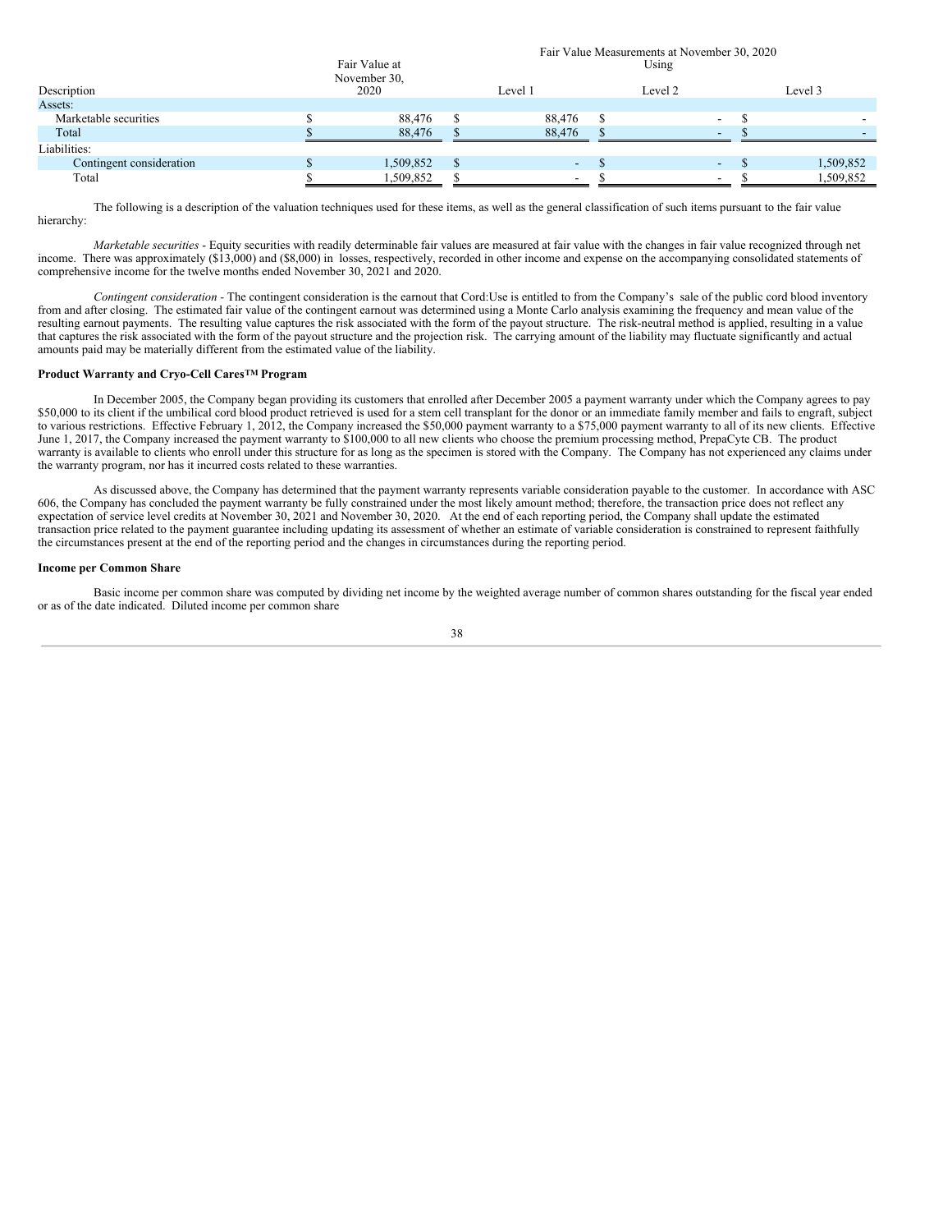|                          | Fair Value at        |   |         | Using   |                          |           |
|--------------------------|----------------------|---|---------|---------|--------------------------|-----------|
| Description              | November 30,<br>2020 |   | Level 1 | Level 2 |                          | Level 3   |
| Assets:                  |                      |   |         |         |                          |           |
| Marketable securities    | 88,476               |   | 88,476  |         | $\overline{\phantom{a}}$ |           |
| Total                    | 88,476               |   | 88,476  |         | $\sim$                   |           |
| Liabilities:             |                      |   |         |         |                          |           |
| Contingent consideration | 1,509,852            | S | $\sim$  |         | $\sim$ $-$               | 1,509,852 |
| Total                    | 1,509,852            |   | $\sim$  |         | $\overline{\phantom{0}}$ | 1,509,852 |

Fair Value Measurements at November 30, 2020

The following is a description of the valuation techniques used for these items, as well as the general classification of such items pursuant to the fair value hierarchy:

*Marketable securities* - Equity securities with readily determinable fair values are measured at fair value with the changes in fair value recognized through net income. There was approximately (\$13,000) and (\$8,000) in losses, respectively, recorded in other income and expense on the accompanying consolidated statements of comprehensive income for the twelve months ended November 30, 2021 and 2020.

*Contingent consideration -* The contingent consideration is the earnout that Cord:Use is entitled to from the Company's sale of the public cord blood inventory from and after closing. The estimated fair value of the contingent earnout was determined using a Monte Carlo analysis examining the frequency and mean value of the resulting earnout payments. The resulting value captures the risk associated with the form of the payout structure. The risk-neutral method is applied, resulting in a value that captures the risk associated with the form of the payout structure and the projection risk. The carrying amount of the liability may fluctuate significantly and actual amounts paid may be materially different from the estimated value of the liability.

# **Product Warranty and Cryo-Cell CaresTM Program**

In December 2005, the Company began providing its customers that enrolled after December 2005 a payment warranty under which the Company agrees to pay \$50,000 to its client if the umbilical cord blood product retrieved is used for a stem cell transplant for the donor or an immediate family member and fails to engraft, subject to various restrictions. Effective February 1, 2012, the Company increased the \$50,000 payment warranty to a \$75,000 payment warranty to all of its new clients. Effective June 1, 2017, the Company increased the payment warranty to \$100,000 to all new clients who choose the premium processing method, PrepaCyte CB. The product warranty is available to clients who enroll under this structure for as long as the specimen is stored with the Company. The Company has not experienced any claims under the warranty program, nor has it incurred costs related to these warranties.

As discussed above, the Company has determined that the payment warranty represents variable consideration payable to the customer. In accordance with ASC 606, the Company has concluded the payment warranty be fully constrained under the most likely amount method; therefore, the transaction price does not reflect any expectation of service level credits at November 30, 2021 and November 30, 2020. At the end of each reporting period, the Company shall update the estimated transaction price related to the payment guarantee including updating its assessment of whether an estimate of variable consideration is constrained to represent faithfully the circumstances present at the end of the reporting period and the changes in circumstances during the reporting period.

# **Income per Common Share**

Basic income per common share was computed by dividing net income by the weighted average number of common shares outstanding for the fiscal year ended or as of the date indicated. Diluted income per common share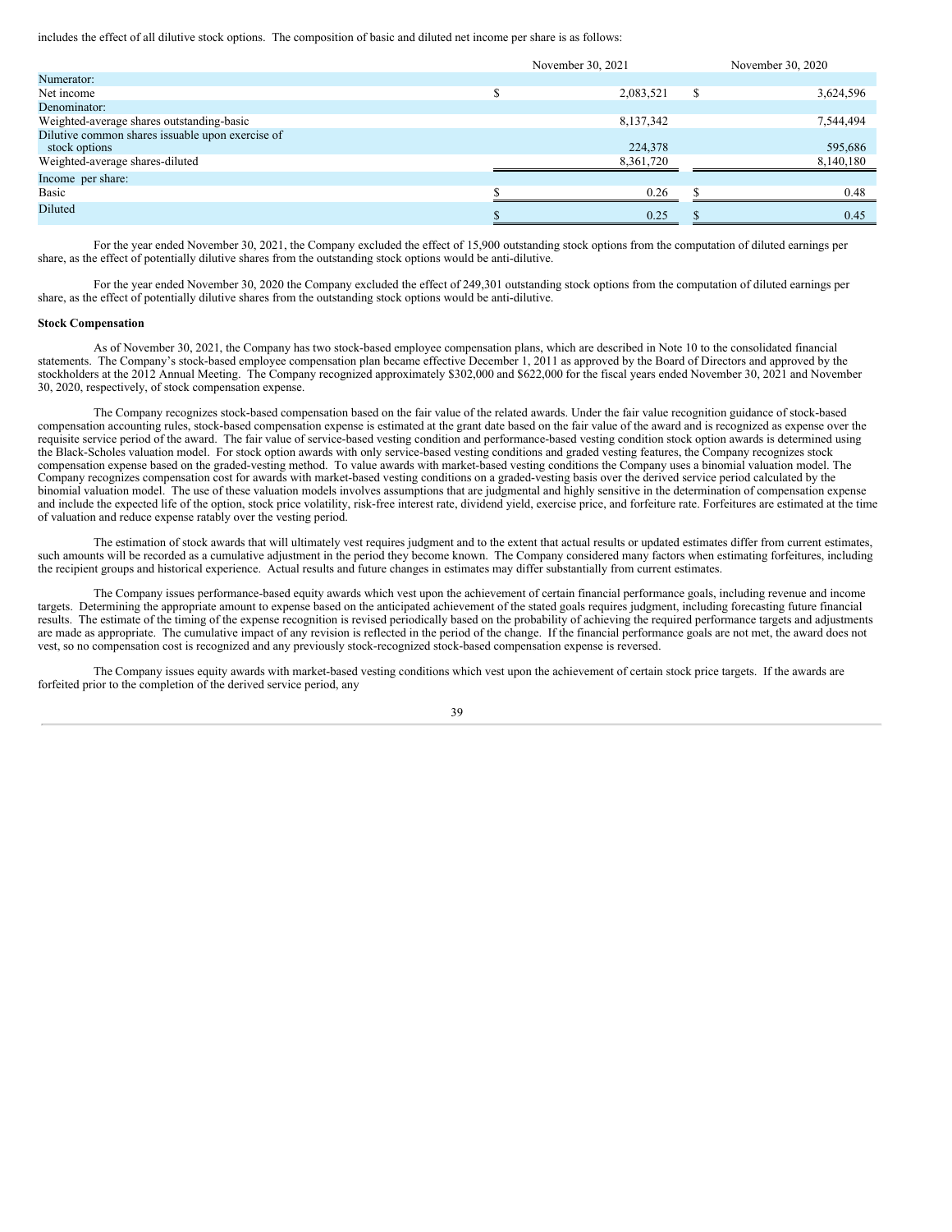includes the effect of all dilutive stock options. The composition of basic and diluted net income per share is as follows:

|                                                  | November 30, 2021 | November 30, 2020 |  |
|--------------------------------------------------|-------------------|-------------------|--|
| Numerator:                                       |                   |                   |  |
| Net income                                       | 2,083,521         | 3,624,596         |  |
| Denominator:                                     |                   |                   |  |
| Weighted-average shares outstanding-basic        | 8,137,342         | 7,544,494         |  |
| Dilutive common shares issuable upon exercise of |                   |                   |  |
| stock options                                    | 224,378           | 595,686           |  |
| Weighted-average shares-diluted                  | 8,361,720         | 8,140,180         |  |
| Income per share:                                |                   |                   |  |
| Basic                                            | 0.26              | 0.48              |  |
| Diluted                                          | 0.25              | 0.45              |  |

For the year ended November 30, 2021, the Company excluded the effect of 15,900 outstanding stock options from the computation of diluted earnings per share, as the effect of potentially dilutive shares from the outstanding stock options would be anti-dilutive.

For the year ended November 30, 2020 the Company excluded the effect of 249,301 outstanding stock options from the computation of diluted earnings per share, as the effect of potentially dilutive shares from the outstanding stock options would be anti-dilutive.

#### **Stock Compensation**

As of November 30, 2021, the Company has two stock-based employee compensation plans, which are described in Note 10 to the consolidated financial statements. The Company's stock-based employee compensation plan became effective December 1, 2011 as approved by the Board of Directors and approved by the stockholders at the 2012 Annual Meeting. The Company recognized approximately \$302,000 and \$622,000 for the fiscal years ended November 30, 2021 and November 30, 2020, respectively, of stock compensation expense.

The Company recognizes stock-based compensation based on the fair value of the related awards. Under the fair value recognition guidance of stock-based compensation accounting rules, stock-based compensation expense is estimated at the grant date based on the fair value of the award and is recognized as expense over the requisite service period of the award. The fair value of service-based vesting condition and performance-based vesting condition stock option awards is determined using the Black-Scholes valuation model. For stock option awards with only service-based vesting conditions and graded vesting features, the Company recognizes stock compensation expense based on the graded-vesting method. To value awards with market-based vesting conditions the Company uses a binomial valuation model. The Company recognizes compensation cost for awards with market-based vesting conditions on a graded-vesting basis over the derived service period calculated by the binomial valuation model. The use of these valuation models involves assumptions that are judgmental and highly sensitive in the determination of compensation expense and include the expected life of the option, stock price volatility, risk-free interest rate, dividend yield, exercise price, and forfeiture rate. Forfeitures are estimated at the time of valuation and reduce expense ratably over the vesting period.

The estimation of stock awards that will ultimately vest requires judgment and to the extent that actual results or updated estimates differ from current estimates, such amounts will be recorded as a cumulative adjustment in the period they become known. The Company considered many factors when estimating forfeitures, including the recipient groups and historical experience. Actual results and future changes in estimates may differ substantially from current estimates.

The Company issues performance-based equity awards which vest upon the achievement of certain financial performance goals, including revenue and income targets. Determining the appropriate amount to expense based on the anticipated achievement of the stated goals requires judgment, including forecasting future financial results. The estimate of the timing of the expense recognition is revised periodically based on the probability of achieving the required performance targets and adjustments are made as appropriate. The cumulative impact of any revision is reflected in the period of the change. If the financial performance goals are not met, the award does not vest, so no compensation cost is recognized and any previously stock-recognized stock-based compensation expense is reversed.

The Company issues equity awards with market-based vesting conditions which vest upon the achievement of certain stock price targets. If the awards are forfeited prior to the completion of the derived service period, any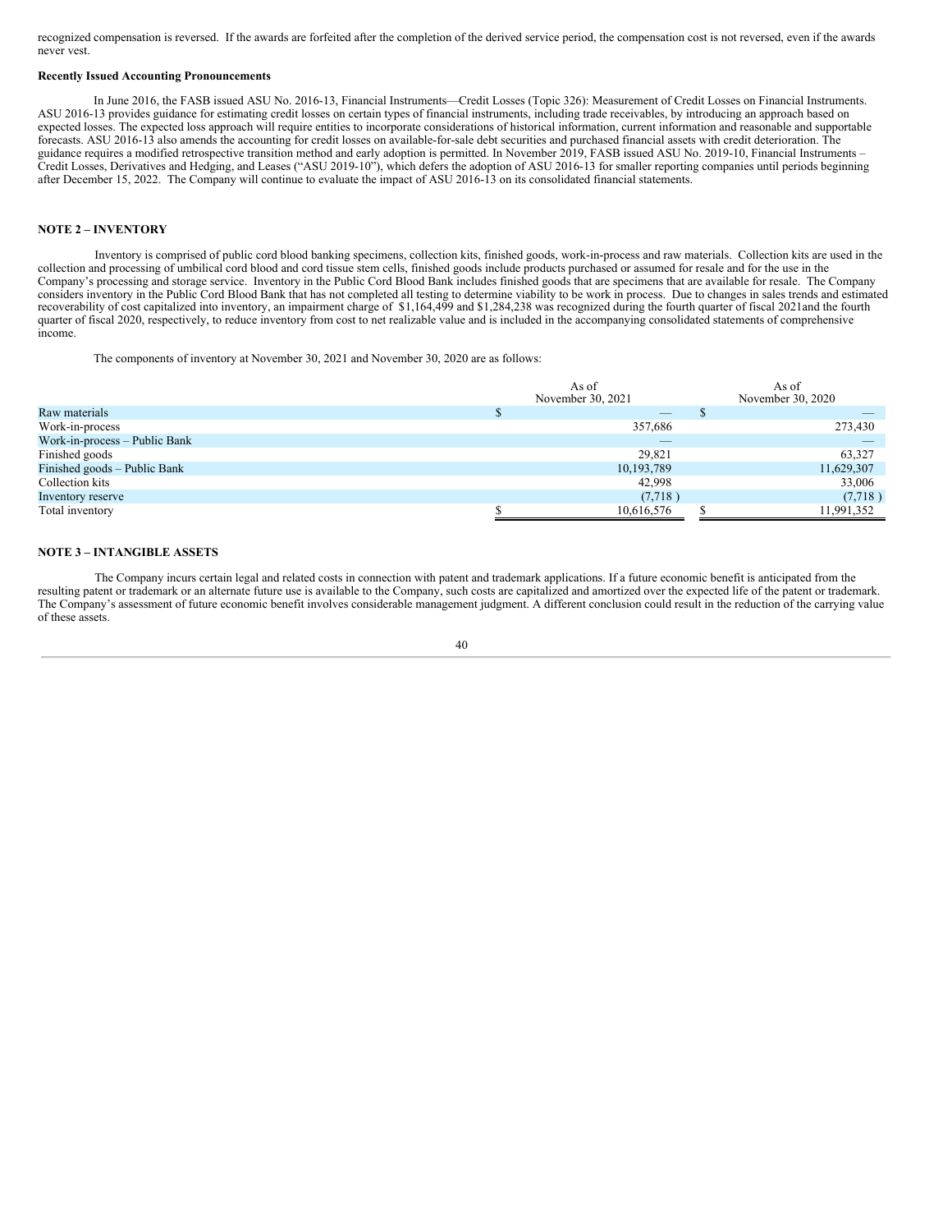recognized compensation is reversed. If the awards are forfeited after the completion of the derived service period, the compensation cost is not reversed, even if the awards never vest.

# **Recently Issued Accounting Pronouncements**

In June 2016, the FASB issued ASU No. 2016-13, Financial Instruments—Credit Losses (Topic 326): Measurement of Credit Losses on Financial Instruments. ASU 2016-13 provides guidance for estimating credit losses on certain types of financial instruments, including trade receivables, by introducing an approach based on expected losses. The expected loss approach will require entities to incorporate considerations of historical information, current information and reasonable and supportable forecasts. ASU 2016-13 also amends the accounting for credit losses on available-for-sale debt securities and purchased financial assets with credit deterioration. The guidance requires a modified retrospective transition method and early adoption is permitted. In November 2019, FASB issued ASU No. 2019-10, Financial Instruments – Credit Losses, Derivatives and Hedging, and Leases ("ASU 2019-10"), which defers the adoption of ASU 2016-13 for smaller reporting companies until periods beginning after December 15, 2022. The Company will continue to evaluate the impact of ASU 2016-13 on its consolidated financial statements.

# **NOTE 2 – INVENTORY**

Inventory is comprised of public cord blood banking specimens, collection kits, finished goods, work-in-process and raw materials. Collection kits are used in the collection and processing of umbilical cord blood and cord tissue stem cells, finished goods include products purchased or assumed for resale and for the use in the Company's processing and storage service. Inventory in the Public Cord Blood Bank includes finished goods that are specimens that are available for resale. The Company considers inventory in the Public Cord Blood Bank that has not completed all testing to determine viability to be work in process. Due to changes in sales trends and estimated recoverability of cost capitalized into inventory, an impairment charge of \$1,164,499 and \$1,284,238 was recognized during the fourth quarter of fiscal 2021and the fourth quarter of fiscal 2020, respectively, to reduce inventory from cost to net realizable value and is included in the accompanying consolidated statements of comprehensive income.

The components of inventory at November 30, 2021 and November 30, 2020 are as follows:

| As of<br>November 30, 2021 | As of<br>November 30, 2020 |
|----------------------------|----------------------------|
| $\overline{\phantom{a}}$   |                            |
| 357,686                    | 273,430                    |
| $\overline{\phantom{a}}$   |                            |
| 29.821                     | 63.327                     |
| 10,193,789                 | 11,629,307                 |
| 42,998                     | 33,006                     |
| (7,718)                    | (7,718)                    |
| 10.616.576                 | 11,991,352                 |
|                            |                            |

# **NOTE 3 – INTANGIBLE ASSETS**

The Company incurs certain legal and related costs in connection with patent and trademark applications. If a future economic benefit is anticipated from the resulting patent or trademark or an alternate future use is available to the Company, such costs are capitalized and amortized over the expected life of the patent or trademark. The Company's assessment of future economic benefit involves considerable management judgment. A different conclusion could result in the reduction of the carrying value of these assets.

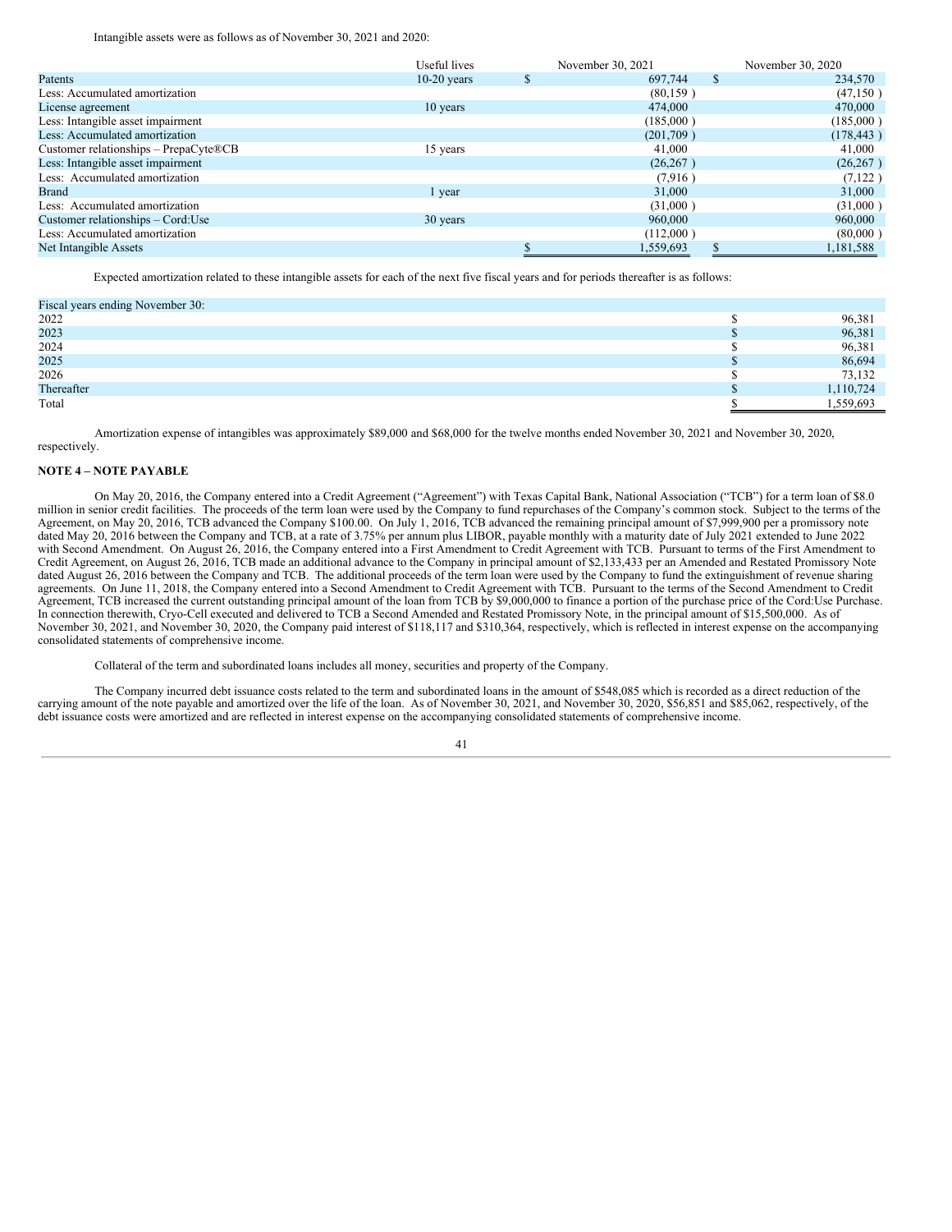# Intangible assets were as follows as of November 30, 2021 and 2020:

|                                       | Useful lives  |   | November 30, 2021 | November 30, 2020       |
|---------------------------------------|---------------|---|-------------------|-------------------------|
| Patents                               | $10-20$ years | ъ | 697,744           | 234,570<br><sup>S</sup> |
| Less: Accumulated amortization        |               |   | (80, 159)         | (47,150)                |
| License agreement                     | 10 years      |   | 474,000           | 470,000                 |
| Less: Intangible asset impairment     |               |   | (185,000)         | (185,000)               |
| Less: Accumulated amortization        |               |   | (201,709)         | (178, 443)              |
| Customer relationships - PrepaCyte®CB | 15 years      |   | 41,000            | 41,000                  |
| Less: Intangible asset impairment     |               |   | (26, 267)         | (26, 267)               |
| Less: Accumulated amortization        |               |   | (7,916)           | (7,122)                 |
| <b>Brand</b>                          | 1 year        |   | 31,000            | 31,000                  |
| Less: Accumulated amortization        |               |   | (31,000)          | (31,000)                |
| Customer relationships – Cord: Use    | 30 years      |   | 960,000           | 960,000                 |
| Less: Accumulated amortization        |               |   | (112,000)         | (80,000)                |
| Net Intangible Assets                 |               |   | 1,559,693         | 1,181,588               |

Expected amortization related to these intangible assets for each of the next five fiscal years and for periods thereafter is as follows:

| Fiscal years ending November 30: |           |
|----------------------------------|-----------|
| 2022                             | 96,381    |
| 2023                             | 96,381    |
| 2024                             | 96,381    |
| 2025                             | 86,694    |
| 2026                             | 73,132    |
| Thereafter                       | 1,110,724 |
| Total                            | 1,559,693 |

Amortization expense of intangibles was approximately \$89,000 and \$68,000 for the twelve months ended November 30, 2021 and November 30, 2020, respectively.

# **NOTE 4 – NOTE PAYABLE**

On May 20, 2016, the Company entered into a Credit Agreement ("Agreement") with Texas Capital Bank, National Association ("TCB") for a term loan of \$8.0 million in senior credit facilities. The proceeds of the term loan were used by the Company to fund repurchases of the Company's common stock. Subject to the terms of the Agreement, on May 20, 2016, TCB advanced the Company \$100.00. On July 1, 2016, TCB advanced the remaining principal amount of \$7,999,900 per a promissory note dated May 20, 2016 between the Company and TCB, at a rate of 3.75% per annum plus LIBOR, payable monthly with a maturity date of July 2021 extended to June 2022 with Second Amendment. On August 26, 2016, the Company entered into a First Amendment to Credit Agreement with TCB. Pursuant to terms of the First Amendment to Credit Agreement, on August 26, 2016, TCB made an additional advance to the Company in principal amount of \$2,133,433 per an Amended and Restated Promissory Note dated August 26, 2016 between the Company and TCB. The additional proceeds of the term loan were used by the Company to fund the extinguishment of revenue sharing agreements. On June 11, 2018, the Company entered into a Second Amendment to Credit Agreement with TCB. Pursuant to the terms of the Second Amendment to Credit Agreement, TCB increased the current outstanding principal amount of the loan from TCB by \$9,000,000 to finance a portion of the purchase price of the Cord:Use Purchase. In connection therewith, Cryo-Cell executed and delivered to TCB a Second Amended and Restated Promissory Note, in the principal amount of \$15,500,000. As of November 30, 2021, and November 30, 2020, the Company paid interest of \$118,117 and \$310,364, respectively, which is reflected in interest expense on the accompanying consolidated statements of comprehensive income.

Collateral of the term and subordinated loans includes all money, securities and property of the Company.

The Company incurred debt issuance costs related to the term and subordinated loans in the amount of \$548,085 which is recorded as a direct reduction of the carrying amount of the note payable and amortized over the life of the loan. As of November 30, 2021, and November 30, 2020, \$56,851 and \$85,062, respectively, of the debt issuance costs were amortized and are reflected in interest expense on the accompanying consolidated statements of comprehensive income.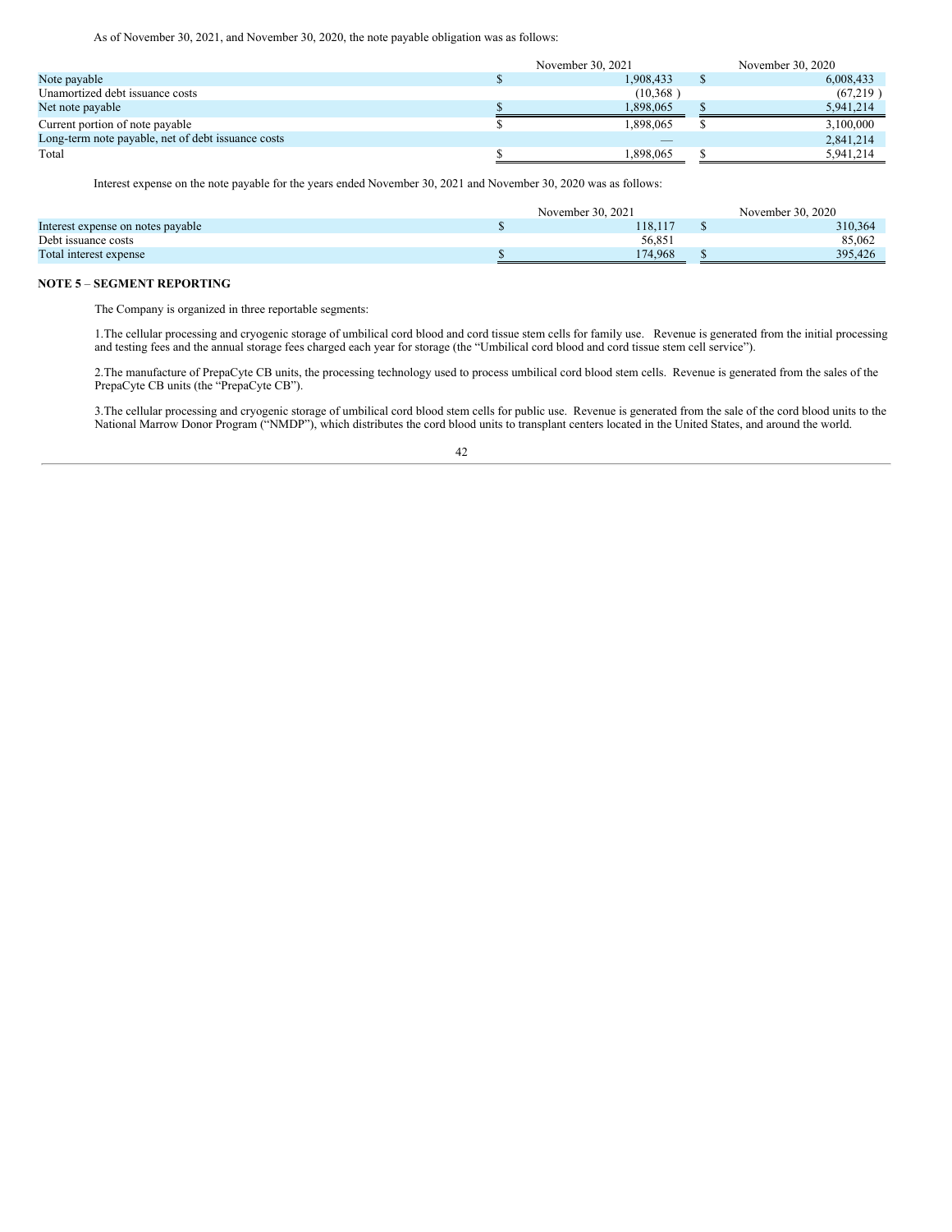As of November 30, 2021, and November 30, 2020, the note payable obligation was as follows:

|                                                    | November 30, 2021 | November 30, 2020 |
|----------------------------------------------------|-------------------|-------------------|
| Note payable                                       | 1.908.433         | 6,008,433         |
| Unamortized debt issuance costs                    | (10, 368)         | (67,219)          |
| Net note payable                                   | 1.898.065         | 5,941,214         |
| Current portion of note payable                    | 1.898.065         | 3,100,000         |
| Long-term note payable, net of debt issuance costs |                   | 2,841,214         |
| Total                                              | 1,898,065         | 5,941,214         |

Interest expense on the note payable for the years ended November 30, 2021 and November 30, 2020 was as follows:

|                                   | November 30, 2021 | November 30, 2020 |
|-----------------------------------|-------------------|-------------------|
| Interest expense on notes payable | 118.117           | 310,364           |
| Debt issuance costs               | 56.851            | 85,062            |
| Total interest expense            | 174.968           | 395.426           |

## **NOTE 5** – **SEGMENT REPORTING**

The Company is organized in three reportable segments:

1.The cellular processing and cryogenic storage of umbilical cord blood and cord tissue stem cells for family use. Revenue is generated from the initial processing and testing fees and the annual storage fees charged each year for storage (the "Umbilical cord blood and cord tissue stem cell service").

2.The manufacture of PrepaCyte CB units, the processing technology used to process umbilical cord blood stem cells. Revenue is generated from the sales of the PrepaCyte CB units (the "PrepaCyte CB").

3.The cellular processing and cryogenic storage of umbilical cord blood stem cells for public use. Revenue is generated from the sale of the cord blood units to the National Marrow Donor Program ("NMDP"), which distributes the cord blood units to transplant centers located in the United States, and around the world.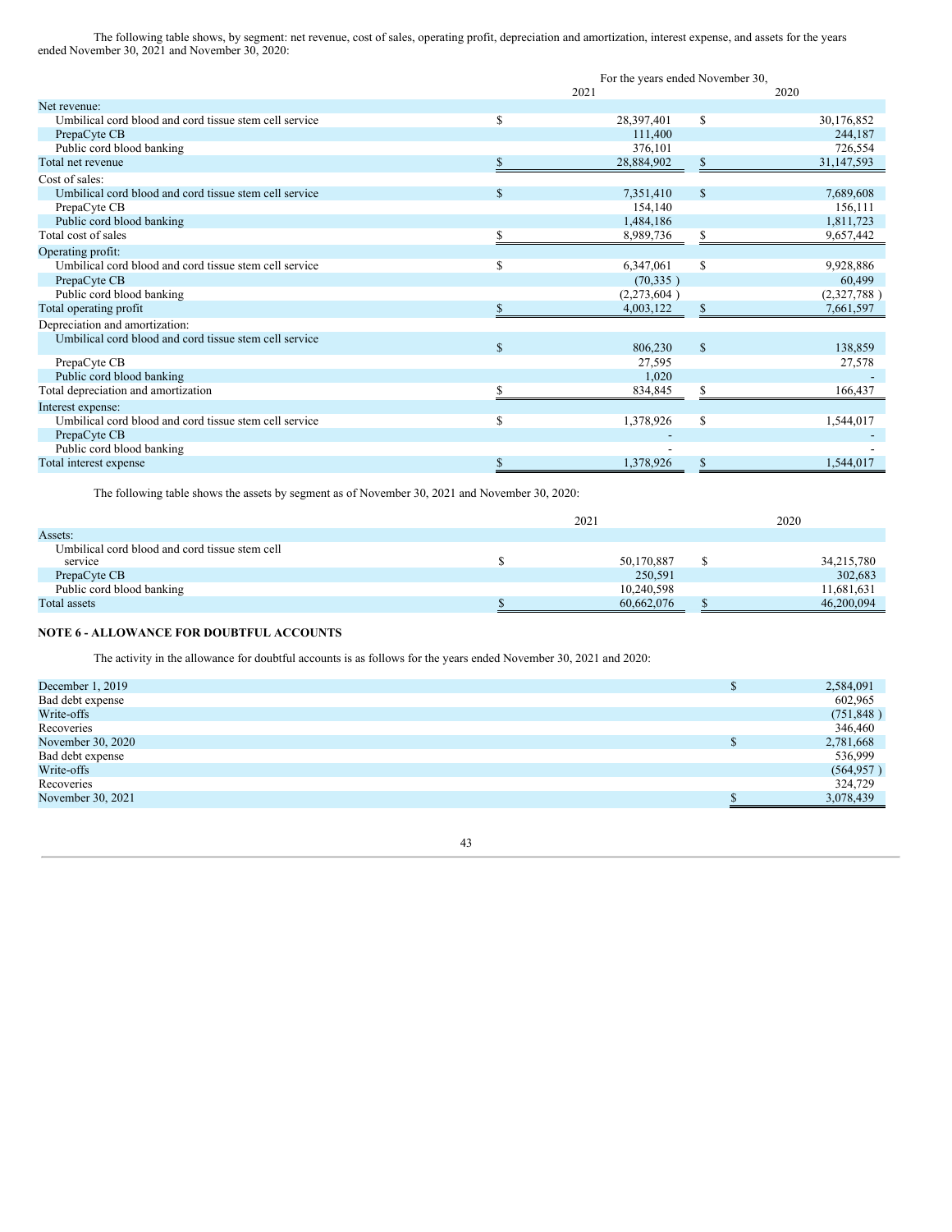The following table shows, by segment: net revenue, cost of sales, operating profit, depreciation and amortization, interest expense, and assets for the years ended November 30, 2021 and November 30, 2020:

|                                                        |              | For the years ended November 30, |              |             |  |
|--------------------------------------------------------|--------------|----------------------------------|--------------|-------------|--|
|                                                        |              | 2021                             |              | 2020        |  |
| Net revenue:                                           |              |                                  |              |             |  |
| Umbilical cord blood and cord tissue stem cell service | \$           | 28,397,401                       | \$           | 30,176,852  |  |
| PrepaCyte CB                                           |              | 111,400                          |              | 244,187     |  |
| Public cord blood banking                              |              | 376,101                          |              | 726,554     |  |
| Total net revenue                                      |              | 28,884,902                       | \$           | 31,147,593  |  |
| Cost of sales:                                         |              |                                  |              |             |  |
| Umbilical cord blood and cord tissue stem cell service | \$           | 7,351,410                        | $\mathbb{S}$ | 7,689,608   |  |
| PrepaCyte CB                                           |              | 154,140                          |              | 156,111     |  |
| Public cord blood banking                              |              | 1,484,186                        |              | 1,811,723   |  |
| Total cost of sales                                    |              | 8,989,736                        | S            | 9,657,442   |  |
| Operating profit:                                      |              |                                  |              |             |  |
| Umbilical cord blood and cord tissue stem cell service | \$.          | 6,347,061                        | S            | 9,928,886   |  |
| PrepaCyte CB                                           |              | (70, 335)                        |              | 60.499      |  |
| Public cord blood banking                              |              | (2,273,604)                      |              | (2,327,788) |  |
| Total operating profit                                 | S            | 4,003,122                        | \$           | 7,661,597   |  |
| Depreciation and amortization:                         |              |                                  |              |             |  |
| Umbilical cord blood and cord tissue stem cell service |              |                                  |              |             |  |
|                                                        | $\mathbb{S}$ | 806,230                          | \$           | 138,859     |  |
| PrepaCyte CB                                           |              | 27,595                           |              | 27,578      |  |
| Public cord blood banking                              |              | 1.020                            |              |             |  |
| Total depreciation and amortization                    |              | 834,845                          | S            | 166,437     |  |
| Interest expense:                                      |              |                                  |              |             |  |
| Umbilical cord blood and cord tissue stem cell service | S            | 1,378,926                        | \$           | 1,544,017   |  |
| PrepaCyte CB                                           |              |                                  |              |             |  |
| Public cord blood banking                              |              |                                  |              |             |  |
| Total interest expense                                 |              | 1,378,926                        | S            | 1,544,017   |  |

The following table shows the assets by segment as of November 30, 2021 and November 30, 2020:

|                                                | 2021       | 2020       |
|------------------------------------------------|------------|------------|
| Assets:                                        |            |            |
| Umbilical cord blood and cord tissue stem cell |            |            |
| service                                        | 50,170,887 | 34,215,780 |
| PrepaCyte CB                                   | 250,591    | 302,683    |
| Public cord blood banking                      | 10,240,598 | 11,681,631 |
| Total assets                                   | 60,662,076 | 46,200,094 |

# **NOTE 6 - ALLOWANCE FOR DOUBTFUL ACCOUNTS**

The activity in the allowance for doubtful accounts is as follows for the years ended November 30, 2021 and 2020:

| December 1, 2019  | 2,584,091  |
|-------------------|------------|
| Bad debt expense  | 602,965    |
| Write-offs        | (751, 848) |
| Recoveries        | 346,460    |
| November 30, 2020 | 2,781,668  |
| Bad debt expense  | 536,999    |
| Write-offs        | (564, 957) |
| Recoveries        | 324,729    |
| November 30, 2021 | 3,078,439  |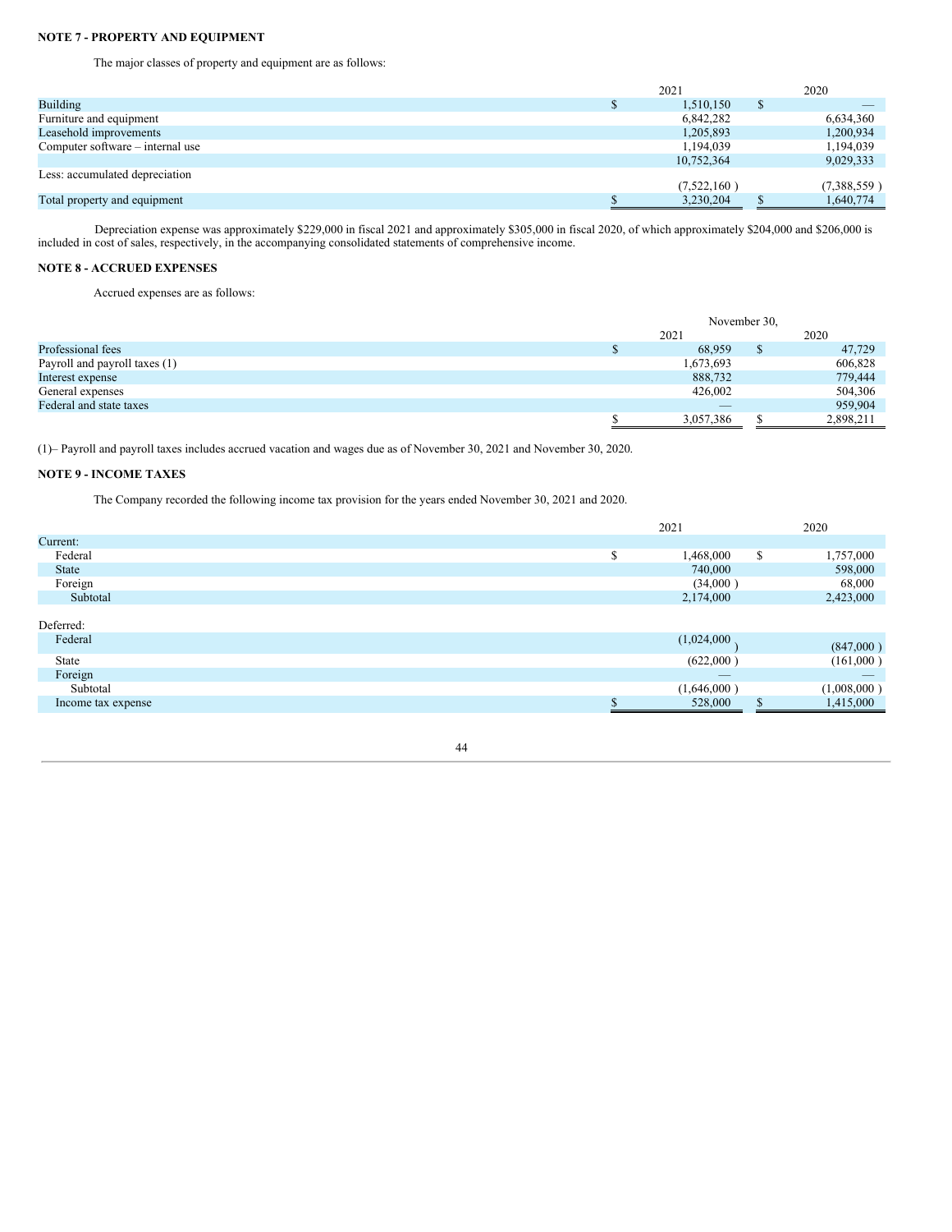# **NOTE 7 - PROPERTY AND EQUIPMENT**

The major classes of property and equipment are as follows:

|                                  | 2021        | 2020        |
|----------------------------------|-------------|-------------|
| <b>Building</b>                  | 1,510,150   |             |
| Furniture and equipment          | 6,842,282   | 6,634,360   |
| Leasehold improvements           | 1,205,893   | 1,200,934   |
| Computer software – internal use | 1,194,039   | 1,194,039   |
|                                  | 10.752.364  | 9,029,333   |
| Less: accumulated depreciation   |             |             |
|                                  | (7,522,160) | (7,388,559) |
| Total property and equipment     | 3.230.204   | 1,640,774   |
|                                  |             |             |

Depreciation expense was approximately \$229,000 in fiscal 2021 and approximately \$305,000 in fiscal 2020, of which approximately \$204,000 and \$206,000 is included in cost of sales, respectively, in the accompanying consolidated statements of comprehensive income.

# **NOTE 8 - ACCRUED EXPENSES**

Accrued expenses are as follows:

|                               | November 30,             |  |           |  |
|-------------------------------|--------------------------|--|-----------|--|
|                               | 2021                     |  | 2020      |  |
| Professional fees             | 68.959                   |  | 47.729    |  |
| Payroll and payroll taxes (1) | 1,673,693                |  | 606,828   |  |
| Interest expense              | 888,732                  |  | 779,444   |  |
| General expenses              | 426,002                  |  | 504,306   |  |
| Federal and state taxes       | $\overline{\phantom{a}}$ |  | 959.904   |  |
|                               | 3,057,386                |  | 2,898,211 |  |

(1)– Payroll and payroll taxes includes accrued vacation and wages due as of November 30, 2021 and November 30, 2020.

# **NOTE 9 - INCOME TAXES**

The Company recorded the following income tax provision for the years ended November 30, 2021 and 2020.

|                    | 2021                          | 2020        |
|--------------------|-------------------------------|-------------|
| Current:           |                               |             |
| Federal            | <sup>\$</sup><br>1,468,000    | 1,757,000   |
| State              | 740,000                       | 598,000     |
| Foreign            | (34,000)                      | 68,000      |
| Subtotal           | 2,174,000                     | 2,423,000   |
|                    |                               |             |
| Deferred:          |                               |             |
| Federal            | (1,024,000)                   | (847,000)   |
| State              | (622,000)                     | (161,000)   |
| Foreign            | _                             | _           |
| Subtotal           | (1,646,000)                   | (1,008,000) |
| Income tax expense | $\mathbf{\hat{S}}$<br>528,000 | 1,415,000   |
|                    |                               |             |

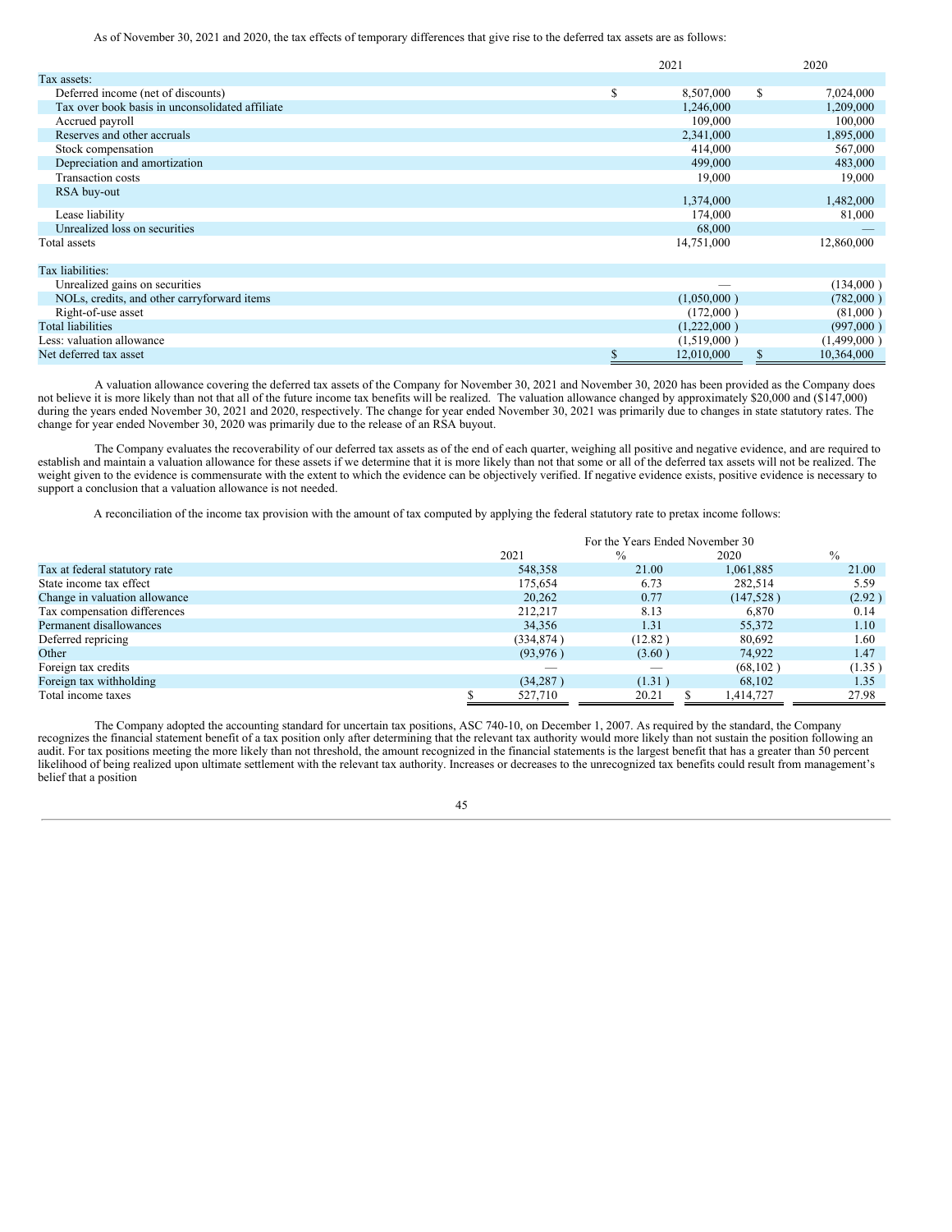As of November 30, 2021 and 2020, the tax effects of temporary differences that give rise to the deferred tax assets are as follows:

|                                                 | 2021            | 2020             |
|-------------------------------------------------|-----------------|------------------|
| Tax assets:                                     |                 |                  |
| Deferred income (net of discounts)              | \$<br>8,507,000 | \$<br>7,024,000  |
| Tax over book basis in unconsolidated affiliate | 1,246,000       | 1,209,000        |
| Accrued payroll                                 | 109,000         | 100,000          |
| Reserves and other accruals                     | 2,341,000       | 1,895,000        |
| Stock compensation                              | 414,000         | 567,000          |
| Depreciation and amortization                   | 499,000         | 483,000          |
| <b>Transaction</b> costs                        | 19,000          | 19,000           |
| RSA buy-out                                     |                 |                  |
|                                                 | 1,374,000       | 1,482,000        |
| Lease liability                                 | 174,000         | 81,000           |
| Unrealized loss on securities                   | 68,000          |                  |
| Total assets                                    | 14,751,000      | 12,860,000       |
|                                                 |                 |                  |
| Tax liabilities:                                |                 |                  |
| Unrealized gains on securities                  |                 | (134,000)        |
| NOLs, credits, and other carryforward items     | (1,050,000)     | (782,000)        |
| Right-of-use asset                              | (172,000)       | (81,000)         |
| <b>Total liabilities</b>                        | (1,222,000)     | (997,000)        |
| Less: valuation allowance                       | (1,519,000)     | (1,499,000)      |
| Net deferred tax asset                          | 12,010,000      | \$<br>10,364,000 |
|                                                 |                 |                  |

A valuation allowance covering the deferred tax assets of the Company for November 30, 2021 and November 30, 2020 has been provided as the Company does not believe it is more likely than not that all of the future income tax benefits will be realized. The valuation allowance changed by approximately \$20,000 and (\$147,000) during the years ended November 30, 2021 and 2020, respectively. The change for year ended November 30, 2021 was primarily due to changes in state statutory rates. The change for year ended November 30, 2020 was primarily due to the release of an RSA buyout.

The Company evaluates the recoverability of our deferred tax assets as of the end of each quarter, weighing all positive and negative evidence, and are required to establish and maintain a valuation allowance for these assets if we determine that it is more likely than not that some or all of the deferred tax assets will not be realized. The weight given to the evidence is commensurate with the extent to which the evidence can be objectively verified. If negative evidence exists, positive evidence is necessary to support a conclusion that a valuation allowance is not needed.

A reconciliation of the income tax provision with the amount of tax computed by applying the federal statutory rate to pretax income follows:

|                               | For the Years Ended November 30 |               |            |        |  |  |
|-------------------------------|---------------------------------|---------------|------------|--------|--|--|
|                               | 2021                            | $\frac{0}{0}$ | 2020       | $\%$   |  |  |
| Tax at federal statutory rate | 548,358                         | 21.00         | 1,061,885  | 21.00  |  |  |
| State income tax effect       | 175,654                         | 6.73          | 282,514    | 5.59   |  |  |
| Change in valuation allowance | 20,262                          | 0.77          | (147, 528) | (2.92) |  |  |
| Tax compensation differences  | 212,217                         | 8.13          | 6.870      | 0.14   |  |  |
| Permanent disallowances       | 34,356                          | 1.31          | 55.372     | 1.10   |  |  |
| Deferred repricing            | (334, 874)                      | (12.82)       | 80.692     | 1.60   |  |  |
| Other                         | (93, 976)                       | (3.60)        | 74.922     | 1.47   |  |  |
| Foreign tax credits           |                                 | _             | (68, 102)  | (1.35) |  |  |
| Foreign tax withholding       | (34, 287)                       | (1.31)        | 68,102     | 1.35   |  |  |
| Total income taxes            | 527,710                         | 20.21         | 1,414,727  | 27.98  |  |  |

The Company adopted the accounting standard for uncertain tax positions, ASC 740-10, on December 1, 2007. As required by the standard, the Company recognizes the financial statement benefit of a tax position only after determining that the relevant tax authority would more likely than not sustain the position following an audit. For tax positions meeting the more likely than not threshold, the amount recognized in the financial statements is the largest benefit that has a greater than 50 percent likelihood of being realized upon ultimate settlement with the relevant tax authority. Increases or decreases to the unrecognized tax benefits could result from management's belief that a position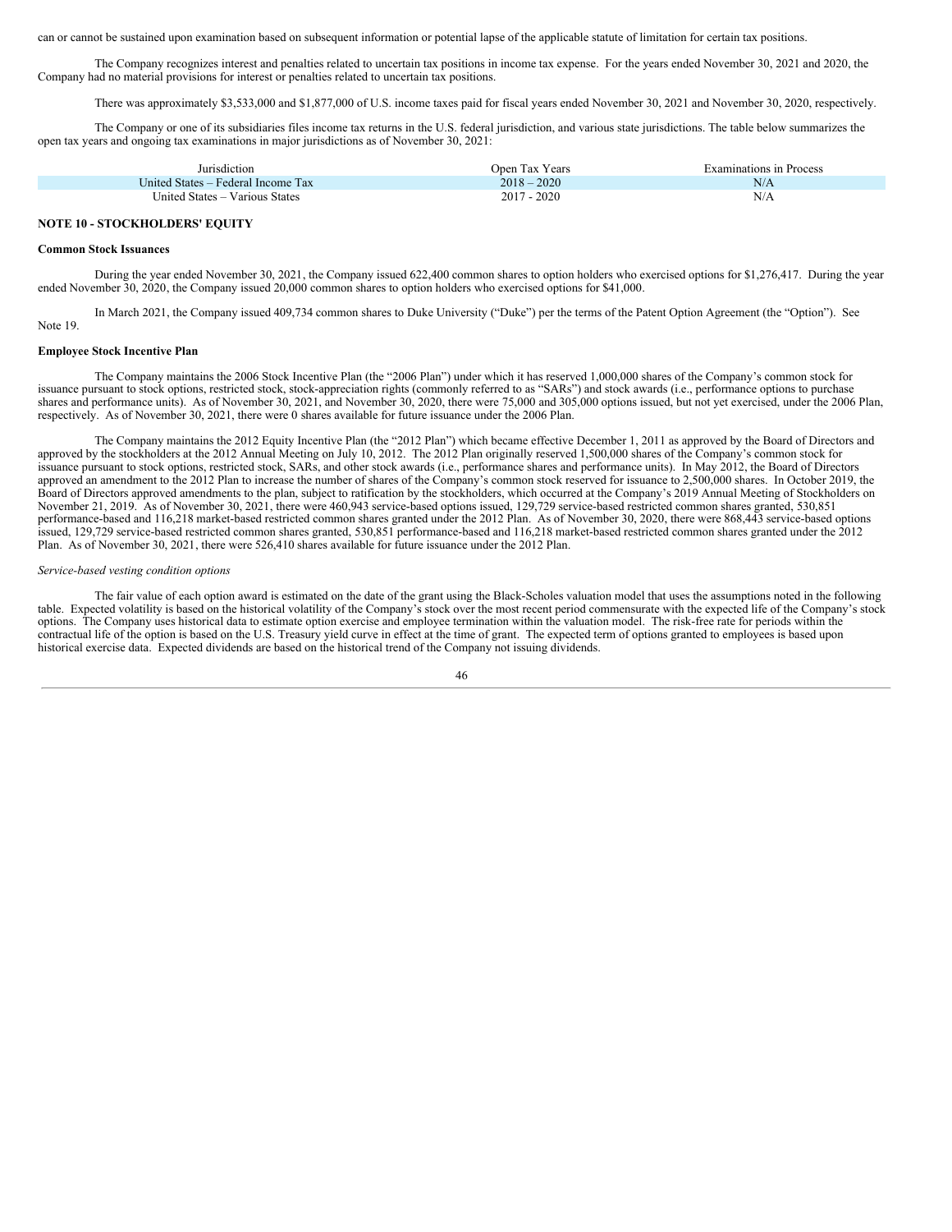can or cannot be sustained upon examination based on subsequent information or potential lapse of the applicable statute of limitation for certain tax positions.

The Company recognizes interest and penalties related to uncertain tax positions in income tax expense. For the years ended November 30, 2021 and 2020, the Company had no material provisions for interest or penalties related to uncertain tax positions.

There was approximately \$3,533,000 and \$1,877,000 of U.S. income taxes paid for fiscal years ended November 30, 2021 and November 30, 2020, respectively.

The Company or one of its subsidiaries files income tax returns in the U.S. federal jurisdiction, and various state jurisdictions. The table below summarizes the open tax years and ongoing tax examinations in major jurisdictions as of November 30, 2021:

| $\sim$ $\sim$<br>Jurisdiction<br>.  | Open Tax Years      | ixaminations in Process |
|-------------------------------------|---------------------|-------------------------|
| United States – Federal Income Tax  | 2020<br>$2018 -$    | N/A                     |
| - Various States<br>∪nited States – | 202<br>201'<br>2020 | N/A                     |

# **NOTE 10 - STOCKHOLDERS' EQUITY**

### **Common Stock Issuances**

During the year ended November 30, 2021, the Company issued 622,400 common shares to option holders who exercised options for \$1,276,417. During the year ended November 30, 2020, the Company issued 20,000 common shares to option holders who exercised options for \$41,000.

In March 2021, the Company issued 409,734 common shares to Duke University ("Duke") per the terms of the Patent Option Agreement (the "Option"). See Note 19.

# **Employee Stock Incentive Plan**

The Company maintains the 2006 Stock Incentive Plan (the "2006 Plan") under which it has reserved 1,000,000 shares of the Company's common stock for issuance pursuant to stock options, restricted stock, stock-appreciation rights (commonly referred to as "SARs") and stock awards (i.e., performance options to purchase shares and performance units). As of November 30, 2021, and November 30, 2020, there were 75,000 and 305,000 options issued, but not yet exercised, under the 2006 Plan, respectively. As of November 30, 2021, there were 0 shares available for future issuance under the 2006 Plan.

The Company maintains the 2012 Equity Incentive Plan (the "2012 Plan") which became effective December 1, 2011 as approved by the Board of Directors and approved by the stockholders at the 2012 Annual Meeting on July 10, 2012. The 2012 Plan originally reserved 1,500,000 shares of the Company's common stock for issuance pursuant to stock options, restricted stock, SARs, and other stock awards (i.e., performance shares and performance units). In May 2012, the Board of Directors approved an amendment to the 2012 Plan to increase the number of shares of the Company's common stock reserved for issuance to 2,500,000 shares. In October 2019, the Board of Directors approved amendments to the plan, subject to ratification by the stockholders, which occurred at the Company's 2019 Annual Meeting of Stockholders on November 21, 2019. As of November 30, 2021, there were 460,943 service-based options issued, 129,729 service-based restricted common shares granted, 530,851 performance-based and 116,218 market-based restricted common shares granted under the 2012 Plan. As of November 30, 2020, there were 868,443 service-based options issued, 129,729 service-based restricted common shares granted, 530,851 performance-based and 116,218 market-based restricted common shares granted under the 2012 Plan. As of November 30, 2021, there were 526,410 shares available for future issuance under the 2012 Plan.

#### *Service-based vesting condition options*

The fair value of each option award is estimated on the date of the grant using the Black-Scholes valuation model that uses the assumptions noted in the following table. Expected volatility is based on the historical volatility of the Company's stock over the most recent period commensurate with the expected life of the Company's stock options. The Company uses historical data to estimate option exercise and employee termination within the valuation model. The risk-free rate for periods within the contractual life of the option is based on the U.S. Treasury yield curve in effect at the time of grant. The expected term of options granted to employees is based upon historical exercise data. Expected dividends are based on the historical trend of the Company not issuing dividends.

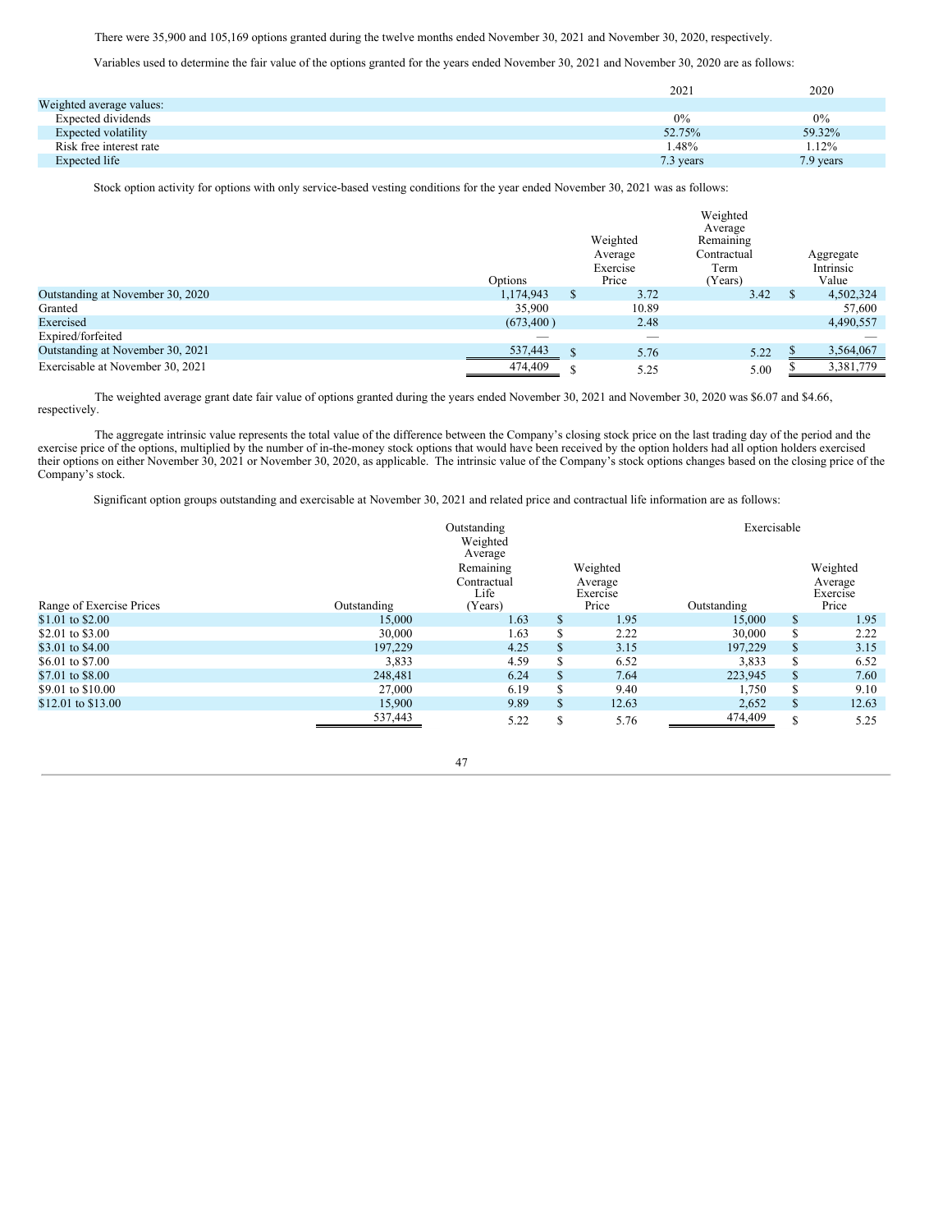There were 35,900 and 105,169 options granted during the twelve months ended November 30, 2021 and November 30, 2020, respectively.

Variables used to determine the fair value of the options granted for the years ended November 30, 2021 and November 30, 2020 are as follows:

|                          | 2021      | 2020      |
|--------------------------|-----------|-----------|
| Weighted average values: |           |           |
| Expected dividends       | 0%        | 0%        |
| Expected volatility      | 52.75%    | 59.32%    |
| Risk free interest rate  | 1.48%     | 1.12%     |
| Expected life            | 7.3 years | 7.9 years |

Stock option activity for options with only service-based vesting conditions for the year ended November 30, 2021 was as follows:

|                                  | Options    | Weighted<br>Average<br>Exercise<br>Price | Weighted<br>Average<br>Remaining<br>Contractual<br>Term<br>(Years) | Aggregate<br>Intrinsic<br>Value |
|----------------------------------|------------|------------------------------------------|--------------------------------------------------------------------|---------------------------------|
| Outstanding at November 30, 2020 | 1,174,943  | \$<br>3.72                               | 3.42                                                               | 4,502,324                       |
| Granted                          | 35,900     | 10.89                                    |                                                                    | 57,600                          |
| Exercised                        | (673, 400) | 2.48                                     |                                                                    | 4,490,557                       |
| Expired/forfeited                | __         | _                                        |                                                                    |                                 |
| Outstanding at November 30, 2021 | 537,443    | 5.76                                     | 5.22                                                               | 3,564,067                       |
| Exercisable at November 30, 2021 | 474,409    | 5.25                                     | 5.00                                                               | 3,381,779                       |

The weighted average grant date fair value of options granted during the years ended November 30, 2021 and November 30, 2020 was \$6.07 and \$4.66, respectively.

The aggregate intrinsic value represents the total value of the difference between the Company's closing stock price on the last trading day of the period and the exercise price of the options, multiplied by the number of in-the-money stock options that would have been received by the option holders had all option holders exercised their options on either November 30, 2021 or November 30, 2020, as applicable. The intrinsic value of the Company's stock options changes based on the closing price of the Company's stock.

Significant option groups outstanding and exercisable at November 30, 2021 and related price and contractual life information are as follows:

|                          |             | Outstanding |              |          | Exercisable |    |          |
|--------------------------|-------------|-------------|--------------|----------|-------------|----|----------|
|                          |             | Weighted    |              |          |             |    |          |
|                          |             | Average     |              |          |             |    |          |
|                          |             | Remaining   |              | Weighted |             |    | Weighted |
|                          |             | Contractual |              | Average  |             |    | Average  |
|                          |             | Life        |              | Exercise |             |    | Exercise |
| Range of Exercise Prices | Outstanding | (Years)     |              | Price    | Outstanding |    | Price    |
| \$1.01 to \$2.00         | 15,000      | 1.63        | S.           | 1.95     | 15,000      | S. | 1.95     |
| \$2.01 to \$3.00         | 30,000      | 1.63        | S            | 2.22     | 30,000      |    | 2.22     |
| \$3.01 to \$4.00         | 197.229     | 4.25        | S.           | 3.15     | 197.229     | S. | 3.15     |
| \$6.01 to \$7.00         | 3,833       | 4.59        | S            | 6.52     | 3,833       |    | 6.52     |
| \$7.01 to \$8.00         | 248,481     | 6.24        | S.           | 7.64     | 223,945     | S. | 7.60     |
| \$9.01 to \$10.00        | 27,000      | 6.19        | S            | 9.40     | 1,750       |    | 9.10     |
| $$12.01$ to $$13.00$     | 15,900      | 9.89        | $\mathbb{S}$ | 12.63    | 2,652       | S. | 12.63    |
|                          | 537,443     | 5.22        | \$           | 5.76     | 474,409     |    | 5.25     |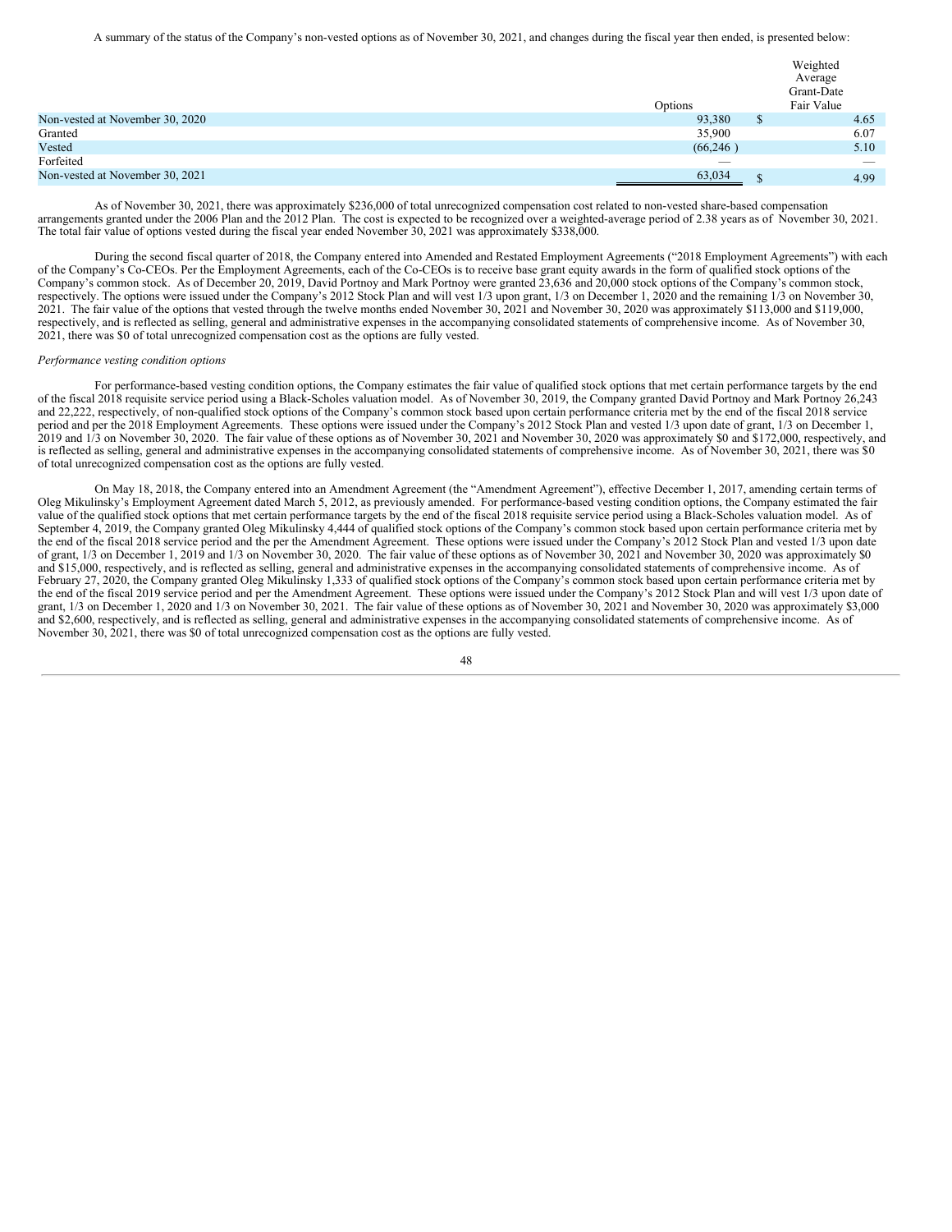A summary of the status of the Company's non-vested options as of November 30, 2021, and changes during the fiscal year then ended, is presented below:

|                                 | Options                  |          | Weighted<br>Average<br>Grant-Date<br>Fair Value |
|---------------------------------|--------------------------|----------|-------------------------------------------------|
| Non-vested at November 30, 2020 | 93,380                   | S        | 4.65                                            |
| Granted                         | 35,900                   |          | 6.07                                            |
| Vested                          | (66, 246)                |          | 5.10                                            |
| Forfeited                       | $\overline{\phantom{a}}$ |          | $\overbrace{\hspace{25mm}}^{}$                  |
| Non-vested at November 30, 2021 | 63,034                   | $\sigma$ | 4.99                                            |

As of November 30, 2021, there was approximately \$236,000 of total unrecognized compensation cost related to non-vested share-based compensation arrangements granted under the 2006 Plan and the 2012 Plan. The cost is expected to be recognized over a weighted-average period of 2.38 years as of November 30, 2021. The total fair value of options vested during the fiscal year ended November 30, 2021 was approximately \$338,000.

During the second fiscal quarter of 2018, the Company entered into Amended and Restated Employment Agreements ("2018 Employment Agreements") with each of the Company's Co-CEOs. Per the Employment Agreements, each of the Co-CEOs is to receive base grant equity awards in the form of qualified stock options of the Company's common stock. As of December 20, 2019, David Portnoy and Mark Portnoy were granted 23,636 and 20,000 stock options of the Company's common stock, respectively. The options were issued under the Company's 2012 Stock Plan and will vest 1/3 upon grant, 1/3 on December 1, 2020 and the remaining 1/3 on November 30,  $2021$ . The fair value of the options that vested through the twelve months ended November 30, 2021 and November 30, 2020 was approximately \$113,000 and \$119,000, respectively, and is reflected as selling, general and administrative expenses in the accompanying consolidated statements of comprehensive income. As of November 30, 2021, there was \$0 of total unrecognized compensation cost as the options are fully vested.

#### *Performance vesting condition options*

For performance-based vesting condition options, the Company estimates the fair value of qualified stock options that met certain performance targets by the end of the fiscal 2018 requisite service period using a Black-Scholes valuation model. As of November 30, 2019, the Company granted David Portnoy and Mark Portnoy 26,243 and 22,222, respectively, of non-qualified stock options of the Company's common stock based upon certain performance criteria met by the end of the fiscal 2018 service period and per the 2018 Employment Agreements. These options were issued under the Company's 2012 Stock Plan and vested 1/3 upon date of grant, 1/3 on December 1, 2019 and 1/3 on November 30, 2020. The fair value of these options as of November 30, 2021 and November 30, 2020 was approximately \$0 and \$172,000, respectively, and is reflected as selling, general and administrative expenses in the accompanying consolidated statements of comprehensive income. As of November 30, 2021, there was \$0 of total unrecognized compensation cost as the options are fully vested.

On May 18, 2018, the Company entered into an Amendment Agreement (the "Amendment Agreement"), effective December 1, 2017, amending certain terms of Oleg Mikulinsky's Employment Agreement dated March 5, 2012, as previously amended. For performance-based vesting condition options, the Company estimated the fair value of the qualified stock options that met certain performance targets by the end of the fiscal 2018 requisite service period using a Black-Scholes valuation model. As of September 4, 2019, the Company granted Oleg Mikulinsky 4,444 of qualified stock options of the Company's common stock based upon certain performance criteria met by the end of the fiscal 2018 service period and the per the Amendment Agreement. These options were issued under the Company's 2012 Stock Plan and vested 1/3 upon date of grant, 1/3 on December 1, 2019 and 1/3 on November 30, 2020. The fair value of these options as of November 30, 2021 and November 30, 2020 was approximately \$0 and \$15,000, respectively, and is reflected as selling, general and administrative expenses in the accompanying consolidated statements of comprehensive income. As of February 27, 2020, the Company granted Oleg Mikulinsky 1,333 of qualified stock options of the Company's common stock based upon certain performance criteria met by the end of the fiscal 2019 service period and per the Amendment Agreement. These options were issued under the Company's 2012 Stock Plan and will vest 1/3 upon date of grant, 1/3 on December 1, 2020 and 1/3 on November 30, 2021. The fair value of these options as of November 30, 2021 and November 30, 2020 was approximately \$3,000 and \$2,600, respectively, and is reflected as selling, general and administrative expenses in the accompanying consolidated statements of comprehensive income. As of November 30, 2021, there was \$0 of total unrecognized compensation cost as the options are fully vested.

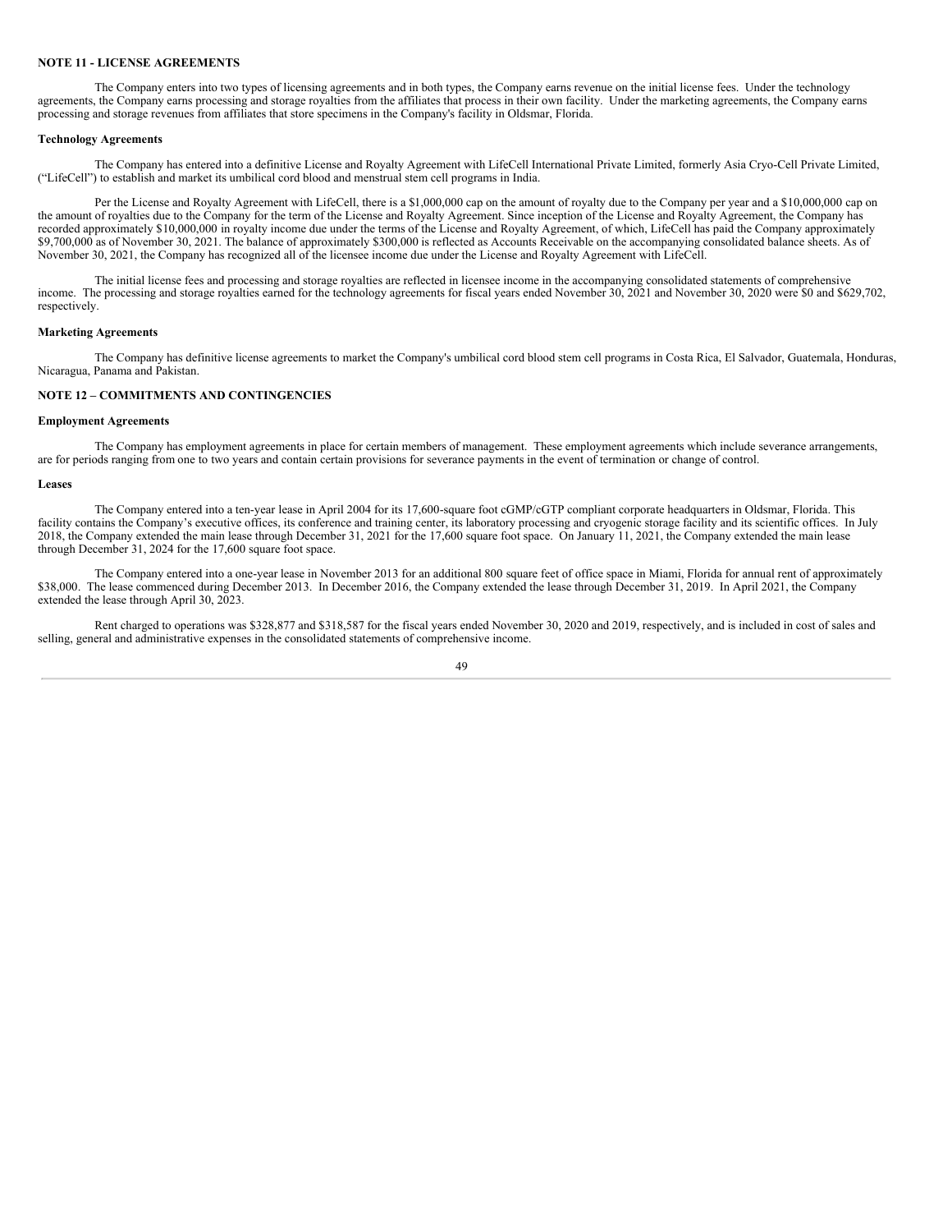### **NOTE 11 - LICENSE AGREEMENTS**

The Company enters into two types of licensing agreements and in both types, the Company earns revenue on the initial license fees. Under the technology agreements, the Company earns processing and storage royalties from the affiliates that process in their own facility. Under the marketing agreements, the Company earns processing and storage revenues from affiliates that store specimens in the Company's facility in Oldsmar, Florida.

### **Technology Agreements**

The Company has entered into a definitive License and Royalty Agreement with LifeCell International Private Limited, formerly Asia Cryo-Cell Private Limited, ("LifeCell") to establish and market its umbilical cord blood and menstrual stem cell programs in India.

Per the License and Royalty Agreement with LifeCell, there is a \$1,000,000 cap on the amount of royalty due to the Company per year and a \$10,000,000 cap on the amount of royalties due to the Company for the term of the License and Royalty Agreement. Since inception of the License and Royalty Agreement, the Company has recorded approximately \$10,000,000 in royalty income due under the terms of the License and Royalty Agreement, of which, LifeCell has paid the Company approximately \$9,700,000 as of November 30, 2021. The balance of approximately \$300,000 is reflected as Accounts Receivable on the accompanying consolidated balance sheets. As of November 30, 2021, the Company has recognized all of the licensee income due under the License and Royalty Agreement with LifeCell.

The initial license fees and processing and storage royalties are reflected in licensee income in the accompanying consolidated statements of comprehensive income. The processing and storage royalties earned for the technology agreements for fiscal years ended November 30, 2021 and November 30, 2020 were \$0 and \$629,702, respectively.

# **Marketing Agreements**

The Company has definitive license agreements to market the Company's umbilical cord blood stem cell programs in Costa Rica, El Salvador, Guatemala, Honduras, Nicaragua, Panama and Pakistan.

# **NOTE 12 – COMMITMENTS AND CONTINGENCIES**

#### **Employment Agreements**

The Company has employment agreements in place for certain members of management. These employment agreements which include severance arrangements, are for periods ranging from one to two years and contain certain provisions for severance payments in the event of termination or change of control.

# **Leases**

The Company entered into a ten-year lease in April 2004 for its 17,600-square foot cGMP/cGTP compliant corporate headquarters in Oldsmar, Florida. This facility contains the Company's executive offices, its conference and training center, its laboratory processing and cryogenic storage facility and its scientific offices. In July 2018, the Company extended the main lease through December 31, 2021 for the 17,600 square foot space. On January 11, 2021, the Company extended the main lease through December 31, 2024 for the 17,600 square foot space.

The Company entered into a one-year lease in November 2013 for an additional 800 square feet of office space in Miami, Florida for annual rent of approximately \$38,000. The lease commenced during December 2013. In December 2016, the Company extended the lease through December 31, 2019. In April 2021, the Company extended the lease through April 30, 2023.

Rent charged to operations was \$328,877 and \$318,587 for the fiscal years ended November 30, 2020 and 2019, respectively, and is included in cost of sales and selling, general and administrative expenses in the consolidated statements of comprehensive income.

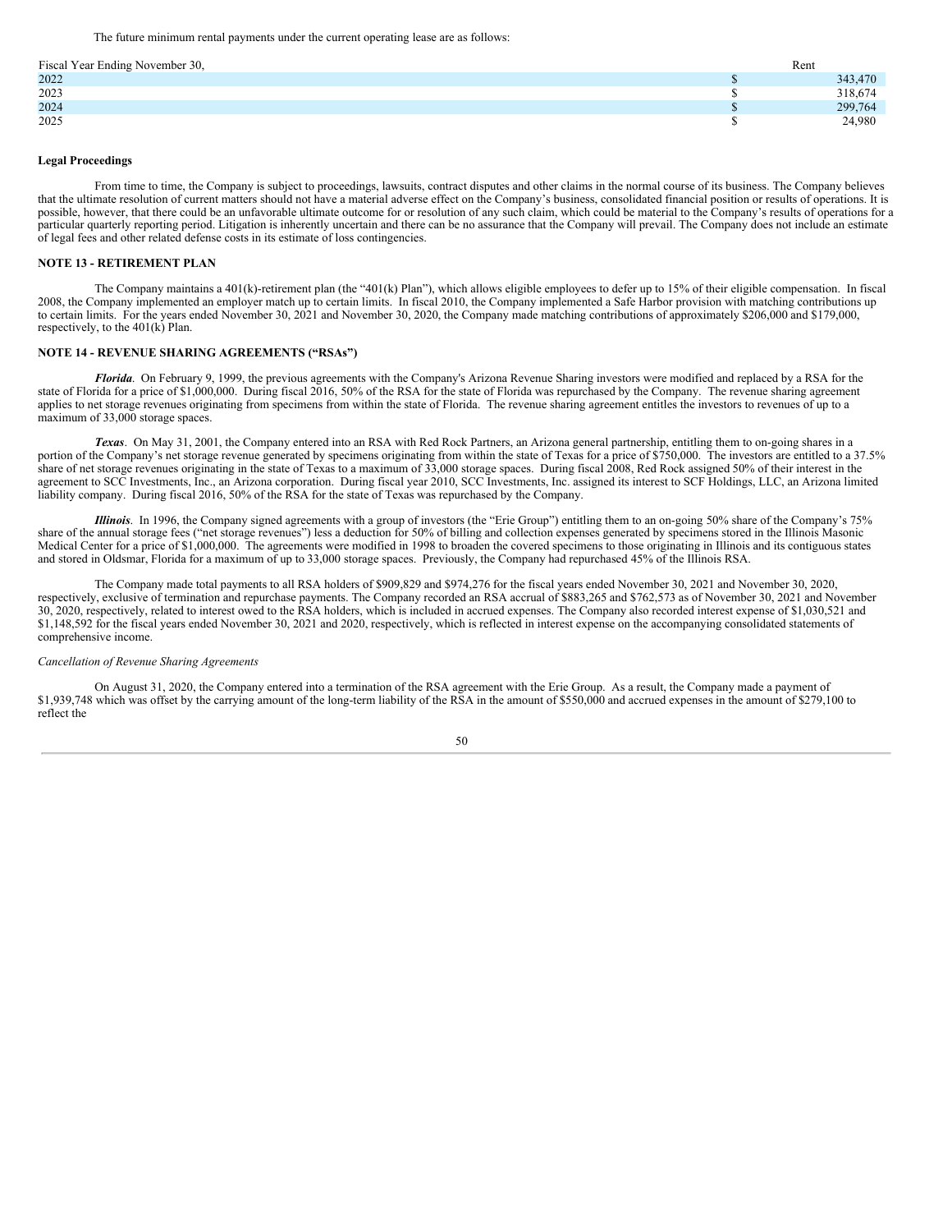The future minimum rental payments under the current operating lease are as follows:

| Fiscal Year Ending November 30, | Rent    |
|---------------------------------|---------|
| 2022                            | 343,470 |
| 2023                            | 318,674 |
| 2024                            | 299,764 |
| 2025                            | 24,980  |
|                                 |         |

## **Legal Proceedings**

From time to time, the Company is subject to proceedings, lawsuits, contract disputes and other claims in the normal course of its business. The Company believes that the ultimate resolution of current matters should not have a material adverse effect on the Company's business, consolidated financial position or results of operations. It is possible, however, that there could be an unfavorable ultimate outcome for or resolution of any such claim, which could be material to the Company's results of operations for a particular quarterly reporting period. Litigation is inherently uncertain and there can be no assurance that the Company will prevail. The Company does not include an estimate of legal fees and other related defense costs in its estimate of loss contingencies.

# **NOTE 13 - RETIREMENT PLAN**

The Company maintains a 401(k)-retirement plan (the "401(k) Plan"), which allows eligible employees to defer up to 15% of their eligible compensation. In fiscal 2008, the Company implemented an employer match up to certain limits. In fiscal 2010, the Company implemented a Safe Harbor provision with matching contributions up to certain limits. For the years ended November 30, 2021 and November 30, 2020, the Company made matching contributions of approximately \$206,000 and \$179,000, respectively, to the 401(k) Plan.

# **NOTE 14 - REVENUE SHARING AGREEMENTS ("RSAs")**

*Florida*. On February 9, 1999, the previous agreements with the Company's Arizona Revenue Sharing investors were modified and replaced by a RSA for the state of Florida for a price of \$1,000,000. During fiscal 2016, 50% of the RSA for the state of Florida was repurchased by the Company. The revenue sharing agreement applies to net storage revenues originating from specimens from within the state of Florida. The revenue sharing agreement entitles the investors to revenues of up to a maximum of 33,000 storage spaces.

*Texas*. On May 31, 2001, the Company entered into an RSA with Red Rock Partners, an Arizona general partnership, entitling them to on-going shares in a portion of the Company's net storage revenue generated by specimens originating from within the state of Texas for a price of \$750,000. The investors are entitled to a 37.5% share of net storage revenues originating in the state of Texas to a maximum of 33,000 storage spaces. During fiscal 2008, Red Rock assigned 50% of their interest in the agreement to SCC Investments, Inc., an Arizona corporation. During fiscal year 2010, SCC Investments, Inc. assigned its interest to SCF Holdings, LLC, an Arizona limited liability company. During fiscal 2016, 50% of the RSA for the state of Texas was repurchased by the Company.

*Illinois*. In 1996, the Company signed agreements with a group of investors (the "Erie Group") entitling them to an on-going 50% share of the Company's 75% share of the annual storage fees ("net storage revenues") less a deduction for 50% of billing and collection expenses generated by specimens stored in the Illinois Masonic Medical Center for a price of \$1,000,000. The agreements were modified in 1998 to broaden the covered specimens to those originating in Illinois and its contiguous states and stored in Oldsmar, Florida for a maximum of up to 33,000 storage spaces. Previously, the Company had repurchased 45% of the Illinois RSA.

The Company made total payments to all RSA holders of \$909,829 and \$974,276 for the fiscal years ended November 30, 2021 and November 30, 2020, respectively, exclusive of termination and repurchase payments. The Company recorded an RSA accrual of \$883,265 and \$762,573 as of November 30, 2021 and November 30, 2020, respectively, related to interest owed to the RSA holders, which is included in accrued expenses. The Company also recorded interest expense of \$1,030,521 and \$1,148,592 for the fiscal years ended November 30, 2021 and 2020, respectively, which is reflected in interest expense on the accompanying consolidated statements of comprehensive income.

### *Cancellation of Revenue Sharing Agreements*

On August 31, 2020, the Company entered into a termination of the RSA agreement with the Erie Group. As a result, the Company made a payment of \$1,939,748 which was offset by the carrying amount of the long-term liability of the RSA in the amount of \$550,000 and accrued expenses in the amount of \$279,100 to reflect the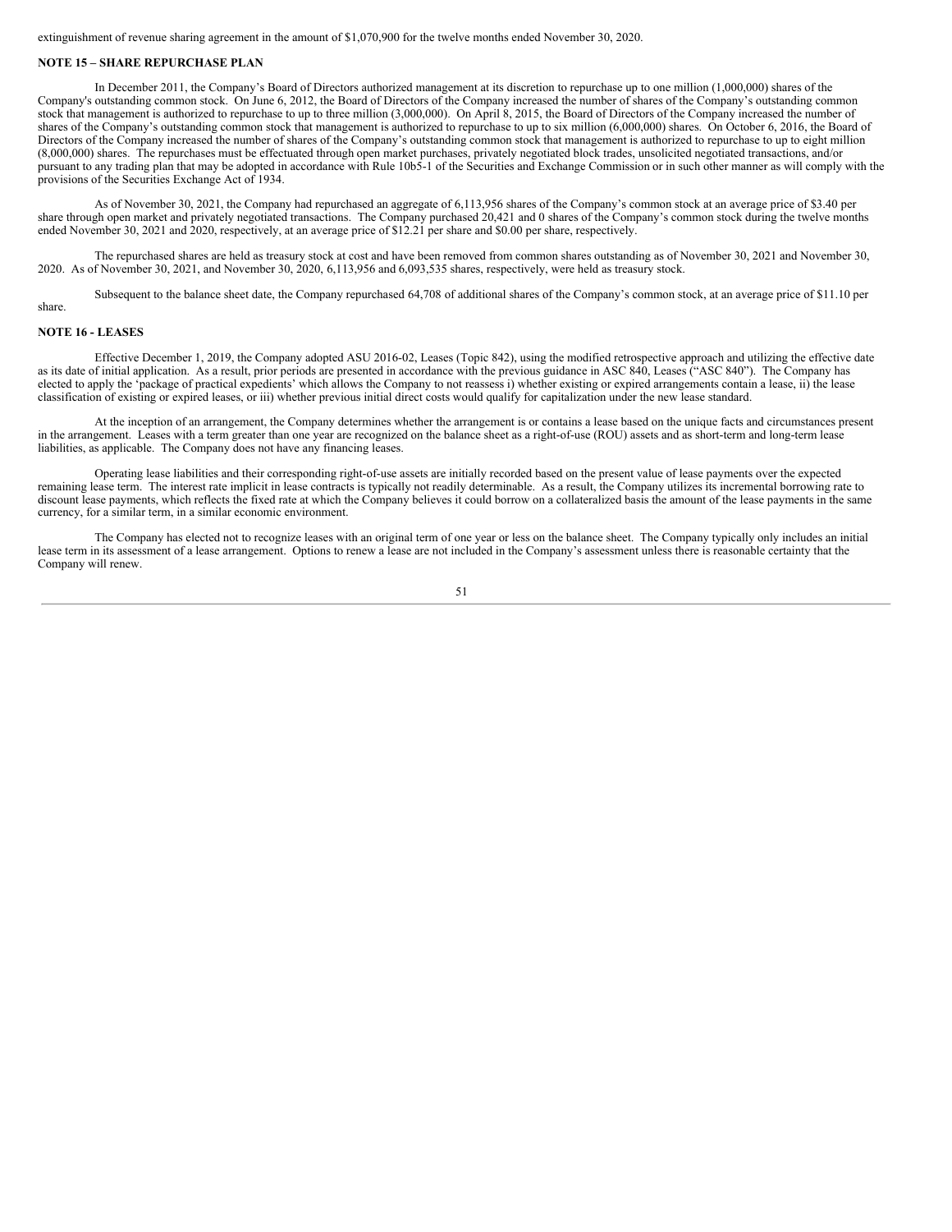extinguishment of revenue sharing agreement in the amount of \$1,070,900 for the twelve months ended November 30, 2020.

# **NOTE 15 – SHARE REPURCHASE PLAN**

In December 2011, the Company's Board of Directors authorized management at its discretion to repurchase up to one million (1,000,000) shares of the Company's outstanding common stock. On June 6, 2012, the Board of Directors of the Company increased the number of shares of the Company's outstanding common stock that management is authorized to repurchase to up to three million (3,000,000). On April 8, 2015, the Board of Directors of the Company increased the number of shares of the Company's outstanding common stock that management is authorized to repurchase to up to six million (6,000,000) shares. On October 6, 2016, the Board of Directors of the Company increased the number of shares of the Company's outstanding common stock that management is authorized to repurchase to up to eight million (8,000,000) shares. The repurchases must be effectuated through open market purchases, privately negotiated block trades, unsolicited negotiated transactions, and/or pursuant to any trading plan that may be adopted in accordance with Rule 10b5-1 of the Securities and Exchange Commission or in such other manner as will comply with the provisions of the Securities Exchange Act of 1934.

As of November 30, 2021, the Company had repurchased an aggregate of 6,113,956 shares of the Company's common stock at an average price of \$3.40 per share through open market and privately negotiated transactions. The Company purchased 20,421 and 0 shares of the Company's common stock during the twelve months ended November 30, 2021 and 2020, respectively, at an average price of \$12.21 per share and \$0.00 per share, respectively.

The repurchased shares are held as treasury stock at cost and have been removed from common shares outstanding as of November 30, 2021 and November 30, 2020. As of November 30, 2021, and November 30, 2020, 6,113,956 and 6,093,535 shares, respectively, were held as treasury stock.

Subsequent to the balance sheet date, the Company repurchased 64,708 of additional shares of the Company's common stock, at an average price of \$11.10 per

# share.

# **NOTE 16 - LEASES**

Effective December 1, 2019, the Company adopted ASU 2016-02, Leases (Topic 842), using the modified retrospective approach and utilizing the effective date as its date of initial application. As a result, prior periods are presented in accordance with the previous guidance in ASC 840, Leases ("ASC 840"). The Company has elected to apply the 'package of practical expedients' which allows the Company to not reassess i) whether existing or expired arrangements contain a lease, ii) the lease classification of existing or expired leases, or iii) whether previous initial direct costs would qualify for capitalization under the new lease standard.

At the inception of an arrangement, the Company determines whether the arrangement is or contains a lease based on the unique facts and circumstances present in the arrangement. Leases with a term greater than one year are recognized on the balance sheet as a right-of-use (ROU) assets and as short-term and long-term lease liabilities, as applicable. The Company does not have any financing leases.

Operating lease liabilities and their corresponding right-of-use assets are initially recorded based on the present value of lease payments over the expected remaining lease term. The interest rate implicit in lease contracts is typically not readily determinable. As a result, the Company utilizes its incremental borrowing rate to discount lease payments, which reflects the fixed rate at which the Company believes it could borrow on a collateralized basis the amount of the lease payments in the same currency, for a similar term, in a similar economic environment.

The Company has elected not to recognize leases with an original term of one year or less on the balance sheet. The Company typically only includes an initial lease term in its assessment of a lease arrangement. Options to renew a lease are not included in the Company's assessment unless there is reasonable certainty that the Company will renew.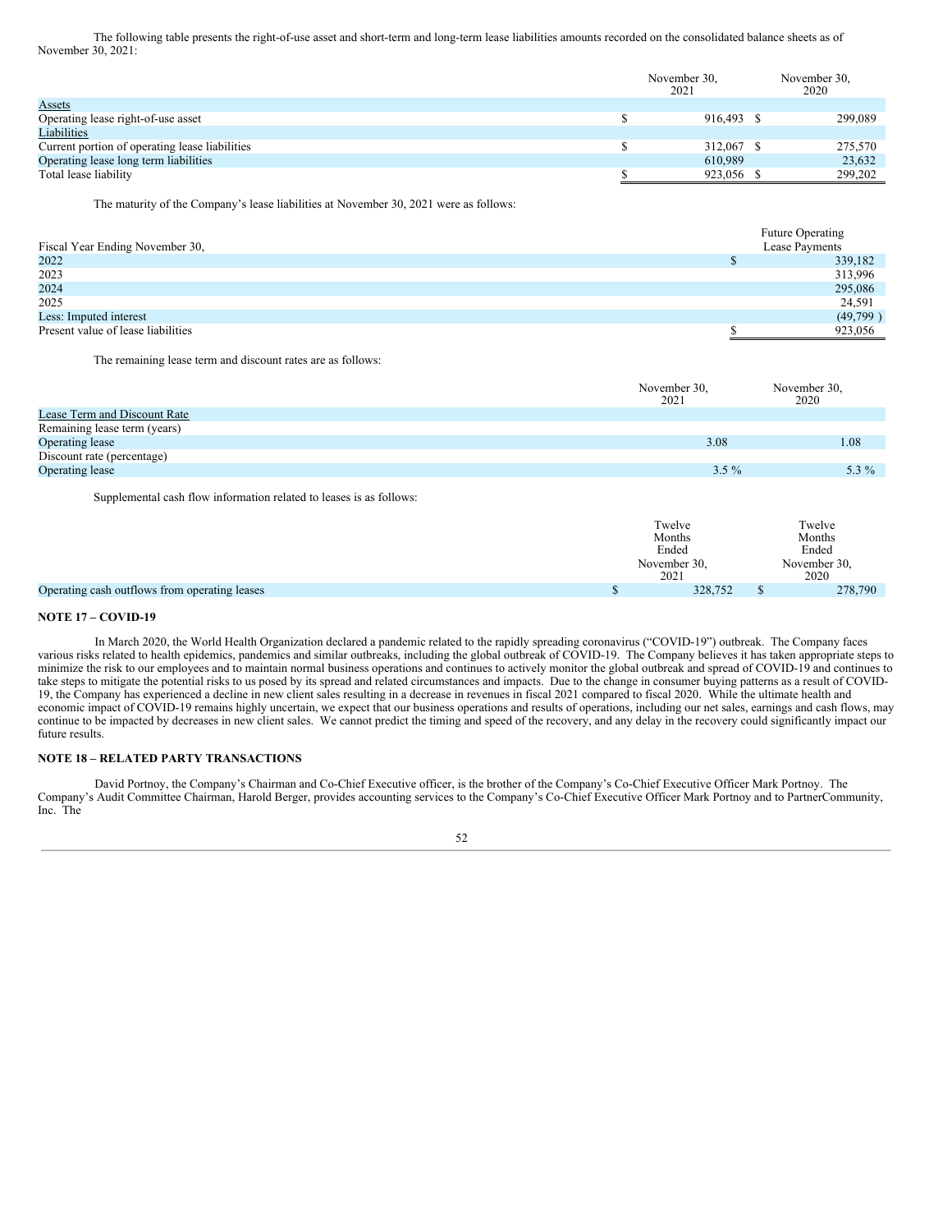The following table presents the right-of-use asset and short-term and long-term lease liabilities amounts recorded on the consolidated balance sheets as of November 30, 2021:

| 2021       | November 30,<br>2020 |
|------------|----------------------|
|            |                      |
| 916.493 \$ | 299,089              |
|            |                      |
| 312,067 \$ | 275,570              |
| 610.989    | 23.632               |
| 923,056 \$ | 299,202              |
|            | November 30,         |

The maturity of the Company's lease liabilities at November 30, 2021 were as follows:

|                                    | <b>Future Operating</b> |
|------------------------------------|-------------------------|
| Fiscal Year Ending November 30,    | Lease Payments          |
| 2022                               | 339,182                 |
| 2023                               | 313,996                 |
| 2024                               | 295,086                 |
| 2025                               | 24,591                  |
| Less: Imputed interest             | (49,799)                |
| Present value of lease liabilities | 923,056                 |

The remaining lease term and discount rates are as follows:

|                                                                     | November 30,<br>2021      | November 30,<br>2020      |
|---------------------------------------------------------------------|---------------------------|---------------------------|
| Lease Term and Discount Rate                                        |                           |                           |
| Remaining lease term (years)                                        |                           |                           |
| Operating lease                                                     | 3.08                      | 1.08                      |
| Discount rate (percentage)                                          |                           |                           |
| Operating lease                                                     | $3.5\%$                   | 5.3 $%$                   |
| Supplemental cash flow information related to leases is as follows: |                           |                           |
|                                                                     | Twelve<br>Months<br>Ended | Twelve<br>Months<br>Ended |
|                                                                     | November 30,<br>2021      | November 30,<br>2020      |

Operating cash outflows from operating leases **1278,790 5** 328,752 \$ 278,790

# **NOTE 17 – COVID-19**

In March 2020, the World Health Organization declared a pandemic related to the rapidly spreading coronavirus ("COVID-19") outbreak. The Company faces various risks related to health epidemics, pandemics and similar outbreaks, including the global outbreak of COVID-19. The Company believes it has taken appropriate steps to minimize the risk to our employees and to maintain normal business operations and continues to actively monitor the global outbreak and spread of COVID-19 and continues to take steps to mitigate the potential risks to us posed by its spread and related circumstances and impacts. Due to the change in consumer buying patterns as a result of COVID-19, the Company has experienced a decline in new client sales resulting in a decrease in revenues in fiscal 2021 compared to fiscal 2020. While the ultimate health and economic impact of COVID-19 remains highly uncertain, we expect that our business operations and results of operations, including our net sales, earnings and cash flows, may continue to be impacted by decreases in new client sales. We cannot predict the timing and speed of the recovery, and any delay in the recovery could significantly impact our future results.

# **NOTE 18 – RELATED PARTY TRANSACTIONS**

David Portnoy, the Company's Chairman and Co-Chief Executive officer, is the brother of the Company's Co-Chief Executive Officer Mark Portnoy. The Company's Audit Committee Chairman, Harold Berger, provides accounting services to the Company's Co-Chief Executive Officer Mark Portnoy and to PartnerCommunity, Inc. The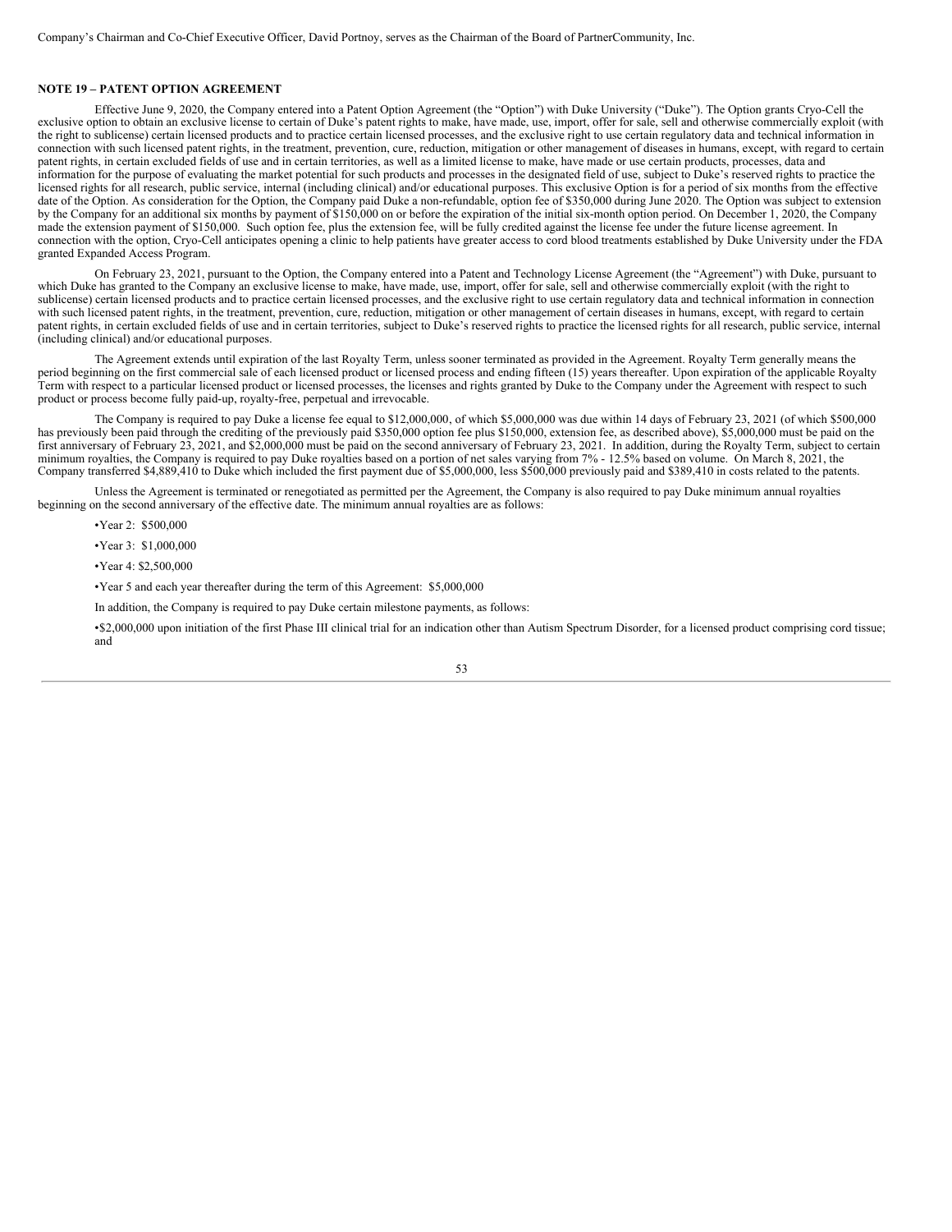#### **NOTE 19 – PATENT OPTION AGREEMENT**

Effective June 9, 2020, the Company entered into a Patent Option Agreement (the "Option") with Duke University ("Duke"). The Option grants Cryo-Cell the exclusive option to obtain an exclusive license to certain of Duke's patent rights to make, have made, use, import, offer for sale, sell and otherwise commercially exploit (with the right to sublicense) certain licensed products and to practice certain licensed processes, and the exclusive right to use certain regulatory data and technical information in connection with such licensed patent rights, in the treatment, prevention, cure, reduction, mitigation or other management of diseases in humans, except, with regard to certain patent rights, in certain excluded fields of use and in certain territories, as well as a limited license to make, have made or use certain products, processes, data and information for the purpose of evaluating the market potential for such products and processes in the designated field of use, subject to Duke's reserved rights to practice the licensed rights for all research, public service, internal (including clinical) and/or educational purposes. This exclusive Option is for a period of six months from the effective date of the Option. As consideration for the Option, the Company paid Duke a non-refundable, option fee of \$350,000 during June 2020. The Option was subject to extension by the Company for an additional six months by payment of \$150,000 on or before the expiration of the initial six-month option period. On December 1, 2020, the Company made the extension payment of \$150,000. Such option fee, plus the extension fee, will be fully credited against the license fee under the future license agreement. In connection with the option, Cryo-Cell anticipates opening a clinic to help patients have greater access to cord blood treatments established by Duke University under the FDA granted Expanded Access Program.

On February 23, 2021, pursuant to the Option, the Company entered into a Patent and Technology License Agreement (the "Agreement") with Duke, pursuant to which Duke has granted to the Company an exclusive license to make, have made, use, import, offer for sale, sell and otherwise commercially exploit (with the right to sublicense) certain licensed products and to practice certain licensed processes, and the exclusive right to use certain regulatory data and technical information in connection with such licensed patent rights, in the treatment, prevention, cure, reduction, mitigation or other management of certain diseases in humans, except, with regard to certain patent rights, in certain excluded fields of use and in certain territories, subject to Duke's reserved rights to practice the licensed rights for all research, public service, internal (including clinical) and/or educational purposes.

The Agreement extends until expiration of the last Royalty Term, unless sooner terminated as provided in the Agreement. Royalty Term generally means the period beginning on the first commercial sale of each licensed product or licensed process and ending fifteen (15) years thereafter. Upon expiration of the applicable Royalty Term with respect to a particular licensed product or licensed processes, the licenses and rights granted by Duke to the Company under the Agreement with respect to such product or process become fully paid-up, royalty-free, perpetual and irrevocable.

The Company is required to pay Duke a license fee equal to \$12,000,000, of which \$5,000,000 was due within 14 days of February 23, 2021 (of which \$500,000 has previously been paid through the crediting of the previously paid \$350,000 option fee plus \$150,000, extension fee, as described above), \$5,000,000 must be paid on the first anniversary of February 23, 2021, and \$2,000,000 must be paid on the second anniversary of February 23, 2021. In addition, during the Royalty Term, subject to certain minimum royalties, the Company is required to pay Duke royalties based on a portion of net sales varying from 7% - 12.5% based on volume. On March 8, 2021, the Company transferred \$4,889,410 to Duke which included the first payment due of \$5,000,000, less \$500,000 previously paid and \$389,410 in costs related to the patents.

Unless the Agreement is terminated or renegotiated as permitted per the Agreement, the Company is also required to pay Duke minimum annual royalties beginning on the second anniversary of the effective date. The minimum annual royalties are as follows:

•Year 2: \$500,000

•Year 3: \$1,000,000

•Year 4: \$2,500,000

•Year 5 and each year thereafter during the term of this Agreement: \$5,000,000

In addition, the Company is required to pay Duke certain milestone payments, as follows:

•\$2,000,000 upon initiation of the first Phase III clinical trial for an indication other than Autism Spectrum Disorder, for a licensed product comprising cord tissue; and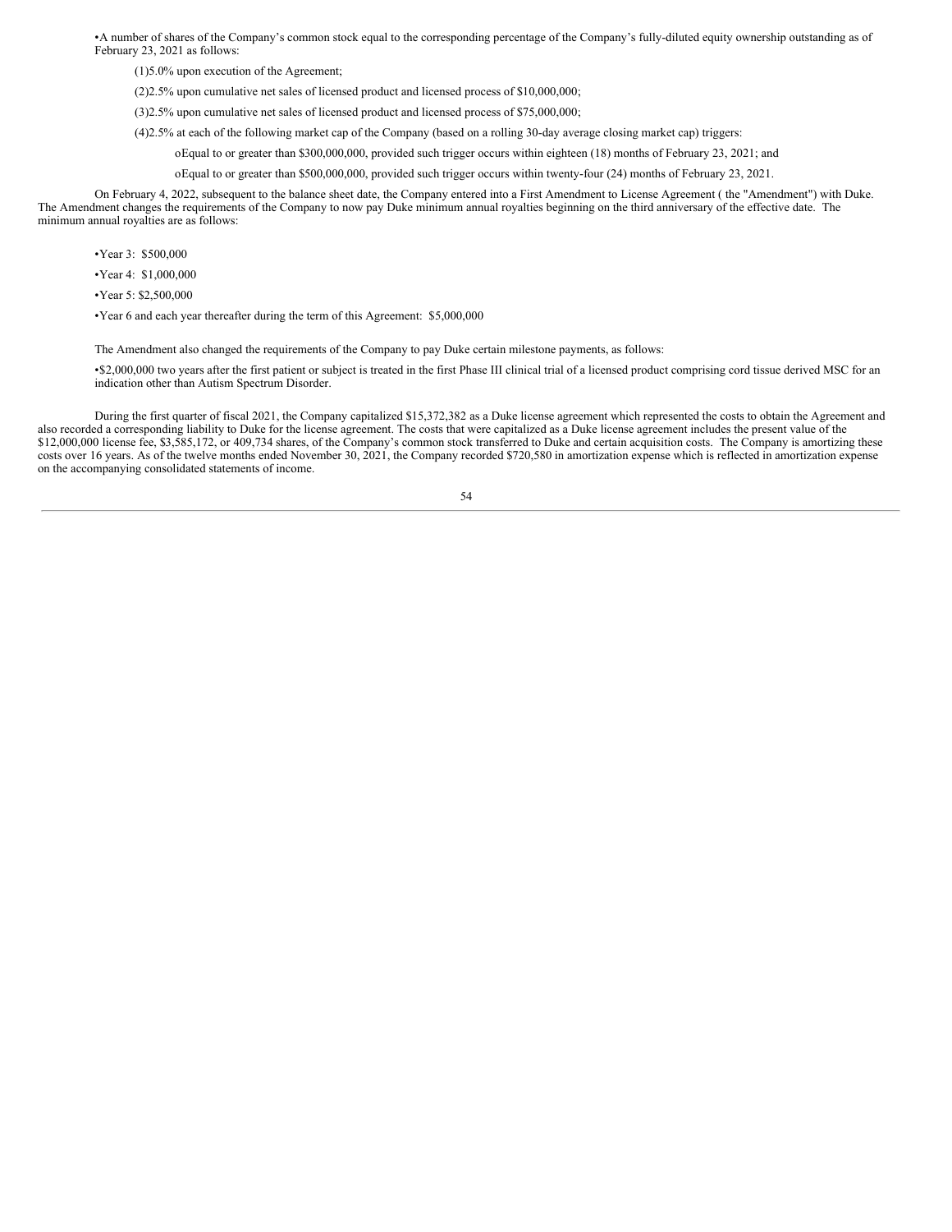•A number of shares of the Company's common stock equal to the corresponding percentage of the Company's fully-diluted equity ownership outstanding as of February 23, 2021 as follows:

(1)5.0% upon execution of the Agreement;

- (2)2.5% upon cumulative net sales of licensed product and licensed process of \$10,000,000;
- (3)2.5% upon cumulative net sales of licensed product and licensed process of \$75,000,000;

(4)2.5% at each of the following market cap of the Company (based on a rolling 30-day average closing market cap) triggers:

oEqual to or greater than \$300,000,000, provided such trigger occurs within eighteen (18) months of February 23, 2021; and

oEqual to or greater than \$500,000,000, provided such trigger occurs within twenty-four (24) months of February 23, 2021.

On February 4, 2022, subsequent to the balance sheet date, the Company entered into a First Amendment to License Agreement ( the "Amendment") with Duke. The Amendment changes the requirements of the Company to now pay Duke minimum annual royalties beginning on the third anniversary of the effective date. The minimum annual royalties are as follows:

•Year 3: \$500,000

•Year 4: \$1,000,000

•Year 5: \$2,500,000

•Year 6 and each year thereafter during the term of this Agreement: \$5,000,000

The Amendment also changed the requirements of the Company to pay Duke certain milestone payments, as follows:

•\$2,000,000 two years after the first patient or subject is treated in the first Phase III clinical trial of a licensed product comprising cord tissue derived MSC for an indication other than Autism Spectrum Disorder.

During the first quarter of fiscal 2021, the Company capitalized \$15,372,382 as a Duke license agreement which represented the costs to obtain the Agreement and also recorded a corresponding liability to Duke for the license agreement. The costs that were capitalized as a Duke license agreement includes the present value of the \$12,000,000 license fee, \$3,585,172, or 409,734 shares, of the Company's common stock transferred to Duke and certain acquisition costs. The Company is amortizing these costs over 16 years. As of the twelve months ended November 30, 2021, the Company recorded \$720,580 in amortization expense which is reflected in amortization expense on the accompanying consolidated statements of income.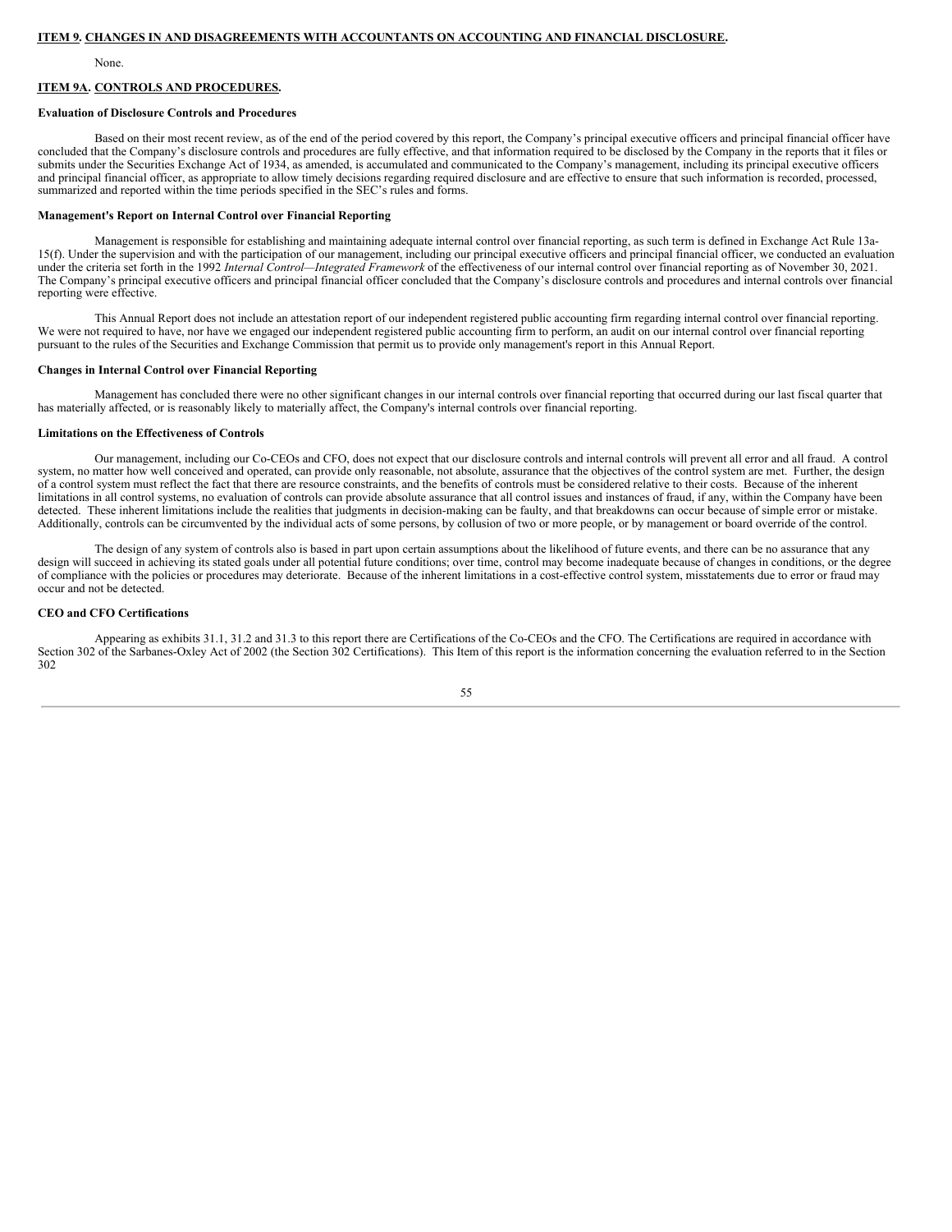# **ITEM 9. CHANGES IN AND DISAGREEMENTS WITH ACCOUNTANTS ON ACCOUNTING AND FINANCIAL DISCLOSURE.**

None.

# **ITEM 9A. CONTROLS AND PROCEDURES.**

# **Evaluation of Disclosure Controls and Procedures**

Based on their most recent review, as of the end of the period covered by this report, the Company's principal executive officers and principal financial officer have concluded that the Company's disclosure controls and procedures are fully effective, and that information required to be disclosed by the Company in the reports that it files or submits under the Securities Exchange Act of 1934, as amended, is accumulated and communicated to the Company's management, including its principal executive officers and principal financial officer, as appropriate to allow timely decisions regarding required disclosure and are effective to ensure that such information is recorded, processed, summarized and reported within the time periods specified in the SEC's rules and forms.

### **Management's Report on Internal Control over Financial Reporting**

Management is responsible for establishing and maintaining adequate internal control over financial reporting, as such term is defined in Exchange Act Rule 13a-15(f). Under the supervision and with the participation of our management, including our principal executive officers and principal financial officer, we conducted an evaluation under the criteria set forth in the 1992 *Internal Control—Integrated Framework* of the effectiveness of our internal control over financial reporting as of November 30, 2021. The Company's principal executive officers and principal financial officer concluded that the Company's disclosure controls and procedures and internal controls over financial reporting were effective.

This Annual Report does not include an attestation report of our independent registered public accounting firm regarding internal control over financial reporting. We were not required to have, nor have we engaged our independent registered public accounting firm to perform, an audit on our internal control over financial reporting pursuant to the rules of the Securities and Exchange Commission that permit us to provide only management's report in this Annual Report.

## **Changes in Internal Control over Financial Reporting**

Management has concluded there were no other significant changes in our internal controls over financial reporting that occurred during our last fiscal quarter that has materially affected, or is reasonably likely to materially affect, the Company's internal controls over financial reporting.

### **Limitations on the Effectiveness of Controls**

Our management, including our Co-CEOs and CFO, does not expect that our disclosure controls and internal controls will prevent all error and all fraud. A control system, no matter how well conceived and operated, can provide only reasonable, not absolute, assurance that the objectives of the control system are met. Further, the design of a control system must reflect the fact that there are resource constraints, and the benefits of controls must be considered relative to their costs. Because of the inherent limitations in all control systems, no evaluation of controls can provide absolute assurance that all control issues and instances of fraud, if any, within the Company have been detected. These inherent limitations include the realities that judgments in decision-making can be faulty, and that breakdowns can occur because of simple error or mistake. Additionally, controls can be circumvented by the individual acts of some persons, by collusion of two or more people, or by management or board override of the control.

The design of any system of controls also is based in part upon certain assumptions about the likelihood of future events, and there can be no assurance that any design will succeed in achieving its stated goals under all potential future conditions; over time, control may become inadequate because of changes in conditions, or the degree of compliance with the policies or procedures may deteriorate. Because of the inherent limitations in a cost-effective control system, misstatements due to error or fraud may occur and not be detected.

### **CEO and CFO Certifications**

Appearing as exhibits 31.1, 31.2 and 31.3 to this report there are Certifications of the Co-CEOs and the CFO. The Certifications are required in accordance with Section 302 of the Sarbanes-Oxley Act of 2002 (the Section 302 Certifications). This Item of this report is the information concerning the evaluation referred to in the Section 302

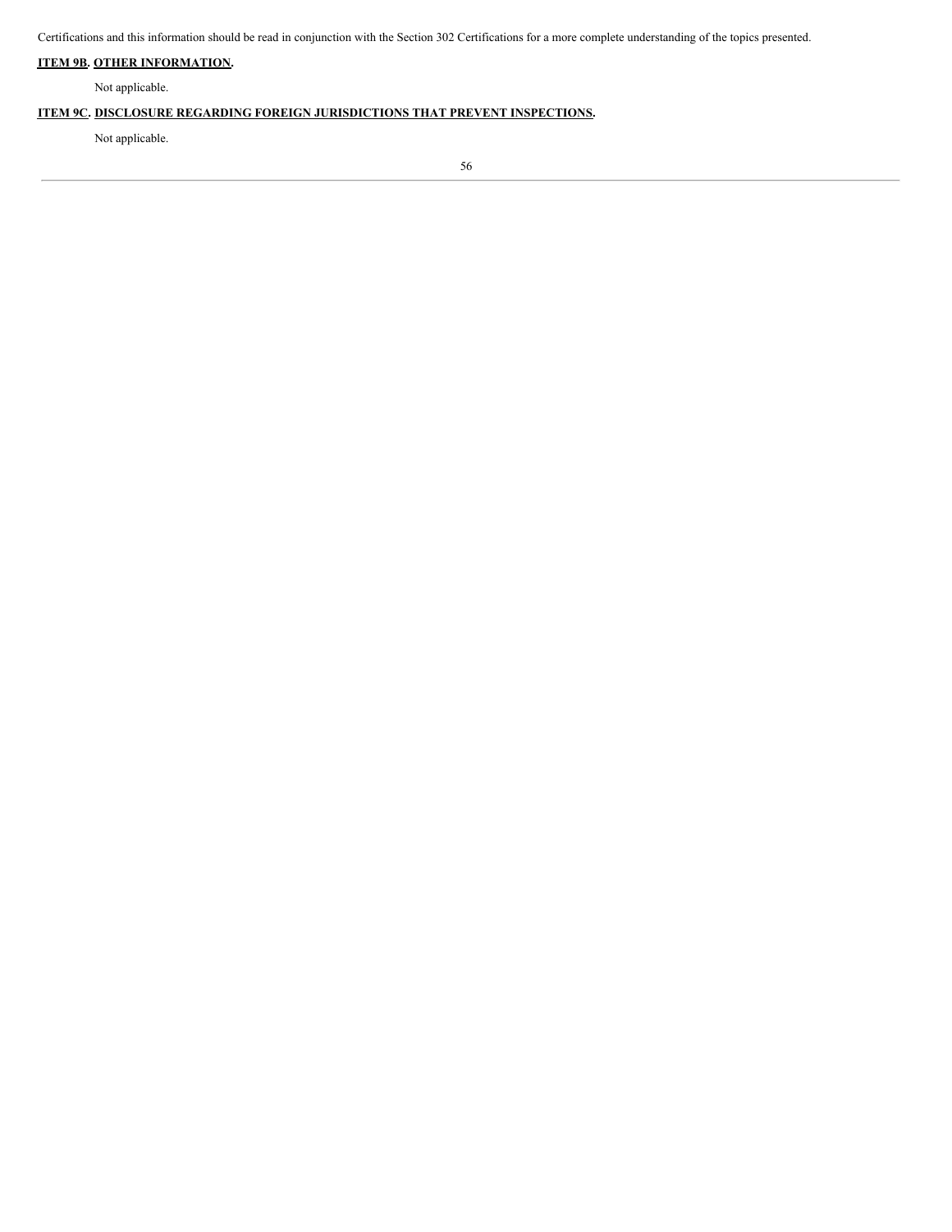Certifications and this information should be read in conjunction with the Section 302 Certifications for a more complete understanding of the topics presented.

# **ITEM 9B. OTHER INFORMATION.**

Not applicable.

# **ITEM 9C. DISCLOSURE REGARDING FOREIGN JURISDICTIONS THAT PREVENT INSPECTIONS.**

Not applicable.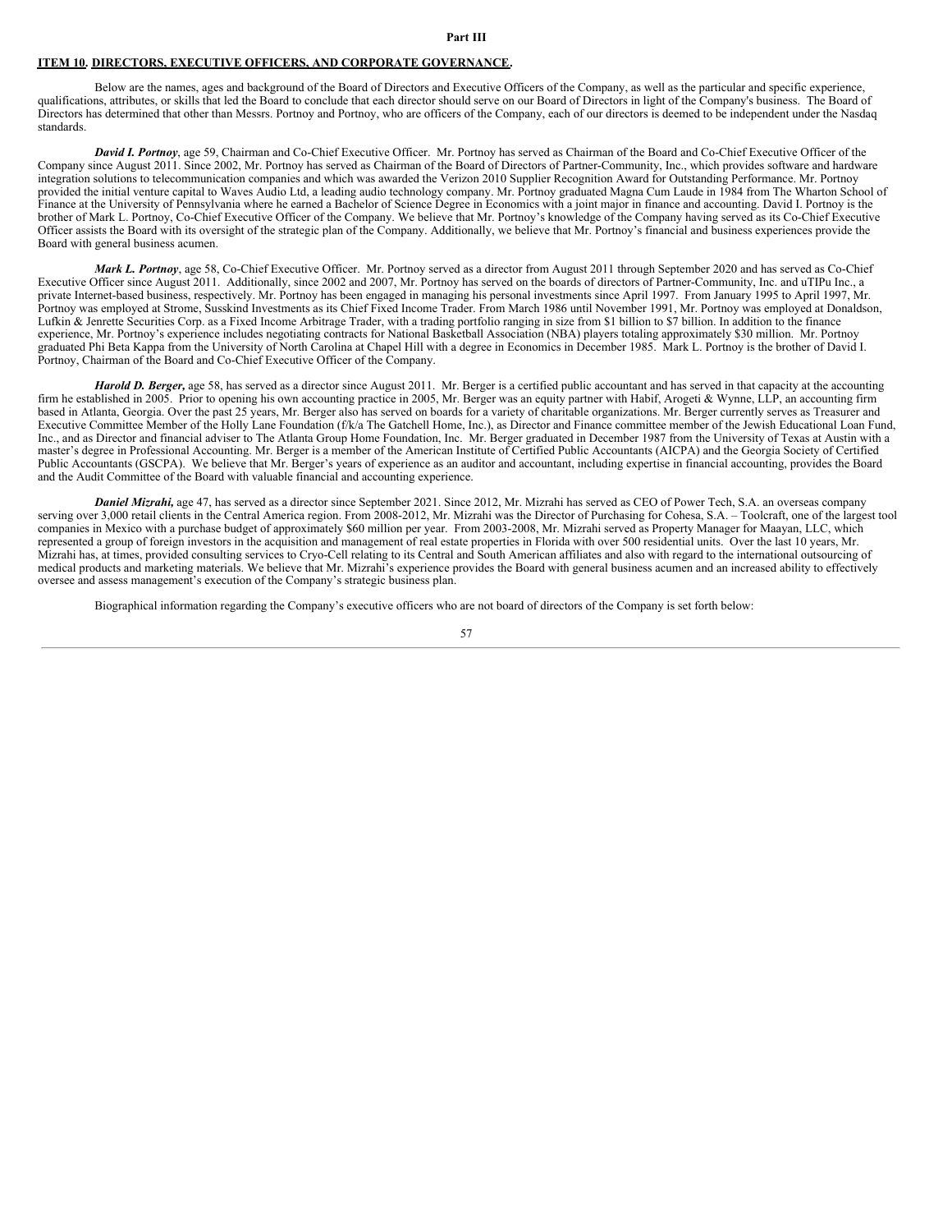# **ITEM 10. DIRECTORS, EXECUTIVE OFFICERS, AND CORPORATE GOVERNANCE.**

Below are the names, ages and background of the Board of Directors and Executive Officers of the Company, as well as the particular and specific experience, qualifications, attributes, or skills that led the Board to conclude that each director should serve on our Board of Directors in light of the Company's business. The Board of Directors has determined that other than Messrs. Portnoy and Portnoy, who are officers of the Company, each of our directors is deemed to be independent under the Nasdaq standards.

*David I. Portnoy*, age 59, Chairman and Co-Chief Executive Officer. Mr. Portnoy has served as Chairman of the Board and Co-Chief Executive Officer of the Company since August 2011. Since 2002, Mr. Portnoy has served as Chairman of the Board of Directors of Partner-Community, Inc., which provides software and hardware integration solutions to telecommunication companies and which was awarded the Verizon 2010 Supplier Recognition Award for Outstanding Performance. Mr. Portnoy provided the initial venture capital to Waves Audio Ltd, a leading audio technology company. Mr. Portnoy graduated Magna Cum Laude in 1984 from The Wharton School of Finance at the University of Pennsylvania where he earned a Bachelor of Science Degree in Economics with a joint major in finance and accounting. David I. Portnoy is the brother of Mark L. Portnoy, Co-Chief Executive Officer of the Company. We believe that Mr. Portnoy's knowledge of the Company having served as its Co-Chief Executive Officer assists the Board with its oversight of the strategic plan of the Company. Additionally, we believe that Mr. Portnoy's financial and business experiences provide the Board with general business acumen.

*Mark L. Portnoy*, age 58, Co-Chief Executive Officer. Mr. Portnoy served as a director from August 2011 through September 2020 and has served as Co-Chief Executive Officer since August 2011. Additionally, since 2002 and 2007, Mr. Portnoy has served on the boards of directors of Partner-Community, Inc. and uTIPu Inc., a private Internet-based business, respectively. Mr. Portnoy has been engaged in managing his personal investments since April 1997. From January 1995 to April 1997, Mr. Portnoy was employed at Strome, Susskind Investments as its Chief Fixed Income Trader. From March 1986 until November 1991, Mr. Portnoy was employed at Donaldson, Lufkin & Jenrette Securities Corp. as a Fixed Income Arbitrage Trader, with a trading portfolio ranging in size from \$1 billion to \$7 billion. In addition to the finance experience, Mr. Portnoy's experience includes negotiating contracts for National Basketball Association (NBA) players totaling approximately \$30 million. Mr. Portnoy graduated Phi Beta Kappa from the University of North Carolina at Chapel Hill with a degree in Economics in December 1985. Mark L. Portnoy is the brother of David I. Portnoy, Chairman of the Board and Co-Chief Executive Officer of the Company.

*Harold D. Berger,* age 58, has served as a director since August 2011. Mr. Berger is a certified public accountant and has served in that capacity at the accounting firm he established in 2005. Prior to opening his own accounting practice in 2005, Mr. Berger was an equity partner with Habif, Arogeti & Wynne, LLP, an accounting firm based in Atlanta, Georgia. Over the past 25 years, Mr. Berger also has served on boards for a variety of charitable organizations. Mr. Berger currently serves as Treasurer and Executive Committee Member of the Holly Lane Foundation (f/k/a The Gatchell Home, Inc.), as Director and Finance committee member of the Jewish Educational Loan Fund, Inc., and as Director and financial adviser to The Atlanta Group Home Foundation, Inc. Mr. Berger graduated in December 1987 from the University of Texas at Austin with a master's degree in Professional Accounting. Mr. Berger is a member of the American Institute of Certified Public Accountants (AICPA) and the Georgia Society of Certified Public Accountants (GSCPA). We believe that Mr. Berger's years of experience as an auditor and accountant, including expertise in financial accounting, provides the Board and the Audit Committee of the Board with valuable financial and accounting experience.

*Daniel Mizrahi,* age 47, has served as a director since September 2021. Since 2012, Mr. Mizrahi has served as CEO of Power Tech, S.A. an overseas company serving over 3,000 retail clients in the Central America region. From 2008-2012, Mr. Mizrahi was the Director of Purchasing for Cohesa, S.A. - Toolcraft, one of the largest tool companies in Mexico with a purchase budget of approximately \$60 million per year. From 2003-2008, Mr. Mizrahi served as Property Manager for Maayan, LLC, which represented a group of foreign investors in the acquisition and management of real estate properties in Florida with over 500 residential units. Over the last 10 years, Mr. Mizrahi has, at times, provided consulting services to Cryo-Cell relating to its Central and South American affiliates and also with regard to the international outsourcing of medical products and marketing materials. We believe that Mr. Mizrahi's experience provides the Board with general business acumen and an increased ability to effectively oversee and assess management's execution of the Company's strategic business plan.

Biographical information regarding the Company's executive officers who are not board of directors of the Company is set forth below: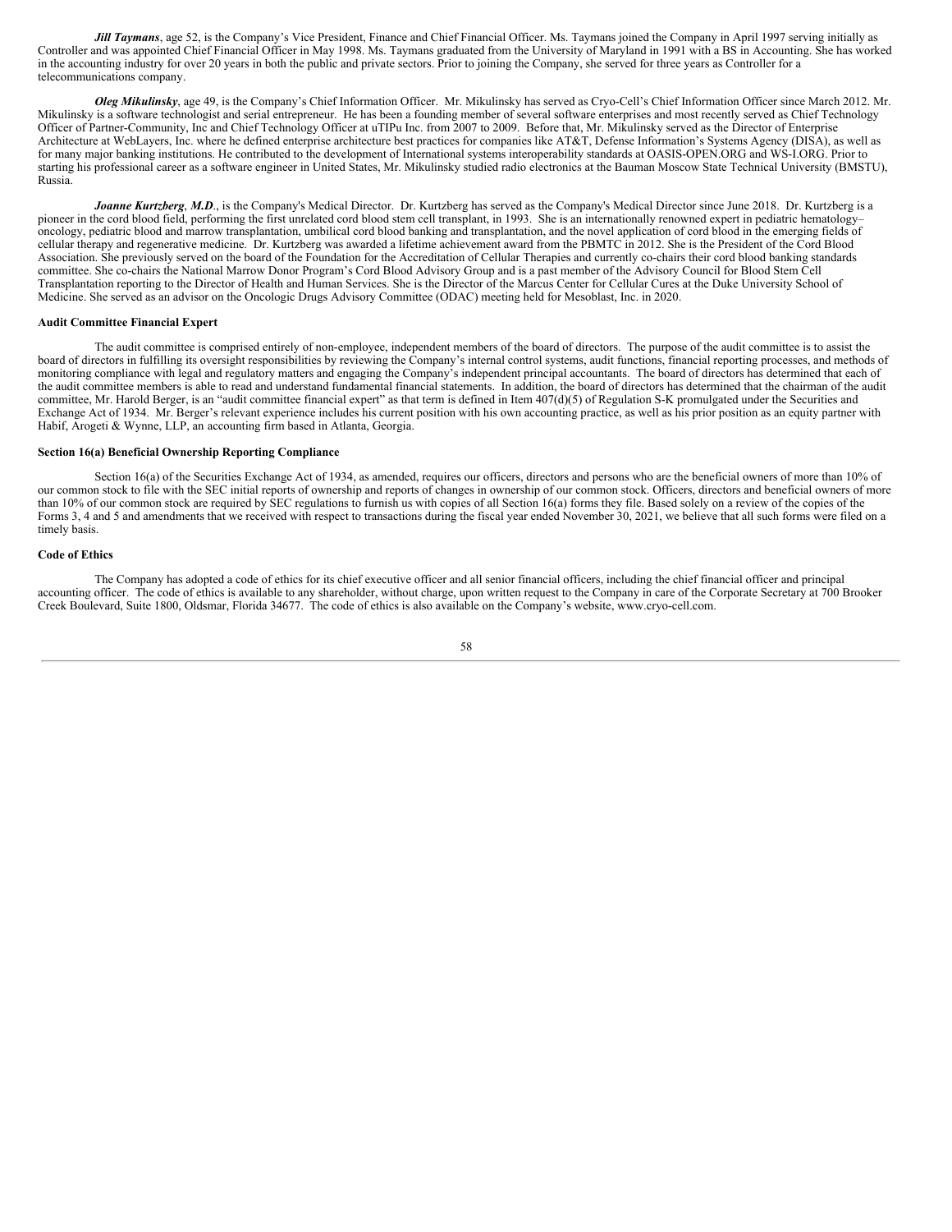*Jill Taymans*, age 52, is the Company's Vice President, Finance and Chief Financial Officer. Ms. Taymans joined the Company in April 1997 serving initially as Controller and was appointed Chief Financial Officer in May 1998. Ms. Taymans graduated from the University of Maryland in 1991 with a BS in Accounting. She has worked in the accounting industry for over 20 years in both the public and private sectors. Prior to joining the Company, she served for three years as Controller for a telecommunications company.

*Oleg Mikulinsky*, age 49, is the Company's Chief Information Officer. Mr. Mikulinsky has served as Cryo-Cell's Chief Information Officer since March 2012. Mr. Mikulinsky is a software technologist and serial entrepreneur. He has been a founding member of several software enterprises and most recently served as Chief Technology Officer of Partner-Community, Inc and Chief Technology Officer at uTIPu Inc. from 2007 to 2009. Before that, Mr. Mikulinsky served as the Director of Enterprise Architecture at WebLayers, Inc. where he defined enterprise architecture best practices for companies like AT&T, Defense Information's Systems Agency (DISA), as well as for many major banking institutions. He contributed to the development of International systems interoperability standards at OASIS-OPEN.ORG and WS-I.ORG. Prior to starting his professional career as a software engineer in United States, Mr. Mikulinsky studied radio electronics at the Bauman Moscow State Technical University (BMSTU), Russia.

*Joanne Kurtzberg*, *M.D*., is the Company's Medical Director. Dr. Kurtzberg has served as the Company's Medical Director since June 2018. Dr. Kurtzberg is a pioneer in the cord blood field, performing the first unrelated cord blood stem cell transplant, in 1993. She is an internationally renowned expert in pediatric hematology– oncology, pediatric blood and marrow transplantation, umbilical cord blood banking and transplantation, and the novel application of cord blood in the emerging fields of cellular therapy and regenerative medicine. Dr. Kurtzberg was awarded a lifetime achievement award from the PBMTC in 2012. She is the President of the Cord Blood Association. She previously served on the board of the Foundation for the Accreditation of Cellular Therapies and currently co-chairs their cord blood banking standards committee. She co-chairs the National Marrow Donor Program's Cord Blood Advisory Group and is a past member of the Advisory Council for Blood Stem Cell Transplantation reporting to the Director of Health and Human Services. She is the Director of the Marcus Center for Cellular Cures at the Duke University School of Medicine. She served as an advisor on the Oncologic Drugs Advisory Committee (ODAC) meeting held for Mesoblast, Inc. in 2020.

# **Audit Committee Financial Expert**

The audit committee is comprised entirely of non-employee, independent members of the board of directors. The purpose of the audit committee is to assist the board of directors in fulfilling its oversight responsibilities by reviewing the Company's internal control systems, audit functions, financial reporting processes, and methods of monitoring compliance with legal and regulatory matters and engaging the Company's independent principal accountants. The board of directors has determined that each of the audit committee members is able to read and understand fundamental financial statements. In addition, the board of directors has determined that the chairman of the audit committee, Mr. Harold Berger, is an "audit committee financial expert" as that term is defined in Item 407(d)(5) of Regulation S-K promulgated under the Securities and Exchange Act of 1934. Mr. Berger's relevant experience includes his current position with his own accounting practice, as well as his prior position as an equity partner with Habif, Arogeti & Wynne, LLP, an accounting firm based in Atlanta, Georgia.

### **Section 16(a) Beneficial Ownership Reporting Compliance**

Section 16(a) of the Securities Exchange Act of 1934, as amended, requires our officers, directors and persons who are the beneficial owners of more than 10% of our common stock to file with the SEC initial reports of ownership and reports of changes in ownership of our common stock. Officers, directors and beneficial owners of more than 10% of our common stock are required by SEC regulations to furnish us with copies of all Section 16(a) forms they file. Based solely on a review of the copies of the Forms 3, 4 and 5 and amendments that we received with respect to transactions during the fiscal year ended November 30, 2021, we believe that all such forms were filed on a timely basis.

# **Code of Ethics**

The Company has adopted a code of ethics for its chief executive officer and all senior financial officers, including the chief financial officer and principal accounting officer. The code of ethics is available to any shareholder, without charge, upon written request to the Company in care of the Corporate Secretary at 700 Brooker Creek Boulevard, Suite 1800, Oldsmar, Florida 34677. The code of ethics is also available on the Company's website, www.cryo-cell.com.

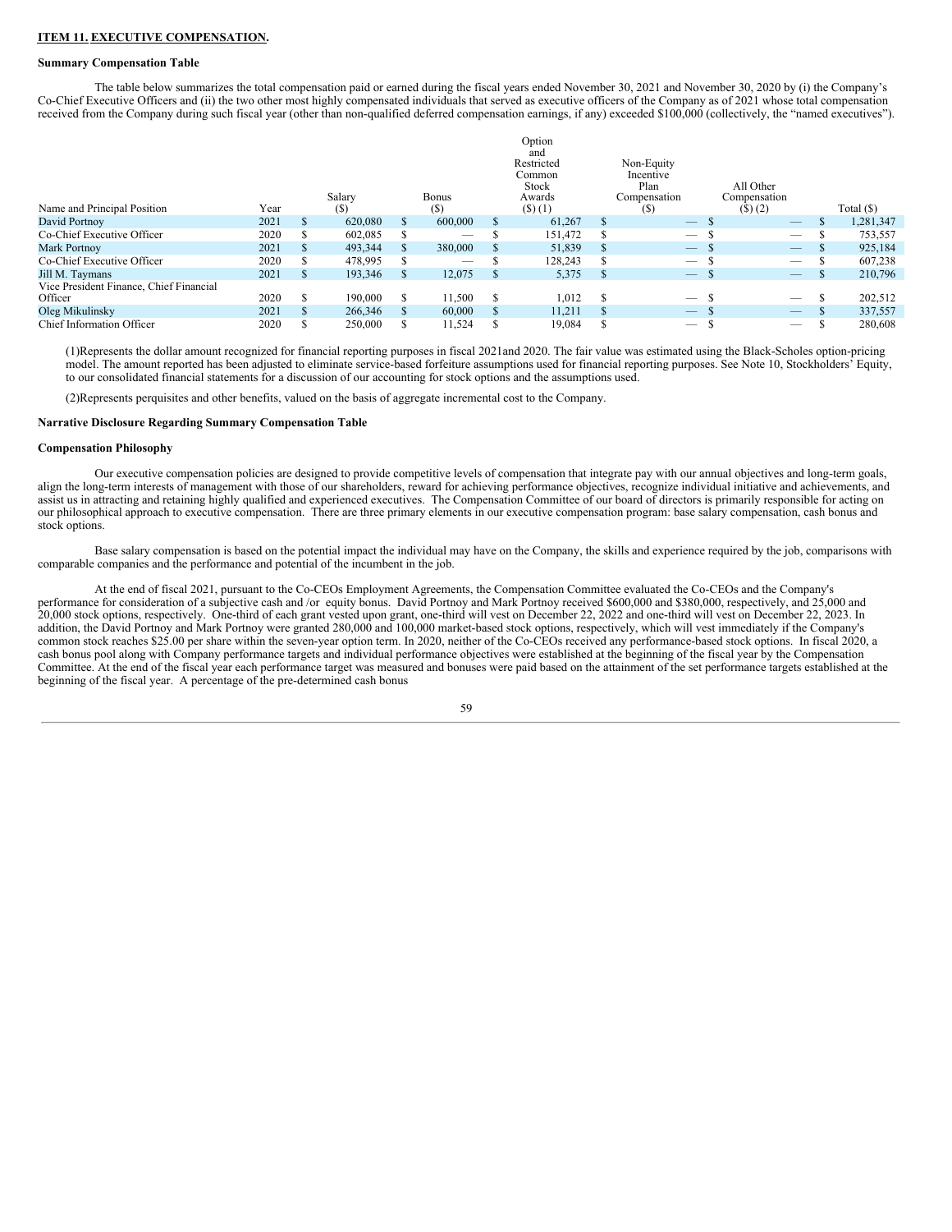# **ITEM 11. EXECUTIVE COMPENSATION.**

### **Summary Compensation Table**

The table below summarizes the total compensation paid or earned during the fiscal years ended November 30, 2021 and November 30, 2020 by (i) the Company's Co-Chief Executive Officers and (ii) the two other most highly compensated individuals that served as executive officers of the Company as of 2021 whose total compensation received from the Company during such fiscal year (other than non-qualified deferred compensation earnings, if any) exceeded \$100,000 (collectively, the "named executives").

|                                         |      |               |     |                     |   | Option                                                          |   |                                                        |   |                                            |   |              |
|-----------------------------------------|------|---------------|-----|---------------------|---|-----------------------------------------------------------------|---|--------------------------------------------------------|---|--------------------------------------------|---|--------------|
| Name and Principal Position             | Year | Salary<br>(S) |     | <b>Bonus</b><br>(S) |   | and<br>Restricted<br>Common<br>Stock<br>Awards<br>$($ \$ $)(1)$ |   | Non-Equity<br>Incentive<br>Plan<br>Compensation<br>(S) |   | All Other<br>Compensation<br>$($ \$) $(2)$ |   | Total $(\$)$ |
| David Portnoy                           | 2021 | 620,080       |     | 600,000             |   | 61,267                                                          |   | $\hspace{0.1mm}-\hspace{0.1mm}$                        |   | $\qquad \qquad \longleftarrow$             |   | 1,281,347    |
| Co-Chief Executive Officer              | 2020 | 602.085       | \$. |                     |   | 151.472                                                         |   | $\overline{\phantom{m}}$                               |   | $\frac{1}{2}$                              |   | 753,557      |
| Mark Portnoy                            | 2021 | 493,344       | J.  | 380,000             |   | 51,839                                                          |   | $\hspace{0.1mm}-\hspace{0.1mm}$                        |   | $\qquad \qquad -$                          |   | 925,184      |
| Co-Chief Executive Officer              | 2020 | 478,995       | \$. |                     |   | 128.243                                                         |   | $\overline{\phantom{m}}$                               |   | $\overline{\phantom{m}}$                   |   | 607.238      |
| Jill M. Taymans                         | 2021 | 193,346       | S   | 12,075              | S | 5,375                                                           | ъ | $\hspace{0.1mm}-\hspace{0.1mm}$                        | D | $-$                                        | D | 210,796      |
| Vice President Finance, Chief Financial |      |               |     |                     |   |                                                                 |   |                                                        |   |                                            |   |              |
| Officer                                 | 2020 | 190,000       |     | 11.500              |   | 1,012                                                           |   | $\overline{\phantom{m}}$                               |   | $\frac{1}{2}$                              |   | 202,512      |
| Oleg Mikulinsky                         | 2021 | 266,346       |     | 60,000              |   | 11,211                                                          |   | $\overline{\phantom{m}}$                               |   | $\qquad \qquad -$                          |   | 337,557      |
| Chief Information Officer               | 2020 | 250,000       |     | 11.524              |   | 19.084                                                          |   | $\hspace{0.1mm}-\hspace{0.1mm}$                        |   | $\overline{\phantom{m}}$                   |   | 280,608      |

(1)Represents the dollar amount recognized for financial reporting purposes in fiscal 2021and 2020. The fair value was estimated using the Black-Scholes option-pricing model. The amount reported has been adjusted to eliminate service-based forfeiture assumptions used for financial reporting purposes. See Note 10, Stockholders' Equity, to our consolidated financial statements for a discussion of our accounting for stock options and the assumptions used.

(2)Represents perquisites and other benefits, valued on the basis of aggregate incremental cost to the Company.

### **Narrative Disclosure Regarding Summary Compensation Table**

# **Compensation Philosophy**

Our executive compensation policies are designed to provide competitive levels of compensation that integrate pay with our annual objectives and long-term goals, align the long-term interests of management with those of our shareholders, reward for achieving performance objectives, recognize individual initiative and achievements, and assist us in attracting and retaining highly qualified and experienced executives. The Compensation Committee of our board of directors is primarily responsible for acting on our philosophical approach to executive compensation. There are three primary elements in our executive compensation program: base salary compensation, cash bonus and stock options.

Base salary compensation is based on the potential impact the individual may have on the Company, the skills and experience required by the job, comparisons with comparable companies and the performance and potential of the incumbent in the job.

At the end of fiscal 2021, pursuant to the Co-CEOs Employment Agreements, the Compensation Committee evaluated the Co-CEOs and the Company's performance for consideration of a subjective cash and /or equity bonus. David Portnoy and Mark Portnoy received \$600,000 and \$380,000, respectively, and 25,000 and 20,000 stock options, respectively. One-third of each grant vested upon grant, one-third will vest on December 22, 2022 and one-third will vest on December 22, 2023. In addition, the David Portnoy and Mark Portnoy were granted 280,000 and 100,000 market-based stock options, respectively, which will vest immediately if the Company's common stock reaches \$25.00 per share within the seven-year option term. In 2020, neither of the Co-CEOs received any performance-based stock options. In fiscal 2020, a cash bonus pool along with Company performance targets and individual performance objectives were established at the beginning of the fiscal year by the Compensation Committee. At the end of the fiscal year each performance target was measured and bonuses were paid based on the attainment of the set performance targets established at the beginning of the fiscal year. A percentage of the pre-determined cash bonus

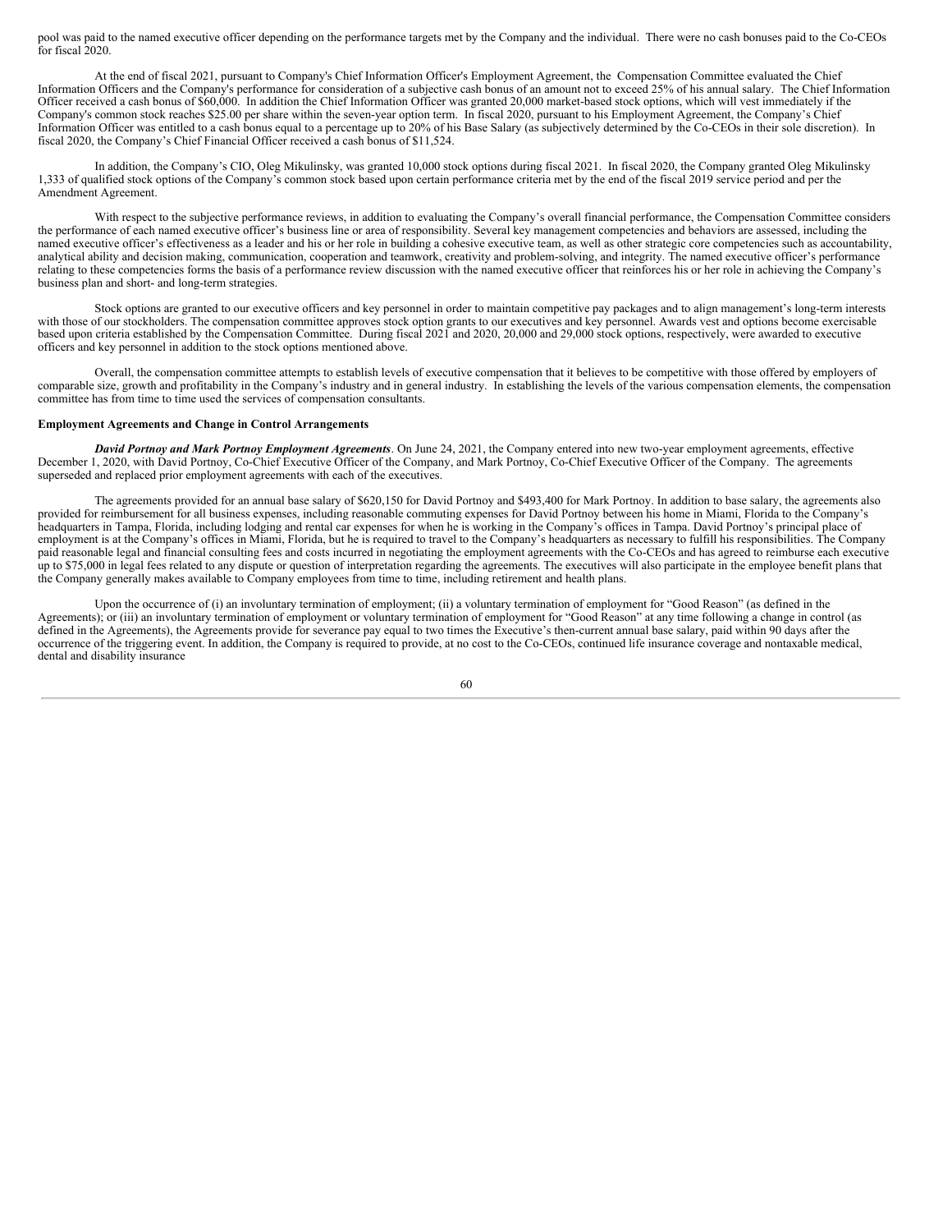pool was paid to the named executive officer depending on the performance targets met by the Company and the individual. There were no cash bonuses paid to the Co-CEOs for fiscal 2020.

At the end of fiscal 2021, pursuant to Company's Chief Information Officer's Employment Agreement, the Compensation Committee evaluated the Chief Information Officers and the Company's performance for consideration of a subjective cash bonus of an amount not to exceed 25% of his annual salary. The Chief Information Officer received a cash bonus of \$60,000. In addition the Chief Information Officer was granted 20,000 market-based stock options, which will vest immediately if the Company's common stock reaches \$25.00 per share within the seven-year option term. In fiscal 2020, pursuant to his Employment Agreement, the Company's Chief Information Officer was entitled to a cash bonus equal to a percentage up to 20% of his Base Salary (as subjectively determined by the Co-CEOs in their sole discretion). In fiscal 2020, the Company's Chief Financial Officer received a cash bonus of \$11,524.

In addition, the Company's CIO, Oleg Mikulinsky, was granted 10,000 stock options during fiscal 2021. In fiscal 2020, the Company granted Oleg Mikulinsky 1,333 of qualified stock options of the Company's common stock based upon certain performance criteria met by the end of the fiscal 2019 service period and per the Amendment Agreement.

With respect to the subjective performance reviews, in addition to evaluating the Company's overall financial performance, the Compensation Committee considers the performance of each named executive officer's business line or area of responsibility. Several key management competencies and behaviors are assessed, including the named executive officer's effectiveness as a leader and his or her role in building a cohesive executive team, as well as other strategic core competencies such as accountability. analytical ability and decision making, communication, cooperation and teamwork, creativity and problem-solving, and integrity. The named executive officer's performance relating to these competencies forms the basis of a performance review discussion with the named executive officer that reinforces his or her role in achieving the Company's business plan and short- and long-term strategies.

Stock options are granted to our executive officers and key personnel in order to maintain competitive pay packages and to align management's long-term interests with those of our stockholders. The compensation committee approves stock option grants to our executives and key personnel. Awards vest and options become exercisable based upon criteria established by the Compensation Committee. During fiscal 2021 and 2020, 20,000 and 29,000 stock options, respectively, were awarded to executive officers and key personnel in addition to the stock options mentioned above.

Overall, the compensation committee attempts to establish levels of executive compensation that it believes to be competitive with those offered by employers of comparable size, growth and profitability in the Company's industry and in general industry. In establishing the levels of the various compensation elements, the compensation committee has from time to time used the services of compensation consultants.

### **Employment Agreements and Change in Control Arrangements**

*David Portnoy and Mark Portnoy Employment Agreements*. On June 24, 2021, the Company entered into new two-year employment agreements, effective December 1, 2020, with David Portnoy, Co-Chief Executive Officer of the Company, and Mark Portnoy, Co-Chief Executive Officer of the Company. The agreements superseded and replaced prior employment agreements with each of the executives.

The agreements provided for an annual base salary of \$620,150 for David Portnoy and \$493,400 for Mark Portnoy. In addition to base salary, the agreements also provided for reimbursement for all business expenses, including reasonable commuting expenses for David Portnoy between his home in Miami, Florida to the Company's headquarters in Tampa, Florida, including lodging and rental car expenses for when he is working in the Company's offices in Tampa. David Portnoy's principal place of employment is at the Company's offices in Miami, Florida, but he is required to travel to the Company's headquarters as necessary to fulfill his responsibilities. The Company paid reasonable legal and financial consulting fees and costs incurred in negotiating the employment agreements with the Co-CEOs and has agreed to reimburse each executive up to \$75,000 in legal fees related to any dispute or question of interpretation regarding the agreements. The executives will also participate in the employee benefit plans that the Company generally makes available to Company employees from time to time, including retirement and health plans.

Upon the occurrence of (i) an involuntary termination of employment; (ii) a voluntary termination of employment for "Good Reason" (as defined in the Agreements); or (iii) an involuntary termination of employment or voluntary termination of employment for "Good Reason" at any time following a change in control (as defined in the Agreements), the Agreements provide for severance pay equal to two times the Executive's then-current annual base salary, paid within 90 days after the occurrence of the triggering event. In addition, the Company is required to provide, at no cost to the Co-CEOs, continued life insurance coverage and nontaxable medical, dental and disability insurance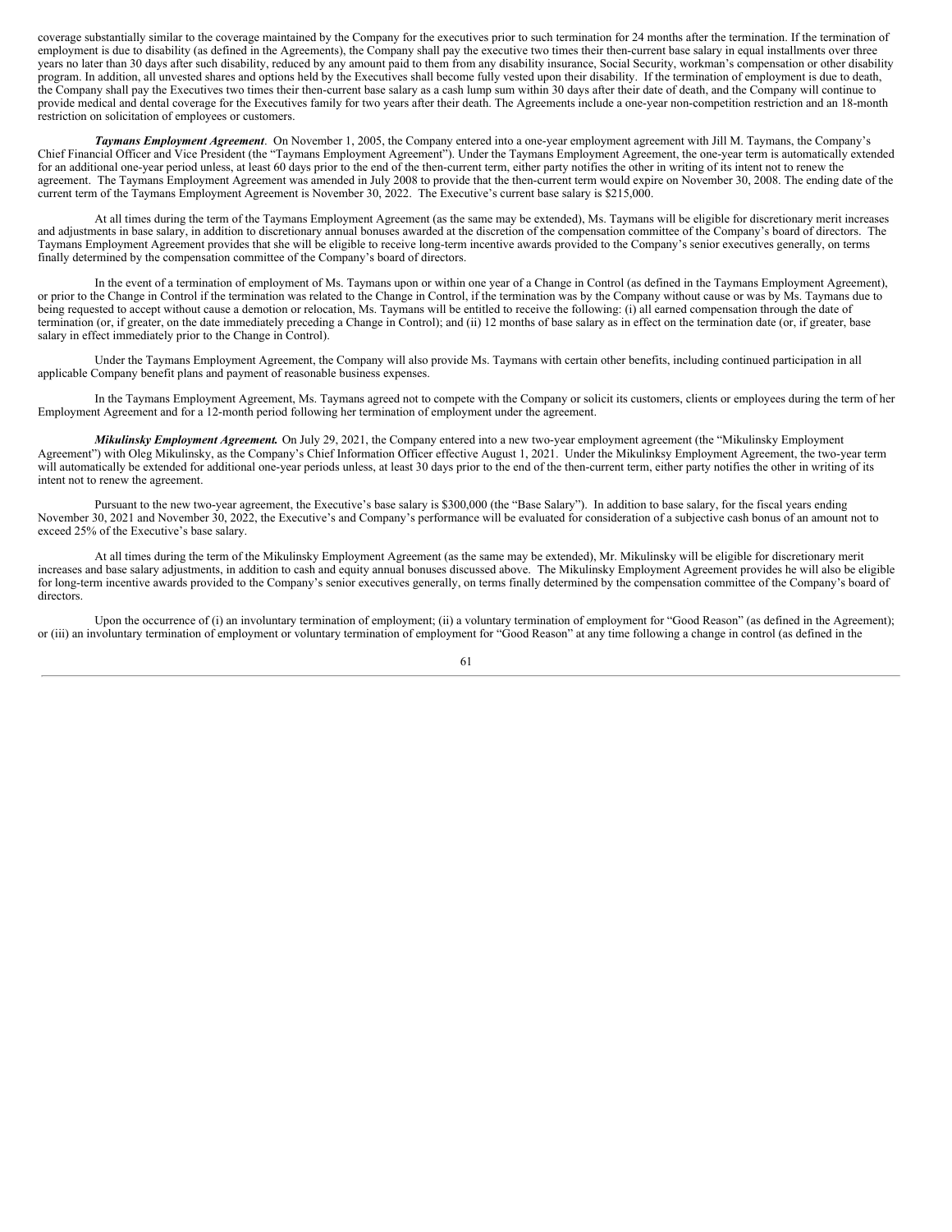coverage substantially similar to the coverage maintained by the Company for the executives prior to such termination for 24 months after the termination. If the termination of employment is due to disability (as defined in the Agreements), the Company shall pay the executive two times their then-current base salary in equal installments over three years no later than 30 days after such disability, reduced by any amount paid to them from any disability insurance, Social Security, workman's compensation or other disability program. In addition, all unvested shares and options held by the Executives shall become fully vested upon their disability. If the termination of employment is due to death, the Company shall pay the Executives two times their then-current base salary as a cash lump sum within 30 days after their date of death, and the Company will continue to provide medical and dental coverage for the Executives family for two years after their death. The Agreements include a one-year non-competition restriction and an 18-month restriction on solicitation of employees or customers.

*Taymans Employment Agreement*. On November 1, 2005, the Company entered into a one-year employment agreement with Jill M. Taymans, the Company's Chief Financial Officer and Vice President (the "Taymans Employment Agreement"). Under the Taymans Employment Agreement, the one-year term is automatically extended for an additional one-year period unless, at least 60 days prior to the end of the then-current term, either party notifies the other in writing of its intent not to renew the agreement. The Taymans Employment Agreement was amended in July 2008 to provide that the then-current term would expire on November 30, 2008. The ending date of the current term of the Taymans Employment Agreement is November 30, 2022. The Executive's current base salary is \$215,000.

At all times during the term of the Taymans Employment Agreement (as the same may be extended), Ms. Taymans will be eligible for discretionary merit increases and adjustments in base salary, in addition to discretionary annual bonuses awarded at the discretion of the compensation committee of the Company's board of directors. The Taymans Employment Agreement provides that she will be eligible to receive long-term incentive awards provided to the Company's senior executives generally, on terms finally determined by the compensation committee of the Company's board of directors.

In the event of a termination of employment of Ms. Taymans upon or within one year of a Change in Control (as defined in the Taymans Employment Agreement), or prior to the Change in Control if the termination was related to the Change in Control, if the termination was by the Company without cause or was by Ms. Taymans due to being requested to accept without cause a demotion or relocation, Ms. Taymans will be entitled to receive the following: (i) all earned compensation through the date of termination (or, if greater, on the date immediately preceding a Change in Control); and (ii) 12 months of base salary as in effect on the termination date (or, if greater, base salary in effect immediately prior to the Change in Control).

Under the Taymans Employment Agreement, the Company will also provide Ms. Taymans with certain other benefits, including continued participation in all applicable Company benefit plans and payment of reasonable business expenses.

In the Taymans Employment Agreement, Ms. Taymans agreed not to compete with the Company or solicit its customers, clients or employees during the term of her Employment Agreement and for a 12-month period following her termination of employment under the agreement.

*Mikulinsky Employment Agreement.* On July 29, 2021, the Company entered into a new two-year employment agreement (the "Mikulinsky Employment Agreement") with Oleg Mikulinsky, as the Company's Chief Information Officer effective August 1, 2021. Under the Mikulinksy Employment Agreement, the two-year term will automatically be extended for additional one-year periods unless, at least 30 days prior to the end of the then-current term, either party notifies the other in writing of its intent not to renew the agreement.

Pursuant to the new two-year agreement, the Executive's base salary is \$300,000 (the "Base Salary"). In addition to base salary, for the fiscal years ending November 30, 2021 and November 30, 2022, the Executive's and Company's performance will be evaluated for consideration of a subjective cash bonus of an amount not to exceed 25% of the Executive's base salary.

At all times during the term of the Mikulinsky Employment Agreement (as the same may be extended), Mr. Mikulinsky will be eligible for discretionary merit increases and base salary adjustments, in addition to cash and equity annual bonuses discussed above. The Mikulinsky Employment Agreement provides he will also be eligible for long-term incentive awards provided to the Company's senior executives generally, on terms finally determined by the compensation committee of the Company's board of directors.

Upon the occurrence of (i) an involuntary termination of employment; (ii) a voluntary termination of employment for "Good Reason" (as defined in the Agreement); or (iii) an involuntary termination of employment or voluntary termination of employment for "Good Reason" at any time following a change in control (as defined in the

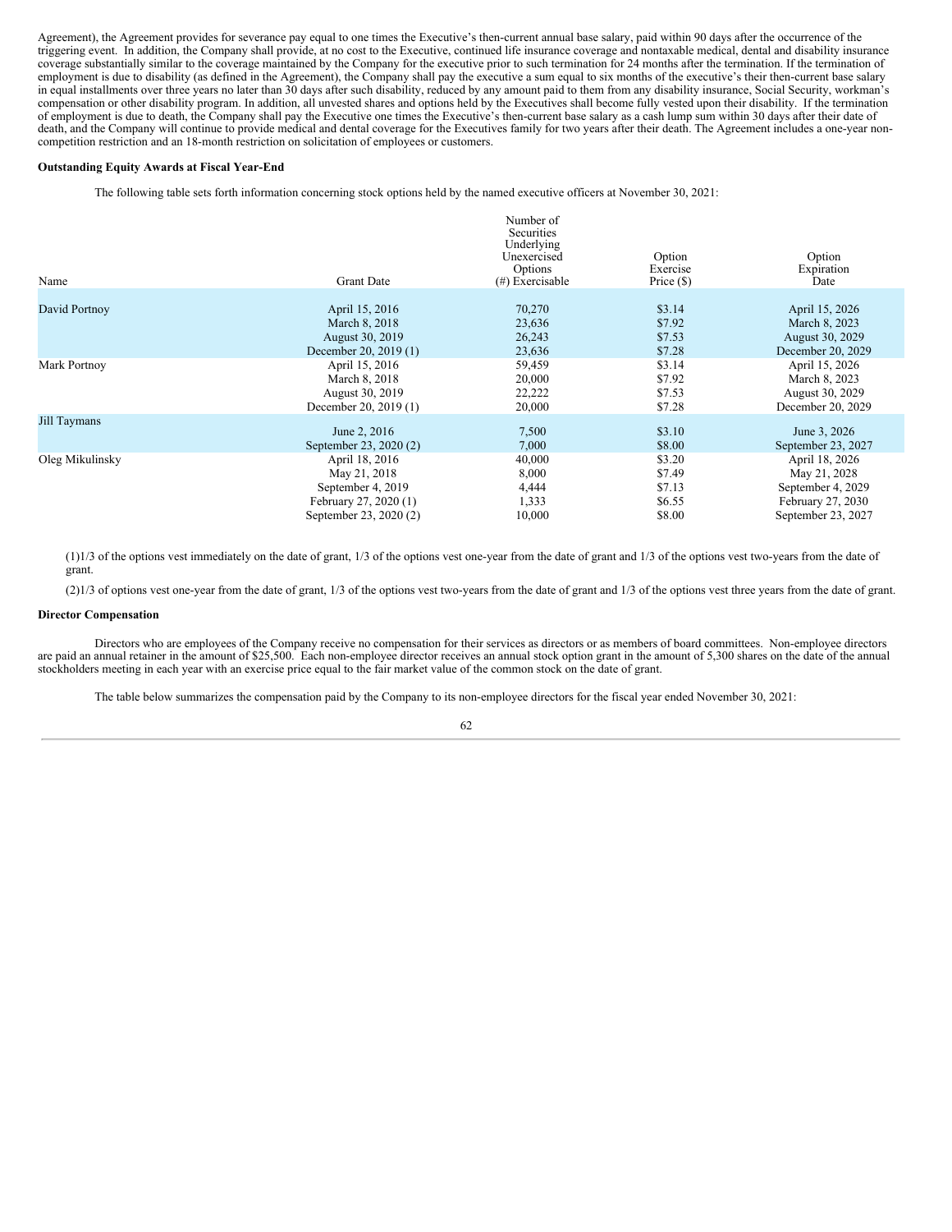Agreement), the Agreement provides for severance pay equal to one times the Executive's then-current annual base salary, paid within 90 days after the occurrence of the triggering event. In addition, the Company shall provide, at no cost to the Executive, continued life insurance coverage and nontaxable medical, dental and disability insurance coverage substantially similar to the coverage maintained by the Company for the executive prior to such termination for 24 months after the termination. If the termination of employment is due to disability (as defined in the Agreement), the Company shall pay the executive a sum equal to six months of the executive's their then-current base salary in equal installments over three years no later than 30 days after such disability, reduced by any amount paid to them from any disability insurance, Social Security, workman's compensation or other disability program. In addition, all unvested shares and options held by the Executives shall become fully vested upon their disability. If the termination of employment is due to death, the Company shall pay the Executive one times the Executive's then-current base salary as a cash lump sum within 30 days after their date of death, and the Company will continue to provide medical and dental coverage for the Executives family for two years after their death. The Agreement includes a one-year noncompetition restriction and an 18-month restriction on solicitation of employees or customers.

### **Outstanding Equity Awards at Fiscal Year-End**

The following table sets forth information concerning stock options held by the named executive officers at November 30, 2021:

| Name            | <b>Grant Date</b>      | Number of<br>Securities<br>Underlying<br>Unexercised<br>Options<br>$(\#)$ Exercisable | Option<br>Exercise<br>Price $(\$)$ | Option<br>Expiration<br>Date |
|-----------------|------------------------|---------------------------------------------------------------------------------------|------------------------------------|------------------------------|
|                 |                        |                                                                                       |                                    |                              |
| David Portnoy   | April 15, 2016         | 70,270                                                                                | \$3.14                             | April 15, 2026               |
|                 | March 8, 2018          | 23,636                                                                                | \$7.92                             | March 8, 2023                |
|                 | August 30, 2019        | 26,243                                                                                | \$7.53                             | August 30, 2029              |
|                 | December 20, 2019 (1)  | 23,636                                                                                | \$7.28                             | December 20, 2029            |
| Mark Portnoy    | April 15, 2016         | 59,459                                                                                | \$3.14                             | April 15, 2026               |
|                 | March 8, 2018          | 20,000                                                                                | \$7.92                             | March 8, 2023                |
|                 | August 30, 2019        | 22,222                                                                                | \$7.53                             | August 30, 2029              |
|                 | December 20, 2019 (1)  | 20,000                                                                                | \$7.28                             | December 20, 2029            |
| Jill Taymans    |                        |                                                                                       |                                    |                              |
|                 | June 2, 2016           | 7,500                                                                                 | \$3.10                             | June 3, 2026                 |
|                 | September 23, 2020 (2) | 7,000                                                                                 | \$8.00                             | September 23, 2027           |
| Oleg Mikulinsky | April 18, 2016         | 40,000                                                                                | \$3.20                             | April 18, 2026               |
|                 | May 21, 2018           | 8,000                                                                                 | \$7.49                             | May 21, 2028                 |
|                 | September 4, 2019      | 4,444                                                                                 | \$7.13                             | September 4, 2029            |
|                 | February 27, 2020 (1)  | 1,333                                                                                 | \$6.55                             | February 27, 2030            |
|                 | September 23, 2020 (2) | 10,000                                                                                | \$8.00                             | September 23, 2027           |
|                 |                        |                                                                                       |                                    |                              |

(1)1/3 of the options vest immediately on the date of grant, 1/3 of the options vest one-year from the date of grant and 1/3 of the options vest two-years from the date of grant.

(2)1/3 of options vest one-year from the date of grant, 1/3 of the options vest two-years from the date of grant and 1/3 of the options vest three years from the date of grant.

# **Director Compensation**

Directors who are employees of the Company receive no compensation for their services as directors or as members of board committees. Non-employee directors are paid an annual retainer in the amount of \$25,500. Each non-employee director receives an annual stock option grant in the amount of 5,300 shares on the date of the annual stockholders meeting in each year with an exercise price equal to the fair market value of the common stock on the date of grant.

The table below summarizes the compensation paid by the Company to its non-employee directors for the fiscal year ended November 30, 2021: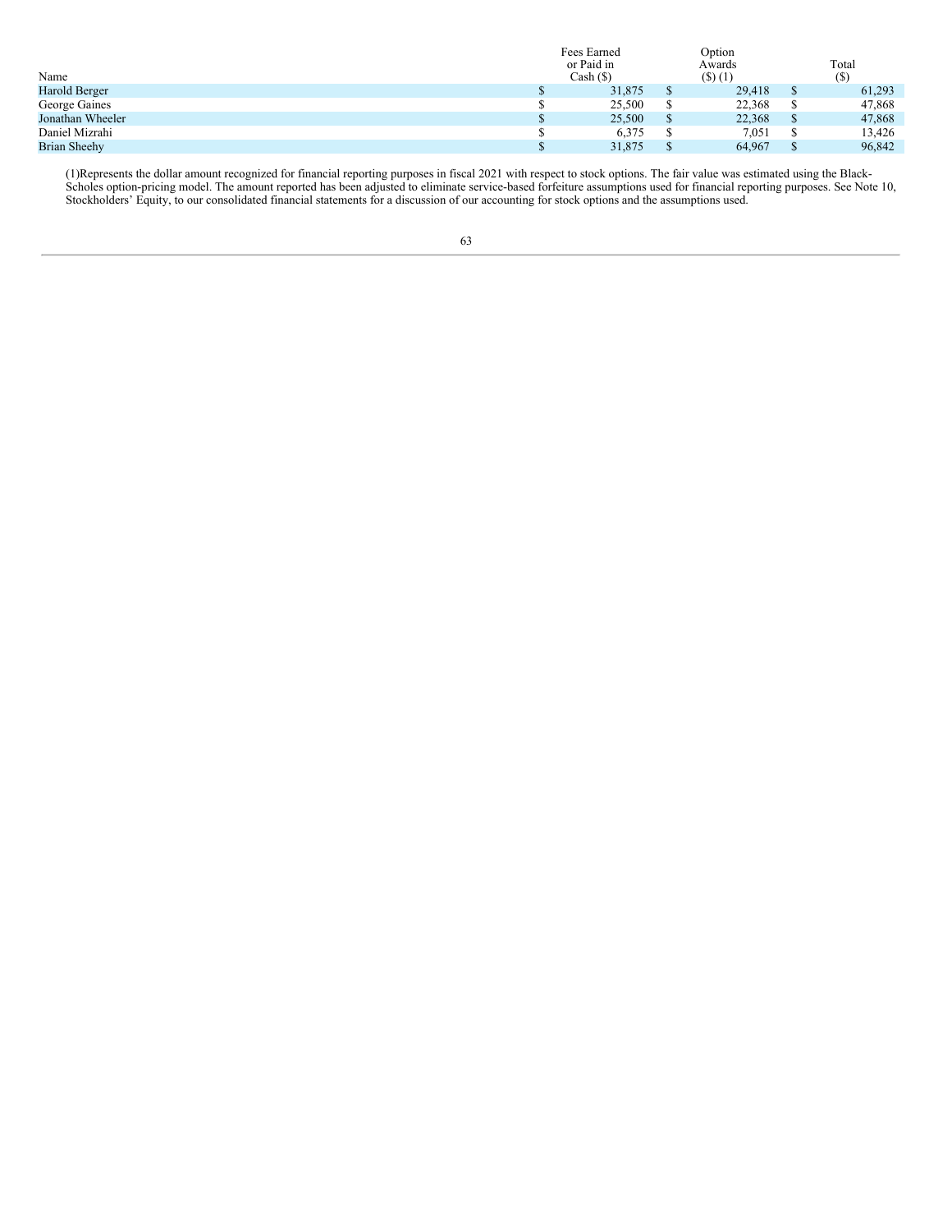| Name                | Fees Earned<br>or Paid in<br>Cash ( <sub>s</sub> ) | Option<br>Awards<br>$($ \$) $(1)$ | Total<br>$\left( \mathbb{S}\right)$ |
|---------------------|----------------------------------------------------|-----------------------------------|-------------------------------------|
| Harold Berger       | 31,875                                             | 29,418                            | 61,293                              |
| George Gaines       | 25,500                                             | 22,368                            | 47,868                              |
| Jonathan Wheeler    | 25,500                                             | 22,368                            | 47,868                              |
| Daniel Mizrahi      | 6.375                                              | 7.051                             | 13,426                              |
| <b>Brian Sheehy</b> | 31,875                                             | 64,967                            | 96,842                              |

(1)Represents the dollar amount recognized for financial reporting purposes in fiscal 2021 with respect to stock options. The fair value was estimated using the Black-Scholes option-pricing model. The amount reported has been adjusted to eliminate service-based forfeiture assumptions used for financial reporting purposes. See Note 10, Stockholders' Equity, to our consolidated financial statements for a discussion of our accounting for stock options and the assumptions used.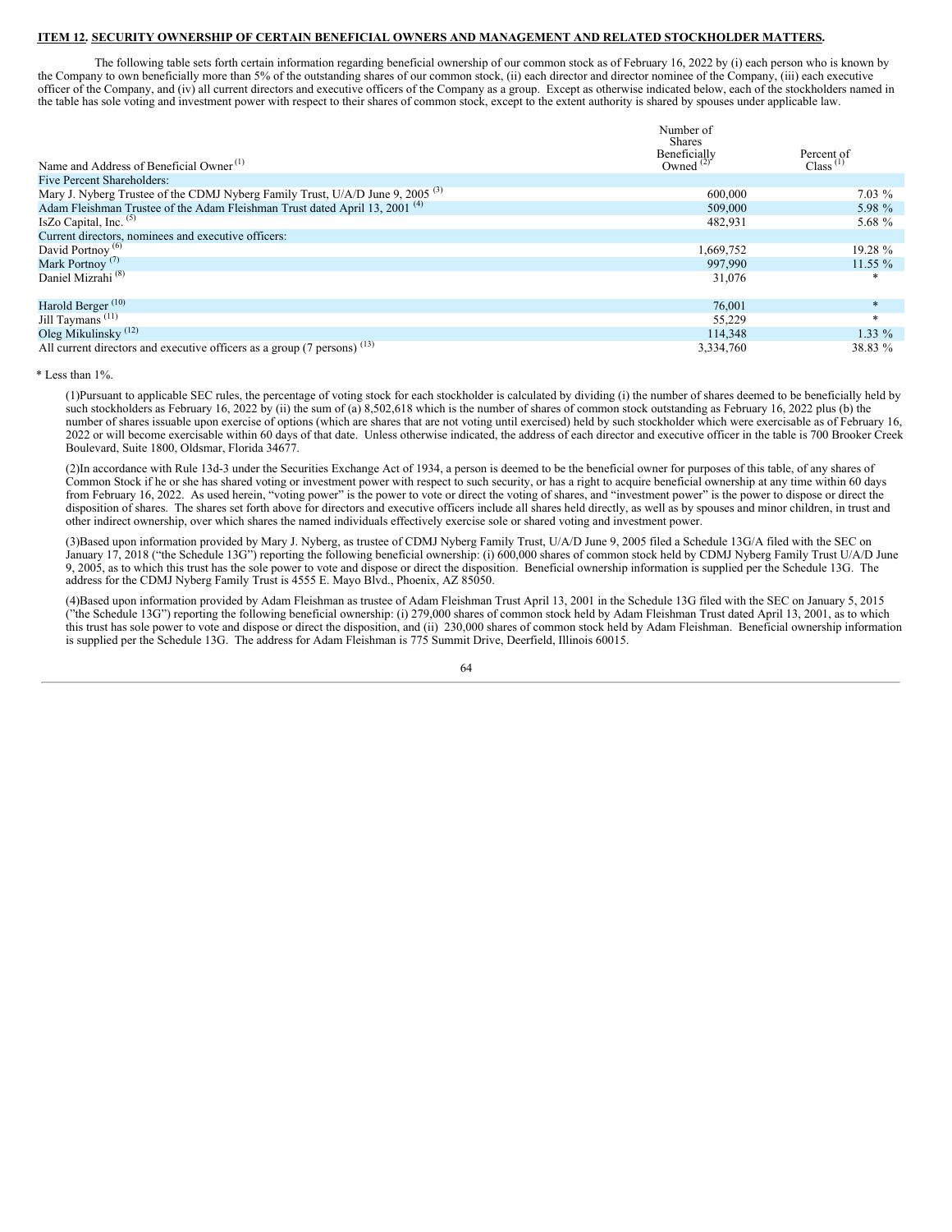# **ITEM 12. SECURITY OWNERSHIP OF CERTAIN BENEFICIAL OWNERS AND MANAGEMENT AND RELATED STOCKHOLDER MATTERS.**

The following table sets forth certain information regarding beneficial ownership of our common stock as of February 16, 2022 by (i) each person who is known by the Company to own beneficially more than 5% of the outstanding shares of our common stock, (ii) each director and director nominee of the Company, (iii) each executive officer of the Company, and (iv) all current directors and executive officers of the Company as a group. Except as otherwise indicated below, each of the stockholders named in the table has sole voting and investment power with respect to their shares of common stock, except to the extent authority is shared by spouses under applicable law.

|                                                                                           | Number of                                    |                                                 |
|-------------------------------------------------------------------------------------------|----------------------------------------------|-------------------------------------------------|
| Name and Address of Beneficial Owner <sup>(1)</sup>                                       | <b>Shares</b><br>Beneficially<br>Owned $(2)$ | Percent of<br>Class <sup><math>(1)</math></sup> |
| <b>Five Percent Shareholders:</b>                                                         |                                              |                                                 |
| Mary J. Nyberg Trustee of the CDMJ Nyberg Family Trust, U/A/D June 9, 2005 <sup>(3)</sup> | 600,000                                      | $7.03\%$                                        |
| Adam Fleishman Trustee of the Adam Fleishman Trust dated April 13, 2001 <sup>(4)</sup>    | 509,000                                      | 5.98 %                                          |
| IsZo Capital, Inc. $(5)$                                                                  | 482,931                                      | 5.68 $%$                                        |
| Current directors, nominees and executive officers:                                       |                                              |                                                 |
| David Portnoy <sup>(6)</sup>                                                              | 1,669,752                                    | 19.28 %                                         |
| Mark Portnoy <sup>(7)</sup>                                                               | 997,990                                      | $11.55\%$                                       |
| Daniel Mizrahi <sup>(8)</sup>                                                             | 31,076                                       | $\ast$                                          |
| Harold Berger <sup>(10)</sup>                                                             | 76,001                                       | $*$                                             |
| Jill Taymans <sup>(11)</sup>                                                              | 55,229                                       | $\ast$                                          |
| Oleg Mikulinsky <sup>(12)</sup>                                                           | 114,348                                      | $1.33\%$                                        |
| All current directors and executive officers as a group $(7 \text{ persons})$ $(13)$      | 3,334,760                                    | 38.83 %                                         |

\* Less than 1%.

(1)Pursuant to applicable SEC rules, the percentage of voting stock for each stockholder is calculated by dividing (i) the number of shares deemed to be beneficially held by such stockholders as February 16, 2022 by (ii) the sum of (a) 8,502,618 which is the number of shares of common stock outstanding as February 16, 2022 plus (b) the number of shares issuable upon exercise of options (which are shares that are not voting until exercised) held by such stockholder which were exercisable as of February 16, 2022 or will become exercisable within 60 days of that date. Unless otherwise indicated, the address of each director and executive officer in the table is 700 Brooker Creek Boulevard, Suite 1800, Oldsmar, Florida 34677.

(2)In accordance with Rule 13d-3 under the Securities Exchange Act of 1934, a person is deemed to be the beneficial owner for purposes of this table, of any shares of Common Stock if he or she has shared voting or investment power with respect to such security, or has a right to acquire beneficial ownership at any time within 60 days from February 16, 2022. As used herein, "voting power" is the power to vote or direct the voting of shares, and "investment power" is the power to dispose or direct the disposition of shares. The shares set forth above for directors and executive officers include all shares held directly, as well as by spouses and minor children, in trust and other indirect ownership, over which shares the named individuals effectively exercise sole or shared voting and investment power.

(3)Based upon information provided by Mary J. Nyberg, as trustee of CDMJ Nyberg Family Trust, U/A/D June 9, 2005 filed a Schedule 13G/A filed with the SEC on January 17, 2018 ("the Schedule 13G") reporting the following beneficial ownership: (i) 600,000 shares of common stock held by CDMJ Nyberg Family Trust U/A/D June 9, 2005, as to which this trust has the sole power to vote and dispose or direct the disposition. Beneficial ownership information is supplied per the Schedule 13G. The address for the CDMJ Nyberg Family Trust is 4555 E. Mayo Blvd., Phoenix, AZ 85050.

(4)Based upon information provided by Adam Fleishman as trustee of Adam Fleishman Trust April 13, 2001 in the Schedule 13G filed with the SEC on January 5, 2015 ("the Schedule 13G") reporting the following beneficial ownership: (i) 279,000 shares of common stock held by Adam Fleishman Trust dated April 13, 2001, as to which this trust has sole power to vote and dispose or direct the disposition, and (ii) 230,000 shares of common stock held by Adam Fleishman. Beneficial ownership information is supplied per the Schedule 13G. The address for Adam Fleishman is 775 Summit Drive, Deerfield, Illinois 60015.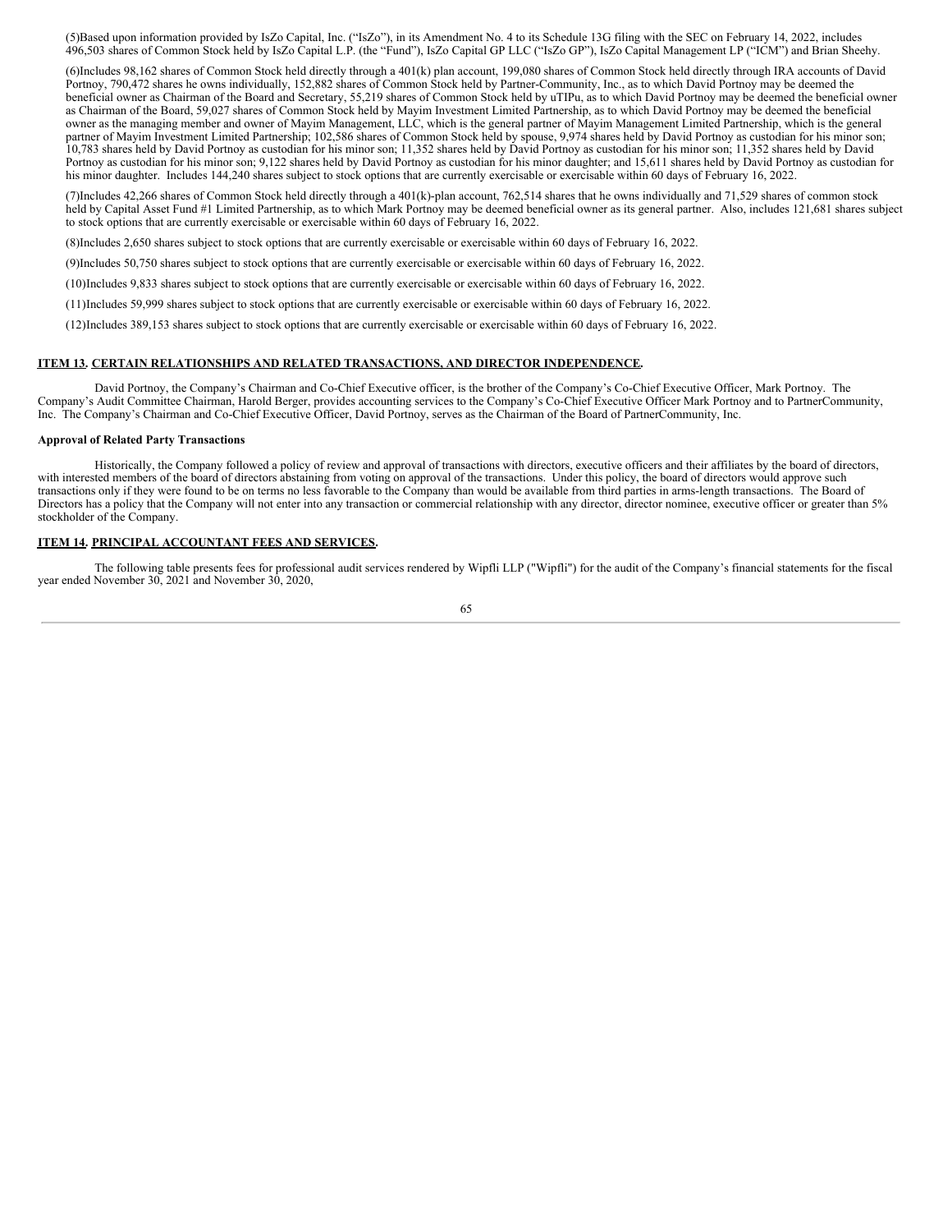(5)Based upon information provided by IsZo Capital, Inc. ("IsZo"), in its Amendment No. 4 to its Schedule 13G filing with the SEC on February 14, 2022, includes 496,503 shares of Common Stock held by IsZo Capital L.P. (the "Fund"), IsZo Capital GP LLC ("IsZo GP"), IsZo Capital Management LP ("ICM") and Brian Sheehy.

(6)Includes 98,162 shares of Common Stock held directly through a 401(k) plan account, 199,080 shares of Common Stock held directly through IRA accounts of David Portnoy, 790,472 shares he owns individually, 152,882 shares of Common Stock held by Partner-Community, Inc., as to which David Portnoy may be deemed the beneficial owner as Chairman of the Board and Secretary, 55,219 shares of Common Stock held by uTIPu, as to which David Portnoy may be deemed the beneficial owner as Chairman of the Board, 59,027 shares of Common Stock held by Mayim Investment Limited Partnership, as to which David Portnoy may be deemed the beneficial owner as the managing member and owner of Mayim Management, LLC, which is the general partner of Mayim Management Limited Partnership, which is the general partner of Mayim Investment Limited Partnership; 102,586 shares of Common Stock held by spouse, 9,974 shares held by David Portnoy as custodian for his minor son; 10,783 shares held by David Portnoy as custodian for his minor son; 11,352 shares held by David Portnoy as custodian for his minor son; 11,352 shares held by David Portnoy as custodian for his minor son; 9,122 shares held by David Portnoy as custodian for his minor daughter; and 15,611 shares held by David Portnoy as custodian for his minor daughter. Includes 144,240 shares subject to stock options that are currently exercisable or exercisable within 60 days of February 16, 2022.

(7)Includes 42,266 shares of Common Stock held directly through a 401(k)-plan account, 762,514 shares that he owns individually and 71,529 shares of common stock held by Capital Asset Fund #1 Limited Partnership, as to which Mark Portnoy may be deemed beneficial owner as its general partner. Also, includes 121,681 shares subject to stock options that are currently exercisable or exercisable within 60 days of February 16, 2022.

(8)Includes 2,650 shares subject to stock options that are currently exercisable or exercisable within 60 days of February 16, 2022.

(9)Includes 50,750 shares subject to stock options that are currently exercisable or exercisable within 60 days of February 16, 2022.

(10)Includes 9,833 shares subject to stock options that are currently exercisable or exercisable within 60 days of February 16, 2022.

(11)Includes 59,999 shares subject to stock options that are currently exercisable or exercisable within 60 days of February 16, 2022.

(12)Includes 389,153 shares subject to stock options that are currently exercisable or exercisable within 60 days of February 16, 2022.

### **ITEM 13. CERTAIN RELATIONSHIPS AND RELATED TRANSACTIONS, AND DIRECTOR INDEPENDENCE.**

David Portnoy, the Company's Chairman and Co-Chief Executive officer, is the brother of the Company's Co-Chief Executive Officer, Mark Portnoy. The Company's Audit Committee Chairman, Harold Berger, provides accounting services to the Company's Co-Chief Executive Officer Mark Portnoy and to PartnerCommunity, Inc. The Company's Chairman and Co-Chief Executive Officer, David Portnoy, serves as the Chairman of the Board of PartnerCommunity, Inc.

# **Approval of Related Party Transactions**

Historically, the Company followed a policy of review and approval of transactions with directors, executive officers and their affiliates by the board of directors, with interested members of the board of directors abstaining from voting on approval of the transactions. Under this policy, the board of directors would approve such transactions only if they were found to be on terms no less favorable to the Company than would be available from third parties in arms-length transactions. The Board of Directors has a policy that the Company will not enter into any transaction or commercial relationship with any director, director nominee, executive officer or greater than 5% stockholder of the Company.

# **ITEM 14. PRINCIPAL ACCOUNTANT FEES AND SERVICES.**

The following table presents fees for professional audit services rendered by Wipfli LLP ("Wipfli") for the audit of the Company's financial statements for the fiscal year ended November 30, 2021 and November 30, 2020,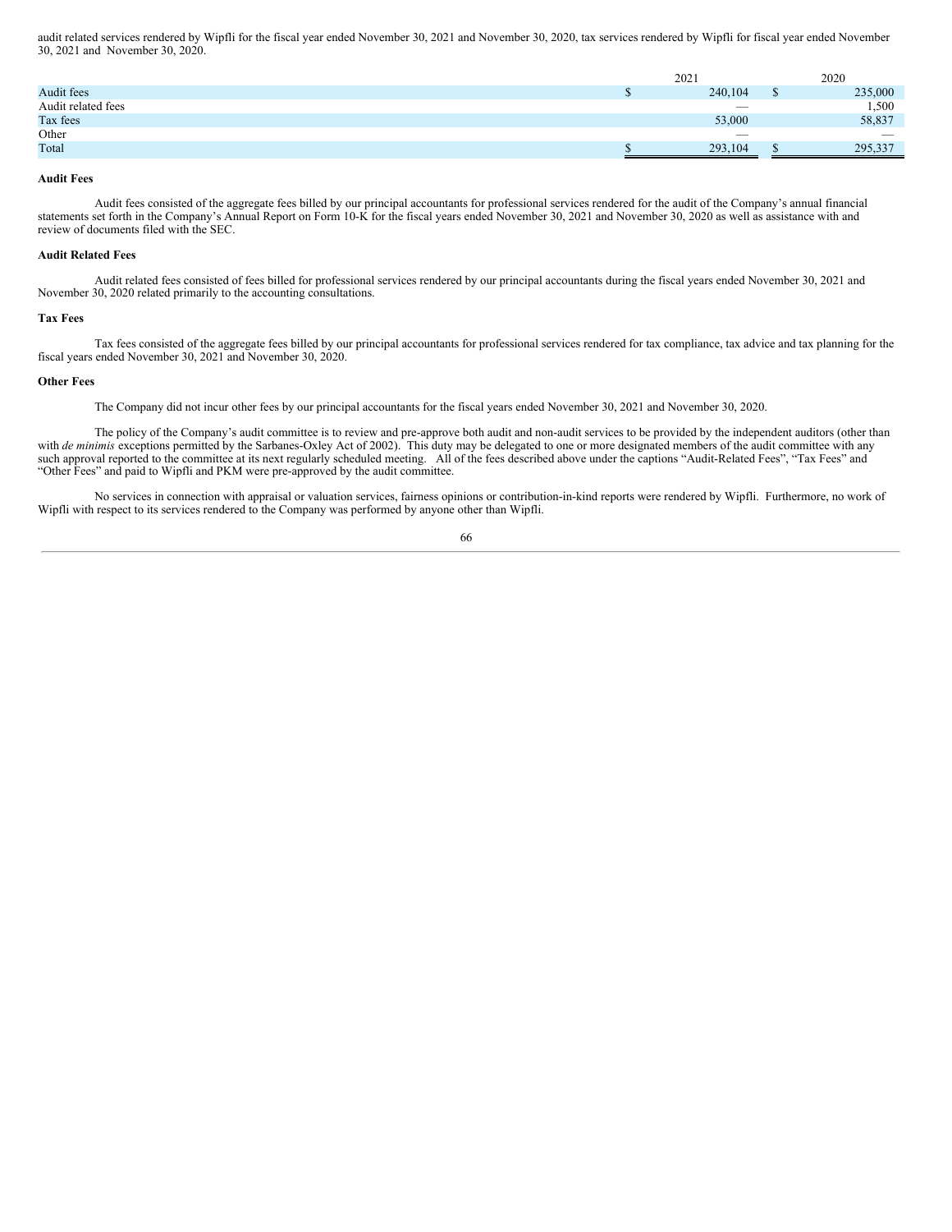audit related services rendered by Wipfli for the fiscal year ended November 30, 2021 and November 30, 2020, tax services rendered by Wipfli for fiscal year ended November 30, 2021 and November 30, 2020.

|                    | 2021                     | 2020                     |
|--------------------|--------------------------|--------------------------|
| Audit fees         | 240,104                  | 235,000                  |
| Audit related fees | $\sim$                   | 1,500                    |
| Tax fees           | 53,000                   | 58,837                   |
| Other              | $\overline{\phantom{0}}$ | $\overline{\phantom{a}}$ |
| Total              | 293,104                  | 295,337                  |
|                    |                          |                          |

# **Audit Fees**

Audit fees consisted of the aggregate fees billed by our principal accountants for professional services rendered for the audit of the Company's annual financial statements set forth in the Company's Annual Report on Form 10-K for the fiscal years ended November 30, 2021 and November 30, 2020 as well as assistance with and review of documents filed with the SEC.

# **Audit Related Fees**

Audit related fees consisted of fees billed for professional services rendered by our principal accountants during the fiscal years ended November 30, 2021 and November 30, 2020 related primarily to the accounting consultations.

### **Tax Fees**

Tax fees consisted of the aggregate fees billed by our principal accountants for professional services rendered for tax compliance, tax advice and tax planning for the fiscal years ended November 30, 2021 and November 30, 2020.

# **Other Fees**

The Company did not incur other fees by our principal accountants for the fiscal years ended November 30, 2021 and November 30, 2020.

The policy of the Company's audit committee is to review and pre-approve both audit and non-audit services to be provided by the independent auditors (other than with *de minimis* exceptions permitted by the Sarbanes-Oxley Act of 2002). This duty may be delegated to one or more designated members of the audit committee with any such approval reported to the committee at its next regularly scheduled meeting. All of the fees described above under the captions "Audit-Related Fees", "Tax Fees" and "Other Fees" and paid to Wipfli and PKM were pre-approved by the audit committee.

No services in connection with appraisal or valuation services, fairness opinions or contribution-in-kind reports were rendered by Wipfli. Furthermore, no work of Wipfli with respect to its services rendered to the Company was performed by anyone other than Wipfli.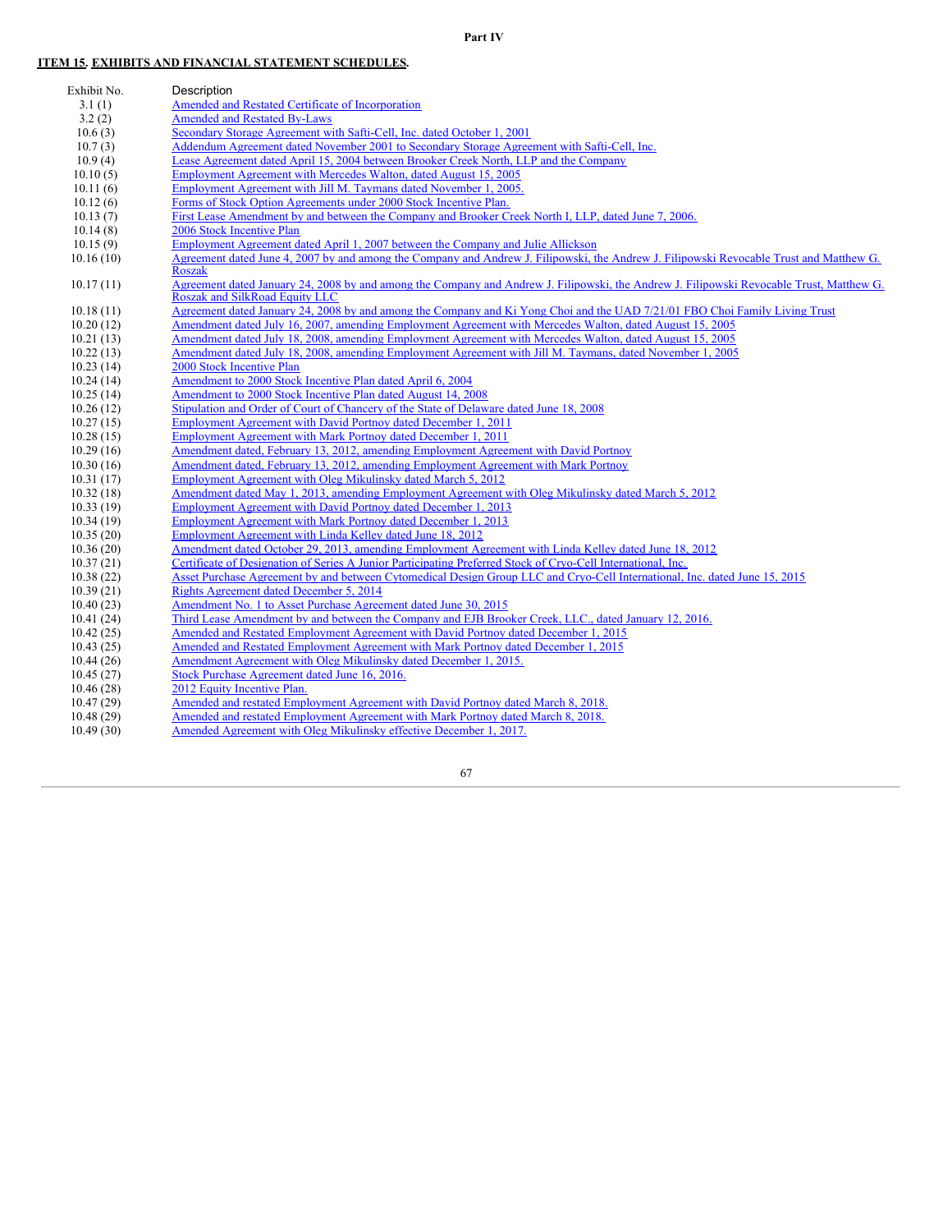# **Part IV**

# **ITEM 15. EXHIBITS AND FINANCIAL STATEMENT SCHEDULES.**

| Exhibit No. | Description                                                                                                                                                                |
|-------------|----------------------------------------------------------------------------------------------------------------------------------------------------------------------------|
| 3.1(1)      | Amended and Restated Certificate of Incorporation                                                                                                                          |
| 3.2(2)      | <b>Amended and Restated By-Laws</b>                                                                                                                                        |
| 10.6(3)     | Secondary Storage Agreement with Safti-Cell, Inc. dated October 1, 2001                                                                                                    |
| 10.7(3)     | Addendum Agreement dated November 2001 to Secondary Storage Agreement with Safti-Cell, Inc.                                                                                |
| 10.9(4)     | Lease Agreement dated April 15, 2004 between Brooker Creek North, LLP and the Company                                                                                      |
| 10.10(5)    | Employment Agreement with Mercedes Walton, dated August 15, 2005                                                                                                           |
| 10.11(6)    | Employment Agreement with Jill M. Taymans dated November 1, 2005.                                                                                                          |
| 10.12(6)    | Forms of Stock Option Agreements under 2000 Stock Incentive Plan.                                                                                                          |
| 10.13(7)    | First Lease Amendment by and between the Company and Brooker Creek North I, LLP, dated June 7, 2006.                                                                       |
| 10.14(8)    | 2006 Stock Incentive Plan                                                                                                                                                  |
| 10.15(9)    | Employment Agreement dated April 1, 2007 between the Company and Julie Allickson                                                                                           |
| 10.16(10)   | Agreement dated June 4, 2007 by and among the Company and Andrew J. Filipowski, the Andrew J. Filipowski Revocable Trust and Matthew G.                                    |
|             | <b>Roszak</b>                                                                                                                                                              |
| 10.17(11)   | Agreement dated January 24, 2008 by and among the Company and Andrew J. Filipowski, the Andrew J. Filipowski Revocable Trust, Matthew G.<br>Roszak and SilkRoad Equity LLC |
| 10.18(11)   | Agreement dated January 24, 2008 by and among the Company and Ki Yong Choi and the UAD 7/21/01 FBO Choi Family Living Trust                                                |
| 10.20(12)   | Amendment dated July 16, 2007, amending Employment Agreement with Mercedes Walton, dated August 15, 2005                                                                   |
| 10.21(13)   | Amendment dated July 18, 2008, amending Employment Agreement with Mercedes Walton, dated August 15, 2005                                                                   |
| 10.22(13)   | Amendment dated July 18, 2008, amending Employment Agreement with Jill M. Taymans, dated November 1, 2005                                                                  |
| 10.23(14)   | 2000 Stock Incentive Plan                                                                                                                                                  |
| 10.24(14)   | Amendment to 2000 Stock Incentive Plan dated April 6, 2004                                                                                                                 |
| 10.25(14)   | Amendment to 2000 Stock Incentive Plan dated August 14, 2008                                                                                                               |
| 10.26(12)   | Stipulation and Order of Court of Chancery of the State of Delaware dated June 18, 2008                                                                                    |
| 10.27(15)   | Employment Agreement with David Portnoy dated December 1, 2011                                                                                                             |
| 10.28(15)   | Employment Agreement with Mark Portnoy dated December 1, 2011                                                                                                              |
| 10.29(16)   | Amendment dated, February 13, 2012, amending Employment Agreement with David Portnoy                                                                                       |
| 10.30(16)   | Amendment dated, February 13, 2012, amending Employment Agreement with Mark Portnov                                                                                        |
| 10.31(17)   | Employment Agreement with Oleg Mikulinsky dated March 5, 2012                                                                                                              |
| 10.32(18)   | Amendment dated May 1, 2013, amending Employment Agreement with Oleg Mikulinsky dated March 5, 2012                                                                        |
| 10.33(19)   | Employment Agreement with David Portnoy dated December 1, 2013                                                                                                             |
| 10.34(19)   | Employment Agreement with Mark Portnoy dated December 1, 2013                                                                                                              |
| 10.35(20)   | Employment Agreement with Linda Kelley dated June 18, 2012                                                                                                                 |
| 10.36(20)   | Amendment dated October 29, 2013, amending Employment Agreement with Linda Kelley dated June 18, 2012                                                                      |
| 10.37(21)   | Certificate of Designation of Series A Junior Participating Preferred Stock of Cryo-Cell International, Inc.                                                               |
| 10.38(22)   | Asset Purchase Agreement by and between Cytomedical Design Group LLC and Cryo-Cell International, Inc. dated June 15, 2015                                                 |
| 10.39(21)   | <b>Rights Agreement dated December 5, 2014</b>                                                                                                                             |
| 10.40(23)   | Amendment No. 1 to Asset Purchase Agreement dated June 30, 2015                                                                                                            |
| 10.41(24)   | Third Lease Amendment by and between the Company and EJB Brooker Creek, LLC., dated January 12, 2016.                                                                      |
| 10.42(25)   | Amended and Restated Employment Agreement with David Portnoy dated December 1, 2015                                                                                        |
| 10.43(25)   | Amended and Restated Employment Agreement with Mark Portnoy dated December 1, 2015                                                                                         |
| 10.44(26)   | Amendment Agreement with Oleg Mikulinsky dated December 1, 2015.                                                                                                           |
| 10.45(27)   | Stock Purchase Agreement dated June 16, 2016.                                                                                                                              |
| 10.46(28)   | 2012 Equity Incentive Plan.                                                                                                                                                |
| 10.47(29)   | Amended and restated Employment Agreement with David Portnoy dated March 8, 2018.                                                                                          |
| 10.48(29)   | Amended and restated Employment Agreement with Mark Portnoy dated March 8, 2018.                                                                                           |
| 10.49(30)   | Amended Agreement with Oleg Mikulinsky effective December 1, 2017.                                                                                                         |
|             |                                                                                                                                                                            |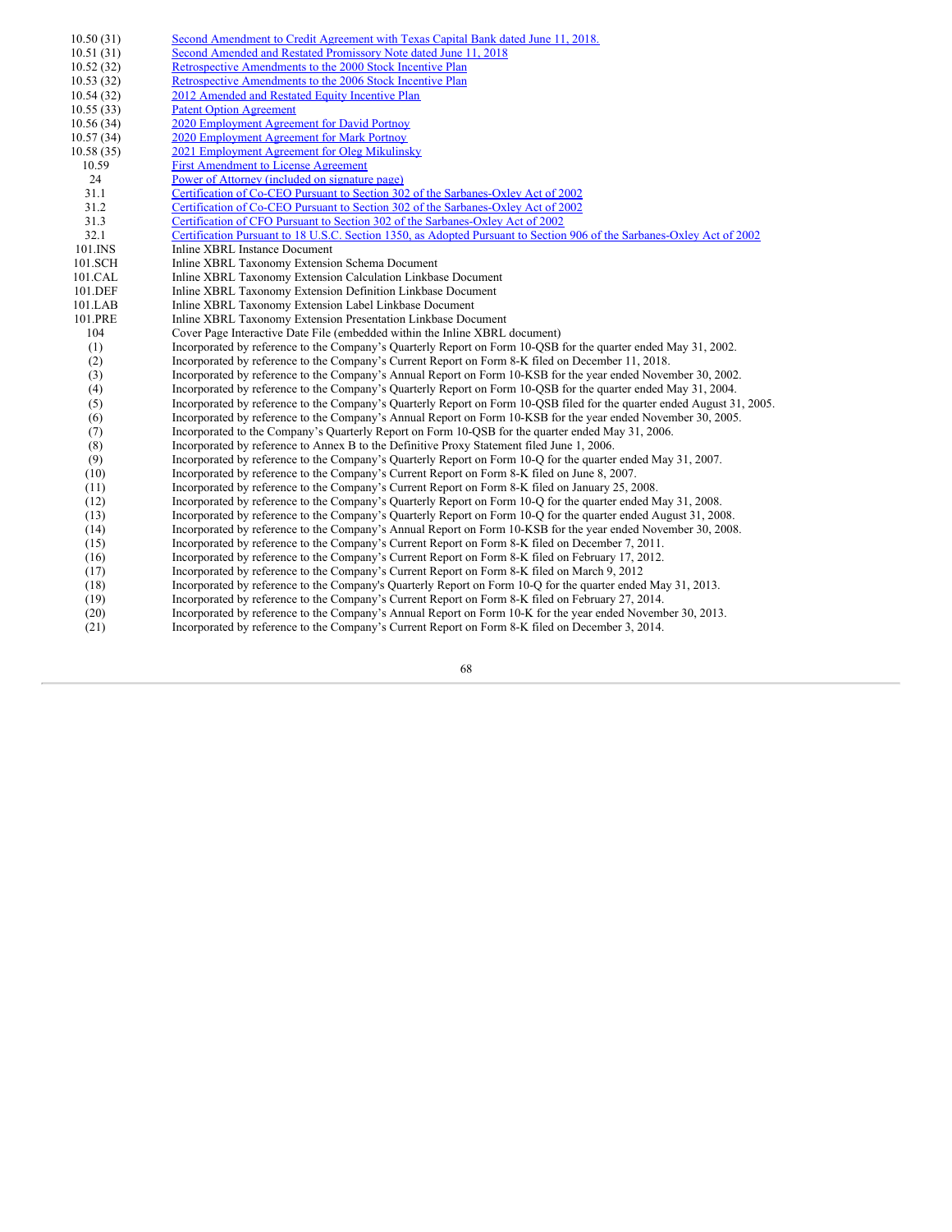| 10.50(31) | Second Amendment to Credit Agreement with Texas Capital Bank dated June 11, 2018.                                       |
|-----------|-------------------------------------------------------------------------------------------------------------------------|
| 10.51(31) | Second Amended and Restated Promissory Note dated June 11, 2018                                                         |
| 10.52(32) | Retrospective Amendments to the 2000 Stock Incentive Plan                                                               |
| 10.53(32) | Retrospective Amendments to the 2006 Stock Incentive Plan                                                               |
| 10.54(32) | 2012 Amended and Restated Equity Incentive Plan                                                                         |
| 10.55(33) | <b>Patent Option Agreement</b>                                                                                          |
| 10.56(34) | 2020 Employment Agreement for David Portnoy                                                                             |
| 10.57(34) | 2020 Employment Agreement for Mark Portnoy                                                                              |
| 10.58(35) | 2021 Employment Agreement for Oleg Mikulinsky                                                                           |
| 10.59     | <b>First Amendment to License Agreement</b>                                                                             |
| 24        | Power of Attorney (included on signature page)                                                                          |
| 31.1      | Certification of Co-CEO Pursuant to Section 302 of the Sarbanes-Oxley Act of 2002                                       |
| 31.2      | Certification of Co-CEO Pursuant to Section 302 of the Sarbanes-Oxley Act of 2002                                       |
| 31.3      | Certification of CFO Pursuant to Section 302 of the Sarbanes-Oxley Act of 2002                                          |
| 32.1      | Certification Pursuant to 18 U.S.C. Section 1350, as Adopted Pursuant to Section 906 of the Sarbanes-Oxley Act of 2002  |
| 101.INS   | <b>Inline XBRL Instance Document</b>                                                                                    |
| 101.SCH   | Inline XBRL Taxonomy Extension Schema Document                                                                          |
| 101.CAL   | Inline XBRL Taxonomy Extension Calculation Linkbase Document                                                            |
| 101.DEF   | Inline XBRL Taxonomy Extension Definition Linkbase Document                                                             |
| 101.LAB   | Inline XBRL Taxonomy Extension Label Linkbase Document                                                                  |
| 101.PRE   | Inline XBRL Taxonomy Extension Presentation Linkbase Document                                                           |
| 104       | Cover Page Interactive Date File (embedded within the Inline XBRL document)                                             |
| (1)       | Incorporated by reference to the Company's Quarterly Report on Form 10-QSB for the quarter ended May 31, 2002.          |
| (2)       | Incorporated by reference to the Company's Current Report on Form 8-K filed on December 11, 2018.                       |
| (3)       | Incorporated by reference to the Company's Annual Report on Form 10-KSB for the year ended November 30, 2002.           |
| (4)       | Incorporated by reference to the Company's Quarterly Report on Form 10-QSB for the quarter ended May 31, 2004.          |
| (5)       | Incorporated by reference to the Company's Quarterly Report on Form 10-QSB filed for the quarter ended August 31, 2005. |
| (6)       | Incorporated by reference to the Company's Annual Report on Form 10-KSB for the year ended November 30, 2005.           |
| (7)       | Incorporated to the Company's Quarterly Report on Form 10-QSB for the quarter ended May 31, 2006.                       |
| (8)       | Incorporated by reference to Annex B to the Definitive Proxy Statement filed June 1, 2006.                              |
| (9)       | Incorporated by reference to the Company's Quarterly Report on Form 10-Q for the quarter ended May 31, 2007.            |
| (10)      | Incorporated by reference to the Company's Current Report on Form 8-K filed on June 8, 2007.                            |
| (11)      | Incorporated by reference to the Company's Current Report on Form 8-K filed on January 25, 2008.                        |
| (12)      | Incorporated by reference to the Company's Quarterly Report on Form 10-Q for the quarter ended May 31, 2008.            |
| (13)      | Incorporated by reference to the Company's Quarterly Report on Form 10-Q for the quarter ended August 31, 2008.         |
| (14)      | Incorporated by reference to the Company's Annual Report on Form 10-KSB for the year ended November 30, 2008.           |
| (15)      | Incorporated by reference to the Company's Current Report on Form 8-K filed on December 7, 2011.                        |
| (16)      | Incorporated by reference to the Company's Current Report on Form 8-K filed on February 17, 2012.                       |
| (17)      | Incorporated by reference to the Company's Current Report on Form 8-K filed on March 9, 2012                            |
| (18)      | Incorporated by reference to the Company's Quarterly Report on Form 10-Q for the quarter ended May 31, 2013.            |
| (19)      | Incorporated by reference to the Company's Current Report on Form 8-K filed on February 27, 2014.                       |
| (20)      | Incorporated by reference to the Company's Annual Report on Form 10-K for the year ended November 30, 2013.             |
| (21)      | Incorporated by reference to the Company's Current Report on Form 8-K filed on December 3, 2014.                        |
|           |                                                                                                                         |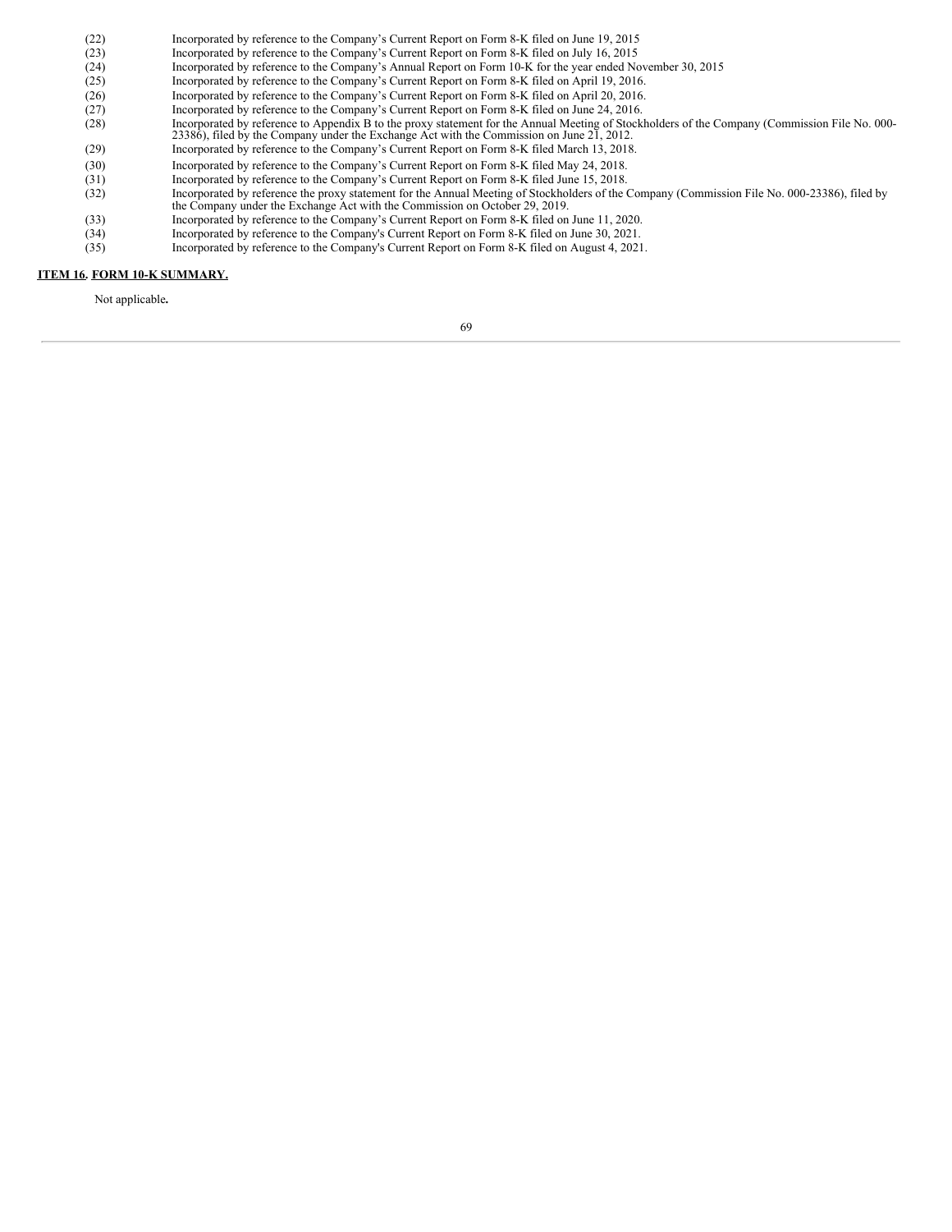| (22) | Incorporated by reference to the Company's Current Report on Form 8-K filed on June 19, 2015                                                                                                                                                |
|------|---------------------------------------------------------------------------------------------------------------------------------------------------------------------------------------------------------------------------------------------|
| (23) | Incorporated by reference to the Company's Current Report on Form 8-K filed on July 16, 2015                                                                                                                                                |
| (24) | Incorporated by reference to the Company's Annual Report on Form 10-K for the year ended November 30, 2015                                                                                                                                  |
| (25) | Incorporated by reference to the Company's Current Report on Form 8-K filed on April 19, 2016.                                                                                                                                              |
| (26) | Incorporated by reference to the Company's Current Report on Form 8-K filed on April 20, 2016.                                                                                                                                              |
| (27) | Incorporated by reference to the Company's Current Report on Form 8-K filed on June 24, 2016.                                                                                                                                               |
| (28) | Incorporated by reference to Appendix B to the proxy statement for the Annual Meeting of Stockholders of the Company (Commission File No. 000-<br>23386), filed by the Company under the Exchange Act with the Commission on June 21, 2012. |
| (29) | Incorporated by reference to the Company's Current Report on Form 8-K filed March 13, 2018.                                                                                                                                                 |
| (30) | Incorporated by reference to the Company's Current Report on Form 8-K filed May 24, 2018.                                                                                                                                                   |
| (31) | Incorporated by reference to the Company's Current Report on Form 8-K filed June 15, 2018.                                                                                                                                                  |
| (32) | Incorporated by reference the proxy statement for the Annual Meeting of Stockholders of the Company (Commission File No. 000-23386), filed by<br>the Company under the Exchange Act with the Commission on October 29, 2019.                |
| (33) | Incorporated by reference to the Company's Current Report on Form 8-K filed on June 11, 2020.                                                                                                                                               |
| (34) | Incorporated by reference to the Company's Current Report on Form 8-K filed on June 30, 2021.                                                                                                                                               |
| (35) | Incorporated by reference to the Company's Current Report on Form 8-K filed on August 4, 2021.                                                                                                                                              |

# **ITEM 16. FORM 10-K SUMMARY.**

Not applicable**.**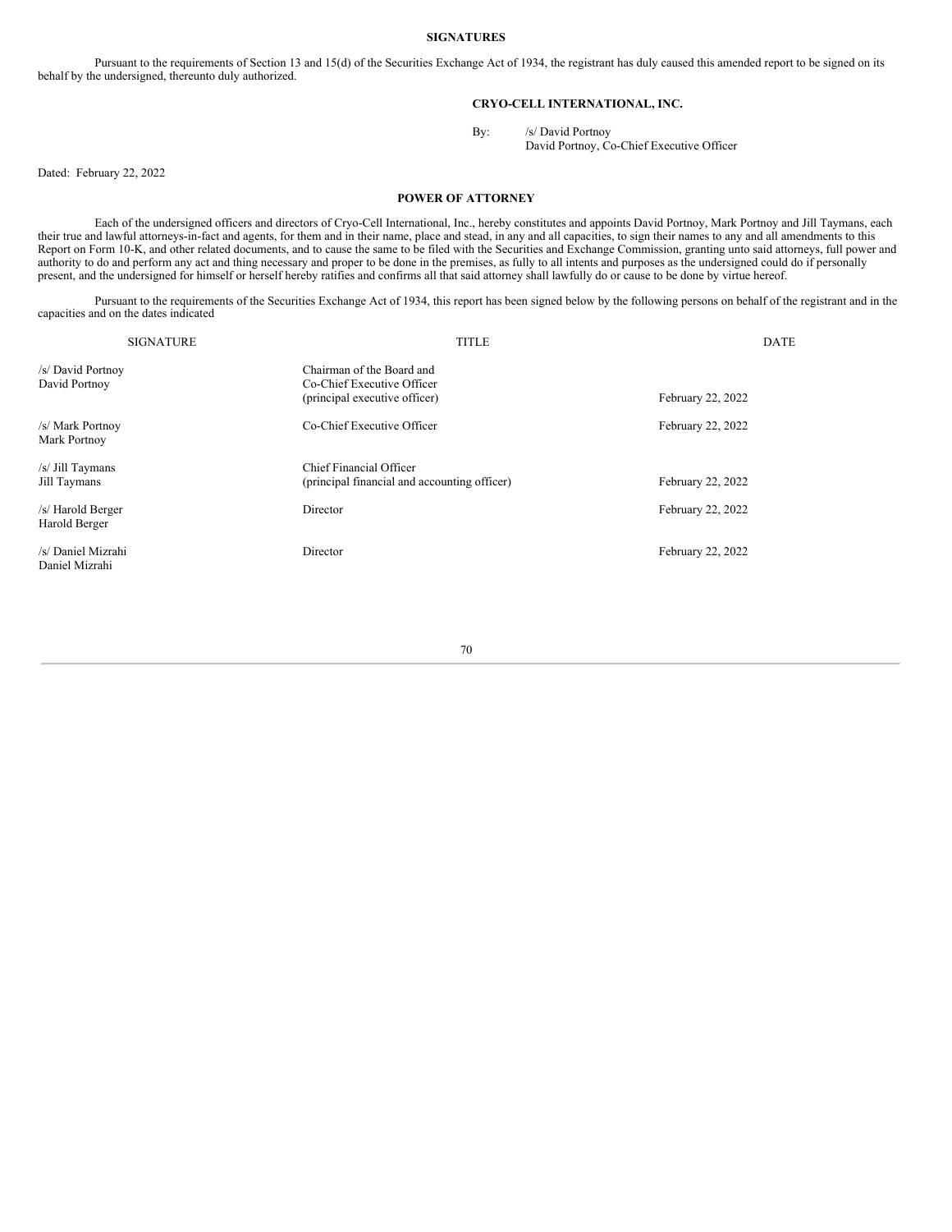# **SIGNATURES**

Pursuant to the requirements of Section 13 and 15(d) of the Securities Exchange Act of 1934, the registrant has duly caused this amended report to be signed on its behalf by the undersigned, thereunto duly authorized.

# **CRYO-CELL INTERNATIONAL, INC.**

By: /s/ David Portnoy David Portnoy, Co-Chief Executive Officer

<span id="page-71-0"></span>Dated: February 22, 2022

# **POWER OF ATTORNEY**

Each of the undersigned officers and directors of Cryo-Cell International, Inc., hereby constitutes and appoints David Portnoy, Mark Portnoy and Jill Taymans, each their true and lawful attorneys-in-fact and agents, for them and in their name, place and stead, in any and all capacities, to sign their names to any and all amendments to this Report on Form 10-K, and other related documents, and to cause the same to be filed with the Securities and Exchange Commission, granting unto said attorneys, full power and authority to do and perform any act and thing necessary and proper to be done in the premises, as fully to all intents and purposes as the undersigned could do if personally present, and the undersigned for himself or herself hereby ratifies and confirms all that said attorney shall lawfully do or cause to be done by virtue hereof.

Pursuant to the requirements of the Securities Exchange Act of 1934, this report has been signed below by the following persons on behalf of the registrant and in the capacities and on the dates indicated

| <b>SIGNATURE</b>                     | <b>TITLE</b>                                                                             | <b>DATE</b>       |
|--------------------------------------|------------------------------------------------------------------------------------------|-------------------|
| /s/ David Portnoy<br>David Portnoy   | Chairman of the Board and<br>Co-Chief Executive Officer<br>(principal executive officer) | February 22, 2022 |
| /s/ Mark Portnoy<br>Mark Portnoy     | Co-Chief Executive Officer                                                               | February 22, 2022 |
| /s/ Jill Taymans<br>Jill Taymans     | Chief Financial Officer<br>(principal financial and accounting officer)                  | February 22, 2022 |
| /s/ Harold Berger<br>Harold Berger   | Director                                                                                 | February 22, 2022 |
| /s/ Daniel Mizrahi<br>Daniel Mizrahi | Director                                                                                 | February 22, 2022 |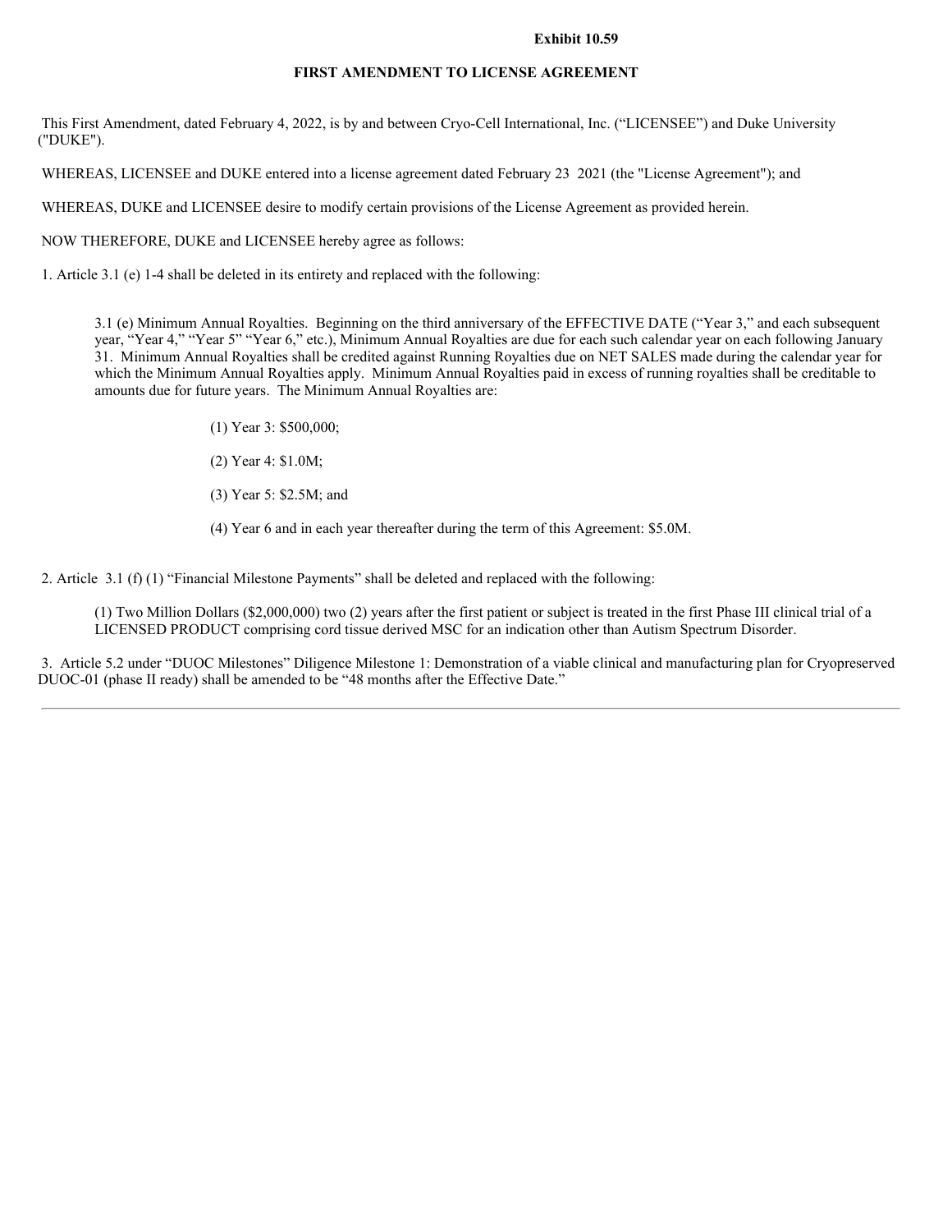## **Exhibit 10.59**

# **FIRST AMENDMENT TO LICENSE AGREEMENT**

This First Amendment, dated February 4, 2022, is by and between Cryo-Cell International, Inc. ("LICENSEE") and Duke University ("DUKE").

WHEREAS, LICENSEE and DUKE entered into a license agreement dated February 23 2021 (the "License Agreement"); and

WHEREAS, DUKE and LICENSEE desire to modify certain provisions of the License Agreement as provided herein.

NOW THEREFORE, DUKE and LICENSEE hereby agree as follows:

1. Article 3.1 (e) 1-4 shall be deleted in its entirety and replaced with the following:

3.1 (e) Minimum Annual Royalties. Beginning on the third anniversary of the EFFECTIVE DATE ("Year 3," and each subsequent year, "Year 4," "Year 5" "Year 6," etc.), Minimum Annual Royalties are due for each such calendar year on each following January 31. Minimum Annual Royalties shall be credited against Running Royalties due on NET SALES made during the calendar year for which the Minimum Annual Royalties apply. Minimum Annual Royalties paid in excess of running royalties shall be creditable to amounts due for future years. The Minimum Annual Royalties are:

- (1) Year 3: \$500,000;
- (2) Year 4: \$1.0M;
- (3) Year 5: \$2.5M; and
- (4) Year 6 and in each year thereafter during the term of this Agreement: \$5.0M.

2. Article 3.1 (f) (1) "Financial Milestone Payments" shall be deleted and replaced with the following:

(1) Two Million Dollars (\$2,000,000) two (2) years after the first patient or subject is treated in the first Phase III clinical trial of a LICENSED PRODUCT comprising cord tissue derived MSC for an indication other than Autism Spectrum Disorder.

3. Article 5.2 under "DUOC Milestones" Diligence Milestone 1: Demonstration of a viable clinical and manufacturing plan for Cryopreserved DUOC-01 (phase II ready) shall be amended to be "48 months after the Effective Date."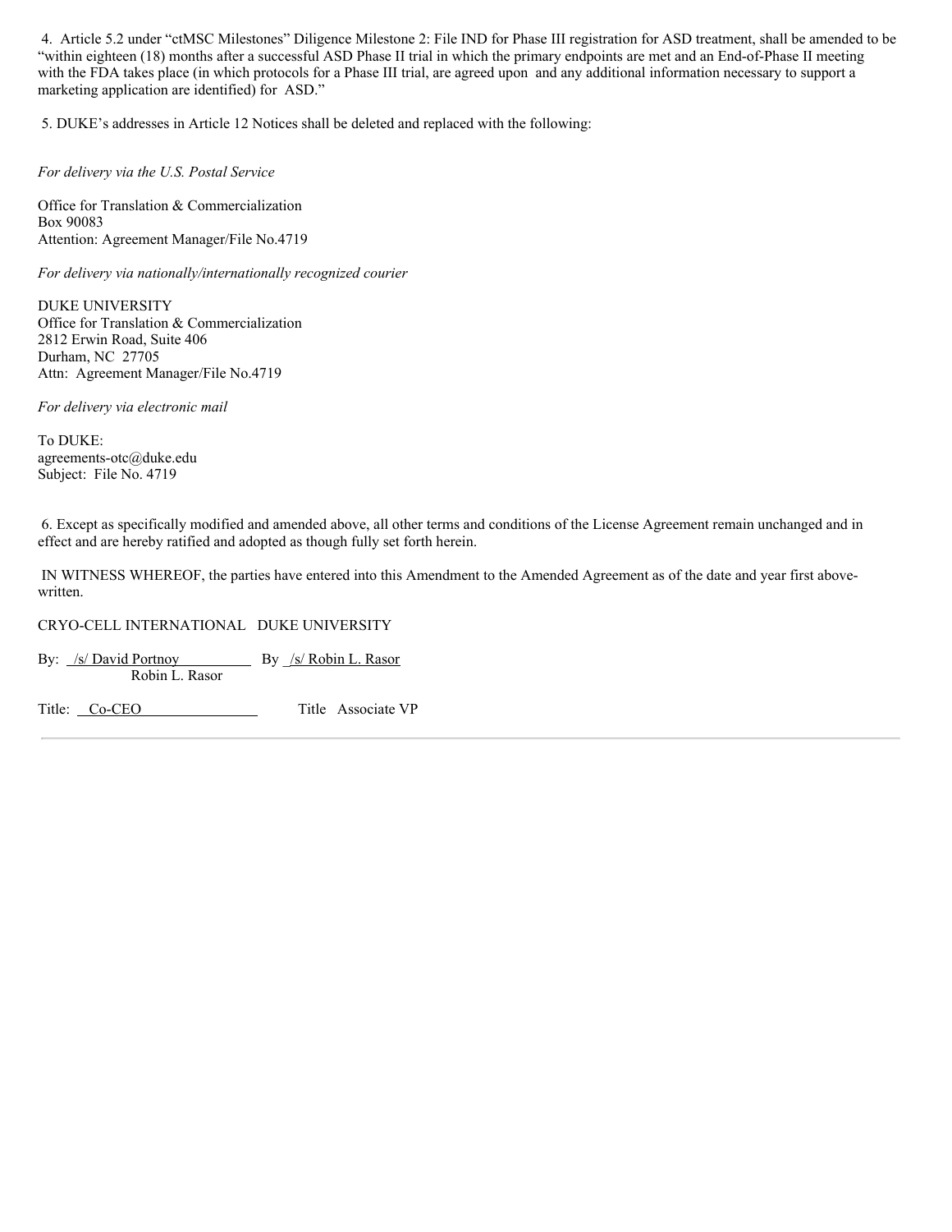4. Article 5.2 under "ctMSC Milestones" Diligence Milestone 2: File IND for Phase III registration for ASD treatment, shall be amended to be "within eighteen (18) months after a successful ASD Phase II trial in which the primary endpoints are met and an End-of-Phase II meeting with the FDA takes place (in which protocols for a Phase III trial, are agreed upon and any additional information necessary to support a marketing application are identified) for ASD."

5. DUKE's addresses in Article 12 Notices shall be deleted and replaced with the following:

# *For delivery via the U.S. Postal Service*

Office for Translation & Commercialization Box 90083 Attention: Agreement Manager/File No.4719

*For delivery via nationally/internationally recognized courier*

DUKE UNIVERSITY Office for Translation & Commercialization 2812 Erwin Road, Suite 406 Durham, NC 27705 Attn: Agreement Manager/File No.4719

*For delivery via electronic mail*

To DUKE: agreements-otc@duke.edu Subject: File No. 4719

6. Except as specifically modified and amended above, all other terms and conditions of the License Agreement remain unchanged and in effect and are hereby ratified and adopted as though fully set forth herein.

IN WITNESS WHEREOF, the parties have entered into this Amendment to the Amended Agreement as of the date and year first abovewritten.

# CRYO-CELL INTERNATIONAL DUKE UNIVERSITY

By: /s/ David Portnoy By /s/ Robin L. Rasor Robin L. Rasor

Title: Co-CEO Title Associate VP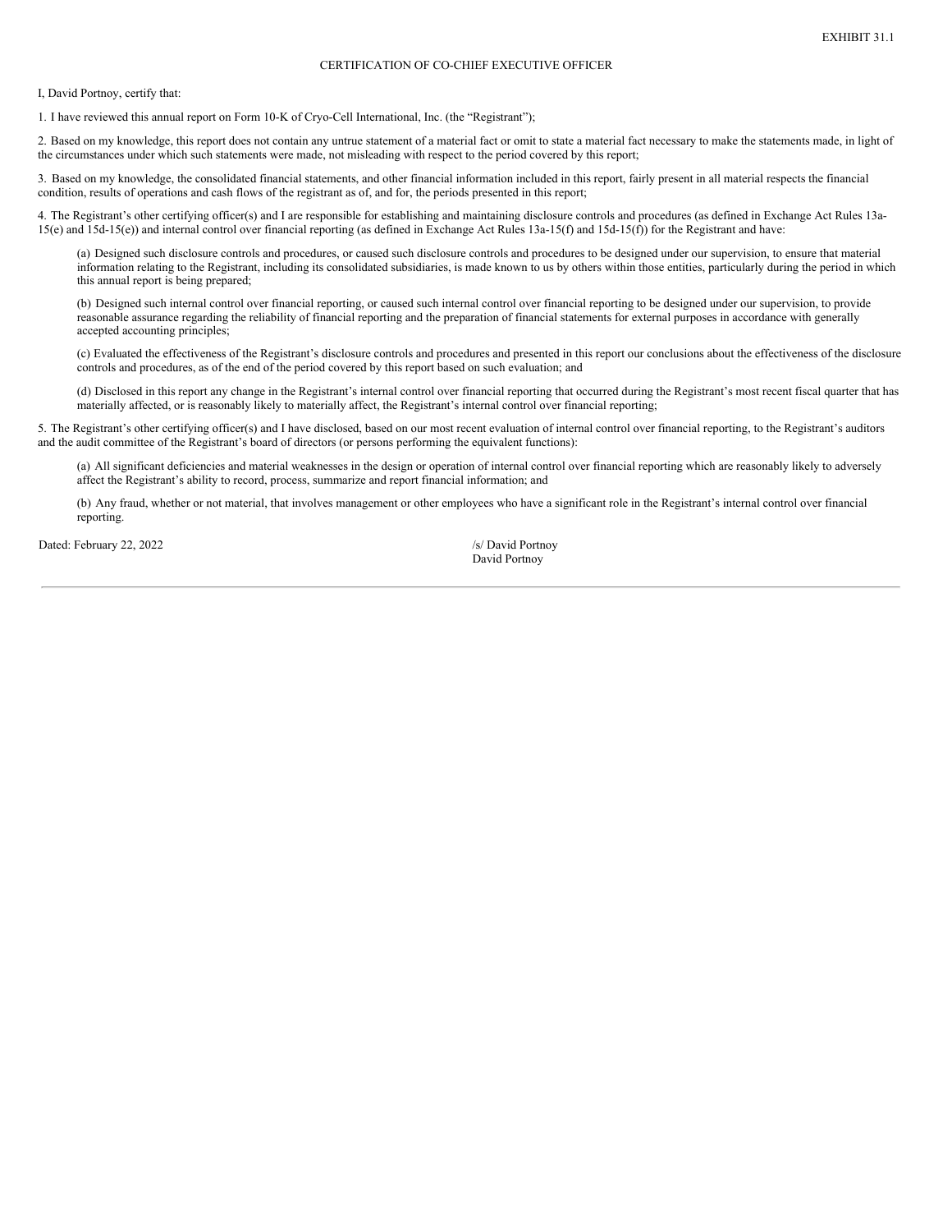### CERTIFICATION OF CO-CHIEF EXECUTIVE OFFICER

I, David Portnoy, certify that:

1. I have reviewed this annual report on Form 10-K of Cryo-Cell International, Inc. (the "Registrant");

2. Based on my knowledge, this report does not contain any untrue statement of a material fact or omit to state a material fact necessary to make the statements made, in light of the circumstances under which such statements were made, not misleading with respect to the period covered by this report;

3. Based on my knowledge, the consolidated financial statements, and other financial information included in this report, fairly present in all material respects the financial condition, results of operations and cash flows of the registrant as of, and for, the periods presented in this report;

4. The Registrant's other certifying officer(s) and I are responsible for establishing and maintaining disclosure controls and procedures (as defined in Exchange Act Rules 13a- $15(e)$  and  $15d-15(e)$  and internal control over financial reporting (as defined in Exchange Act Rules  $13a-15(f)$  and  $15d-15(f)$ ) for the Registrant and have:

(a) Designed such disclosure controls and procedures, or caused such disclosure controls and procedures to be designed under our supervision, to ensure that material information relating to the Registrant, including its consolidated subsidiaries, is made known to us by others within those entities, particularly during the period in which this annual report is being prepared;

(b) Designed such internal control over financial reporting, or caused such internal control over financial reporting to be designed under our supervision, to provide reasonable assurance regarding the reliability of financial reporting and the preparation of financial statements for external purposes in accordance with generally accepted accounting principles;

(c) Evaluated the effectiveness of the Registrant's disclosure controls and procedures and presented in this report our conclusions about the effectiveness of the disclosure controls and procedures, as of the end of the period covered by this report based on such evaluation; and

(d) Disclosed in this report any change in the Registrant's internal control over financial reporting that occurred during the Registrant's most recent fiscal quarter that has materially affected, or is reasonably likely to materially affect, the Registrant's internal control over financial reporting;

5. The Registrant's other certifying officer(s) and I have disclosed, based on our most recent evaluation of internal control over financial reporting, to the Registrant's auditors and the audit committee of the Registrant's board of directors (or persons performing the equivalent functions):

(a) All significant deficiencies and material weaknesses in the design or operation of internal control over financial reporting which are reasonably likely to adversely affect the Registrant's ability to record, process, summarize and report financial information; and

(b) Any fraud, whether or not material, that involves management or other employees who have a significant role in the Registrant's internal control over financial reporting.

Dated: February 22, 2022 /s/ David Portnoy

David Portnoy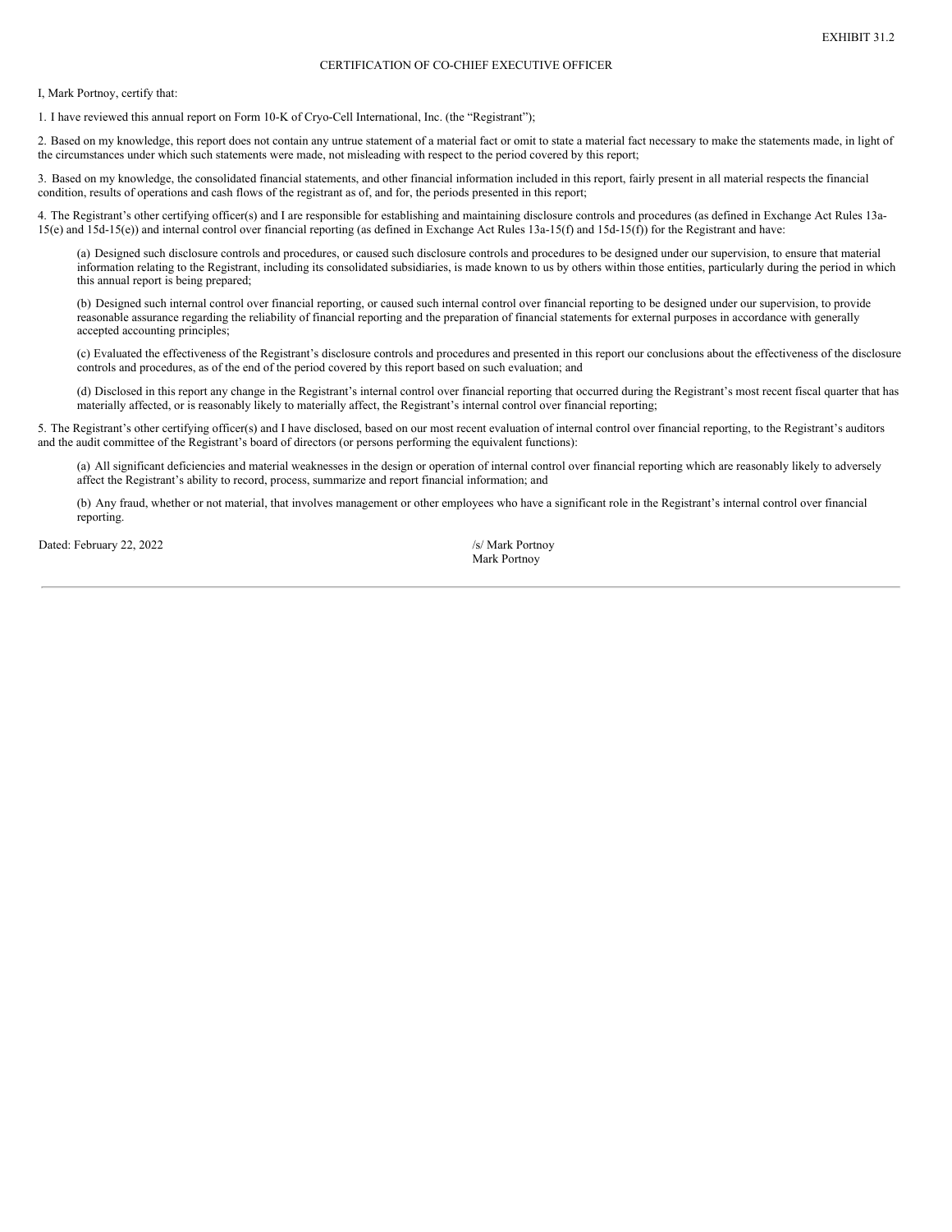### CERTIFICATION OF CO-CHIEF EXECUTIVE OFFICER

I, Mark Portnoy, certify that:

1. I have reviewed this annual report on Form 10-K of Cryo-Cell International, Inc. (the "Registrant");

2. Based on my knowledge, this report does not contain any untrue statement of a material fact or omit to state a material fact necessary to make the statements made, in light of the circumstances under which such statements were made, not misleading with respect to the period covered by this report;

3. Based on my knowledge, the consolidated financial statements, and other financial information included in this report, fairly present in all material respects the financial condition, results of operations and cash flows of the registrant as of, and for, the periods presented in this report;

4. The Registrant's other certifying officer(s) and I are responsible for establishing and maintaining disclosure controls and procedures (as defined in Exchange Act Rules 13a- $15(e)$  and  $15d-15(e)$  and internal control over financial reporting (as defined in Exchange Act Rules  $13a-15(f)$  and  $15d-15(f)$ ) for the Registrant and have:

(a) Designed such disclosure controls and procedures, or caused such disclosure controls and procedures to be designed under our supervision, to ensure that material information relating to the Registrant, including its consolidated subsidiaries, is made known to us by others within those entities, particularly during the period in which this annual report is being prepared;

(b) Designed such internal control over financial reporting, or caused such internal control over financial reporting to be designed under our supervision, to provide reasonable assurance regarding the reliability of financial reporting and the preparation of financial statements for external purposes in accordance with generally accepted accounting principles;

(c) Evaluated the effectiveness of the Registrant's disclosure controls and procedures and presented in this report our conclusions about the effectiveness of the disclosure controls and procedures, as of the end of the period covered by this report based on such evaluation; and

(d) Disclosed in this report any change in the Registrant's internal control over financial reporting that occurred during the Registrant's most recent fiscal quarter that has materially affected, or is reasonably likely to materially affect, the Registrant's internal control over financial reporting;

5. The Registrant's other certifying officer(s) and I have disclosed, based on our most recent evaluation of internal control over financial reporting, to the Registrant's auditors and the audit committee of the Registrant's board of directors (or persons performing the equivalent functions):

(a) All significant deficiencies and material weaknesses in the design or operation of internal control over financial reporting which are reasonably likely to adversely affect the Registrant's ability to record, process, summarize and report financial information; and

(b) Any fraud, whether or not material, that involves management or other employees who have a significant role in the Registrant's internal control over financial reporting.

Dated: February 22, 2022 /s/ Mark Portnoy

Mark Portnoy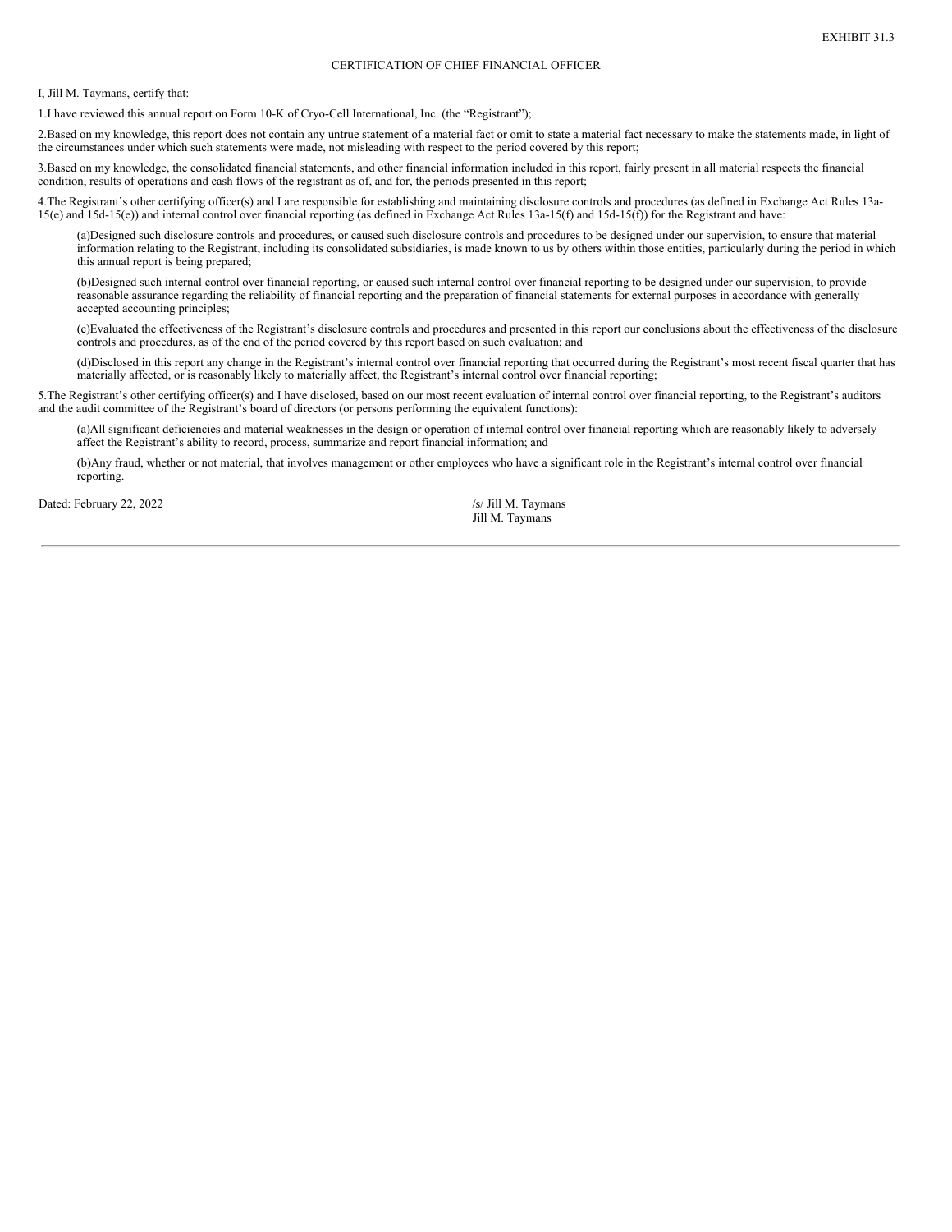### CERTIFICATION OF CHIEF FINANCIAL OFFICER

I, Jill M. Taymans, certify that:

1.I have reviewed this annual report on Form 10-K of Cryo-Cell International, Inc. (the "Registrant");

2.Based on my knowledge, this report does not contain any untrue statement of a material fact or omit to state a material fact necessary to make the statements made, in light of the circumstances under which such statements were made, not misleading with respect to the period covered by this report;

3.Based on my knowledge, the consolidated financial statements, and other financial information included in this report, fairly present in all material respects the financial condition, results of operations and cash flows of the registrant as of, and for, the periods presented in this report;

4.The Registrant's other certifying officer(s) and I are responsible for establishing and maintaining disclosure controls and procedures (as defined in Exchange Act Rules 13a-15(e) and 15d-15(e)) and internal control over financial reporting (as defined in Exchange Act Rules 13a-15(f) and 15d-15(f)) for the Registrant and have:

(a)Designed such disclosure controls and procedures, or caused such disclosure controls and procedures to be designed under our supervision, to ensure that material information relating to the Registrant, including its consolidated subsidiaries, is made known to us by others within those entities, particularly during the period in which this annual report is being prepared;

(b)Designed such internal control over financial reporting, or caused such internal control over financial reporting to be designed under our supervision, to provide reasonable assurance regarding the reliability of financial reporting and the preparation of financial statements for external purposes in accordance with generally accepted accounting principles;

(c)Evaluated the effectiveness of the Registrant's disclosure controls and procedures and presented in this report our conclusions about the effectiveness of the disclosure controls and procedures, as of the end of the period covered by this report based on such evaluation; and

(d)Disclosed in this report any change in the Registrant's internal control over financial reporting that occurred during the Registrant's most recent fiscal quarter that has materially affected, or is reasonably likely to materially affect, the Registrant's internal control over financial reporting;

5.The Registrant's other certifying officer(s) and I have disclosed, based on our most recent evaluation of internal control over financial reporting, to the Registrant's auditors and the audit committee of the Registrant's board of directors (or persons performing the equivalent functions):

(a)All significant deficiencies and material weaknesses in the design or operation of internal control over financial reporting which are reasonably likely to adversely affect the Registrant's ability to record, process, summarize and report financial information; and

(b)Any fraud, whether or not material, that involves management or other employees who have a significant role in the Registrant's internal control over financial reporting.

Dated: February 22, 2022 /s/ Jill M. Taymans

Jill M. Taymans